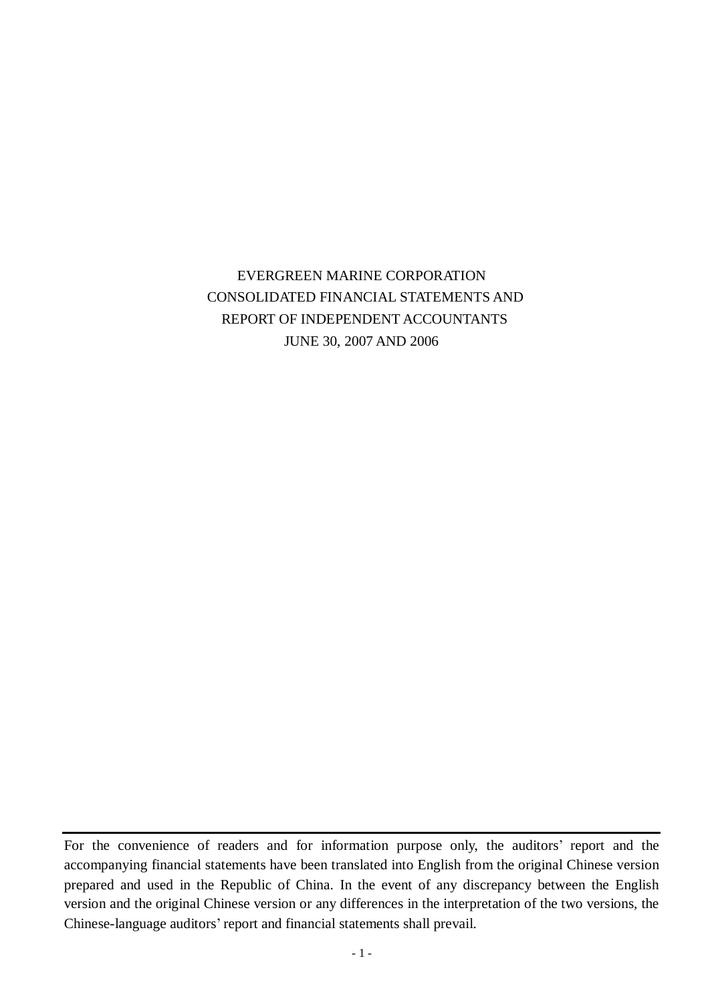# EVERGREEN MARINE CORPORATION CONSOLIDATED FINANCIAL STATEMENTS AND REPORT OF INDEPENDENT ACCOUNTANTS JUNE 30, 2007 AND 2006

For the convenience of readers and for information purpose only, the auditors' report and the accompanying financial statements have been translated into English from the original Chinese version prepared and used in the Republic of China. In the event of any discrepancy between the English version and the original Chinese version or any differences in the interpretation of the two versions, the Chinese-language auditors' report and financial statements shall prevail.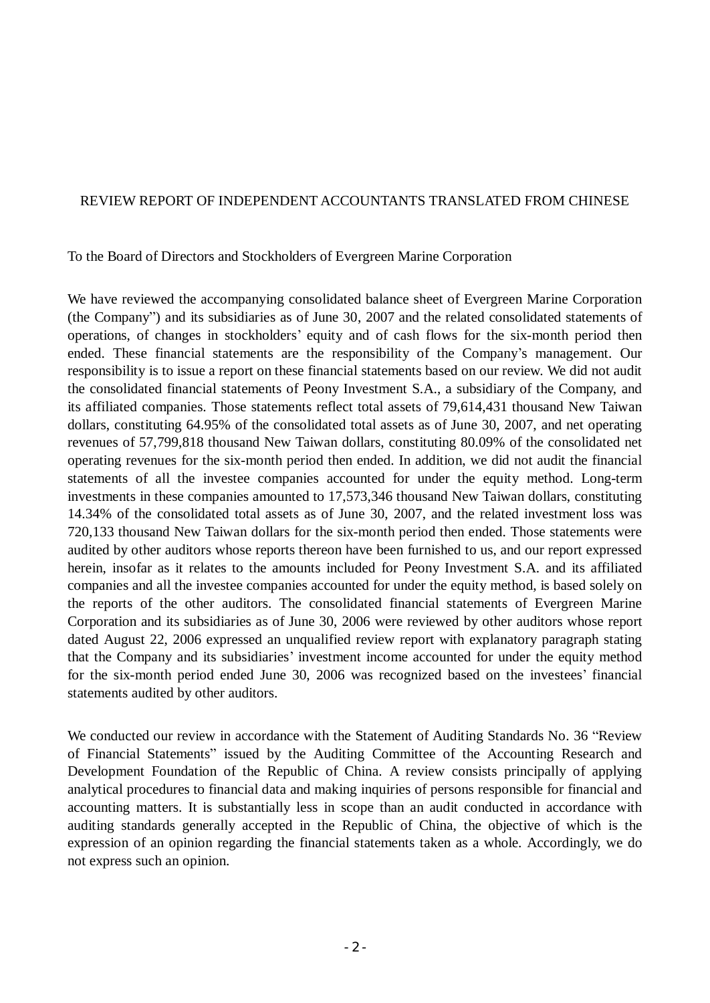## REVIEW REPORT OF INDEPENDENT ACCOUNTANTS TRANSLATED FROM CHINESE

## To the Board of Directors and Stockholders of Evergreen Marine Corporation

We have reviewed the accompanying consolidated balance sheet of Evergreen Marine Corporation (the Company") and its subsidiaries as of June 30, 2007 and the related consolidated statements of operations, of changes in stockholders' equity and of cash flows for the six-month period then ended. These financial statements are the responsibility of the Company's management. Our responsibility is to issue a report on these financial statements based on our review. We did not audit the consolidated financial statements of Peony Investment S.A., a subsidiary of the Company, and its affiliated companies. Those statements reflect total assets of 79,614,431 thousand New Taiwan dollars, constituting 64.95% of the consolidated total assets as of June 30, 2007, and net operating revenues of 57,799,818 thousand New Taiwan dollars, constituting 80.09% of the consolidated net operating revenues for the six-month period then ended. In addition, we did not audit the financial statements of all the investee companies accounted for under the equity method. Long-term investments in these companies amounted to 17,573,346 thousand New Taiwan dollars, constituting 14.34% of the consolidated total assets as of June 30, 2007, and the related investment loss was 720,133 thousand New Taiwan dollars for the six-month period then ended. Those statements were audited by other auditors whose reports thereon have been furnished to us, and our report expressed herein, insofar as it relates to the amounts included for Peony Investment S.A. and its affiliated companies and all the investee companies accounted for under the equity method, is based solely on the reports of the other auditors. The consolidated financial statements of Evergreen Marine Corporation and its subsidiaries as of June 30, 2006 were reviewed by other auditors whose report dated August 22, 2006 expressed an unqualified review report with explanatory paragraph stating that the Company and its subsidiaries' investment income accounted for under the equity method for the six-month period ended June 30, 2006 was recognized based on the investees' financial statements audited by other auditors.

We conducted our review in accordance with the Statement of Auditing Standards No. 36 "Review of Financial Statements" issued by the Auditing Committee of the Accounting Research and Development Foundation of the Republic of China. A review consists principally of applying analytical procedures to financial data and making inquiries of persons responsible for financial and accounting matters. It is substantially less in scope than an audit conducted in accordance with auditing standards generally accepted in the Republic of China, the objective of which is the expression of an opinion regarding the financial statements taken as a whole. Accordingly, we do not express such an opinion.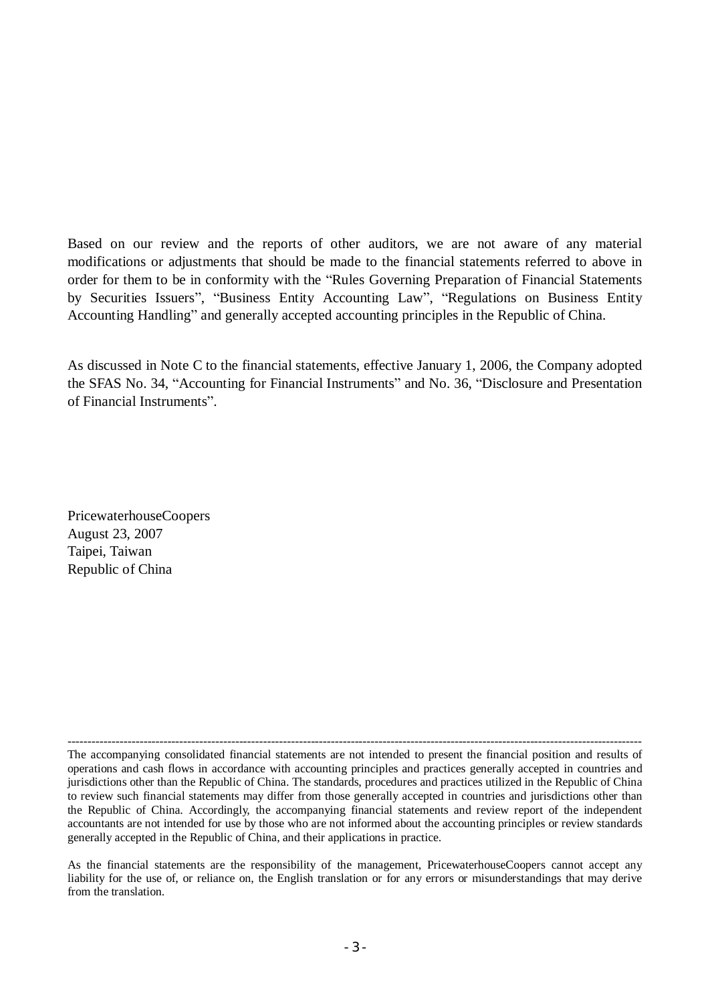Based on our review and the reports of other auditors, we are not aware of any material modifications or adjustments that should be made to the financial statements referred to above in order for them to be in conformity with the "Rules Governing Preparation of Financial Statements by Securities Issuers", "Business Entity Accounting Law", "Regulations on Business Entity Accounting Handling" and generally accepted accounting principles in the Republic of China.

As discussed in Note C to the financial statements, effective January 1, 2006, the Company adopted the SFAS No. 34, "Accounting for Financial Instruments" and No. 36, "Disclosure and Presentation of Financial Instruments".

PricewaterhouseCoopers August 23, 2007 Taipei, Taiwan Republic of China

------------------------------------------------------------------------------------------------------------------------------------------------ The accompanying consolidated financial statements are not intended to present the financial position and results of operations and cash flows in accordance with accounting principles and practices generally accepted in countries and jurisdictions other than the Republic of China. The standards, procedures and practices utilized in the Republic of China to review such financial statements may differ from those generally accepted in countries and jurisdictions other than the Republic of China. Accordingly, the accompanying financial statements and review report of the independent accountants are not intended for use by those who are not informed about the accounting principles or review standards generally accepted in the Republic of China, and their applications in practice.

As the financial statements are the responsibility of the management, PricewaterhouseCoopers cannot accept any liability for the use of, or reliance on, the English translation or for any errors or misunderstandings that may derive from the translation.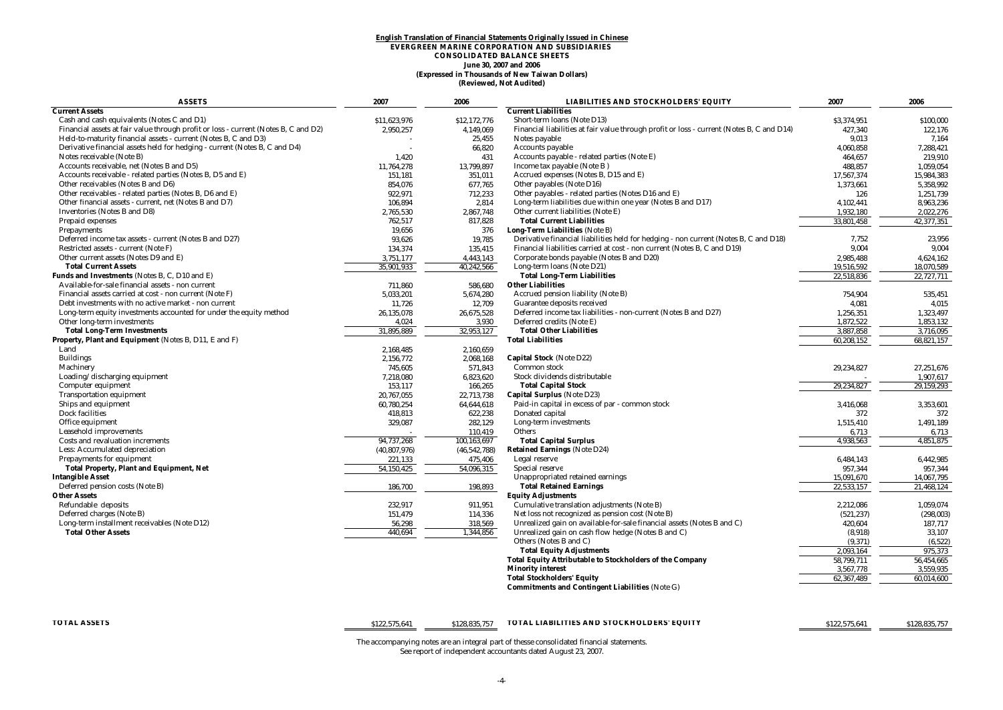#### **(Expressed in Thousands of New Taiwan Dollars) English Translation of Financial Statements Originally Issued in Chinese EVERGREEN MARINE CORPORATION AND SUBSIDIARIES CONSOLIDATED BALANCE SHEETS June 30, 2007 and 2006 (Reviewed, Not Audited)**

| <b>ASSETS</b>                                                                       | 2007           | 2006           | <b>LIABILITIES AND STOCKHOLDERS' EQUITY</b>                                               | 2007        | 2006       |
|-------------------------------------------------------------------------------------|----------------|----------------|-------------------------------------------------------------------------------------------|-------------|------------|
| <b>Current Assets</b>                                                               |                |                | <b>Current Liabilities</b>                                                                |             |            |
| Cash and cash equivalents (Notes C and D1)                                          | \$11,623,976   | \$12,172,776   | Short-term loans (Note D13)                                                               | \$3,374,951 | \$100,000  |
| Financial assets at fair value through profit or loss - current (Notes B, C and D2) | 2,950,257      | 4,149,069      | Financial liabilities at fair value through profit or loss - current (Notes B, C and D14) | 427,340     | 122,176    |
| Held-to-maturity financial assets - current (Notes B, C and D3)                     |                | 25,455         | Notes payable                                                                             | 9.013       | 7.164      |
| Derivative financial assets held for hedging - current (Notes B, C and D4)          |                | 66,820         | Accounts payable                                                                          | 4,060,858   | 7,288,421  |
| Notes receivable (Note B)                                                           | 1.420          | 431            | Accounts payable - related parties (Note E)                                               | 464.657     | 219.910    |
| Accounts receivable, net (Notes B and D5)                                           | 11,764,278     | 13,799,897     | Income tax payable (Note B)                                                               | 488,857     | 1,059,054  |
| Accounts receivable - related parties (Notes B, D5 and E)                           | 151.181        | 351,011        | Accrued expenses (Notes B, D15 and E)                                                     | 17.567.374  | 15.984.383 |
| Other receivables (Notes B and D6)                                                  | 854,076        | 677,765        | Other payables (Note D16)                                                                 | 1,373,661   | 5,358,992  |
| Other receivables - related parties (Notes B, D6 and E)                             | 922,971        | 712,233        | Other payables - related parties (Notes D16 and E)                                        | 126         | 1,251,739  |
| Other financial assets - current, net (Notes B and D7)                              | 106,894        | 2,814          | Long-term liabilities due within one year (Notes B and D17)                               | 4,102,441   | 8,963,236  |
| <b>Inventories</b> (Notes B and D8)                                                 | 2,765,530      | 2,867,748      | Other current liabilities (Note E)                                                        | 1.932.180   | 2,022,276  |
| Prepaid expenses                                                                    | 762,517        | 817.828        | <b>Total Current Liabilities</b>                                                          | 33,801,458  | 42,377,351 |
| <b>Prepayments</b>                                                                  | 19,656         | 376            | <b>Long-Term Liabilities (Note B)</b>                                                     |             |            |
| Deferred income tax assets - current (Notes B and D27)                              | 93,626         | 19,785         | Derivative financial liabilities held for hedging - non current (Notes B, C and D18)      | 7,752       | 23,956     |
| Restricted assets - current (Note F)                                                | 134,374        | 135,415        | Financial liabilities carried at cost - non current (Notes B, C and D19)                  | 9,004       | 9,004      |
| Other current assets (Notes D9 and E)                                               | 3,751,177      | 4,443,143      | Corporate bonds payable (Notes B and D20)                                                 | 2,985,488   | 4,624,162  |
| <b>Total Current Assets</b>                                                         | 35,901,933     | 40,242,566     | Long-term loans (Note D21)                                                                | 19,516,592  | 18,070,589 |
| Funds and Investments (Notes B, C, D10 and E)                                       |                |                | <b>Total Long-Term Liabilities</b>                                                        | 22,518,836  | 22,727,711 |
| Available-for-sale financial assets - non current                                   | 711.860        | 586.680        | <b>Other Liabilities</b>                                                                  |             |            |
| Financial assets carried at cost - non current (Note F)                             | 5,033,201      | 5,674,280      | Accrued pension liability (Note B)                                                        | 754,904     | 535,451    |
| Debt investments with no active market - non current                                | 11.726         | 12,709         | Guarantee deposits received                                                               | 4.081       | 4,015      |
| Long-term equity investments accounted for under the equity method                  | 26,135,078     | 26,675,528     | Deferred income tax liabilities - non-current (Notes B and D27)                           | 1,256,351   | 1,323,497  |
| Other long-term investments                                                         | 4,024          | 3.930          | Deferred credits (Note E)                                                                 | 1,872,522   | 1,853,132  |
| <b>Total Long-Term Investments</b>                                                  | 31,895,889     | 32,953,127     | <b>Total Other Liabilities</b>                                                            | 3,887,858   | 3,716,095  |
| Property, Plant and Equipment (Notes B, D11, E and F)                               |                |                | <b>Total Liabilities</b>                                                                  | 60,208,152  | 68,821,157 |
| Land                                                                                | 2,168,485      | 2,160,659      |                                                                                           |             |            |
| <b>Buildings</b>                                                                    | 2,156,772      | 2,068,168      | Capital Stock (Note D22)                                                                  |             |            |
| Machinery                                                                           | 745,605        | 571,843        | Common stock                                                                              | 29,234,827  | 27,251,676 |
| Loading/discharging equipment                                                       | 7,218,080      | 6,823,620      | Stock dividends distributable                                                             |             | 1,907,617  |
| Computer equipment                                                                  | 153,117        | 166,265        | <b>Total Capital Stock</b>                                                                | 29,234,827  | 29,159,293 |
| <b>Transportation equipment</b>                                                     | 20,767,055     | 22,713,738     | Capital Surplus (Note D23)                                                                |             |            |
| Ships and equipment                                                                 | 60,780,254     | 64,644,618     | Paid-in capital in excess of par - common stock                                           | 3,416,068   | 3,353,601  |
| <b>Dock facilities</b>                                                              | 418,813        | 622,238        | Donated capital                                                                           | 372         | 372        |
| Office equipment                                                                    | 329,087        | 282,129        | Long-term investments                                                                     | 1,515,410   | 1,491,189  |
| <b>Leasehold improvements</b>                                                       |                | 110,419        | Others                                                                                    | 6,713       | 6,713      |
| Costs and revaluation increments                                                    | 94,737,268     | 100,163,697    | <b>Total Capital Surplus</b>                                                              | 4,938,563   | 4,851,875  |
| Less: Accumulated depreciation                                                      | (40, 807, 976) | (46, 542, 788) | <b>Retained Earnings (Note D24)</b>                                                       |             |            |
| <b>Prepayments for equipment</b>                                                    | 221,133        | 475,406        | Legal reserve                                                                             | 6,484,143   | 6,442,985  |
| Total Property, Plant and Equipment, Net                                            | 54,150,425     | 54,096,315     | Special reserve                                                                           | 957,344     | 957,344    |
| <b>Intangible Asset</b>                                                             |                |                | Unappropriated retained earnings                                                          | 15,091,670  | 14,067,795 |
| Deferred pension costs (Note B)                                                     | 186,700        | 198,893        | <b>Total Retained Earnings</b>                                                            | 22,533,157  | 21,468,124 |
| <b>Other Assets</b>                                                                 |                |                | <b>Equity Adjustments</b>                                                                 |             |            |
| Refundable deposits                                                                 | 232,917        | 911,951        | Cumulative translation adjustments (Note B)                                               | 2,212,086   | 1,059,074  |
| Deferred charges (Note B)                                                           | 151,479        | 114,336        | Net loss not recognized as pension cost (Note B)                                          | (521, 237)  | (298, 003) |
| Long-term installment receivables (Note D12)                                        | 56,298         | 318,569        | Unrealized gain on available-for-sale financial assets (Notes B and C)                    | 420,604     | 187,717    |
| <b>Total Other Assets</b>                                                           | 440,694        | 1,344,856      | Unrealized gain on cash flow hedge (Notes B and C)                                        | (8,918)     | 33,107     |
|                                                                                     |                |                | Others (Notes B and C)                                                                    | (9,371)     | (6, 522)   |
|                                                                                     |                |                | <b>Total Equity Adjustments</b>                                                           | 2.093.164   | 975.373    |
|                                                                                     |                |                | Total Equity Attributable to Stockholders of the Company                                  | 58,799,711  | 56,454,665 |
|                                                                                     |                |                | <b>Minority interest</b>                                                                  | 3,567,778   | 3,559,935  |
|                                                                                     |                |                | <b>Total Stockholders' Equity</b>                                                         | 62,367,489  | 60.014.600 |
|                                                                                     |                |                | Commitments and Contingent Liabilities (Note G)                                           |             |            |

**TOTAL ASSETS** \$122,575,641 \$128,835,757 **TOTAL LIABILITIES AND STOCKHOLDERS' EQUITY** \$122,575,641 \$128,835,757

The accompanying notes are an integral part of thesse consolidated financial statements. See report of independent accountants dated August 23, 2007.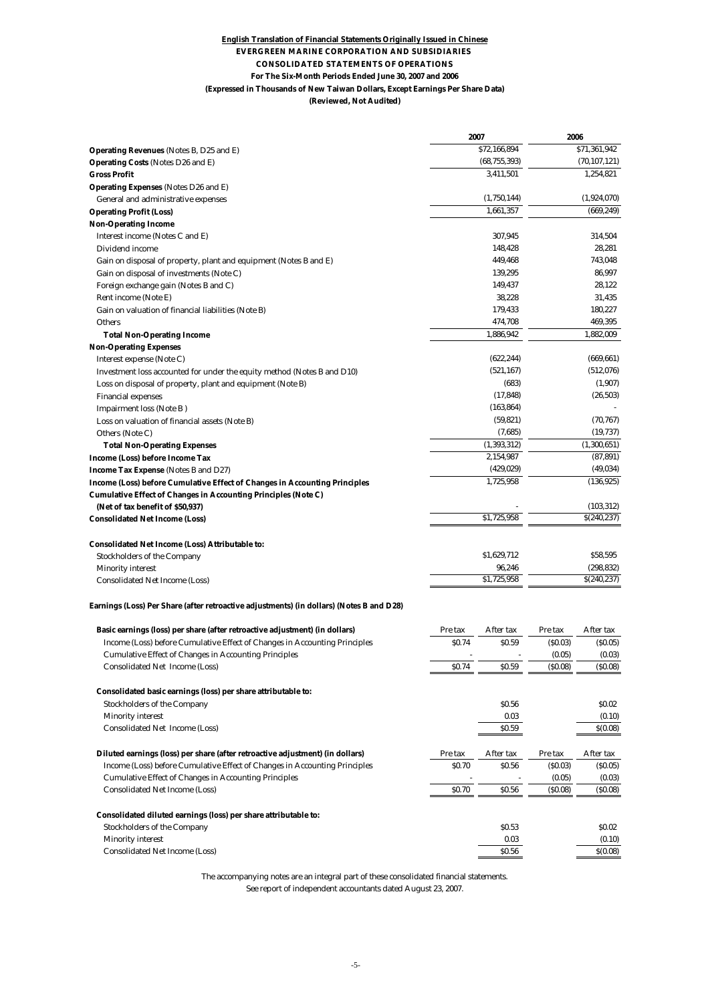#### **(Reviewed, Not Audited) English Translation of Financial Statements Originally Issued in Chinese EVERGREEN MARINE CORPORATION AND SUBSIDIARIES CONSOLIDATED STATEMENTS OF OPERATIONS For The Six-Month Periods Ended June 30, 2007 and 2006 (Expressed in Thousands of New Taiwan Dollars, Except Earnings Per Share Data)**

|                                                                                                     | 2007                   | 2006    |                   |
|-----------------------------------------------------------------------------------------------------|------------------------|---------|-------------------|
| Operating Revenues (Notes B, D25 and E)                                                             | \$72,166,894           |         | \$71,361,942      |
| Operating Costs (Notes D26 and E)                                                                   | (68, 755, 393)         |         | (70, 107, 121)    |
| <b>Gross Profit</b>                                                                                 | 3,411,501              |         | 1,254,821         |
| Operating Expenses (Notes D26 and E)                                                                |                        |         |                   |
| General and administrative expenses                                                                 | (1,750,144)            |         | (1,924,070)       |
| <b>Operating Profit (Loss)</b>                                                                      | 1,661,357              |         | (669, 249)        |
| <b>Non-Operating Income</b>                                                                         |                        |         |                   |
| Interest income (Notes C and E)                                                                     | 307,945                |         | 314,504           |
| Dividend income                                                                                     | 148,428                |         | 28,281            |
| Gain on disposal of property, plant and equipment (Notes B and E)                                   | 449,468                |         | 743,048           |
| Gain on disposal of investments (Note C)                                                            | 139,295                |         | 86,997            |
| Foreign exchange gain (Notes B and C)                                                               | 149,437                |         | 28,122            |
| Rent income (Note E)                                                                                | 38,228                 |         | 31,435            |
| Gain on valuation of financial liabilities (Note B)                                                 | 179,433                |         | 180,227           |
| <b>Others</b>                                                                                       | 474,708                |         | 469,395           |
| <b>Total Non-Operating Income</b>                                                                   | 1,886,942              |         | 1,882,009         |
| <b>Non-Operating Expenses</b>                                                                       |                        |         |                   |
| Interest expense (Note C)                                                                           | (622, 244)             |         | (669, 661)        |
| Investment loss accounted for under the equity method (Notes B and D10)                             | (521, 167)             |         | (512,076)         |
| Loss on disposal of property, plant and equipment (Note B)                                          | (683)                  |         | (1,907)           |
| <b>Financial expenses</b>                                                                           | (17, 848)              |         | (26, 503)         |
| <b>Impairment loss (Note B)</b>                                                                     | (163, 864)             |         |                   |
| Loss on valuation of financial assets (Note B)                                                      | (59, 821)              |         | (70, 767)         |
| Others (Note C)                                                                                     | (7,685)                |         | (19, 737)         |
| <b>Total Non-Operating Expenses</b>                                                                 | (1, 393, 312)          |         | (1,300,651)       |
| Income (Loss) before Income Tax                                                                     | 2,154,987              |         | (87, 891)         |
| Income Tax Expense (Notes B and D27)                                                                | (429, 029)             |         | (49, 034)         |
| Income (Loss) before Cumulative Effect of Changes in Accounting Principles                          | 1,725,958              |         | (136, 925)        |
| Cumulative Effect of Changes in Accounting Principles (Note C)                                      |                        |         |                   |
| (Net of tax benefit of \$50,937)                                                                    |                        |         | (103, 312)        |
| <b>Consolidated Net Income (Loss)</b>                                                               | \$1,725,958            |         | \$(240,237)       |
| Consolidated Net Income (Loss) Attributable to:                                                     |                        |         |                   |
| <b>Stockholders of the Company</b>                                                                  | \$1,629,712            |         | \$58,595          |
| <b>Minority interest</b>                                                                            | 96,246                 |         | (298, 832)        |
| <b>Consolidated Net Income (Loss)</b>                                                               | \$1,725,958            |         | \$(240,237)       |
| Earnings (Loss) Per Share (after retroactive adjustments) (in dollars) (Notes B and D28)            |                        |         |                   |
| Basic earnings (loss) per share (after retroactive adjustment) (in dollars)                         | Pre tax<br>After tax   | Pre tax | After tax         |
| Income (Loss) before Cumulative Effect of Changes in Accounting Principles                          | <b>SO.74</b><br>\$0.59 | (S0.03) | (S0.05)           |
| <b>Cumulative Effect of Changes in Accounting Principles</b>                                        |                        | (0.05)  | (0.03)            |
| <b>Consolidated Net Income (Loss)</b>                                                               | \$0.74<br>SO.59        | (S0.08) | (S0.08)           |
|                                                                                                     |                        |         |                   |
| Consolidated basic earnings (loss) per share attributable to:<br><b>Stockholders of the Company</b> | \$0.56                 |         | \$0.02            |
|                                                                                                     | 0.03                   |         |                   |
| <b>Minority interest</b><br><b>Consolidated Net Income (Loss)</b>                                   | \$0.59                 |         | (0.10)<br>S(0.08) |
|                                                                                                     |                        |         |                   |
| Diluted earnings (loss) per share (after retroactive adjustment) (in dollars)                       | After tax<br>Pre tax   | Pre tax | After tax         |
| Income (Loss) before Cumulative Effect of Changes in Accounting Principles                          | \$0.70<br>\$0.56       | (S0.03) | (S0.05)           |
| <b>Cumulative Effect of Changes in Accounting Principles</b>                                        |                        | (0.05)  | (0.03)            |
| <b>Consolidated Net Income (Loss)</b>                                                               | \$0.70<br>\$0.56       | (S0.08) | (\$0.08)          |
| Consolidated diluted earnings (loss) per share attributable to:                                     |                        |         |                   |
| <b>Stockholders of the Company</b>                                                                  | \$0.53                 |         | \$0.02            |
| <b>Minority interest</b>                                                                            | 0.03                   |         | (0.10)            |
| <b>Consolidated Net Income (Loss)</b>                                                               | \$0.56                 |         | \$(0.08)          |

The accompanying notes are an integral part of these consolidated financial statements.

See report of independent accountants dated August 23, 2007.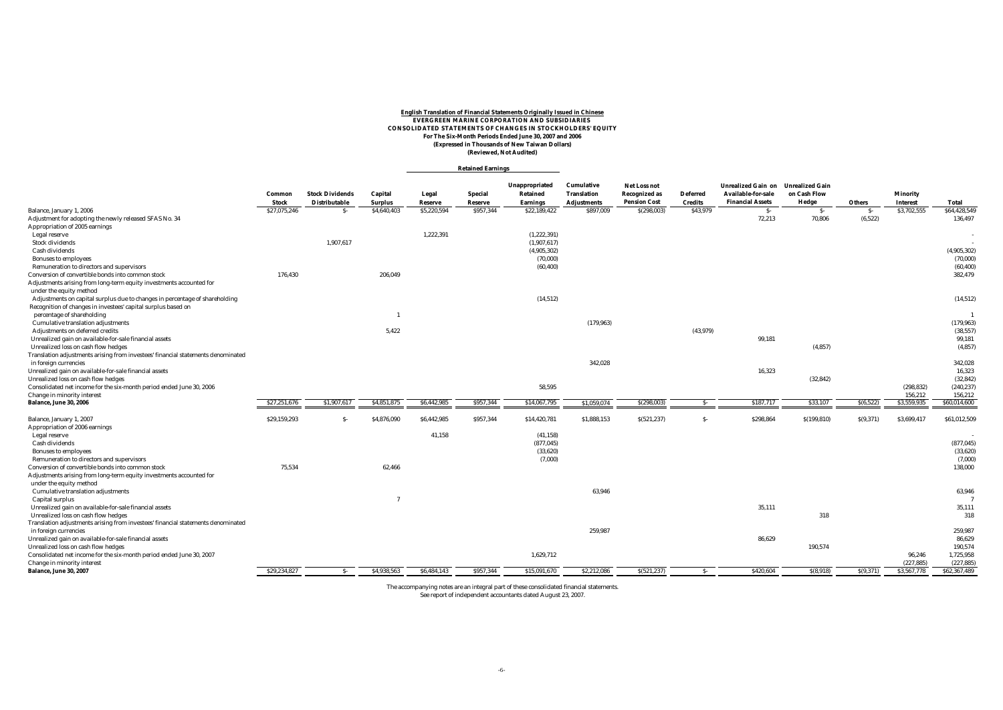#### **English Translation of Financial Statements Originally Issued in Chinese EVERGREEN MARINE CORPORATION AND SUBSIDIARIES CONSOLIDATED STATEMENTS OF CHANGES IN STOCKHOLDERS' EQUITY For The Six-Month Periods Ended June 30, 2007 and 2006 (Expressed in Thousands of New Taiwan Dollars) (Reviewed, Not Audited)**

#### **Retained Earnings**

|                                                                                  |              |                        |                |             |           | Unappropriated  | Cumulative         | Net Loss not         |                | <b>Unrealized Gain on</b> | <b>Unrealized Gain</b> |           |                 |              |
|----------------------------------------------------------------------------------|--------------|------------------------|----------------|-------------|-----------|-----------------|--------------------|----------------------|----------------|---------------------------|------------------------|-----------|-----------------|--------------|
|                                                                                  | Common       | <b>Stock Dividends</b> | Capital        | Legal       | Special   | Retained        | <b>Translation</b> | <b>Recognized as</b> | Deferred       | Available-for-sale        | on Cash Flow           |           | <b>Minority</b> |              |
|                                                                                  | <b>Stock</b> | Distributable          | <b>Surplus</b> | Reserve     | Reserve   | <b>Earnings</b> | <b>Adjustments</b> | <b>Pension Cost</b>  | <b>Credits</b> | <b>Financial Assets</b>   | Hedge                  | Others    | <b>Interest</b> | <b>Total</b> |
| Balance, January 1, 2006                                                         | \$27,075,246 | - S-                   | \$4,640,403    | \$5,220,594 | \$957,344 | \$22,189,422    | \$897,009          | \$(298,003)          | \$43,979       | $S-$                      | $S-$                   | $S-$      | \$3,702,555     | \$64,428,549 |
| Adjustment for adopting the newly released SFAS No. 34                           |              |                        |                |             |           |                 |                    |                      |                | 72,213                    | 70,806                 | (6, 522)  |                 | 136,497      |
| Appropriation of 2005 earnings                                                   |              |                        |                |             |           |                 |                    |                      |                |                           |                        |           |                 |              |
| Legal reserve                                                                    |              |                        |                | 1,222,391   |           | (1,222,391)     |                    |                      |                |                           |                        |           |                 |              |
| <b>Stock dividends</b>                                                           |              | 1,907,617              |                |             |           | (1,907,617)     |                    |                      |                |                           |                        |           |                 |              |
| Cash dividends                                                                   |              |                        |                |             |           | (4,905,302)     |                    |                      |                |                           |                        |           |                 | (4,905,302)  |
| <b>Bonuses to employees</b>                                                      |              |                        |                |             |           | (70,000)        |                    |                      |                |                           |                        |           |                 | (70,000)     |
| Remuneration to directors and supervisors                                        |              |                        |                |             |           | (60, 400)       |                    |                      |                |                           |                        |           |                 | (60, 400)    |
| Conversion of convertible bonds into common stock                                | 176,430      |                        | 206,049        |             |           |                 |                    |                      |                |                           |                        |           |                 | 382,479      |
| Adjustments arising from long-term equity investments accounted for              |              |                        |                |             |           |                 |                    |                      |                |                           |                        |           |                 |              |
| under the equity method                                                          |              |                        |                |             |           |                 |                    |                      |                |                           |                        |           |                 |              |
| Adjustments on capital surplus due to changes in percentage of shareholding      |              |                        |                |             |           | (14, 512)       |                    |                      |                |                           |                        |           |                 | (14, 512)    |
| Recognition of changes in investees' capital surplus based on                    |              |                        |                |             |           |                 |                    |                      |                |                           |                        |           |                 |              |
| percentage of shareholding                                                       |              |                        |                |             |           |                 |                    |                      |                |                           |                        |           |                 |              |
| <b>Cumulative translation adjustments</b>                                        |              |                        |                |             |           |                 | (179, 963)         |                      |                |                           |                        |           |                 | (179, 963)   |
| Adjustments on deferred credits                                                  |              |                        | 5,422          |             |           |                 |                    |                      | (43, 979)      |                           |                        |           |                 | (38, 557)    |
| Unrealized gain on available-for-sale financial assets                           |              |                        |                |             |           |                 |                    |                      |                | 99,181                    |                        |           |                 | 99.181       |
| Unrealized loss on cash flow hedges                                              |              |                        |                |             |           |                 |                    |                      |                |                           | (4, 857)               |           |                 | (4, 857)     |
| Translation adjustments arising from investees' financial statements denominated |              |                        |                |             |           |                 |                    |                      |                |                           |                        |           |                 |              |
| in foreign currencies                                                            |              |                        |                |             |           |                 | 342,028            |                      |                |                           |                        |           |                 | 342,028      |
| Unrealized gain on available-for-sale financial assets                           |              |                        |                |             |           |                 |                    |                      |                | 16,323                    |                        |           |                 | 16,323       |
| Unrealized loss on cash flow hedges                                              |              |                        |                |             |           |                 |                    |                      |                |                           | (32, 842)              |           |                 | (32, 842)    |
| Consolidated net income for the six-month period ended June 30, 2006             |              |                        |                |             |           | 58,595          |                    |                      |                |                           |                        |           | (298, 832)      | (240, 237)   |
| Change in minority interest                                                      |              |                        |                |             |           |                 |                    |                      |                |                           |                        |           | 156,212         | 156.212      |
| <b>Balance, June 30, 2006</b>                                                    | \$27,251,67  | \$1,907,61             | \$4,851,875    | \$6,442,985 | \$957,344 | \$14,067,795    | \$1,059,074        | \$(298,003           | $S-$           | \$187,717                 | \$33,107               | S(6, 522) | \$3,559,935     | \$60,014,600 |
|                                                                                  |              |                        |                |             |           |                 |                    |                      |                |                           |                        |           |                 |              |
| Balance, January 1, 2007                                                         | \$29,159,293 | S-                     | \$4,876,090    | \$6,442,985 | \$957,344 | \$14,420,781    | \$1,888,153        | S(521, 237)          | $S-$           | \$298,864                 | \$(199, 810)           | S(9, 371) | \$3,699,417     | \$61,012,509 |
| Appropriation of 2006 earnings                                                   |              |                        |                |             |           |                 |                    |                      |                |                           |                        |           |                 |              |
| Legal reserve                                                                    |              |                        |                | 41,158      |           | (41, 158)       |                    |                      |                |                           |                        |           |                 |              |
| <b>Cash dividends</b>                                                            |              |                        |                |             |           | (877, 045)      |                    |                      |                |                           |                        |           |                 | (877, 045)   |
| <b>Bonuses</b> to employees                                                      |              |                        |                |             |           | (33,620)        |                    |                      |                |                           |                        |           |                 | (33,620)     |
| Remuneration to directors and supervisors                                        |              |                        |                |             |           | (7,000)         |                    |                      |                |                           |                        |           |                 | (7,000)      |
| Conversion of convertible bonds into common stock                                | 75,534       |                        | 62,466         |             |           |                 |                    |                      |                |                           |                        |           |                 | 138,000      |
| Adjustments arising from long-term equity investments accounted for              |              |                        |                |             |           |                 |                    |                      |                |                           |                        |           |                 |              |
| under the equity method                                                          |              |                        |                |             |           |                 |                    |                      |                |                           |                        |           |                 |              |
| <b>Cumulative translation adjustments</b>                                        |              |                        |                |             |           |                 | 63.946             |                      |                |                           |                        |           |                 | 63,946       |
| Capital surplus                                                                  |              |                        | $\overline{7}$ |             |           |                 |                    |                      |                |                           |                        |           |                 |              |
| Unrealized gain on available-for-sale financial assets                           |              |                        |                |             |           |                 |                    |                      |                | 35,111                    |                        |           |                 | 35,111       |
| Unrealized loss on cash flow hedges                                              |              |                        |                |             |           |                 |                    |                      |                |                           | 318                    |           |                 | 318          |
| Translation adjustments arising from investees' financial statements denominated |              |                        |                |             |           |                 |                    |                      |                |                           |                        |           |                 |              |
| in foreign currencies                                                            |              |                        |                |             |           |                 | 259,987            |                      |                |                           |                        |           |                 | 259,987      |
| Unrealized gain on available-for-sale financial assets                           |              |                        |                |             |           |                 |                    |                      |                | 86,629                    |                        |           |                 | 86,629       |
| Unrealized loss on cash flow hedges                                              |              |                        |                |             |           |                 |                    |                      |                |                           | 190,574                |           |                 | 190,574      |
|                                                                                  |              |                        |                |             |           | 1,629,712       |                    |                      |                |                           |                        |           | 96,246          | 1,725,958    |
| Consolidated net income for the six-month period ended June 30, 2007             |              |                        |                |             |           |                 |                    |                      |                |                           |                        |           | (227, 885)      | (227, 885)   |
| Change in minority interest<br>Balance, June 30, 2007                            | \$29.234.827 | $S-$                   | \$4.938.563    | \$6,484.143 | \$957.344 | \$15,091,670    | \$2,212,086        | S(521, 237)          | $S-$           | \$420.604                 | S(8,918)               | S(9,371)  | \$3,567,778     | \$62,367,489 |
|                                                                                  |              |                        |                |             |           |                 |                    |                      |                |                           |                        |           |                 |              |

The accompanying notes are an integral part of these consolidated financial statements. See report of independent accountants dated August 23, 2007.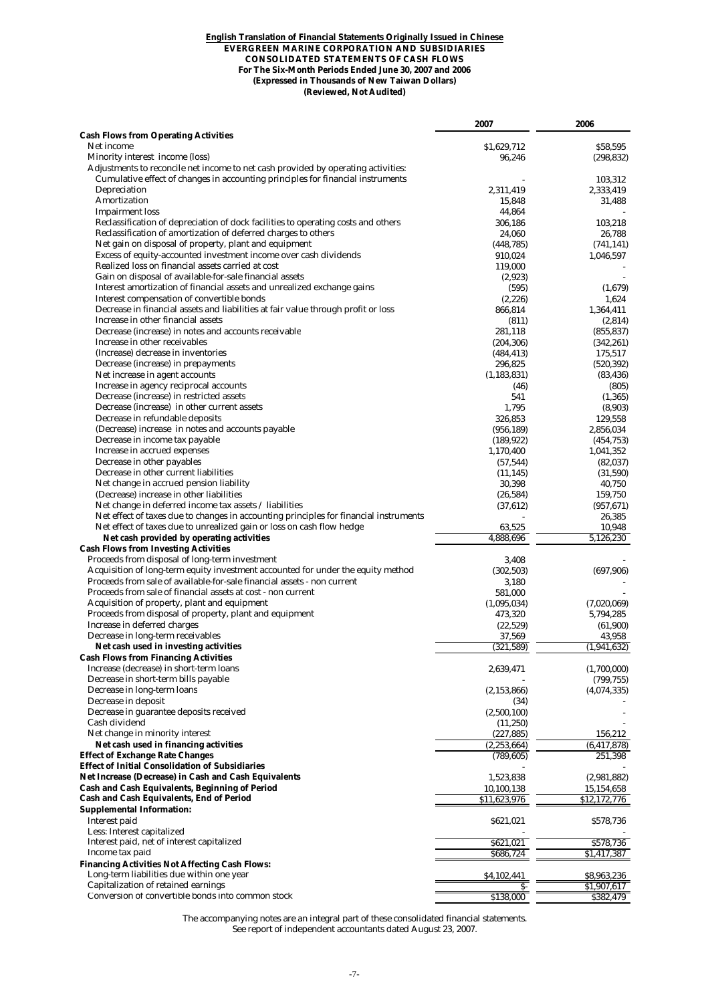#### **English Translation of Financial Statements Originally Issued in Chinese EVERGREEN MARINE CORPORATION AND SUBSIDIARIES CONSOLIDATED STATEMENTS OF CASH FLOWS For The Six-Month Periods Ended June 30, 2007 and 2006 (Expressed in Thousands of New Taiwan Dollars) (Reviewed, Not Audited)**

|                                                                                                                                                             | 2007                     | 2006                      |
|-------------------------------------------------------------------------------------------------------------------------------------------------------------|--------------------------|---------------------------|
| <b>Cash Flows from Operating Activities</b>                                                                                                                 |                          |                           |
| Net income                                                                                                                                                  | \$1,629,712              | \$58,595                  |
| Minority interest income (loss)<br>Adjustments to reconcile net income to net cash provided by operating activities:                                        | 96,246                   | (298, 832)                |
| Cumulative effect of changes in accounting principles for financial instruments                                                                             |                          | 103,312                   |
| Depreciation                                                                                                                                                | 2,311,419                | 2,333,419                 |
| <b>Amortization</b>                                                                                                                                         | 15,848                   | 31.488                    |
| <b>Impairment</b> loss                                                                                                                                      | 44,864                   |                           |
| Reclassification of depreciation of dock facilities to operating costs and others                                                                           | 306,186                  | 103,218                   |
| Reclassification of amortization of deferred charges to others                                                                                              | 24,060                   | 26,788                    |
| Net gain on disposal of property, plant and equipment<br>Excess of equity-accounted investment income over cash dividends                                   | (448, 785)               | (741, 141)                |
| Realized loss on financial assets carried at cost                                                                                                           | 910,024<br>119,000       | 1,046,597                 |
| Gain on disposal of available-for-sale financial assets                                                                                                     | (2,923)                  |                           |
| Interest amortization of financial assets and unrealized exchange gains                                                                                     | (595)                    | (1,679)                   |
| Interest compensation of convertible bonds                                                                                                                  | (2,226)                  | 1,624                     |
| Decrease in financial assets and liabilities at fair value through profit or loss                                                                           | 866,814                  | 1,364,411                 |
| Increase in other financial assets                                                                                                                          | (811)                    | (2,814)                   |
| Decrease (increase) in notes and accounts receivable                                                                                                        | 281,118                  | (855, 837)                |
| Increase in other receivables                                                                                                                               | (204, 306)               | (342, 261)                |
| (Increase) decrease in inventories                                                                                                                          | (484, 413)               | 175,517                   |
| Decrease (increase) in prepayments<br>Net increase in agent accounts                                                                                        | 296,825<br>(1, 183, 831) | (520, 392)<br>(83, 436)   |
| Increase in agency reciprocal accounts                                                                                                                      | (46)                     | (805)                     |
| Decrease (increase) in restricted assets                                                                                                                    | 541                      | (1, 365)                  |
| Decrease (increase) in other current assets                                                                                                                 | 1,795                    | (8,903)                   |
| Decrease in refundable deposits                                                                                                                             | 326,853                  | 129,558                   |
| (Decrease) increase in notes and accounts payable                                                                                                           | (956, 189)               | 2,856,034                 |
| Decrease in income tax payable                                                                                                                              | (189, 922)               | (454, 753)                |
| Increase in accrued expenses                                                                                                                                | 1,170,400                | 1,041,352                 |
| Decrease in other payables                                                                                                                                  | (57, 544)                | (82, 037)                 |
| Decrease in other current liabilities<br>Net change in accrued pension liability                                                                            | (11, 145)<br>30,398      | (31,590)<br>40,750        |
| (Decrease) increase in other liabilities                                                                                                                    | (26, 584)                | 159,750                   |
| Net change in deferred income tax assets $\ell$ liabilities                                                                                                 | (37, 612)                | (957, 671)                |
| Net effect of taxes due to changes in accounting principles for financial instruments                                                                       |                          | 26,385                    |
| Net effect of taxes due to unrealized gain or loss on cash flow hedge                                                                                       | 63,525                   | 10,948                    |
| Net cash provided by operating activities                                                                                                                   | 4,888,696                | 5,126,230                 |
| <b>Cash Flows from Investing Activities</b>                                                                                                                 |                          |                           |
| Proceeds from disposal of long-term investment                                                                                                              | 3,408                    |                           |
| Acquisition of long-term equity investment accounted for under the equity method<br>Proceeds from sale of available-for-sale financial assets - non current | (302, 503)<br>3,180      | (697, 906)                |
| Proceeds from sale of financial assets at cost - non current                                                                                                | 581,000                  |                           |
| Acquisition of property, plant and equipment                                                                                                                | (1,095,034)              | (7,020,069)               |
| Proceeds from disposal of property, plant and equipment                                                                                                     | 473,320                  | 5,794,285                 |
| Increase in deferred charges                                                                                                                                | (22,529)                 | (61,900)                  |
| Decrease in long-term receivables                                                                                                                           | 37,569                   | 43,958                    |
| Net cash used in investing activities                                                                                                                       | (321, 589)               | (1, 941, 632)             |
| <b>Cash Flows from Financing Activities</b>                                                                                                                 |                          |                           |
| Increase (decrease) in short-term loans<br>Decrease in short-term bills payable                                                                             | 2,639,471                | (1,700,000)<br>(799, 755) |
| Decrease in long-term loans                                                                                                                                 | (2, 153, 866)            | (4,074,335)               |
| Decrease in deposit                                                                                                                                         | (34)                     |                           |
| Decrease in guarantee deposits received                                                                                                                     | (2,500,100)              |                           |
| Cash dividend                                                                                                                                               | (11,250)                 |                           |
| Net change in minority interest                                                                                                                             | (227, 885)               | 156,212                   |
| Net cash used in financing activities                                                                                                                       | (2, 253, 664)            | (6, 417, 878)             |
| <b>Effect of Exchange Rate Changes</b><br><b>Effect of Initial Consolidation of Subsidiaries</b>                                                            | (789, 605)               | 251,398                   |
| Net Increase (Decrease) in Cash and Cash Equivalents                                                                                                        | 1,523,838                | (2,981,882)               |
| Cash and Cash Equivalents, Beginning of Period                                                                                                              | 10,100,138               | 15,154,658                |
| Cash and Cash Equivalents, End of Period                                                                                                                    | \$11,623,976             | \$12,172,776              |
| <b>Supplemental Information:</b>                                                                                                                            |                          |                           |
| Interest paid                                                                                                                                               | \$621,021                | \$578,736                 |
| Less: Interest capitalized                                                                                                                                  |                          |                           |
| Interest paid, net of interest capitalized                                                                                                                  | \$621,021                | \$578,736                 |
| Income tax paid                                                                                                                                             | \$686,724                | \$1,417,387               |
| <b>Financing Activities Not Affecting Cash Flows:</b><br>Long-term liabilities due within one year                                                          | \$4,102,441              | \$8,963,236               |
| <b>Capitalization of retained earnings</b>                                                                                                                  | \$-                      | \$1,907,617               |
| Conversion of convertible bonds into common stock                                                                                                           | \$138,000                | \$382,479                 |
|                                                                                                                                                             |                          |                           |

The accompanying notes are an integral part of these consolidated financial statements. See report of independent accountants dated August 23, 2007.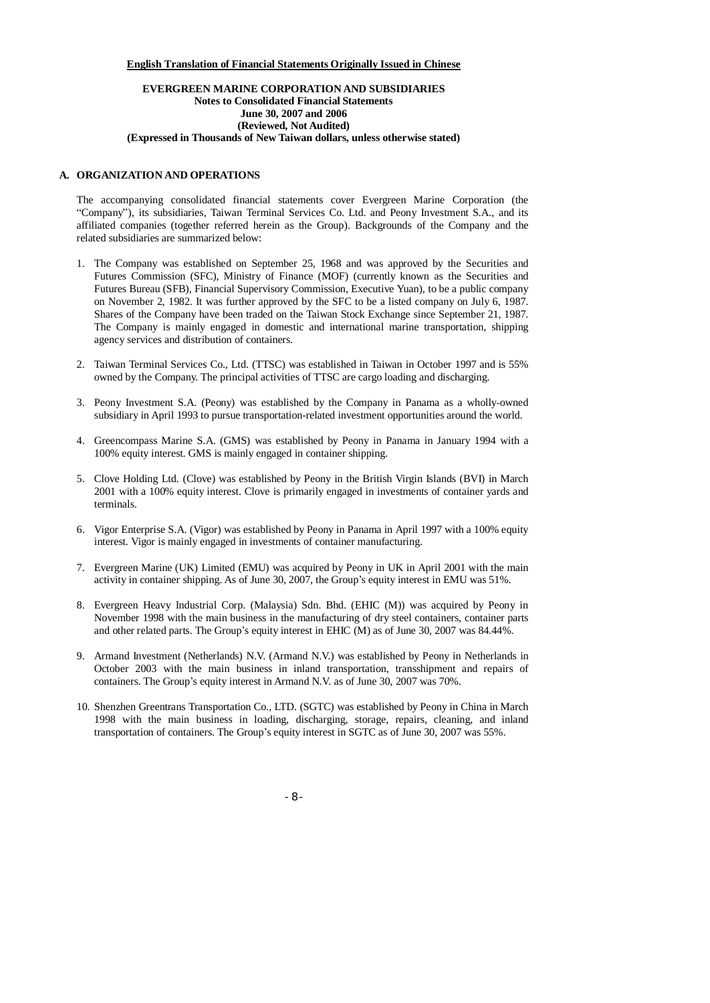#### **English Translation of Financial Statements Originally Issued in Chinese**

#### **EVERGREEN MARINE CORPORATION AND SUBSIDIARIES Notes to Consolidated Financial Statements June 30, 2007 and 2006 (Reviewed, Not Audited) (Expressed in Thousands of New Taiwan dollars, unless otherwise stated)**

#### **A. ORGANIZATION AND OPERATIONS**

The accompanying consolidated financial statements cover Evergreen Marine Corporation (the "Company"), its subsidiaries, Taiwan Terminal Services Co. Ltd. and Peony Investment S.A., and its affiliated companies (together referred herein as the Group). Backgrounds of the Company and the related subsidiaries are summarized below:

- 1. The Company was established on September 25, 1968 and was approved by the Securities and Futures Commission (SFC), Ministry of Finance (MOF) (currently known as the Securities and Futures Bureau (SFB), Financial Supervisory Commission, Executive Yuan), to be a public company on November 2, 1982. It was further approved by the SFC to be a listed company on July 6, 1987. Shares of the Company have been traded on the Taiwan Stock Exchange since September 21, 1987. The Company is mainly engaged in domestic and international marine transportation, shipping agency services and distribution of containers.
- 2. Taiwan Terminal Services Co., Ltd. (TTSC) was established in Taiwan in October 1997 and is 55% owned by the Company. The principal activities of TTSC are cargo loading and discharging.
- 3. Peony Investment S.A. (Peony) was established by the Company in Panama as a wholly-owned subsidiary in April 1993 to pursue transportation-related investment opportunities around the world.
- 4. Greencompass Marine S.A. (GMS) was established by Peony in Panama in January 1994 with a 100% equity interest. GMS is mainly engaged in container shipping.
- 5. Clove Holding Ltd. (Clove) was established by Peony in the British Virgin Islands (BVI) in March 2001 with a 100% equity interest. Clove is primarily engaged in investments of container yards and terminals.
- 6. Vigor Enterprise S.A. (Vigor) was established by Peony in Panama in April 1997 with a 100% equity interest. Vigor is mainly engaged in investments of container manufacturing.
- 7. Evergreen Marine (UK) Limited (EMU) was acquired by Peony in UK in April 2001 with the main activity in container shipping. As of June 30, 2007, the Group's equity interest in EMU was 51%.
- 8. Evergreen Heavy Industrial Corp. (Malaysia) Sdn. Bhd. (EHIC (M)) was acquired by Peony in November 1998 with the main business in the manufacturing of dry steel containers, container parts and other related parts. The Group's equity interest in EHIC (M) as of June 30, 2007 was 84.44%.
- 9. Armand Investment (Netherlands) N.V. (Armand N.V.) was established by Peony in Netherlands in October 2003 with the main business in inland transportation, transshipment and repairs of containers. The Group's equity interest in Armand N.V. as of June 30, 2007 was 70%.
- 10. Shenzhen Greentrans Transportation Co., LTD. (SGTC) was established by Peony in China in March 1998 with the main business in loading, discharging, storage, repairs, cleaning, and inland transportation of containers. The Group's equity interest in SGTC as of June 30, 2007 was 55%.

- 8 -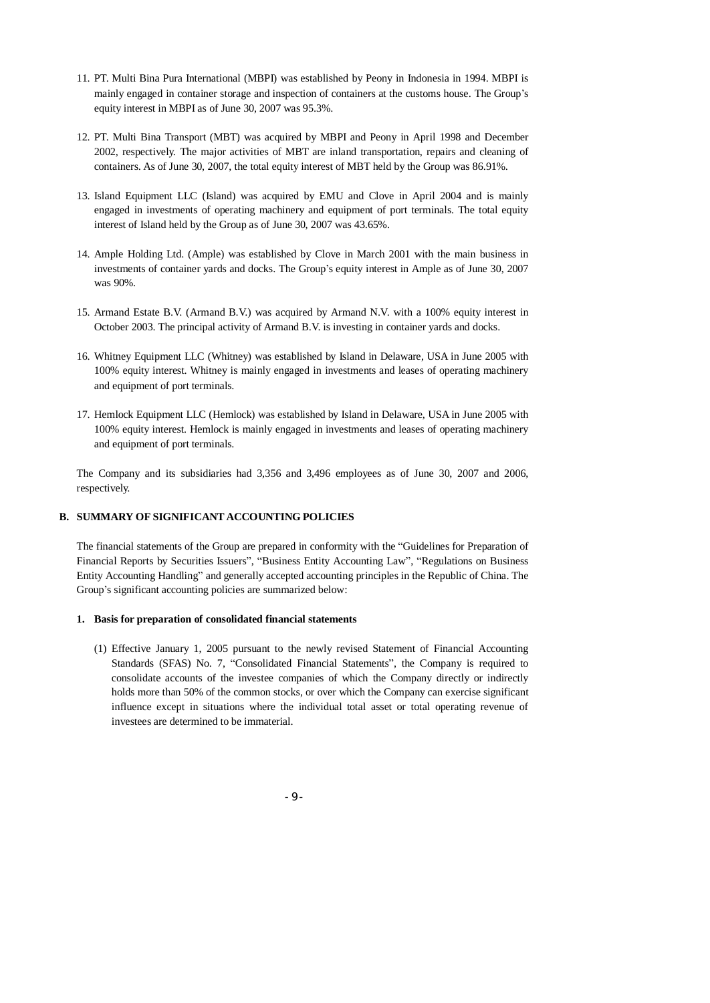- 11. PT. Multi Bina Pura International (MBPI) was established by Peony in Indonesia in 1994. MBPI is mainly engaged in container storage and inspection of containers at the customs house. The Group's equity interest in MBPI as of June 30, 2007 was 95.3%.
- 12. PT. Multi Bina Transport (MBT) was acquired by MBPI and Peony in April 1998 and December 2002, respectively. The major activities of MBT are inland transportation, repairs and cleaning of containers. As of June 30, 2007, the total equity interest of MBT held by the Group was 86.91%.
- 13. Island Equipment LLC (Island) was acquired by EMU and Clove in April 2004 and is mainly engaged in investments of operating machinery and equipment of port terminals. The total equity interest of Island held by the Group as of June 30, 2007 was 43.65%.
- 14. Ample Holding Ltd. (Ample) was established by Clove in March 2001 with the main business in investments of container yards and docks. The Group's equity interest in Ample as of June 30, 2007 was 90%.
- 15. Armand Estate B.V. (Armand B.V.) was acquired by Armand N.V. with a 100% equity interest in October 2003. The principal activity of Armand B.V. is investing in container yards and docks.
- 16. Whitney Equipment LLC (Whitney) was established by Island in Delaware, USA in June 2005 with 100% equity interest. Whitney is mainly engaged in investments and leases of operating machinery and equipment of port terminals.
- 17. Hemlock Equipment LLC (Hemlock) was established by Island in Delaware, USA in June 2005 with 100% equity interest. Hemlock is mainly engaged in investments and leases of operating machinery and equipment of port terminals.

The Company and its subsidiaries had 3,356 and 3,496 employees as of June 30, 2007 and 2006, respectively.

### **B. SUMMARY OF SIGNIFICANT ACCOUNTING POLICIES**

The financial statements of the Group are prepared in conformity with the "Guidelines for Preparation of Financial Reports by Securities Issuers", "Business Entity Accounting Law", "Regulations on Business Entity Accounting Handling" and generally accepted accounting principles in the Republic of China. The Group's significant accounting policies are summarized below:

#### **1. Basis for preparation of consolidated financial statements**

(1) Effective January 1, 2005 pursuant to the newly revised Statement of Financial Accounting Standards (SFAS) No. 7, "Consolidated Financial Statements", the Company is required to consolidate accounts of the investee companies of which the Company directly or indirectly holds more than 50% of the common stocks, or over which the Company can exercise significant influence except in situations where the individual total asset or total operating revenue of investees are determined to be immaterial.

- 9 -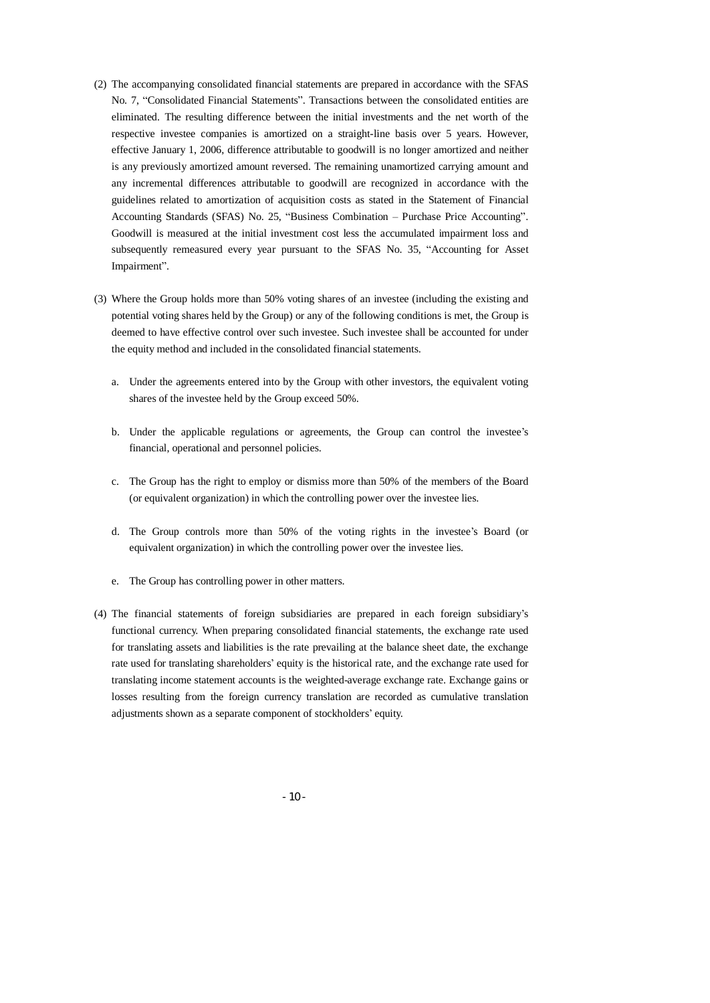- (2) The accompanying consolidated financial statements are prepared in accordance with the SFAS No. 7, "Consolidated Financial Statements". Transactions between the consolidated entities are eliminated. The resulting difference between the initial investments and the net worth of the respective investee companies is amortized on a straight-line basis over 5 years. However, effective January 1, 2006, difference attributable to goodwill is no longer amortized and neither is any previously amortized amount reversed. The remaining unamortized carrying amount and any incremental differences attributable to goodwill are recognized in accordance with the guidelines related to amortization of acquisition costs as stated in the Statement of Financial Accounting Standards (SFAS) No. 25, "Business Combination – Purchase Price Accounting". Goodwill is measured at the initial investment cost less the accumulated impairment loss and subsequently remeasured every year pursuant to the SFAS No. 35, "Accounting for Asset Impairment".
- (3) Where the Group holds more than 50% voting shares of an investee (including the existing and potential voting shares held by the Group) or any of the following conditions is met, the Group is deemed to have effective control over such investee. Such investee shall be accounted for under the equity method and included in the consolidated financial statements.
	- a. Under the agreements entered into by the Group with other investors, the equivalent voting shares of the investee held by the Group exceed 50%.
	- b. Under the applicable regulations or agreements, the Group can control the investee's financial, operational and personnel policies.
	- c. The Group has the right to employ or dismiss more than 50% of the members of the Board (or equivalent organization) in which the controlling power over the investee lies.
	- d. The Group controls more than 50% of the voting rights in the investee's Board (or equivalent organization) in which the controlling power over the investee lies.
	- e. The Group has controlling power in other matters.
- (4) The financial statements of foreign subsidiaries are prepared in each foreign subsidiary's functional currency. When preparing consolidated financial statements, the exchange rate used for translating assets and liabilities is the rate prevailing at the balance sheet date, the exchange rate used for translating shareholders' equity is the historical rate, and the exchange rate used for translating income statement accounts is the weighted-average exchange rate. Exchange gains or losses resulting from the foreign currency translation are recorded as cumulative translation adjustments shown as a separate component of stockholders' equity.

- 10 -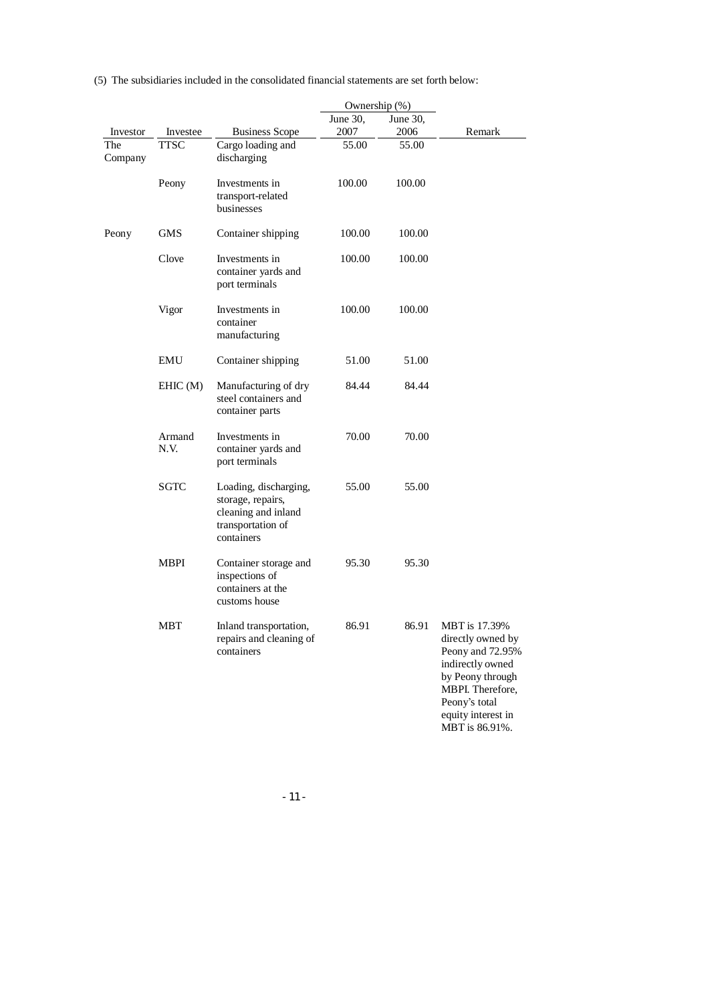|                |                |                                                                                                      | Ownership (%) |          |                                                                                                                                                                             |
|----------------|----------------|------------------------------------------------------------------------------------------------------|---------------|----------|-----------------------------------------------------------------------------------------------------------------------------------------------------------------------------|
|                |                |                                                                                                      | June 30,      | June 30, |                                                                                                                                                                             |
| Investor       | Investee       | <b>Business Scope</b>                                                                                | 2007          | 2006     | Remark                                                                                                                                                                      |
| The<br>Company | <b>TTSC</b>    | Cargo loading and<br>discharging                                                                     | 55.00         | 55.00    |                                                                                                                                                                             |
|                | Peony          | Investments in<br>transport-related<br>businesses                                                    | 100.00        | 100.00   |                                                                                                                                                                             |
| Peony          | <b>GMS</b>     | Container shipping                                                                                   | 100.00        | 100.00   |                                                                                                                                                                             |
|                | Clove          | Investments in<br>container yards and<br>port terminals                                              | 100.00        | 100.00   |                                                                                                                                                                             |
|                | Vigor          | Investments in<br>container<br>manufacturing                                                         | 100.00        | 100.00   |                                                                                                                                                                             |
|                | EMU            | Container shipping                                                                                   | 51.00         | 51.00    |                                                                                                                                                                             |
|                | EHIC(M)        | Manufacturing of dry<br>steel containers and<br>container parts                                      | 84.44         | 84.44    |                                                                                                                                                                             |
|                | Armand<br>N.V. | Investments in<br>container yards and<br>port terminals                                              | 70.00         | 70.00    |                                                                                                                                                                             |
|                | <b>SGTC</b>    | Loading, discharging,<br>storage, repairs,<br>cleaning and inland<br>transportation of<br>containers | 55.00         | 55.00    |                                                                                                                                                                             |
|                | MBPI           | Container storage and<br>inspections of<br>containers at the<br>customs house                        | 95.30         | 95.30    |                                                                                                                                                                             |
|                | MBT            | Inland transportation,<br>repairs and cleaning of<br>containers                                      | 86.91         | 86.91    | MBT is 17.39%<br>directly owned by<br>Peony and 72.95%<br>indirectly owned<br>by Peony through<br>MBPI. Therefore,<br>Peony's total<br>equity interest in<br>MBT is 86.91%. |

(5) The subsidiaries included in the consolidated financial statements are set forth below:

- 11 -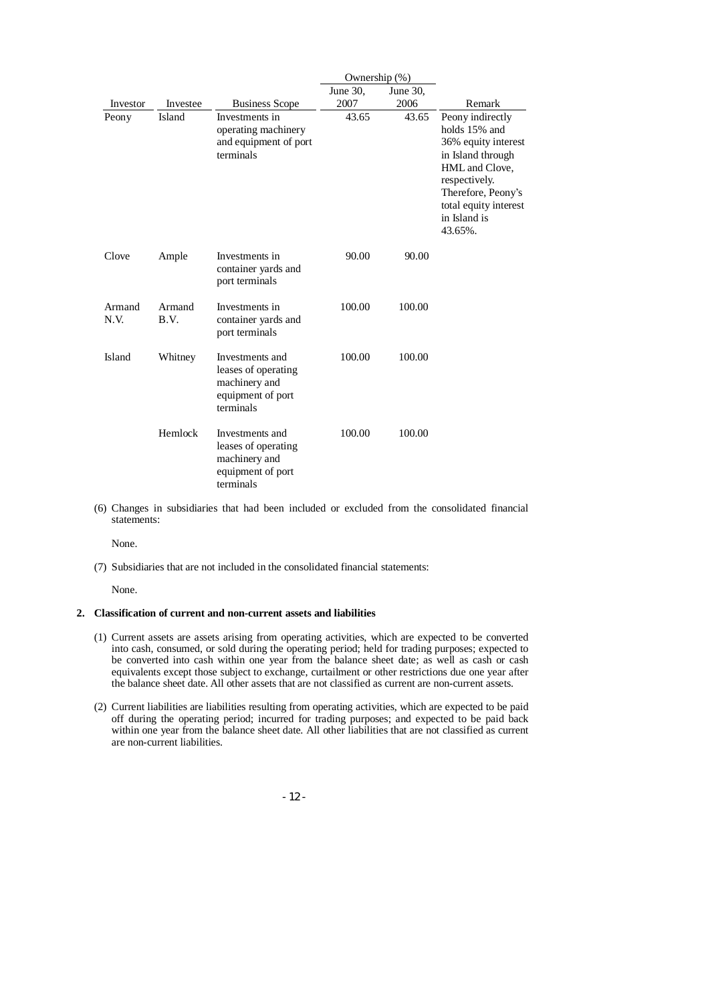|                |                |                                                                                           | Ownership (%) |          |                                                                                                                                                                                            |
|----------------|----------------|-------------------------------------------------------------------------------------------|---------------|----------|--------------------------------------------------------------------------------------------------------------------------------------------------------------------------------------------|
|                |                |                                                                                           | June 30,      | June 30, |                                                                                                                                                                                            |
| Investor       | Investee       | <b>Business Scope</b>                                                                     | 2007          | 2006     | Remark                                                                                                                                                                                     |
| Peony          | Island         | Investments in<br>operating machinery<br>and equipment of port<br>terminals               | 43.65         | 43.65    | Peony indirectly<br>holds 15% and<br>36% equity interest<br>in Island through<br>HML and Clove,<br>respectively.<br>Therefore, Peony's<br>total equity interest<br>in Island is<br>43.65%. |
| Clove          | Ample          | Investments in<br>container yards and<br>port terminals                                   | 90.00         | 90.00    |                                                                                                                                                                                            |
| Armand<br>N.V. | Armand<br>B.V. | Investments in<br>container yards and<br>port terminals                                   | 100.00        | 100.00   |                                                                                                                                                                                            |
| Island         | Whitney        | Investments and<br>leases of operating<br>machinery and<br>equipment of port<br>terminals | 100.00        | 100.00   |                                                                                                                                                                                            |
|                | Hemlock        | Investments and<br>leases of operating<br>machinery and<br>equipment of port<br>terminals | 100.00        | 100.00   |                                                                                                                                                                                            |

(6) Changes in subsidiaries that had been included or excluded from the consolidated financial statements:

None.

(7) Subsidiaries that are not included in the consolidated financial statements:

None.

#### **2. Classification of current and non-current assets and liabilities**

- (1) Current assets are assets arising from operating activities, which are expected to be converted into cash, consumed, or sold during the operating period; held for trading purposes; expected to be converted into cash within one year from the balance sheet date; as well as cash or cash equivalents except those subject to exchange, curtailment or other restrictions due one year after the balance sheet date. All other assets that are not classified as current are non-current assets.
- (2) Current liabilities are liabilities resulting from operating activities, which are expected to be paid off during the operating period; incurred for trading purposes; and expected to be paid back within one year from the balance sheet date. All other liabilities that are not classified as current are non-current liabilities.

- 12 -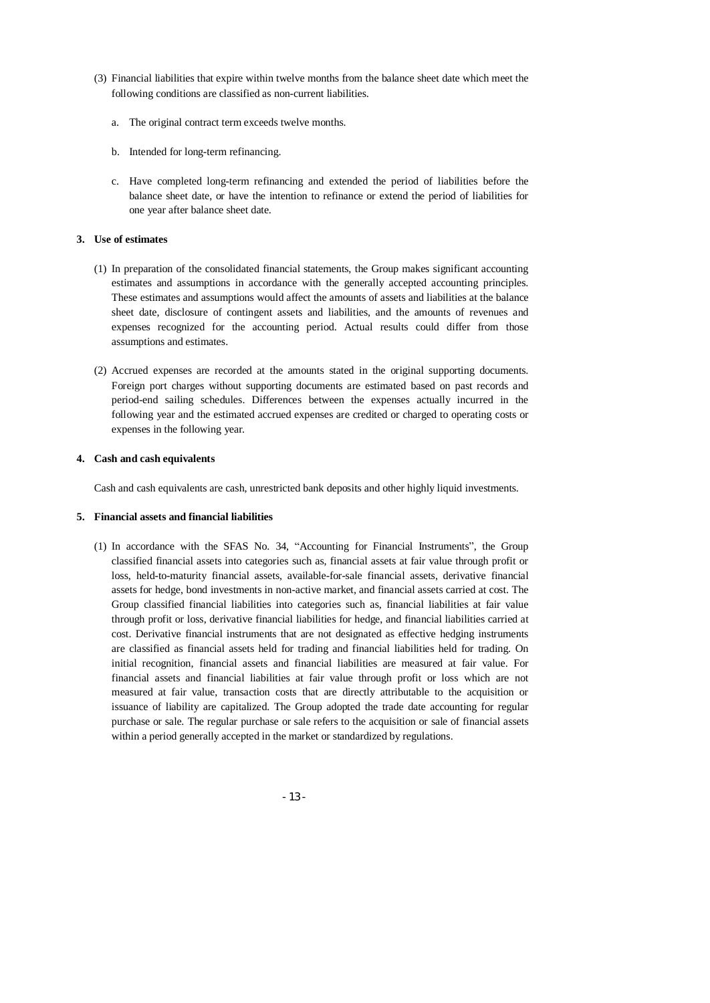- (3) Financial liabilities that expire within twelve months from the balance sheet date which meet the following conditions are classified as non-current liabilities.
	- a. The original contract term exceeds twelve months.
	- b. Intended for long-term refinancing.
	- c. Have completed long-term refinancing and extended the period of liabilities before the balance sheet date, or have the intention to refinance or extend the period of liabilities for one year after balance sheet date.

#### **3. Use of estimates**

- (1) In preparation of the consolidated financial statements, the Group makes significant accounting estimates and assumptions in accordance with the generally accepted accounting principles. These estimates and assumptions would affect the amounts of assets and liabilities at the balance sheet date, disclosure of contingent assets and liabilities, and the amounts of revenues and expenses recognized for the accounting period. Actual results could differ from those assumptions and estimates.
- (2) Accrued expenses are recorded at the amounts stated in the original supporting documents. Foreign port charges without supporting documents are estimated based on past records and period-end sailing schedules. Differences between the expenses actually incurred in the following year and the estimated accrued expenses are credited or charged to operating costs or expenses in the following year.

#### **4. Cash and cash equivalents**

Cash and cash equivalents are cash, unrestricted bank deposits and other highly liquid investments.

#### **5. Financial assets and financial liabilities**

(1) In accordance with the SFAS No. 34, "Accounting for Financial Instruments", the Group classified financial assets into categories such as, financial assets at fair value through profit or loss, held-to-maturity financial assets, available-for-sale financial assets, derivative financial assets for hedge, bond investments in non-active market, and financial assets carried at cost. The Group classified financial liabilities into categories such as, financial liabilities at fair value through profit or loss, derivative financial liabilities for hedge, and financial liabilities carried at cost. Derivative financial instruments that are not designated as effective hedging instruments are classified as financial assets held for trading and financial liabilities held for trading. On initial recognition, financial assets and financial liabilities are measured at fair value. For financial assets and financial liabilities at fair value through profit or loss which are not measured at fair value, transaction costs that are directly attributable to the acquisition or issuance of liability are capitalized. The Group adopted the trade date accounting for regular purchase or sale. The regular purchase or sale refers to the acquisition or sale of financial assets within a period generally accepted in the market or standardized by regulations.

- 13 -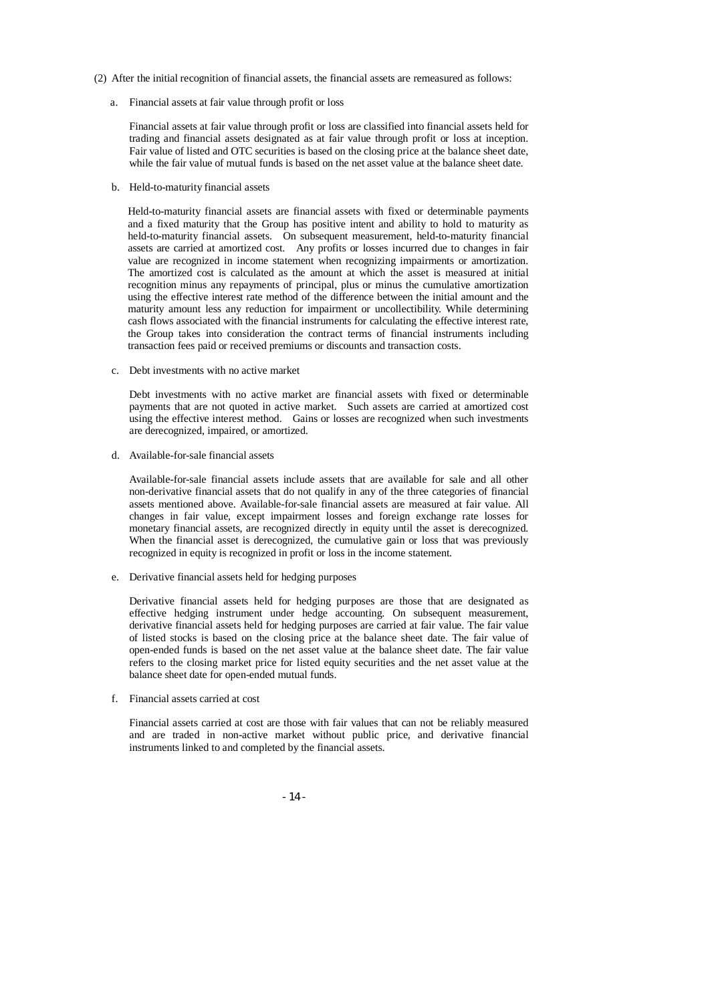- (2) After the initial recognition of financial assets, the financial assets are remeasured as follows:
	- a. Financial assets at fair value through profit or loss

Financial assets at fair value through profit or loss are classified into financial assets held for trading and financial assets designated as at fair value through profit or loss at inception. Fair value of listed and OTC securities is based on the closing price at the balance sheet date, while the fair value of mutual funds is based on the net asset value at the balance sheet date.

b. Held-to-maturity financial assets

Held-to-maturity financial assets are financial assets with fixed or determinable payments and a fixed maturity that the Group has positive intent and ability to hold to maturity as held-to-maturity financial assets. On subsequent measurement, held-to-maturity financial assets are carried at amortized cost. Any profits or losses incurred due to changes in fair value are recognized in income statement when recognizing impairments or amortization. The amortized cost is calculated as the amount at which the asset is measured at initial recognition minus any repayments of principal, plus or minus the cumulative amortization using the effective interest rate method of the difference between the initial amount and the maturity amount less any reduction for impairment or uncollectibility. While determining cash flows associated with the financial instruments for calculating the effective interest rate, the Group takes into consideration the contract terms of financial instruments including transaction fees paid or received premiums or discounts and transaction costs.

c. Debt investments with no active market

Debt investments with no active market are financial assets with fixed or determinable payments that are not quoted in active market. Such assets are carried at amortized cost using the effective interest method. Gains or losses are recognized when such investments are derecognized, impaired, or amortized.

d. Available-for-sale financial assets

Available-for-sale financial assets include assets that are available for sale and all other non-derivative financial assets that do not qualify in any of the three categories of financial assets mentioned above. Available-for-sale financial assets are measured at fair value. All changes in fair value, except impairment losses and foreign exchange rate losses for monetary financial assets, are recognized directly in equity until the asset is derecognized. When the financial asset is derecognized, the cumulative gain or loss that was previously recognized in equity is recognized in profit or loss in the income statement.

e. Derivative financial assets held for hedging purposes

Derivative financial assets held for hedging purposes are those that are designated as effective hedging instrument under hedge accounting. On subsequent measurement, derivative financial assets held for hedging purposes are carried at fair value. The fair value of listed stocks is based on the closing price at the balance sheet date. The fair value of open-ended funds is based on the net asset value at the balance sheet date. The fair value refers to the closing market price for listed equity securities and the net asset value at the balance sheet date for open-ended mutual funds.

f. Financial assets carried at cost

Financial assets carried at cost are those with fair values that can not be reliably measured and are traded in non-active market without public price, and derivative financial instruments linked to and completed by the financial assets.

- 14 -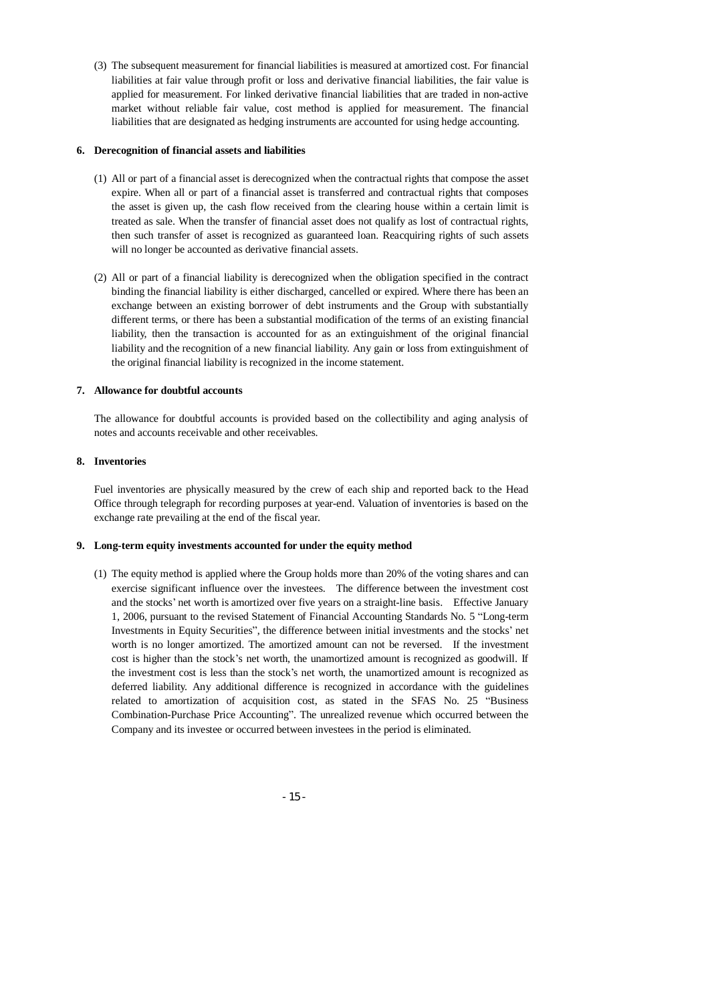(3) The subsequent measurement for financial liabilities is measured at amortized cost. For financial liabilities at fair value through profit or loss and derivative financial liabilities, the fair value is applied for measurement. For linked derivative financial liabilities that are traded in non-active market without reliable fair value, cost method is applied for measurement. The financial liabilities that are designated as hedging instruments are accounted for using hedge accounting.

#### **6. Derecognition of financial assets and liabilities**

- (1) All or part of a financial asset is derecognized when the contractual rights that compose the asset expire. When all or part of a financial asset is transferred and contractual rights that composes the asset is given up, the cash flow received from the clearing house within a certain limit is treated as sale. When the transfer of financial asset does not qualify as lost of contractual rights, then such transfer of asset is recognized as guaranteed loan. Reacquiring rights of such assets will no longer be accounted as derivative financial assets.
- (2) All or part of a financial liability is derecognized when the obligation specified in the contract binding the financial liability is either discharged, cancelled or expired. Where there has been an exchange between an existing borrower of debt instruments and the Group with substantially different terms, or there has been a substantial modification of the terms of an existing financial liability, then the transaction is accounted for as an extinguishment of the original financial liability and the recognition of a new financial liability. Any gain or loss from extinguishment of the original financial liability is recognized in the income statement.

#### **7. Allowance for doubtful accounts**

The allowance for doubtful accounts is provided based on the collectibility and aging analysis of notes and accounts receivable and other receivables.

#### **8. Inventories**

Fuel inventories are physically measured by the crew of each ship and reported back to the Head Office through telegraph for recording purposes at year-end. Valuation of inventories is based on the exchange rate prevailing at the end of the fiscal year.

#### **9. Long-term equity investments accounted for under the equity method**

(1) The equity method is applied where the Group holds more than 20% of the voting shares and can exercise significant influence over the investees. The difference between the investment cost and the stocks' net worth is amortized over five years on a straight-line basis. Effective January 1, 2006, pursuant to the revised Statement of Financial Accounting Standards No. 5 "Long-term Investments in Equity Securities", the difference between initial investments and the stocks' net worth is no longer amortized. The amortized amount can not be reversed. If the investment cost is higher than the stock's net worth, the unamortized amount is recognized as goodwill. If the investment cost is less than the stock's net worth, the unamortized amount is recognized as deferred liability. Any additional difference is recognized in accordance with the guidelines related to amortization of acquisition cost, as stated in the SFAS No. 25 "Business Combination-Purchase Price Accounting". The unrealized revenue which occurred between the Company and its investee or occurred between investees in the period is eliminated.

- 15 -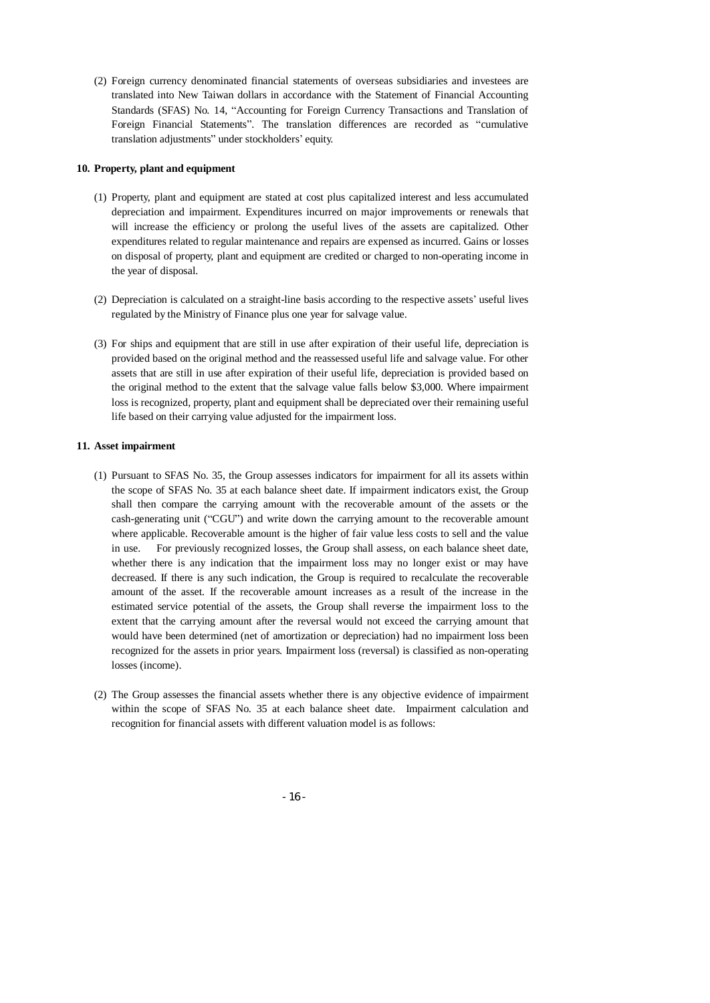(2) Foreign currency denominated financial statements of overseas subsidiaries and investees are translated into New Taiwan dollars in accordance with the Statement of Financial Accounting Standards (SFAS) No. 14, "Accounting for Foreign Currency Transactions and Translation of Foreign Financial Statements". The translation differences are recorded as "cumulative translation adjustments" under stockholders' equity.

#### **10. Property, plant and equipment**

- (1) Property, plant and equipment are stated at cost plus capitalized interest and less accumulated depreciation and impairment. Expenditures incurred on major improvements or renewals that will increase the efficiency or prolong the useful lives of the assets are capitalized. Other expenditures related to regular maintenance and repairs are expensed as incurred. Gains or losses on disposal of property, plant and equipment are credited or charged to non-operating income in the year of disposal.
- (2) Depreciation is calculated on a straight-line basis according to the respective assets' useful lives regulated by the Ministry of Finance plus one year for salvage value.
- (3) For ships and equipment that are still in use after expiration of their useful life, depreciation is provided based on the original method and the reassessed useful life and salvage value. For other assets that are still in use after expiration of their useful life, depreciation is provided based on the original method to the extent that the salvage value falls below \$3,000. Where impairment loss is recognized, property, plant and equipment shall be depreciated over their remaining useful life based on their carrying value adjusted for the impairment loss.

#### **11. Asset impairment**

- (1) Pursuant to SFAS No. 35, the Group assesses indicators for impairment for all its assets within the scope of SFAS No. 35 at each balance sheet date. If impairment indicators exist, the Group shall then compare the carrying amount with the recoverable amount of the assets or the cash-generating unit ("CGU") and write down the carrying amount to the recoverable amount where applicable. Recoverable amount is the higher of fair value less costs to sell and the value in use. For previously recognized losses, the Group shall assess, on each balance sheet date, whether there is any indication that the impairment loss may no longer exist or may have decreased. If there is any such indication, the Group is required to recalculate the recoverable amount of the asset. If the recoverable amount increases as a result of the increase in the estimated service potential of the assets, the Group shall reverse the impairment loss to the extent that the carrying amount after the reversal would not exceed the carrying amount that would have been determined (net of amortization or depreciation) had no impairment loss been recognized for the assets in prior years. Impairment loss (reversal) is classified as non-operating losses (income).
- (2) The Group assesses the financial assets whether there is any objective evidence of impairment within the scope of SFAS No. 35 at each balance sheet date. Impairment calculation and recognition for financial assets with different valuation model is as follows:

- 16 -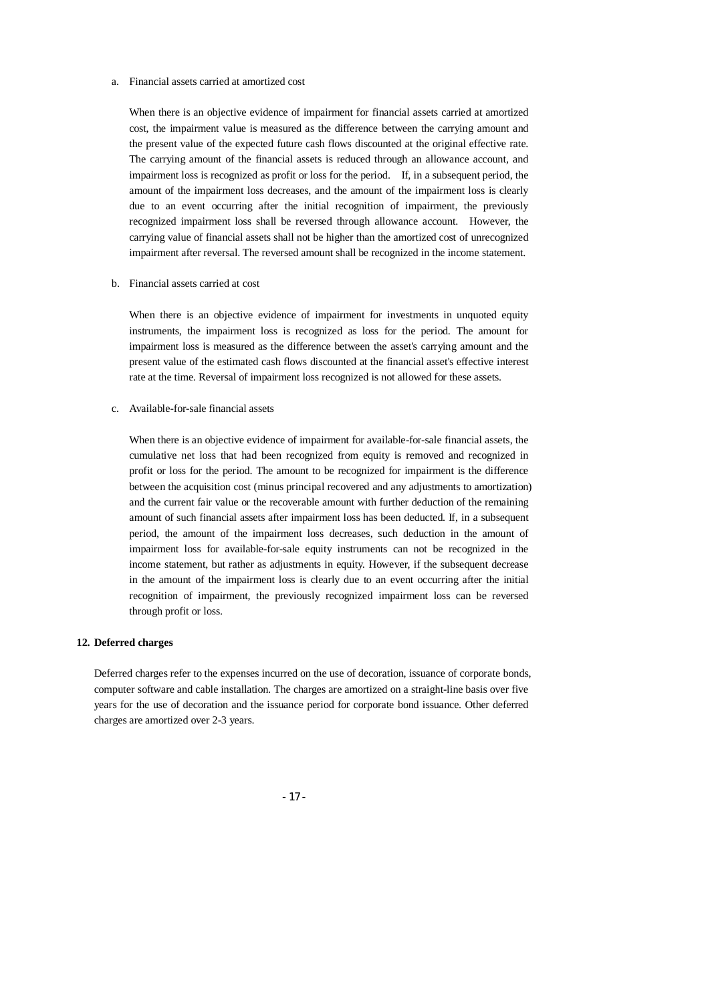#### a. Financial assets carried at amortized cost

When there is an objective evidence of impairment for financial assets carried at amortized cost, the impairment value is measured as the difference between the carrying amount and the present value of the expected future cash flows discounted at the original effective rate. The carrying amount of the financial assets is reduced through an allowance account, and impairment loss is recognized as profit or loss for the period. If, in a subsequent period, the amount of the impairment loss decreases, and the amount of the impairment loss is clearly due to an event occurring after the initial recognition of impairment, the previously recognized impairment loss shall be reversed through allowance account. However, the carrying value of financial assets shall not be higher than the amortized cost of unrecognized impairment after reversal. The reversed amount shall be recognized in the income statement.

b. Financial assets carried at cost

When there is an objective evidence of impairment for investments in unquoted equity instruments, the impairment loss is recognized as loss for the period. The amount for impairment loss is measured as the difference between the asset's carrying amount and the present value of the estimated cash flows discounted at the financial asset's effective interest rate at the time. Reversal of impairment loss recognized is not allowed for these assets.

c. Available-for-sale financial assets

When there is an objective evidence of impairment for available-for-sale financial assets, the cumulative net loss that had been recognized from equity is removed and recognized in profit or loss for the period. The amount to be recognized for impairment is the difference between the acquisition cost (minus principal recovered and any adjustments to amortization) and the current fair value or the recoverable amount with further deduction of the remaining amount of such financial assets after impairment loss has been deducted. If, in a subsequent period, the amount of the impairment loss decreases, such deduction in the amount of impairment loss for available-for-sale equity instruments can not be recognized in the income statement, but rather as adjustments in equity. However, if the subsequent decrease in the amount of the impairment loss is clearly due to an event occurring after the initial recognition of impairment, the previously recognized impairment loss can be reversed through profit or loss.

#### **12. Deferred charges**

Deferred charges refer to the expenses incurred on the use of decoration, issuance of corporate bonds, computer software and cable installation. The charges are amortized on a straight-line basis over five years for the use of decoration and the issuance period for corporate bond issuance. Other deferred charges are amortized over 2-3 years.

- 17 -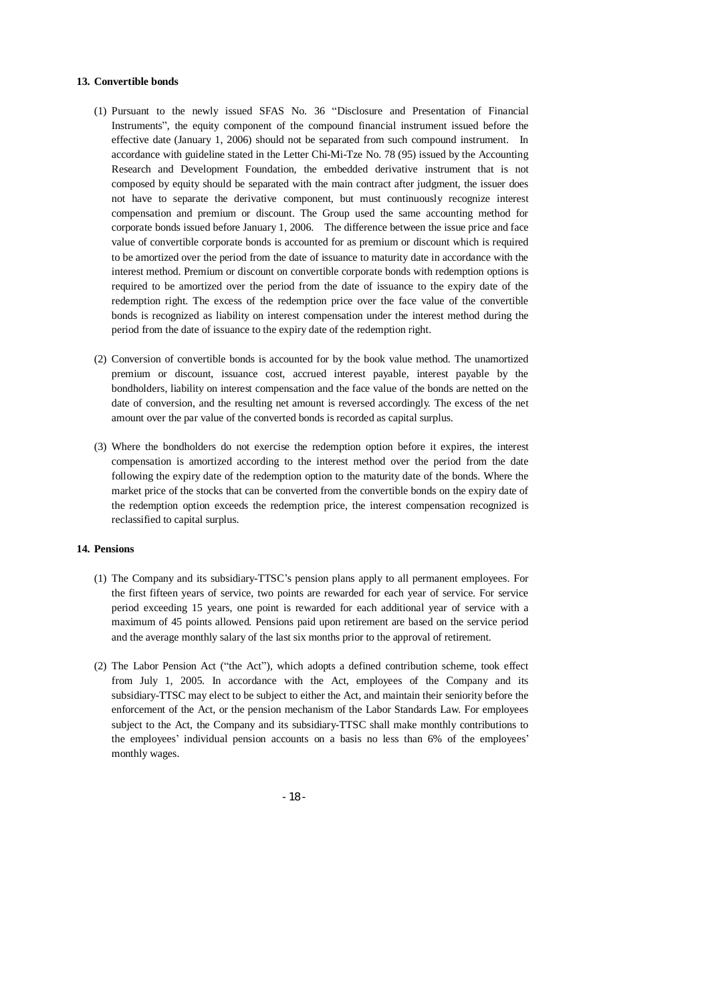#### **13. Convertible bonds**

- (1) Pursuant to the newly issued SFAS No. 36 "Disclosure and Presentation of Financial Instruments", the equity component of the compound financial instrument issued before the effective date (January 1, 2006) should not be separated from such compound instrument. In accordance with guideline stated in the Letter Chi-Mi-Tze No. 78 (95) issued by the Accounting Research and Development Foundation, the embedded derivative instrument that is not composed by equity should be separated with the main contract after judgment, the issuer does not have to separate the derivative component, but must continuously recognize interest compensation and premium or discount. The Group used the same accounting method for corporate bonds issued before January 1, 2006. The difference between the issue price and face value of convertible corporate bonds is accounted for as premium or discount which is required to be amortized over the period from the date of issuance to maturity date in accordance with the interest method. Premium or discount on convertible corporate bonds with redemption options is required to be amortized over the period from the date of issuance to the expiry date of the redemption right. The excess of the redemption price over the face value of the convertible bonds is recognized as liability on interest compensation under the interest method during the period from the date of issuance to the expiry date of the redemption right.
- (2) Conversion of convertible bonds is accounted for by the book value method. The unamortized premium or discount, issuance cost, accrued interest payable, interest payable by the bondholders, liability on interest compensation and the face value of the bonds are netted on the date of conversion, and the resulting net amount is reversed accordingly. The excess of the net amount over the par value of the converted bonds is recorded as capital surplus.
- (3) Where the bondholders do not exercise the redemption option before it expires, the interest compensation is amortized according to the interest method over the period from the date following the expiry date of the redemption option to the maturity date of the bonds. Where the market price of the stocks that can be converted from the convertible bonds on the expiry date of the redemption option exceeds the redemption price, the interest compensation recognized is reclassified to capital surplus.

#### **14. Pensions**

- (1) The Company and its subsidiary-TTSC's pension plans apply to all permanent employees. For the first fifteen years of service, two points are rewarded for each year of service. For service period exceeding 15 years, one point is rewarded for each additional year of service with a maximum of 45 points allowed. Pensions paid upon retirement are based on the service period and the average monthly salary of the last six months prior to the approval of retirement.
- (2) The Labor Pension Act ("the Act"), which adopts a defined contribution scheme, took effect from July 1, 2005. In accordance with the Act, employees of the Company and its subsidiary-TTSC may elect to be subject to either the Act, and maintain their seniority before the enforcement of the Act, or the pension mechanism of the Labor Standards Law. For employees subject to the Act, the Company and its subsidiary-TTSC shall make monthly contributions to the employees' individual pension accounts on a basis no less than 6% of the employees' monthly wages.

- 18 -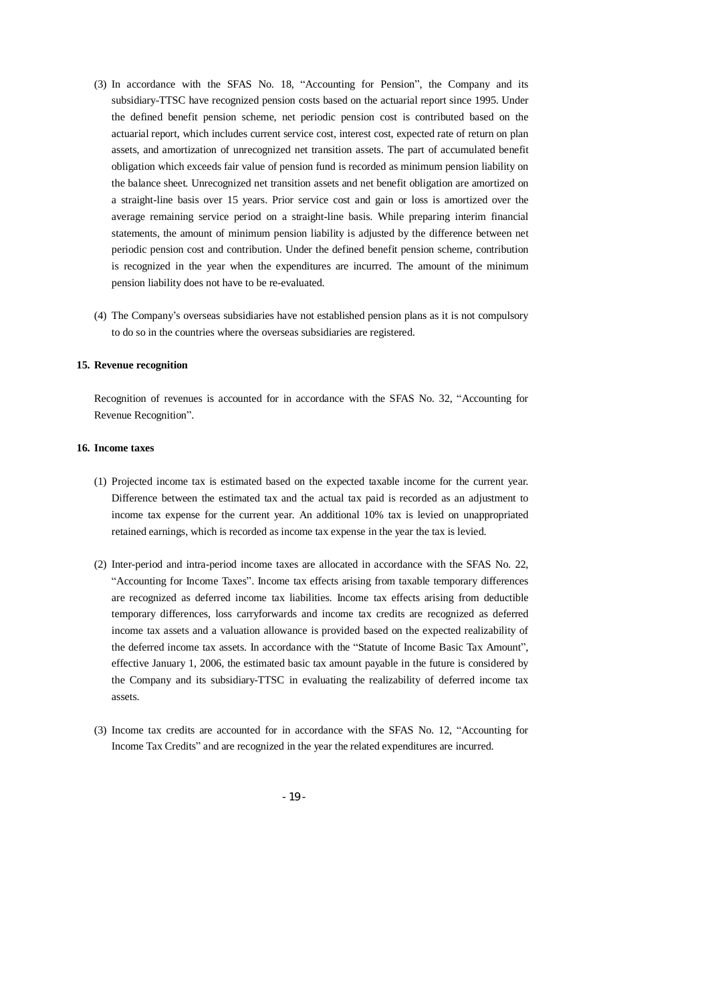- (3) In accordance with the SFAS No. 18, "Accounting for Pension", the Company and its subsidiary-TTSC have recognized pension costs based on the actuarial report since 1995. Under the defined benefit pension scheme, net periodic pension cost is contributed based on the actuarial report, which includes current service cost, interest cost, expected rate of return on plan assets, and amortization of unrecognized net transition assets. The part of accumulated benefit obligation which exceeds fair value of pension fund is recorded as minimum pension liability on the balance sheet. Unrecognized net transition assets and net benefit obligation are amortized on a straight-line basis over 15 years. Prior service cost and gain or loss is amortized over the average remaining service period on a straight-line basis. While preparing interim financial statements, the amount of minimum pension liability is adjusted by the difference between net periodic pension cost and contribution. Under the defined benefit pension scheme, contribution is recognized in the year when the expenditures are incurred. The amount of the minimum pension liability does not have to be re-evaluated.
- (4) The Company's overseas subsidiaries have not established pension plans as it is not compulsory to do so in the countries where the overseas subsidiaries are registered.

#### **15. Revenue recognition**

Recognition of revenues is accounted for in accordance with the SFAS No. 32, "Accounting for Revenue Recognition".

#### **16. Income taxes**

- (1) Projected income tax is estimated based on the expected taxable income for the current year. Difference between the estimated tax and the actual tax paid is recorded as an adjustment to income tax expense for the current year. An additional 10% tax is levied on unappropriated retained earnings, which is recorded as income tax expense in the year the tax is levied.
- (2) Inter-period and intra-period income taxes are allocated in accordance with the SFAS No. 22, "Accounting for Income Taxes". Income tax effects arising from taxable temporary differences are recognized as deferred income tax liabilities. Income tax effects arising from deductible temporary differences, loss carryforwards and income tax credits are recognized as deferred income tax assets and a valuation allowance is provided based on the expected realizability of the deferred income tax assets. In accordance with the "Statute of Income Basic Tax Amount", effective January 1, 2006, the estimated basic tax amount payable in the future is considered by the Company and its subsidiary-TTSC in evaluating the realizability of deferred income tax assets.
- (3) Income tax credits are accounted for in accordance with the SFAS No. 12, "Accounting for Income Tax Credits" and are recognized in the year the related expenditures are incurred.
	- 19 -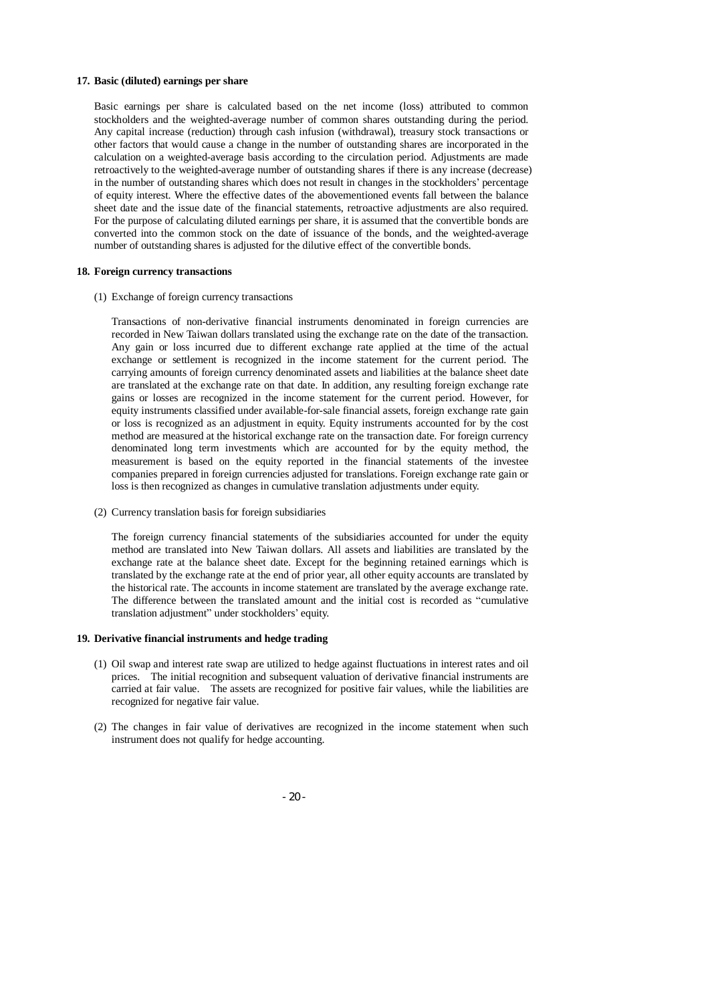#### **17. Basic (diluted) earnings per share**

Basic earnings per share is calculated based on the net income (loss) attributed to common stockholders and the weighted-average number of common shares outstanding during the period. Any capital increase (reduction) through cash infusion (withdrawal), treasury stock transactions or other factors that would cause a change in the number of outstanding shares are incorporated in the calculation on a weighted-average basis according to the circulation period. Adjustments are made retroactively to the weighted-average number of outstanding shares if there is any increase (decrease) in the number of outstanding shares which does not result in changes in the stockholders' percentage of equity interest. Where the effective dates of the abovementioned events fall between the balance sheet date and the issue date of the financial statements, retroactive adjustments are also required. For the purpose of calculating diluted earnings per share, it is assumed that the convertible bonds are converted into the common stock on the date of issuance of the bonds, and the weighted-average number of outstanding shares is adjusted for the dilutive effect of the convertible bonds.

#### **18. Foreign currency transactions**

(1) Exchange of foreign currency transactions

Transactions of non-derivative financial instruments denominated in foreign currencies are recorded in New Taiwan dollars translated using the exchange rate on the date of the transaction. Any gain or loss incurred due to different exchange rate applied at the time of the actual exchange or settlement is recognized in the income statement for the current period. The carrying amounts of foreign currency denominated assets and liabilities at the balance sheet date are translated at the exchange rate on that date. In addition, any resulting foreign exchange rate gains or losses are recognized in the income statement for the current period. However, for equity instruments classified under available-for-sale financial assets, foreign exchange rate gain or loss is recognized as an adjustment in equity. Equity instruments accounted for by the cost method are measured at the historical exchange rate on the transaction date. For foreign currency denominated long term investments which are accounted for by the equity method, the measurement is based on the equity reported in the financial statements of the investee companies prepared in foreign currencies adjusted for translations. Foreign exchange rate gain or loss is then recognized as changes in cumulative translation adjustments under equity.

(2) Currency translation basis for foreign subsidiaries

The foreign currency financial statements of the subsidiaries accounted for under the equity method are translated into New Taiwan dollars. All assets and liabilities are translated by the exchange rate at the balance sheet date. Except for the beginning retained earnings which is translated by the exchange rate at the end of prior year, all other equity accounts are translated by the historical rate. The accounts in income statement are translated by the average exchange rate. The difference between the translated amount and the initial cost is recorded as "cumulative translation adjustment" under stockholders' equity.

#### **19. Derivative financial instruments and hedge trading**

- (1) Oil swap and interest rate swap are utilized to hedge against fluctuations in interest rates and oil prices. The initial recognition and subsequent valuation of derivative financial instruments are carried at fair value. The assets are recognized for positive fair values, while the liabilities are recognized for negative fair value.
- (2) The changes in fair value of derivatives are recognized in the income statement when such instrument does not qualify for hedge accounting.

- 20 -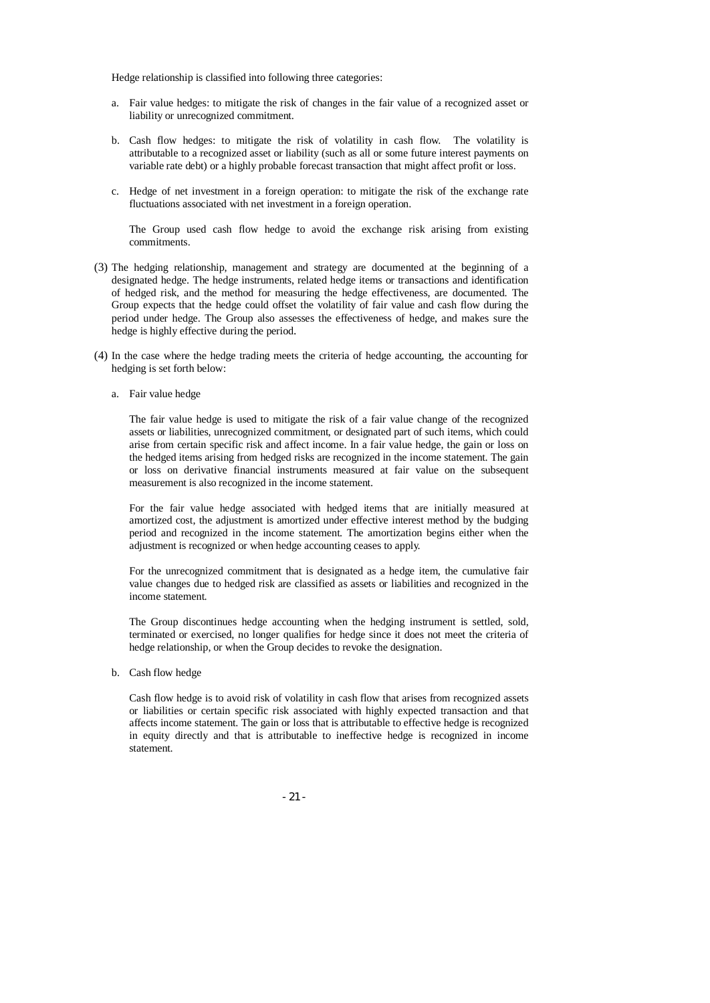Hedge relationship is classified into following three categories:

- a. Fair value hedges: to mitigate the risk of changes in the fair value of a recognized asset or liability or unrecognized commitment.
- b. Cash flow hedges: to mitigate the risk of volatility in cash flow. The volatility is attributable to a recognized asset or liability (such as all or some future interest payments on variable rate debt) or a highly probable forecast transaction that might affect profit or loss.
- c. Hedge of net investment in a foreign operation: to mitigate the risk of the exchange rate fluctuations associated with net investment in a foreign operation.

The Group used cash flow hedge to avoid the exchange risk arising from existing commitments.

- (3) The hedging relationship, management and strategy are documented at the beginning of a designated hedge. The hedge instruments, related hedge items or transactions and identification of hedged risk, and the method for measuring the hedge effectiveness, are documented. The Group expects that the hedge could offset the volatility of fair value and cash flow during the period under hedge. The Group also assesses the effectiveness of hedge, and makes sure the hedge is highly effective during the period.
- (4) In the case where the hedge trading meets the criteria of hedge accounting, the accounting for hedging is set forth below:
	- a. Fair value hedge

The fair value hedge is used to mitigate the risk of a fair value change of the recognized assets or liabilities, unrecognized commitment, or designated part of such items, which could arise from certain specific risk and affect income. In a fair value hedge, the gain or loss on the hedged items arising from hedged risks are recognized in the income statement. The gain or loss on derivative financial instruments measured at fair value on the subsequent measurement is also recognized in the income statement.

For the fair value hedge associated with hedged items that are initially measured at amortized cost, the adjustment is amortized under effective interest method by the budging period and recognized in the income statement. The amortization begins either when the adjustment is recognized or when hedge accounting ceases to apply.

For the unrecognized commitment that is designated as a hedge item, the cumulative fair value changes due to hedged risk are classified as assets or liabilities and recognized in the income statement.

The Group discontinues hedge accounting when the hedging instrument is settled, sold, terminated or exercised, no longer qualifies for hedge since it does not meet the criteria of hedge relationship, or when the Group decides to revoke the designation.

b. Cash flow hedge

Cash flow hedge is to avoid risk of volatility in cash flow that arises from recognized assets or liabilities or certain specific risk associated with highly expected transaction and that affects income statement. The gain or loss that is attributable to effective hedge is recognized in equity directly and that is attributable to ineffective hedge is recognized in income statement.

- 21 -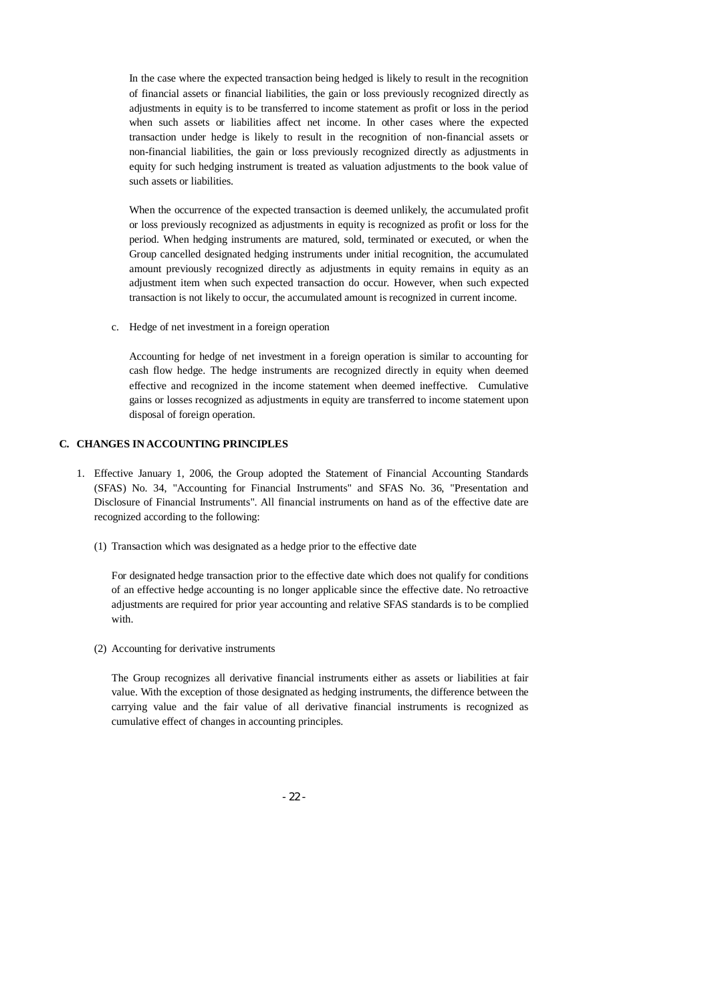In the case where the expected transaction being hedged is likely to result in the recognition of financial assets or financial liabilities, the gain or loss previously recognized directly as adjustments in equity is to be transferred to income statement as profit or loss in the period when such assets or liabilities affect net income. In other cases where the expected transaction under hedge is likely to result in the recognition of non-financial assets or non-financial liabilities, the gain or loss previously recognized directly as adjustments in equity for such hedging instrument is treated as valuation adjustments to the book value of such assets or liabilities.

When the occurrence of the expected transaction is deemed unlikely, the accumulated profit or loss previously recognized as adjustments in equity is recognized as profit or loss for the period. When hedging instruments are matured, sold, terminated or executed, or when the Group cancelled designated hedging instruments under initial recognition, the accumulated amount previously recognized directly as adjustments in equity remains in equity as an adjustment item when such expected transaction do occur. However, when such expected transaction is not likely to occur, the accumulated amount is recognized in current income.

c. Hedge of net investment in a foreign operation

Accounting for hedge of net investment in a foreign operation is similar to accounting for cash flow hedge. The hedge instruments are recognized directly in equity when deemed effective and recognized in the income statement when deemed ineffective. Cumulative gains or losses recognized as adjustments in equity are transferred to income statement upon disposal of foreign operation.

#### **C. CHANGES IN ACCOUNTING PRINCIPLES**

- 1. Effective January 1, 2006, the Group adopted the Statement of Financial Accounting Standards (SFAS) No. 34, "Accounting for Financial Instruments" and SFAS No. 36, "Presentation and Disclosure of Financial Instruments". All financial instruments on hand as of the effective date are recognized according to the following:
	- (1) Transaction which was designated as a hedge prior to the effective date

For designated hedge transaction prior to the effective date which does not qualify for conditions of an effective hedge accounting is no longer applicable since the effective date. No retroactive adjustments are required for prior year accounting and relative SFAS standards is to be complied with.

(2) Accounting for derivative instruments

The Group recognizes all derivative financial instruments either as assets or liabilities at fair value. With the exception of those designated as hedging instruments, the difference between the carrying value and the fair value of all derivative financial instruments is recognized as cumulative effect of changes in accounting principles.

- 22 -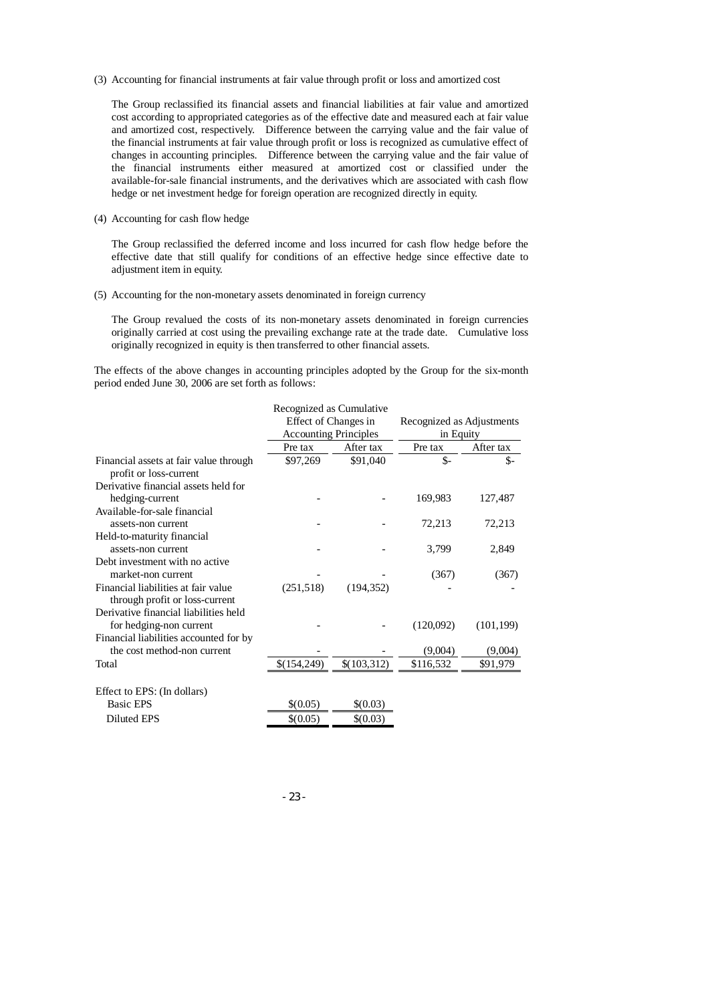(3) Accounting for financial instruments at fair value through profit or loss and amortized cost

The Group reclassified its financial assets and financial liabilities at fair value and amortized cost according to appropriated categories as of the effective date and measured each at fair value and amortized cost, respectively. Difference between the carrying value and the fair value of the financial instruments at fair value through profit or loss is recognized as cumulative effect of changes in accounting principles. Difference between the carrying value and the fair value of the financial instruments either measured at amortized cost or classified under the available-for-sale financial instruments, and the derivatives which are associated with cash flow hedge or net investment hedge for foreign operation are recognized directly in equity.

(4) Accounting for cash flow hedge

The Group reclassified the deferred income and loss incurred for cash flow hedge before the effective date that still qualify for conditions of an effective hedge since effective date to adjustment item in equity.

(5) Accounting for the non-monetary assets denominated in foreign currency

The Group revalued the costs of its non-monetary assets denominated in foreign currencies originally carried at cost using the prevailing exchange rate at the trade date. Cumulative loss originally recognized in equity is then transferred to other financial assets.

The effects of the above changes in accounting principles adopted by the Group for the six-month period ended June 30, 2006 are set forth as follows:

|                                                                  | Recognized as Cumulative<br>Effect of Changes in<br><b>Accounting Principles</b> |             | Recognized as Adjustments<br>in Equity |            |  |
|------------------------------------------------------------------|----------------------------------------------------------------------------------|-------------|----------------------------------------|------------|--|
|                                                                  | Pre tax                                                                          | After tax   | Pre tax                                | After tax  |  |
| Financial assets at fair value through<br>profit or loss-current | \$97,269                                                                         | \$91,040    | \$-                                    | \$-        |  |
| Derivative financial assets held for                             |                                                                                  |             |                                        |            |  |
| hedging-current                                                  |                                                                                  |             | 169,983                                | 127,487    |  |
| Available-for-sale financial                                     |                                                                                  |             |                                        |            |  |
| assets-non current                                               |                                                                                  |             | 72,213                                 | 72,213     |  |
| Held-to-maturity financial                                       |                                                                                  |             |                                        |            |  |
| assets-non current                                               |                                                                                  |             | 3,799                                  | 2,849      |  |
| Debt investment with no active                                   |                                                                                  |             |                                        |            |  |
| market-non current                                               |                                                                                  |             | (367)                                  | (367)      |  |
| Financial liabilities at fair value                              | (251,518)                                                                        | (194.352)   |                                        |            |  |
| through profit or loss-current                                   |                                                                                  |             |                                        |            |  |
| Derivative financial liabilities held                            |                                                                                  |             |                                        |            |  |
| for hedging-non current                                          |                                                                                  |             | (120,092)                              | (101, 199) |  |
| Financial liabilities accounted for by                           |                                                                                  |             |                                        |            |  |
| the cost method-non current                                      |                                                                                  |             | (9,004)                                | (9,004)    |  |
| Total                                                            | \$(154,249)                                                                      | \$(103,312) | \$116,532                              | \$91,979   |  |
|                                                                  |                                                                                  |             |                                        |            |  |
| Effect to EPS: (In dollars)                                      |                                                                                  |             |                                        |            |  |
| <b>Basic EPS</b>                                                 | \$(0.05)                                                                         | \$(0.03)    |                                        |            |  |
| <b>Diluted EPS</b>                                               | \$(0.05)                                                                         | \$(0.03)    |                                        |            |  |

- 23 -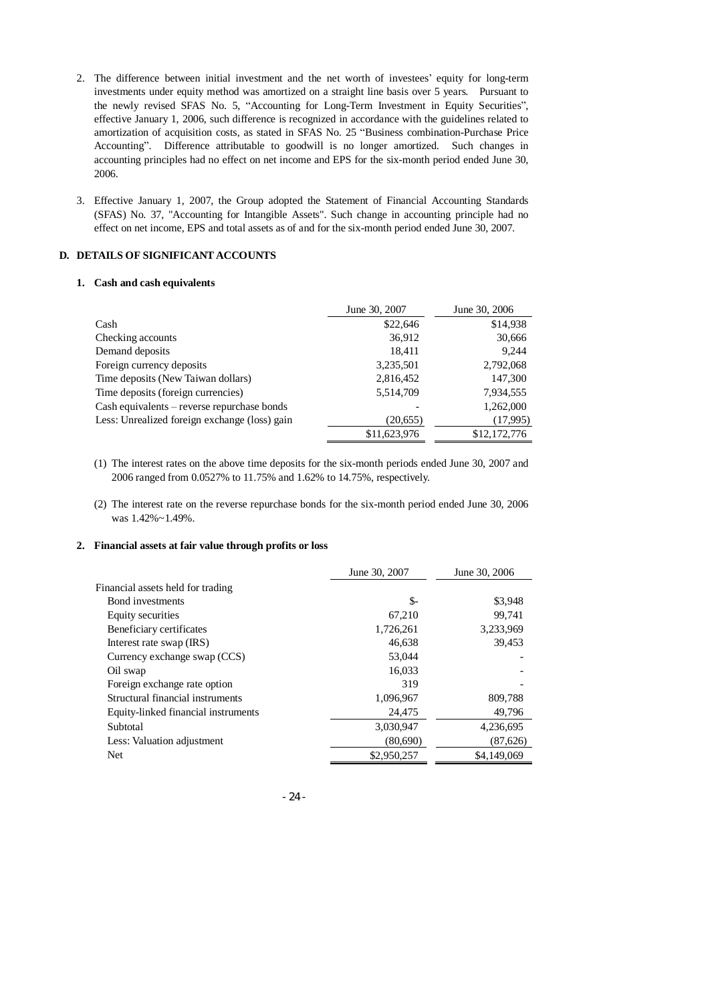- 2. The difference between initial investment and the net worth of investees' equity for long-term investments under equity method was amortized on a straight line basis over 5 years. Pursuant to the newly revised SFAS No. 5, "Accounting for Long-Term Investment in Equity Securities", effective January 1, 2006, such difference is recognized in accordance with the guidelines related to amortization of acquisition costs, as stated in SFAS No. 25 "Business combination-Purchase Price Accounting". Difference attributable to goodwill is no longer amortized. Such changes in accounting principles had no effect on net income and EPS for the six-month period ended June 30, 2006.
- 3. Effective January 1, 2007, the Group adopted the Statement of Financial Accounting Standards (SFAS) No. 37, "Accounting for Intangible Assets". Such change in accounting principle had no effect on net income, EPS and total assets as of and for the six-month period ended June 30, 2007.

## **D. DETAILS OF SIGNIFICANT ACCOUNTS**

#### **1. Cash and cash equivalents**

|                                               | June 30, 2007 | June 30, 2006 |
|-----------------------------------------------|---------------|---------------|
| Cash                                          | \$22,646      | \$14,938      |
| Checking accounts                             | 36,912        | 30,666        |
| Demand deposits                               | 18.411        | 9,244         |
| Foreign currency deposits                     | 3,235,501     | 2,792,068     |
| Time deposits (New Taiwan dollars)            | 2,816,452     | 147,300       |
| Time deposits (foreign currencies)            | 5,514,709     | 7,934,555     |
| Cash equivalents – reverse repurchase bonds   |               | 1,262,000     |
| Less: Unrealized foreign exchange (loss) gain | (20,655)      | (17,995)      |
|                                               | \$11,623,976  | \$12,172,776  |

- (1) The interest rates on the above time deposits for the six-month periods ended June 30, 2007 and 2006 ranged from 0.0527% to 11.75% and 1.62% to 14.75%, respectively.
- (2) The interest rate on the reverse repurchase bonds for the six-month period ended June 30, 2006 was 1.42%~1.49%.

#### **2. Financial assets at fair value through profits or loss**

|                                     | June 30, 2007 | June 30, 2006 |
|-------------------------------------|---------------|---------------|
| Financial assets held for trading   |               |               |
| Bond investments                    | \$-           | \$3,948       |
| Equity securities                   | 67,210        | 99,741        |
| Beneficiary certificates            | 1,726,261     | 3,233,969     |
| Interest rate swap (IRS)            | 46,638        | 39,453        |
| Currency exchange swap (CCS)        | 53,044        |               |
| Oil swap                            | 16,033        |               |
| Foreign exchange rate option        | 319           |               |
| Structural financial instruments    | 1,096,967     | 809,788       |
| Equity-linked financial instruments | 24,475        | 49,796        |
| Subtotal                            | 3.030.947     | 4,236,695     |
| Less: Valuation adjustment          | (80,690)      | (87,626)      |
| Net                                 | \$2,950,257   | \$4,149,069   |

- 24 -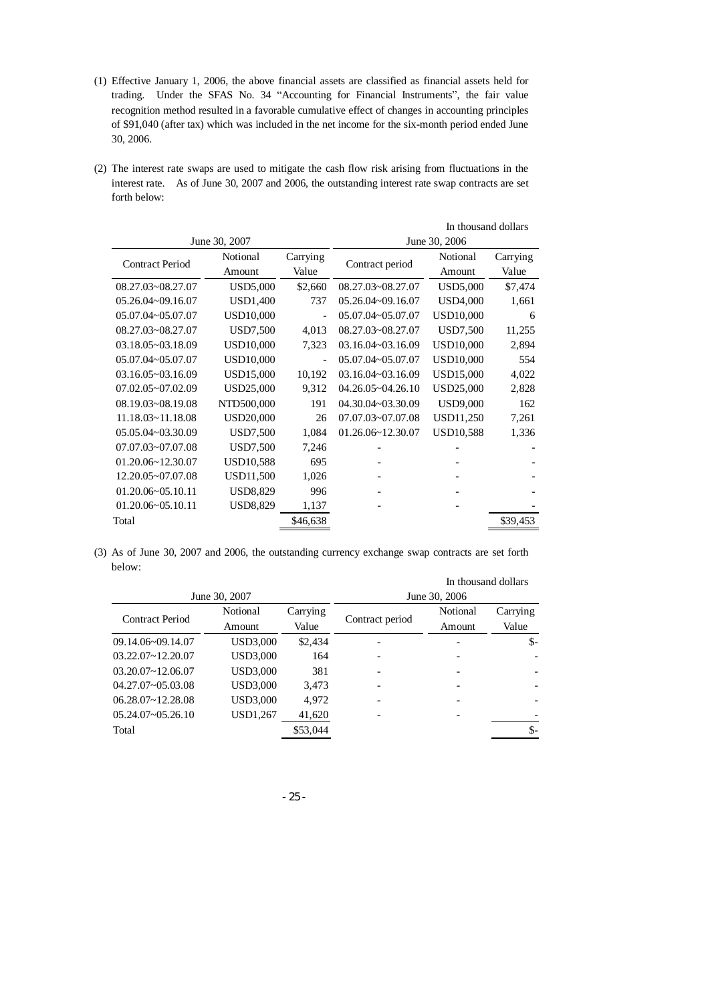- (1) Effective January 1, 2006, the above financial assets are classified as financial assets held for trading. Under the SFAS No. 34 "Accounting for Financial Instruments", the fair value recognition method resulted in a favorable cumulative effect of changes in accounting principles of \$91,040 (after tax) which was included in the net income for the six-month period ended June 30, 2006.
- (2) The interest rate swaps are used to mitigate the cash flow risk arising from fluctuations in the interest rate. As of June 30, 2007 and 2006, the outstanding interest rate swap contracts are set forth below:

|                        |                  |                | In thousand dollars        |                  |          |
|------------------------|------------------|----------------|----------------------------|------------------|----------|
|                        | June 30, 2007    |                |                            | June 30, 2006    |          |
| <b>Contract Period</b> | Notional         | Carrying       | Contract period            | Notional         | Carrying |
|                        | Amount           | Value          |                            | Amount           | Value    |
| 08.27.03~08.27.07      | <b>USD5,000</b>  | \$2,660        | 08.27.03~08.27.07          | <b>USD5,000</b>  | \$7,474  |
| 05.26.04~09.16.07      | <b>USD1,400</b>  | 737            | 05.26.04~09.16.07          | <b>USD4,000</b>  | 1,661    |
| 05.07.04~05.07.07      | <b>USD10,000</b> | $\overline{a}$ | 05.07.04~05.07.07          | <b>USD10,000</b> | 6        |
| 08.27.03~08.27.07      | USD7,500         | 4,013          | 08.27.03~08.27.07          | USD7,500         | 11,255   |
| 03.18.05~03.18.09      | <b>USD10,000</b> | 7,323          | 03.16.04~03.16.09          | <b>USD10,000</b> | 2,894    |
| 05.07.04~05.07.07      | <b>USD10,000</b> |                | 05.07.04~05.07.07          | <b>USD10,000</b> | 554      |
| 03.16.05~03.16.09      | <b>USD15,000</b> | 10,192         | 03.16.04~03.16.09          | <b>USD15,000</b> | 4,022    |
| 07.02.05~07.02.09      | USD25,000        | 9,312          | $04.26.05 \times 04.26.10$ | <b>USD25,000</b> | 2,828    |
| 08.19.03~08.19.08      | NTD500,000       | 191            | 04.30.04~03.30.09          | <b>USD9,000</b>  | 162      |
| $11.18.03 - 11.18.08$  | <b>USD20,000</b> | 26             | 07.07.03~07.07.08          | USD11,250        | 7,261    |
| 05.05.04~03.30.09      | USD7,500         | 1,084          | $01.26.06 \times 12.30.07$ | <b>USD10,588</b> | 1,336    |
| 07.07.03~07.07.08      | USD7,500         | 7,246          |                            |                  |          |
| $01.20.06 - 12.30.07$  | <b>USD10,588</b> | 695            |                            |                  |          |
| 12.20.05~07.07.08      | USD11,500        | 1,026          |                            |                  |          |
| $01.20.06 - 05.10.11$  | <b>USD8,829</b>  | 996            |                            |                  |          |
| $01.20.06 - 05.10.11$  | USD8,829         | 1,137          |                            |                  |          |
| Total                  |                  | \$46,638       |                            |                  | \$39,453 |

(3) As of June 30, 2007 and 2006, the outstanding currency exchange swap contracts are set forth below:

|                       |                    |                   |                 | In thousand dollars |                   |
|-----------------------|--------------------|-------------------|-----------------|---------------------|-------------------|
|                       | June 30, 2007      |                   |                 | June 30, 2006       |                   |
| Contract Period       | Notional<br>Amount | Carrying<br>Value | Contract period | Notional<br>Amount  | Carrying<br>Value |
| 09.14.06~09.14.07     | <b>USD3,000</b>    | \$2,434           |                 |                     | $S-$              |
| $03.22.07 - 12.20.07$ | <b>USD3,000</b>    | 164               |                 |                     |                   |
| $03.20.07 - 12.06.07$ | <b>USD3,000</b>    | 381               |                 |                     |                   |
| 04.27.07~05.03.08     | <b>USD3,000</b>    | 3,473             |                 |                     |                   |
| $06.28.07 - 12.28.08$ | <b>USD3,000</b>    | 4.972             |                 |                     |                   |
| $05.24.07 - 05.26.10$ | USD1,267           | 41,620            |                 |                     |                   |
| Total                 |                    | \$53,044          |                 |                     | \$-               |

- 25 -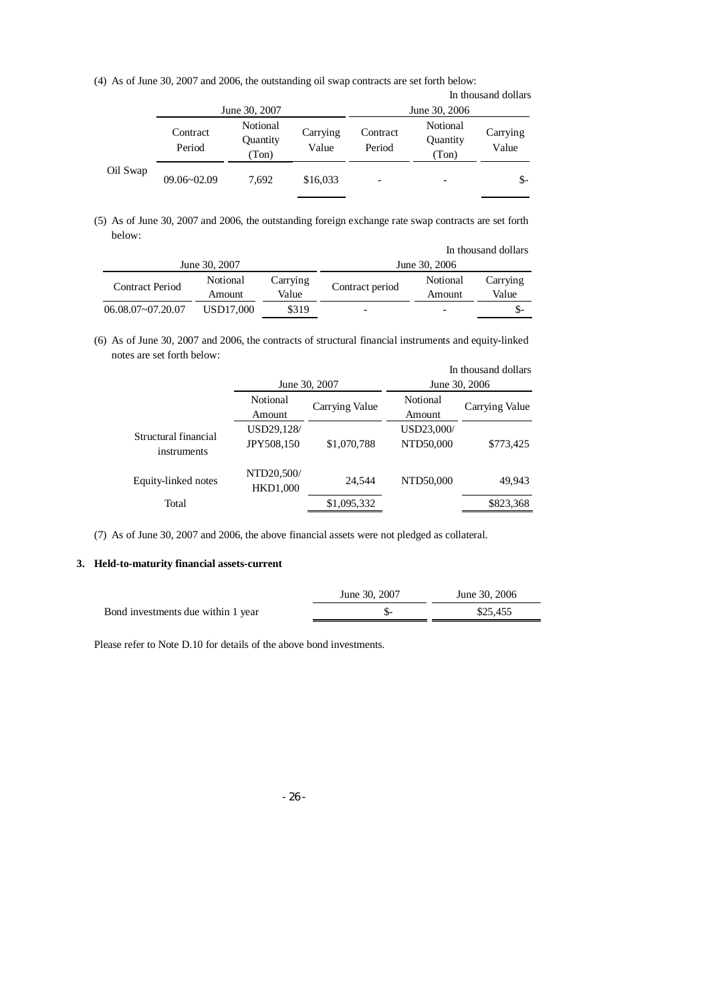(4) As of June 30, 2007 and 2006, the outstanding oil swap contracts are set forth below:

|          |                    |                               |                   |                    |                               | In thousand dollars |
|----------|--------------------|-------------------------------|-------------------|--------------------|-------------------------------|---------------------|
|          |                    | June 30, 2007                 |                   |                    | June 30, 2006                 |                     |
|          | Contract<br>Period | Notional<br>Quantity<br>(Ton) | Carrying<br>Value | Contract<br>Period | Notional<br>Quantity<br>(Ton) | Carrying<br>Value   |
| Oil Swap | $09.06 - 02.09$    | 7.692                         | \$16,033          |                    | $\overline{\phantom{0}}$      | $S-$                |

(5) As of June 30, 2007 and 2006, the outstanding foreign exchange rate swap contracts are set forth below:

| In thousand dollars    |                    |                   |                          |                    |                   |
|------------------------|--------------------|-------------------|--------------------------|--------------------|-------------------|
|                        | June 30, 2007      |                   | June 30, 2006            |                    |                   |
| <b>Contract Period</b> | Notional<br>Amount | Carrying<br>Value | Contract period          | Notional<br>Amount | Carrying<br>Value |
| $06.08.07 - 07.20.07$  | USD17,000          | \$319             | $\overline{\phantom{0}}$ |                    | \$-               |

(6) As of June 30, 2007 and 2006, the contracts of structural financial instruments and equity-linked notes are set forth below:

|                                     |                               |                                 |                         | In thousand dollars             |
|-------------------------------------|-------------------------------|---------------------------------|-------------------------|---------------------------------|
|                                     | Notional<br><b>Amount</b>     | June 30, 2007<br>Carrying Value | Notional<br>Amount      | June 30, 2006<br>Carrying Value |
| Structural financial<br>instruments | USD29,128/<br>JPY508,150      | \$1,070,788                     | USD23,000/<br>NTD50,000 | \$773,425                       |
| Equity-linked notes                 | NTD20,500/<br><b>HKD1,000</b> | 24.544                          | NTD50,000               | 49.943                          |
| Total                               |                               | \$1,095,332                     |                         | \$823,368                       |

(7) As of June 30, 2007 and 2006, the above financial assets were not pledged as collateral.

## **3. Held-to-maturity financial assets-current**

|                                    | June 30, 2007 | June 30, 2006 |
|------------------------------------|---------------|---------------|
| Bond investments due within 1 year |               | \$25.455      |

Please refer to Note D.10 for details of the above bond investments.

- 26 -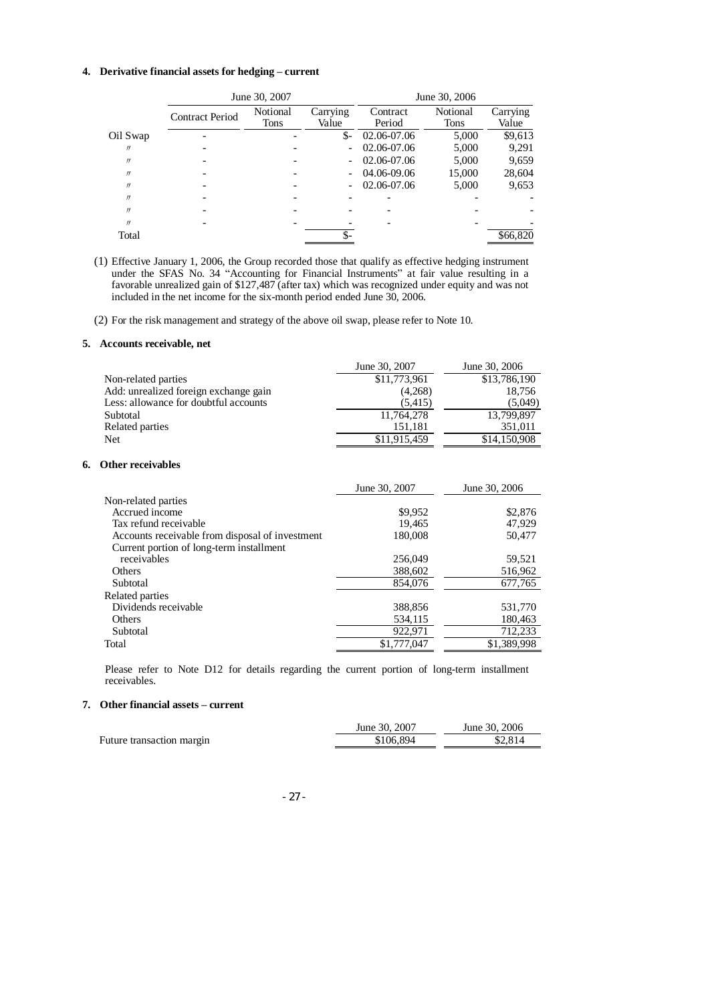#### **4. Derivative financial assets for hedging – current**

|                   | June 30, 2007          |          |                          | June 30, 2006 |             |          |
|-------------------|------------------------|----------|--------------------------|---------------|-------------|----------|
|                   | <b>Contract Period</b> | Notional | Carrying                 | Contract      | Notional    | Carrying |
|                   |                        | Tons     | Value                    | Period        | <b>Tons</b> | Value    |
| Oil Swap          |                        |          | $S-$                     | 02.06-07.06   | 5,000       | \$9,613  |
| $^{\prime\prime}$ |                        |          | $\overline{\phantom{a}}$ | 02.06-07.06   | 5,000       | 9,291    |
| $^{\prime\prime}$ |                        |          | $\overline{\phantom{a}}$ | 02.06-07.06   | 5,000       | 9,659    |
| $^{\prime\prime}$ |                        |          | $\overline{\phantom{a}}$ | 04.06-09.06   | 15,000      | 28,604   |
| $^{\prime\prime}$ |                        |          |                          | 02.06-07.06   | 5,000       | 9,653    |
| $^{\prime\prime}$ |                        |          |                          |               |             |          |
| $^{\prime\prime}$ |                        |          |                          |               |             |          |
| $^{\prime\prime}$ |                        |          |                          |               |             |          |
| Total             |                        |          |                          |               |             | \$66,820 |

(1) Effective January 1, 2006, the Group recorded those that qualify as effective hedging instrument under the SFAS No. 34 "Accounting for Financial Instruments" at fair value resulting in a favorable unrealized gain of \$127,487 (after tax) which was recognized under equity and was not included in the net income for the six-month period ended June 30, 2006.

(2) For the risk management and strategy of the above oil swap, please refer to Note 10.

#### **5. Accounts receivable, net**

|    |                                                 | June 30, 2007 | June 30, 2006 |
|----|-------------------------------------------------|---------------|---------------|
|    | Non-related parties                             | \$11,773,961  | \$13,786,190  |
|    | Add: unrealized foreign exchange gain           | (4,268)       | 18,756        |
|    | Less: allowance for doubtful accounts           | (5,415)       | (5,049)       |
|    | Subtotal                                        | 11,764,278    | 13,799,897    |
|    | Related parties                                 | 151,181       | 351,011       |
|    | Net                                             | \$11,915,459  | \$14,150,908  |
| 6. | <b>Other receivables</b>                        |               |               |
|    |                                                 | June 30, 2007 | June 30, 2006 |
|    | Non-related parties                             |               |               |
|    | Accrued income                                  | \$9,952       | \$2,876       |
|    | Tax refund receivable                           | 19,465        | 47,929        |
|    | Accounts receivable from disposal of investment | 180,008       | 50,477        |
|    | Current portion of long-term installment        |               |               |
|    | receivables                                     | 256,049       | 59,521        |
|    | Others                                          | 388,602       | 516,962       |
|    | Subtotal                                        | 854,076       | 677,765       |
|    | Related parties                                 |               |               |
|    | Dividends receivable                            | 388,856       | 531,770       |
|    | Others                                          | 534,115       | 180,463       |
|    | Subtotal                                        | 922,971       | 712,233       |

Please refer to Note D12 for details regarding the current portion of long-term installment receivables.

Total \$1,777,047 \$1,389,998

#### **7. Other financial assets – current**

|                           | June 30, 2007 | June 30, 2006 |
|---------------------------|---------------|---------------|
| Future transaction margin | \$106,894     | \$2.814       |

- 27 -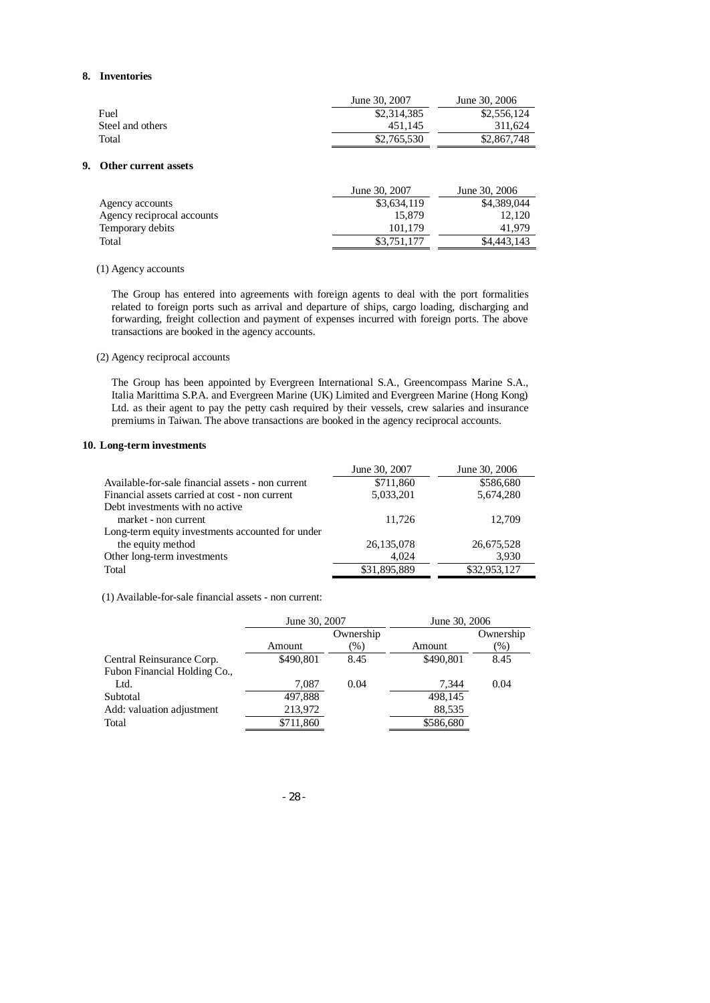#### **8. Inventories**

|                  | June 30, 2007 | June 30, 2006 |
|------------------|---------------|---------------|
| Fuel             | \$2,314,385   | \$2,556,124   |
| Steel and others | 451.145       | 311.624       |
| Total            | \$2,765,530   | \$2,867,748   |

#### **9. Other current assets**

| June 30, 2007 | June 30, 2006 |
|---------------|---------------|
| \$3,634,119   | \$4,389,044   |
| 15.879        | 12.120        |
| 101.179       | 41.979        |
| \$3,751,177   | \$4,443,143   |
|               |               |

#### (1) Agency accounts

The Group has entered into agreements with foreign agents to deal with the port formalities related to foreign ports such as arrival and departure of ships, cargo loading, discharging and forwarding, freight collection and payment of expenses incurred with foreign ports. The above transactions are booked in the agency accounts.

#### (2) Agency reciprocal accounts

The Group has been appointed by Evergreen International S.A., Greencompass Marine S.A., Italia Marittima S.P.A. and Evergreen Marine (UK) Limited and Evergreen Marine (Hong Kong) Ltd. as their agent to pay the petty cash required by their vessels, crew salaries and insurance premiums in Taiwan. The above transactions are booked in the agency reciprocal accounts.

#### **10. Long-term investments**

|                                                   | June 30, 2007 | June 30, 2006 |
|---------------------------------------------------|---------------|---------------|
| Available-for-sale financial assets - non current | \$711,860     | \$586,680     |
| Financial assets carried at cost - non current    | 5,033,201     | 5,674,280     |
| Debt investments with no active                   |               |               |
| market - non current                              | 11,726        | 12.709        |
| Long-term equity investments accounted for under  |               |               |
| the equity method                                 | 26, 135, 078  | 26,675,528    |
| Other long-term investments                       | 4.024         | 3,930         |
| Total                                             | \$31,895,889  | \$32,953,127  |

(1) Available-for-sale financial assets - non current:

| June 30, 2007 |           | June 30, 2006 |           |
|---------------|-----------|---------------|-----------|
|               | Ownership |               | Ownership |
| Amount        | $(\%)$    | Amount        | $(\%)$    |
| \$490,801     | 8.45      | \$490,801     | 8.45      |
|               |           |               |           |
| 7.087         | 0.04      | 7.344         | 0.04      |
| 497,888       |           | 498,145       |           |
| 213,972       |           | 88,535        |           |
| \$711,860     |           | \$586,680     |           |
|               |           |               |           |

- 28 -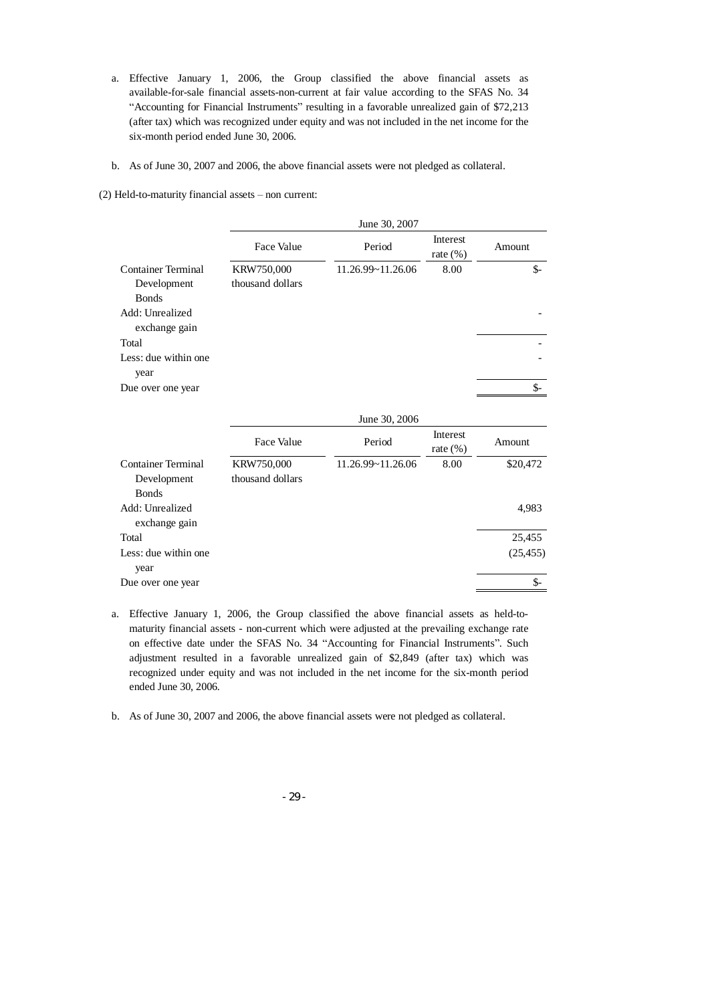- a. Effective January 1, 2006, the Group classified the above financial assets as available-for-sale financial assets-non-current at fair value according to the SFAS No. 34 "Accounting for Financial Instruments" resulting in a favorable unrealized gain of \$72,213 (after tax) which was recognized under equity and was not included in the net income for the six-month period ended June 30, 2006.
- b. As of June 30, 2007 and 2006, the above financial assets were not pledged as collateral.

(2) Held-to-maturity financial assets – non current:

|                                  |                  | June 30, 2007             |                         |                         |
|----------------------------------|------------------|---------------------------|-------------------------|-------------------------|
|                                  | Face Value       | Period                    | Interest<br>rate $(\%)$ | Amount                  |
| <b>Container Terminal</b>        | KRW750,000       | 11.26.99~11.26.06         | 8.00                    | $S-$                    |
| Development                      | thousand dollars |                           |                         |                         |
| <b>Bonds</b>                     |                  |                           |                         |                         |
| Add: Unrealized<br>exchange gain |                  |                           |                         |                         |
| Total                            |                  |                           |                         |                         |
| Less: due within one<br>year     |                  |                           |                         |                         |
| Due over one year                |                  |                           |                         | \$-                     |
|                                  |                  | June 30, 2006             |                         |                         |
|                                  | $T \sim T1$      | $\mathbf{r}$ $\mathbf{r}$ | Interest                | $\lambda$ and $\lambda$ |

|                      | Face Value        | Period            | Interest<br>rate $(\% )$ | Amount    |
|----------------------|-------------------|-------------------|--------------------------|-----------|
| Container Terminal   | <b>KRW750,000</b> | 11.26.99~11.26.06 | 8.00                     | \$20,472  |
| Development          | thousand dollars  |                   |                          |           |
| <b>Bonds</b>         |                   |                   |                          |           |
| Add: Unrealized      |                   |                   |                          | 4,983     |
| exchange gain        |                   |                   |                          |           |
| Total                |                   |                   |                          | 25,455    |
| Less: due within one |                   |                   |                          | (25, 455) |
| year                 |                   |                   |                          |           |
| Due over one year    |                   |                   |                          | \$-       |
|                      |                   |                   |                          |           |

- a. Effective January 1, 2006, the Group classified the above financial assets as held-tomaturity financial assets - non-current which were adjusted at the prevailing exchange rate on effective date under the SFAS No. 34 "Accounting for Financial Instruments". Such adjustment resulted in a favorable unrealized gain of \$2,849 (after tax) which was recognized under equity and was not included in the net income for the six-month period ended June 30, 2006.
- b. As of June 30, 2007 and 2006, the above financial assets were not pledged as collateral.

- 29 -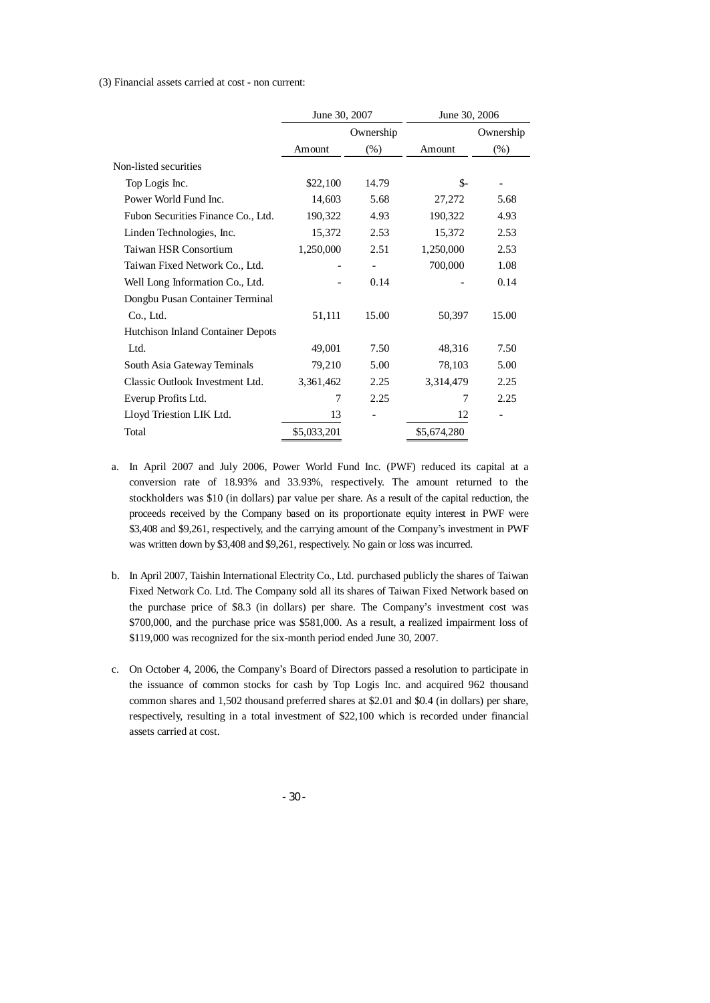(3) Financial assets carried at cost - non current:

|                                    | June 30, 2007 |           | June 30, 2006 |           |
|------------------------------------|---------------|-----------|---------------|-----------|
|                                    |               | Ownership |               | Ownership |
|                                    | Amount        | $(\%)$    | Amount        | $(\%)$    |
| Non-listed securities              |               |           |               |           |
| Top Logis Inc.                     | \$22,100      | 14.79     | \$-           |           |
| Power World Fund Inc.              | 14,603        | 5.68      | 27,272        | 5.68      |
| Fubon Securities Finance Co., Ltd. | 190,322       | 4.93      | 190,322       | 4.93      |
| Linden Technologies, Inc.          | 15,372        | 2.53      | 15,372        | 2.53      |
| Taiwan HSR Consortium              | 1,250,000     | 2.51      | 1,250,000     | 2.53      |
| Taiwan Fixed Network Co., Ltd.     |               |           | 700,000       | 1.08      |
| Well Long Information Co., Ltd.    |               | 0.14      |               | 0.14      |
| Dongbu Pusan Container Terminal    |               |           |               |           |
| Co., Ltd.                          | 51,111        | 15.00     | 50,397        | 15.00     |
| Hutchison Inland Container Depots  |               |           |               |           |
| Ltd.                               | 49,001        | 7.50      | 48,316        | 7.50      |
| South Asia Gateway Teminals        | 79,210        | 5.00      | 78,103        | 5.00      |
| Classic Outlook Investment Ltd.    | 3,361,462     | 2.25      | 3,314,479     | 2.25      |
| Everup Profits Ltd.                | 7             | 2.25      | 7             | 2.25      |
| Lloyd Triestion LIK Ltd.           | 13            |           | 12            |           |
| Total                              | \$5,033,201   |           | \$5,674,280   |           |

- a. In April 2007 and July 2006, Power World Fund Inc. (PWF) reduced its capital at a conversion rate of 18.93% and 33.93%, respectively. The amount returned to the stockholders was \$10 (in dollars) par value per share. As a result of the capital reduction, the proceeds received by the Company based on its proportionate equity interest in PWF were \$3,408 and \$9,261, respectively, and the carrying amount of the Company's investment in PWF was written down by \$3,408 and \$9,261, respectively. No gain or loss was incurred.
- b. In April 2007, Taishin International ElectrityCo., Ltd. purchased publicly the shares of Taiwan Fixed Network Co. Ltd. The Company sold all its shares of Taiwan Fixed Network based on the purchase price of \$8.3 (in dollars) per share. The Company's investment cost was \$700,000, and the purchase price was \$581,000. As a result, a realized impairment loss of \$119,000 was recognized for the six-month period ended June 30, 2007.
- c. On October 4, 2006, the Company's Board of Directors passed a resolution to participate in the issuance of common stocks for cash by Top Logis Inc. and acquired 962 thousand common shares and 1,502 thousand preferred shares at \$2.01 and \$0.4 (in dollars) per share, respectively, resulting in a total investment of \$22,100 which is recorded under financial assets carried at cost.

- 30 -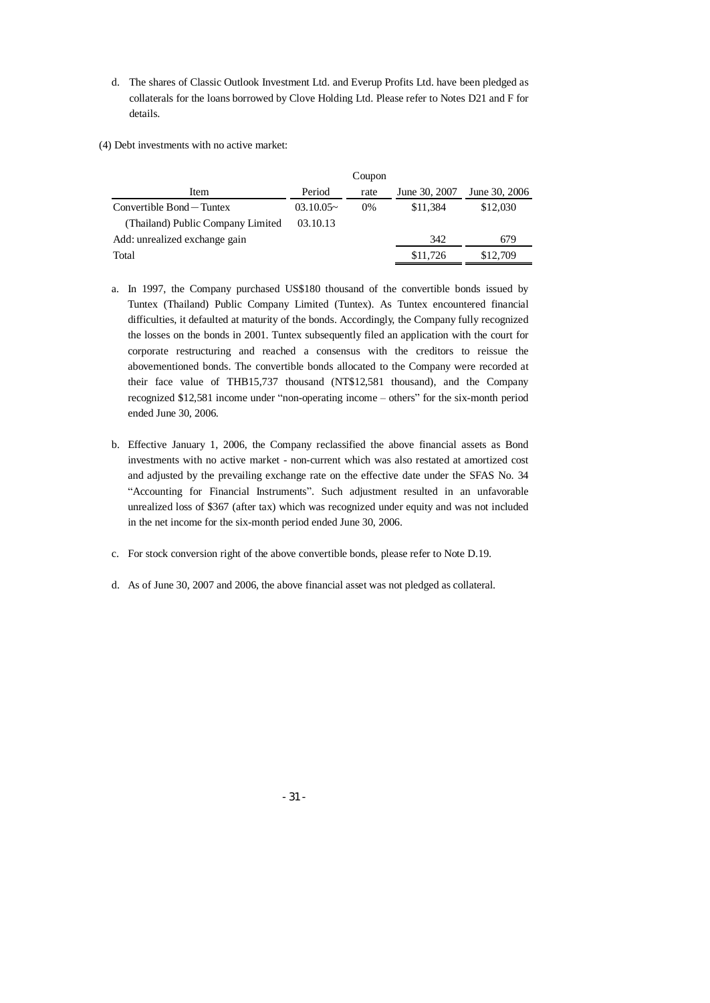- d. The shares of Classic Outlook Investment Ltd. and Everup Profits Ltd. have been pledged as collaterals for the loans borrowed by Clove Holding Ltd. Please refer to Notes D21 and F for details.
- (4) Debt investments with no active market:

|                                   |                | Coupon |               |               |
|-----------------------------------|----------------|--------|---------------|---------------|
| Item                              | Period         | rate   | June 30, 2007 | June 30, 2006 |
| $Convertible Bond-Tuntex$         | $03.10.05\sim$ | $0\%$  | \$11,384      | \$12,030      |
| (Thailand) Public Company Limited | 03.10.13       |        |               |               |
| Add: unrealized exchange gain     |                |        | 342           | 679           |
| Total                             |                |        | \$11,726      | \$12,709      |

- a. In 1997, the Company purchased US\$180 thousand of the convertible bonds issued by Tuntex (Thailand) Public Company Limited (Tuntex). As Tuntex encountered financial difficulties, it defaulted at maturity of the bonds. Accordingly, the Company fully recognized the losses on the bonds in 2001. Tuntex subsequently filed an application with the court for corporate restructuring and reached a consensus with the creditors to reissue the abovementioned bonds. The convertible bonds allocated to the Company were recorded at their face value of THB15,737 thousand (NT\$12,581 thousand), and the Company recognized \$12,581 income under "non-operating income – others" for the six-month period ended June 30, 2006.
- b. Effective January 1, 2006, the Company reclassified the above financial assets as Bond investments with no active market - non-current which was also restated at amortized cost and adjusted by the prevailing exchange rate on the effective date under the SFAS No. 34 "Accounting for Financial Instruments". Such adjustment resulted in an unfavorable unrealized loss of \$367 (after tax) which was recognized under equity and was not included in the net income for the six-month period ended June 30, 2006.
- c. For stock conversion right of the above convertible bonds, please refer to Note D.19.
- d. As of June 30, 2007 and 2006, the above financial asset was not pledged as collateral.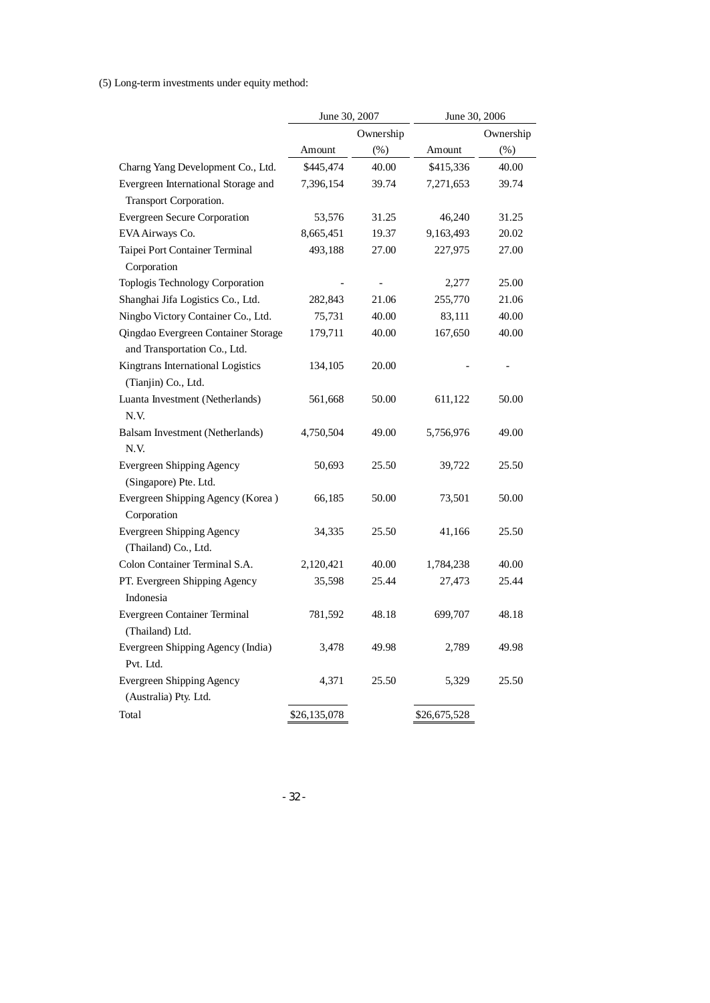(5) Long-term investments under equity method:

|                                                               | June 30, 2007 |                          | June 30, 2006 |           |
|---------------------------------------------------------------|---------------|--------------------------|---------------|-----------|
|                                                               |               | Ownership                |               | Ownership |
|                                                               | Amount        | $(\% )$                  | Amount        | $(\%)$    |
| Charng Yang Development Co., Ltd.                             | \$445,474     | 40.00                    | \$415,336     | 40.00     |
| Evergreen International Storage and<br>Transport Corporation. | 7,396,154     | 39.74                    | 7,271,653     | 39.74     |
| <b>Evergreen Secure Corporation</b>                           | 53,576        | 31.25                    | 46,240        | 31.25     |
| EVA Airways Co.                                               | 8,665,451     | 19.37                    | 9,163,493     | 20.02     |
| Taipei Port Container Terminal                                | 493,188       | 27.00                    | 227,975       | 27.00     |
| Corporation                                                   |               |                          |               |           |
| Toplogis Technology Corporation                               |               | $\overline{\phantom{a}}$ | 2,277         | 25.00     |
| Shanghai Jifa Logistics Co., Ltd.                             | 282,843       | 21.06                    | 255,770       | 21.06     |
| Ningbo Victory Container Co., Ltd.                            | 75,731        | 40.00                    | 83,111        | 40.00     |
| Qingdao Evergreen Container Storage                           | 179,711       | 40.00                    | 167,650       | 40.00     |
| and Transportation Co., Ltd.                                  |               |                          |               |           |
| Kingtrans International Logistics                             | 134,105       | 20.00                    |               |           |
| (Tianjin) Co., Ltd.                                           |               |                          |               |           |
| Luanta Investment (Netherlands)<br>N.V.                       | 561,668       | 50.00                    | 611,122       | 50.00     |
| Balsam Investment (Netherlands)                               | 4,750,504     | 49.00                    | 5,756,976     | 49.00     |
| N.V.                                                          |               |                          |               |           |
| <b>Evergreen Shipping Agency</b><br>(Singapore) Pte. Ltd.     | 50,693        | 25.50                    | 39,722        | 25.50     |
| Evergreen Shipping Agency (Korea)<br>Corporation              | 66,185        | 50.00                    | 73,501        | 50.00     |
| <b>Evergreen Shipping Agency</b><br>(Thailand) Co., Ltd.      | 34,335        | 25.50                    | 41,166        | 25.50     |
| Colon Container Terminal S.A.                                 | 2,120,421     | 40.00                    | 1,784,238     | 40.00     |
| PT. Evergreen Shipping Agency<br>Indonesia                    | 35,598        | 25.44                    | 27,473        | 25.44     |
| Evergreen Container Terminal<br>(Thailand) Ltd.               | 781,592       | 48.18                    | 699,707       | 48.18     |
| Evergreen Shipping Agency (India)<br>Pvt. Ltd.                | 3,478         | 49.98                    | 2,789         | 49.98     |
| Evergreen Shipping Agency<br>(Australia) Pty. Ltd.            | 4,371         | 25.50                    | 5,329         | 25.50     |
| Total                                                         | \$26,135,078  |                          | \$26,675,528  |           |

- 32 -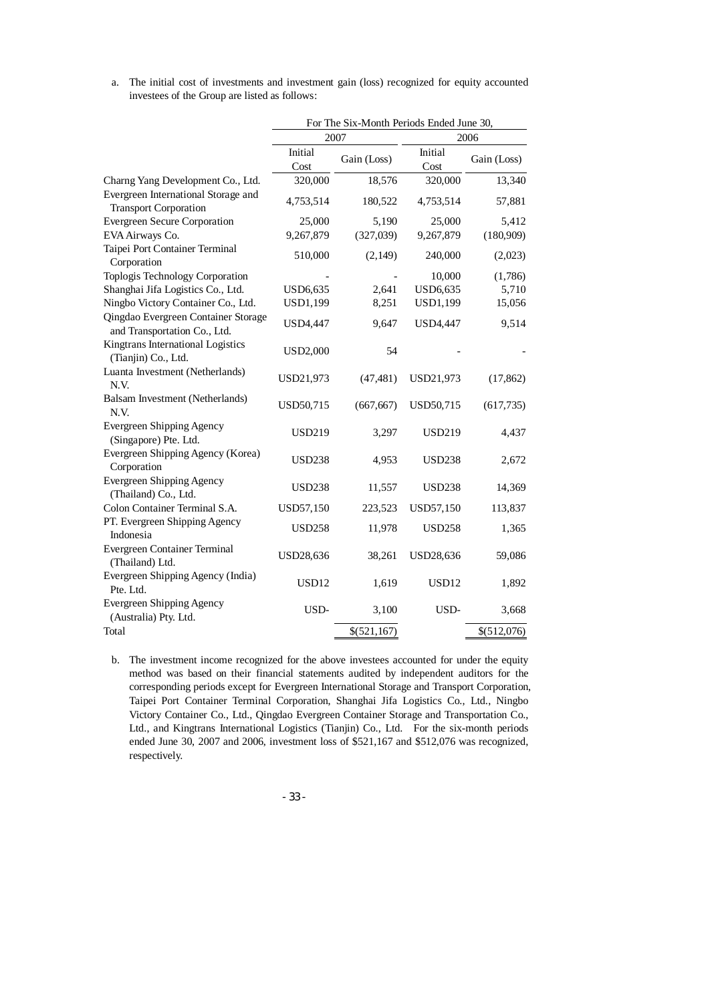a. The initial cost of investments and investment gain (loss) recognized for equity accounted investees of the Group are listed as follows:

|                                                                     | For The Six-Month Periods Ended June 30, |             |                 |             |
|---------------------------------------------------------------------|------------------------------------------|-------------|-----------------|-------------|
|                                                                     | 2007                                     |             | 2006            |             |
|                                                                     | Initial<br>Cost                          | Gain (Loss) | Initial<br>Cost | Gain (Loss) |
| Charng Yang Development Co., Ltd.                                   | 320,000                                  | 18,576      | 320,000         | 13,340      |
| Evergreen International Storage and<br><b>Transport Corporation</b> | 4,753,514                                | 180,522     | 4,753,514       | 57,881      |
| <b>Evergreen Secure Corporation</b>                                 | 25,000                                   | 5,190       | 25,000          | 5,412       |
| EVA Airways Co.                                                     | 9,267,879                                | (327,039)   | 9,267,879       | (180, 909)  |
| Taipei Port Container Terminal<br>Corporation                       | 510,000                                  | (2, 149)    | 240,000         | (2,023)     |
| Toplogis Technology Corporation                                     |                                          |             | 10,000          | (1,786)     |
| Shanghai Jifa Logistics Co., Ltd.                                   | USD6,635                                 | 2,641       | USD6,635        | 5,710       |
| Ningbo Victory Container Co., Ltd.                                  | <b>USD1,199</b>                          | 8,251       | <b>USD1,199</b> | 15,056      |
| Qingdao Evergreen Container Storage<br>and Transportation Co., Ltd. | <b>USD4,447</b>                          | 9,647       | <b>USD4,447</b> | 9,514       |
| Kingtrans International Logistics<br>(Tianjin) Co., Ltd.            | <b>USD2,000</b>                          | 54          |                 |             |
| Luanta Investment (Netherlands)<br>N.V.                             | USD21,973                                | (47, 481)   | USD21,973       | (17, 862)   |
| Balsam Investment (Netherlands)<br>N.V.                             | USD50,715                                | (667, 667)  | USD50,715       | (617, 735)  |
| <b>Evergreen Shipping Agency</b><br>(Singapore) Pte. Ltd.           | <b>USD219</b>                            | 3,297       | <b>USD219</b>   | 4,437       |
| Evergreen Shipping Agency (Korea)<br>Corporation                    | <b>USD238</b>                            | 4,953       | <b>USD238</b>   | 2,672       |
| <b>Evergreen Shipping Agency</b><br>(Thailand) Co., Ltd.            | <b>USD238</b>                            | 11,557      | <b>USD238</b>   | 14,369      |
| Colon Container Terminal S.A.                                       | USD57,150                                | 223,523     | USD57,150       | 113,837     |
| PT. Evergreen Shipping Agency<br>Indonesia                          | <b>USD258</b>                            | 11,978      | <b>USD258</b>   | 1,365       |
| Evergreen Container Terminal<br>(Thailand) Ltd.                     | USD28,636                                | 38,261      | USD28,636       | 59,086      |
| Evergreen Shipping Agency (India)<br>Pte. Ltd.                      | USD12                                    | 1,619       | USD12           | 1,892       |
| <b>Evergreen Shipping Agency</b><br>(Australia) Pty. Ltd.           | USD-                                     | 3,100       | USD-            | 3,668       |
| Total                                                               |                                          | \$(521,167) |                 | \$(512,076) |

b. The investment income recognized for the above investees accounted for under the equity method was based on their financial statements audited by independent auditors for the corresponding periods except for Evergreen International Storage and Transport Corporation, Taipei Port Container Terminal Corporation, Shanghai Jifa Logistics Co., Ltd., Ningbo Victory Container Co., Ltd., Qingdao Evergreen Container Storage and Transportation Co., Ltd., and Kingtrans International Logistics (Tianjin) Co., Ltd. For the six-month periods ended June 30, 2007 and 2006, investment loss of \$521,167 and \$512,076 was recognized, respectively.

- 33 -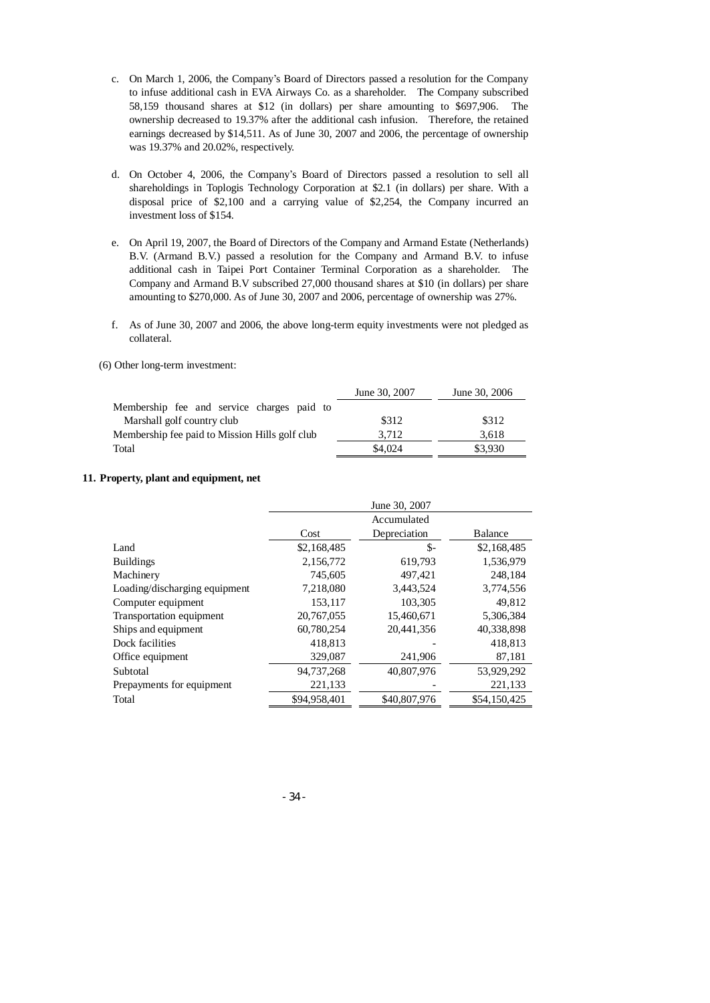- c. On March 1, 2006, the Company's Board of Directors passed a resolution for the Company to infuse additional cash in EVA Airways Co. as a shareholder. The Company subscribed 58,159 thousand shares at \$12 (in dollars) per share amounting to \$697,906. The ownership decreased to 19.37% after the additional cash infusion. Therefore, the retained earnings decreased by \$14,511. As of June 30, 2007 and 2006, the percentage of ownership was 19.37% and 20.02%, respectively.
- d. On October 4, 2006, the Company's Board of Directors passed a resolution to sell all shareholdings in Toplogis Technology Corporation at \$2.1 (in dollars) per share. With a disposal price of \$2,100 and a carrying value of \$2,254, the Company incurred an investment loss of \$154.
- e. On April 19, 2007, the Board of Directors of the Company and Armand Estate (Netherlands) B.V. (Armand B.V.) passed a resolution for the Company and Armand B.V. to infuse additional cash in Taipei Port Container Terminal Corporation as a shareholder. The Company and Armand B.V subscribed 27,000 thousand shares at \$10 (in dollars) per share amounting to \$270,000. As of June 30, 2007 and 2006, percentage of ownership was 27%.
- f. As of June 30, 2007 and 2006, the above long-term equity investments were not pledged as collateral.

#### (6) Other long-term investment:

|                                                | June 30, 2007 | June 30, 2006 |
|------------------------------------------------|---------------|---------------|
| Membership fee and service charges paid to     |               |               |
| Marshall golf country club                     | \$312         | \$312         |
| Membership fee paid to Mission Hills golf club | 3.712         | 3.618         |
| Total                                          | \$4,024       | \$3,930       |

#### **11. Property, plant and equipment, net**

|                               | June 30, 2007                   |              |              |  |  |
|-------------------------------|---------------------------------|--------------|--------------|--|--|
|                               | Accumulated                     |              |              |  |  |
|                               | Depreciation<br>Balance<br>Cost |              |              |  |  |
| Land                          | \$2,168,485                     | \$-          | \$2,168,485  |  |  |
| <b>Buildings</b>              | 2,156,772                       | 619,793      | 1,536,979    |  |  |
| Machinery                     | 745,605                         | 497,421      | 248,184      |  |  |
| Loading/discharging equipment | 7,218,080                       | 3,443,524    | 3,774,556    |  |  |
| Computer equipment            | 153.117                         | 103,305      | 49,812       |  |  |
| Transportation equipment      | 20,767,055                      | 15,460,671   | 5,306,384    |  |  |
| Ships and equipment           | 60,780,254                      | 20.441.356   | 40,338,898   |  |  |
| Dock facilities               | 418,813                         |              | 418,813      |  |  |
| Office equipment              | 329,087                         | 241,906      | 87,181       |  |  |
| Subtotal                      | 94,737,268                      | 40,807,976   | 53,929,292   |  |  |
| Prepayments for equipment     | 221,133                         |              | 221,133      |  |  |
| Total                         | \$94,958,401                    | \$40,807,976 | \$54,150,425 |  |  |

- 34 -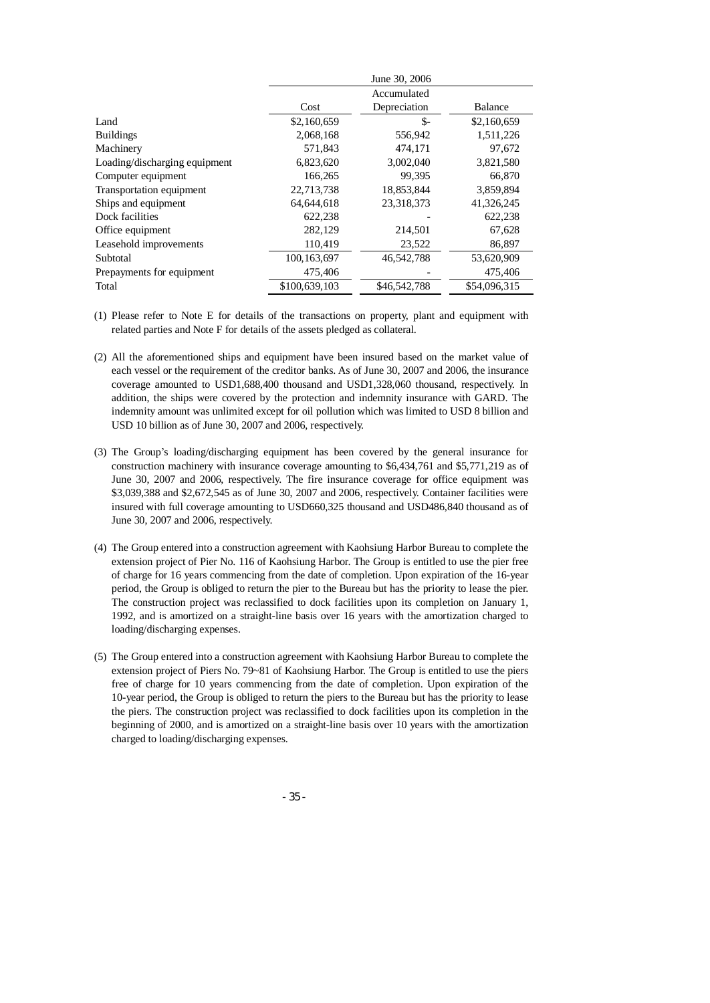|                               | June 30, 2006 |              |                |  |  |
|-------------------------------|---------------|--------------|----------------|--|--|
|                               |               | Accumulated  |                |  |  |
|                               | Cost          | Depreciation | <b>Balance</b> |  |  |
| Land                          | \$2,160,659   | \$-          | \$2,160,659    |  |  |
| <b>Buildings</b>              | 2,068,168     | 556,942      | 1,511,226      |  |  |
| Machinery                     | 571,843       | 474.171      | 97,672         |  |  |
| Loading/discharging equipment | 6,823,620     | 3,002,040    | 3,821,580      |  |  |
| Computer equipment            | 166,265       | 99.395       | 66,870         |  |  |
| Transportation equipment      | 22,713,738    | 18,853,844   | 3,859,894      |  |  |
| Ships and equipment           | 64.644.618    | 23,318,373   | 41,326,245     |  |  |
| Dock facilities               | 622,238       |              | 622,238        |  |  |
| Office equipment              | 282,129       | 214,501      | 67,628         |  |  |
| Leasehold improvements        | 110,419       | 23,522       | 86,897         |  |  |
| Subtotal                      | 100, 163, 697 | 46,542,788   | 53,620,909     |  |  |
| Prepayments for equipment     | 475,406       |              | 475,406        |  |  |
| Total                         | \$100,639,103 | \$46,542,788 | \$54,096,315   |  |  |

- (1) Please refer to Note E for details of the transactions on property, plant and equipment with related parties and Note F for details of the assets pledged as collateral.
- (2) All the aforementioned ships and equipment have been insured based on the market value of each vessel or the requirement of the creditor banks. As of June 30, 2007 and 2006, the insurance coverage amounted to USD1,688,400 thousand and USD1,328,060 thousand, respectively. In addition, the ships were covered by the protection and indemnity insurance with GARD. The indemnity amount was unlimited except for oil pollution which was limited to USD 8 billion and USD 10 billion as of June 30, 2007 and 2006, respectively.
- (3) The Group's loading/discharging equipment has been covered by the general insurance for construction machinery with insurance coverage amounting to \$6,434,761 and \$5,771,219 as of June 30, 2007 and 2006, respectively. The fire insurance coverage for office equipment was \$3,039,388 and \$2,672,545 as of June 30, 2007 and 2006, respectively. Container facilities were insured with full coverage amounting to USD660,325 thousand and USD486,840 thousand as of June 30, 2007 and 2006, respectively.
- (4) The Group entered into a construction agreement with Kaohsiung Harbor Bureau to complete the extension project of Pier No. 116 of Kaohsiung Harbor. The Group is entitled to use the pier free of charge for 16 years commencing from the date of completion. Upon expiration of the 16-year period, the Group is obliged to return the pier to the Bureau but has the priority to lease the pier. The construction project was reclassified to dock facilities upon its completion on January 1, 1992, and is amortized on a straight-line basis over 16 years with the amortization charged to loading/discharging expenses.
- (5) The Group entered into a construction agreement with Kaohsiung Harbor Bureau to complete the extension project of Piers No. 79~81 of Kaohsiung Harbor. The Group is entitled to use the piers free of charge for 10 years commencing from the date of completion. Upon expiration of the 10-year period, the Group is obliged to return the piers to the Bureau but has the priority to lease the piers. The construction project was reclassified to dock facilities upon its completion in the beginning of 2000, and is amortized on a straight-line basis over 10 years with the amortization charged to loading/discharging expenses.

- 35 -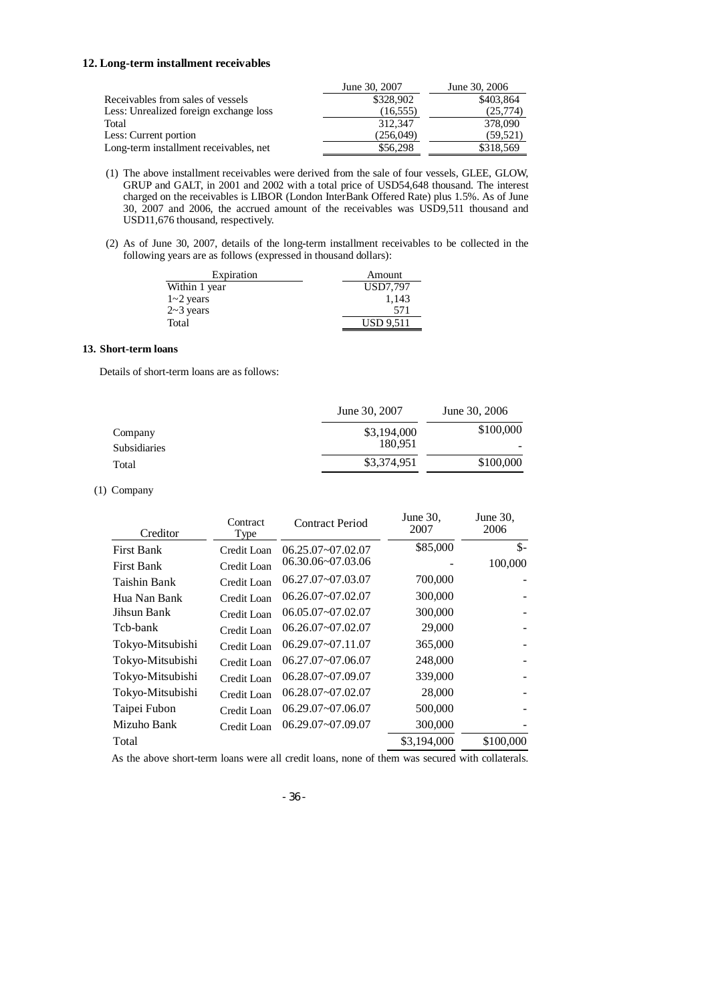#### **12. Long-term installment receivables**

|                                        | June 30, 2007 | June 30, 2006 |
|----------------------------------------|---------------|---------------|
| Receivables from sales of vessels      | \$328,902     | \$403,864     |
| Less: Unrealized foreign exchange loss | (16, 555)     | (25,774)      |
| Total                                  | 312,347       | 378,090       |
| Less: Current portion                  | (256,049)     | (59, 521)     |
| Long-term installment receivables, net | \$56,298      | \$318,569     |

- (1) The above installment receivables were derived from the sale of four vessels, GLEE, GLOW, GRUP and GALT, in 2001 and 2002 with a total price of USD54,648 thousand. The interest charged on the receivables is LIBOR (London InterBank Offered Rate) plus 1.5%. As of June 30, 2007 and 2006, the accrued amount of the receivables was USD9,511 thousand and USD11,676 thousand, respectively.
- (2) As of June 30, 2007, details of the long-term installment receivables to be collected in the following years are as follows (expressed in thousand dollars):

| Expiration    | Amount           |
|---------------|------------------|
| Within 1 year | USD7.797         |
| $1 - 2$ years | 1.143            |
| $2~3$ years   | 571              |
| Total         | <b>USD 9.511</b> |

### **13. Short-term loans**

Details of short-term loans are as follows:

|              | June 30, 2007 | June 30, 2006 |
|--------------|---------------|---------------|
| Company      | \$3,194,000   | \$100,000     |
| Subsidiaries | 180.951       |               |
| Total        | \$3,374,951   | \$100,000     |
|              |               |               |

## (1) Company

| Creditor          | Contract<br>Type | Contract Period       | June $30$ .<br>2007 | June $30$ .<br>2006 |
|-------------------|------------------|-----------------------|---------------------|---------------------|
| <b>First Bank</b> | Credit Loan      | $06.25.07 - 07.02.07$ | \$85,000            | $\mathsf{\$}$       |
| <b>First Bank</b> | Credit Loan      | 06.30.06~07.03.06     |                     | 100,000             |
| Taishin Bank      | Credit Loan      | 06.27.07~07.03.07     | 700,000             |                     |
| Hua Nan Bank      | Credit Loan      | $06.26.07 - 07.02.07$ | 300,000             |                     |
| Jihsun Bank       | Credit Loan      | 06.05.07~07.02.07     | 300,000             |                     |
| Tcb-bank          | Credit Loan      | 06.26.07~07.02.07     | 29,000              |                     |
| Tokyo-Mitsubishi  | Credit Loan      | $06.29.07 - 07.11.07$ | 365,000             | $\overline{a}$      |
| Tokyo-Mitsubishi  | Credit Loan      | $06.27.07 - 07.06.07$ | 248,000             |                     |
| Tokyo-Mitsubishi  | Credit Loan      | 06.28.07~07.09.07     | 339,000             |                     |
| Tokyo-Mitsubishi  | Credit Loan      | $06.28.07 - 07.02.07$ | 28,000              |                     |
| Taipei Fubon      | Credit Loan      | 06.29.07~07.06.07     | 500,000             |                     |
| Mizuho Bank       | Credit Loan      | 06.29.07~07.09.07     | 300,000             |                     |
| Total             |                  |                       | \$3,194,000         | \$100,000           |

As the above short-term loans were all credit loans, none of them was secured with collaterals.

- 36 -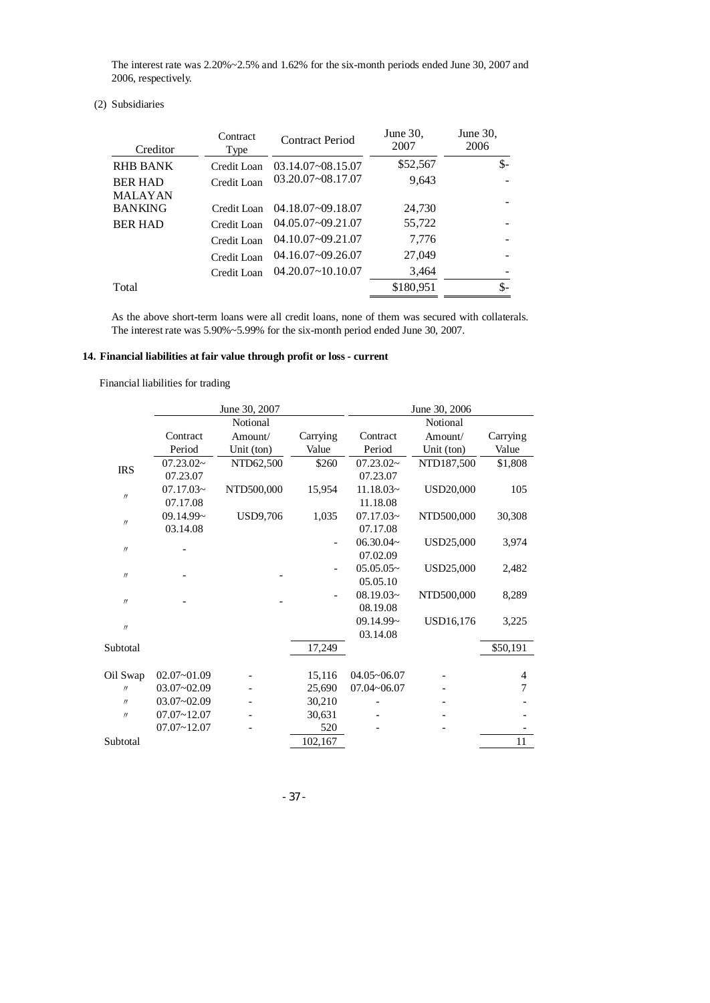The interest rate was 2.20%~2.5% and 1.62% for the six-month periods ended June 30, 2007 and 2006, respectively.

# (2) Subsidiaries

| Creditor | Contract<br>Type | <b>Contract Period</b> | June $30$ .<br>2007 | June $30$ .<br>2006 |
|----------|------------------|------------------------|---------------------|---------------------|
| RHB BANK | Credit Loan      | $03.14.07 - 08.15.07$  | \$52,567            | $$-$                |
| BER HAD  | Credit Loan      | 03.20.07~08.17.07      | 9,643               |                     |
| MALAYAN  |                  |                        |                     |                     |
| BANKING  | Credit Loan      | 04.18.07~09.18.07      | 24,730              |                     |
| BER HAD  | Credit Loan      | 04.05.07~09.21.07      | 55,722              |                     |
|          | Credit Loan      | 04.10.07~09.21.07      | 7,776               |                     |
|          | Credit Loan      | 04.16.07~09.26.07      | 27,049              |                     |
|          | Credit Loan      | $04.20.07 - 10.10.07$  | 3,464               |                     |
| Total    |                  |                        | \$180,951           | \$-                 |

As the above short-term loans were all credit loans, none of them was secured with collaterals. The interest rate was 5.90%~5.99% for the six-month period ended June 30, 2007.

# **14. Financial liabilities at fair value through profit or loss - current**

Financial liabilities for trading

|                   |                 | June 30, 2007   |          |                    | June 30, 2006    |          |
|-------------------|-----------------|-----------------|----------|--------------------|------------------|----------|
|                   |                 | Notional        |          |                    | Notional         |          |
|                   | Contract        | Amount/         | Carrying | Contract           | Amount/          | Carrying |
|                   | Period          | Unit (ton)      | Value    | Period             | Unit (ton)       | Value    |
| <b>IRS</b>        | 07.23.02~       | NTD62,500       | \$260    | 07.23.02~          | NTD187,500       | \$1,808  |
|                   | 07.23.07        |                 |          | 07.23.07           |                  |          |
| $\prime\prime$    | 07.17.03~       | NTD500,000      | 15,954   | $11.18.03-$        | <b>USD20,000</b> | 105      |
|                   | 07.17.08        |                 |          | 11.18.08           |                  |          |
| $\prime\prime$    | 09.14.99~       | <b>USD9,706</b> | 1,035    | $07.17.03\text{-}$ | NTD500,000       | 30,308   |
|                   | 03.14.08        |                 |          | 07.17.08           |                  |          |
| $\prime\prime$    |                 |                 |          | 06.30.04~          | USD25,000        | 3,974    |
|                   |                 |                 |          | 07.02.09           |                  |          |
| $^{\prime\prime}$ |                 |                 |          | $05.05.05\sim$     | USD25,000        | 2,482    |
|                   |                 |                 |          | 05.05.10           |                  |          |
| $\prime\prime$    |                 |                 |          | $08.19.03\text{-}$ | NTD500,000       | 8,289    |
|                   |                 |                 |          | 08.19.08           |                  |          |
| $\prime\prime$    |                 |                 |          | 09.14.99~          | <b>USD16,176</b> | 3,225    |
|                   |                 |                 |          | 03.14.08           |                  |          |
| Subtotal          |                 |                 | 17,249   |                    |                  | \$50,191 |
|                   |                 |                 |          |                    |                  |          |
| Oil Swap          | $02.07 - 01.09$ |                 | 15,116   | $04.05 - 06.07$    |                  | 4        |
| $^{\prime\prime}$ | $03.07 - 02.09$ |                 | 25,690   | $07.04 - 06.07$    |                  | 7        |
| $^{\prime\prime}$ | $03.07 - 02.09$ |                 | 30,210   |                    |                  |          |
| $^{\prime\prime}$ | $07.07 - 12.07$ |                 | 30,631   |                    |                  |          |
|                   | $07.07 - 12.07$ |                 | 520      |                    |                  |          |
| Subtotal          |                 |                 | 102,167  |                    |                  | 11       |
|                   |                 |                 |          |                    |                  |          |

- 37 -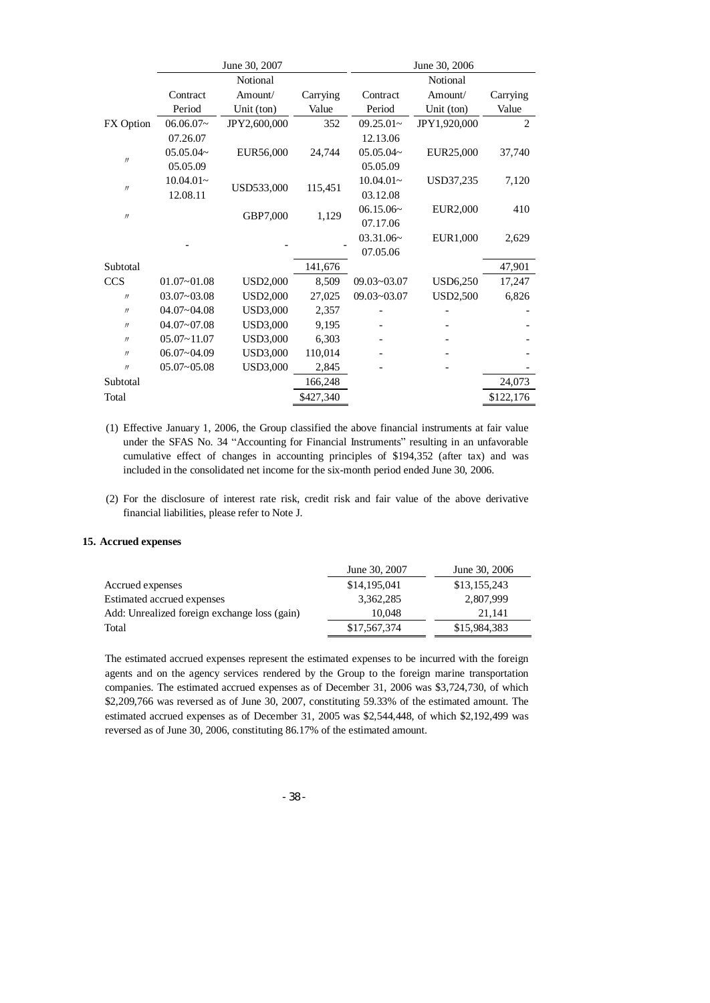|                   | June 30, 2007   |                 |           | June 30, 2006   |                 |                |
|-------------------|-----------------|-----------------|-----------|-----------------|-----------------|----------------|
|                   |                 | Notional        |           |                 | Notional        |                |
|                   | Contract        | Amount/         | Carrying  | Contract        | Amount/         | Carrying       |
|                   | Period          | Unit (ton)      | Value     | Period          | Unit (ton)      | Value          |
| FX Option         | $06.06.07-$     | JPY2,600,000    | 352       | $09.25.01 -$    | JPY1,920,000    | $\overline{2}$ |
|                   | 07.26.07        |                 |           | 12.13.06        |                 |                |
| $^{\prime\prime}$ | $05.05.04-$     | EUR56,000       | 24,744    | 05.05.04~       | EUR25,000       | 37,740         |
|                   | 05.05.09        |                 |           | 05.05.09        |                 |                |
| $\prime\prime$    | $10.04.01-$     | USD533,000      | 115,451   | $10.04.01-$     | USD37,235       | 7,120          |
|                   | 12.08.11        |                 |           | 03.12.08        |                 |                |
| $\prime\prime$    |                 | GBP7,000        | 1,129     | 06.15.06~       | <b>EUR2,000</b> | 410            |
|                   |                 |                 | 07.17.06  |                 |                 |                |
|                   |                 |                 |           | 03.31.06~       | EUR1,000        | 2,629          |
|                   |                 |                 |           | 07.05.06        |                 |                |
| Subtotal          |                 |                 | 141,676   |                 |                 | 47,901         |
| <b>CCS</b>        | $01.07 - 01.08$ | <b>USD2,000</b> | 8,509     | $09.03 - 03.07$ | <b>USD6,250</b> | 17,247         |
| $\prime\prime$    | $03.07 - 03.08$ | <b>USD2,000</b> | 27,025    | $09.03 - 03.07$ | <b>USD2,500</b> | 6,826          |
| $^{\prime\prime}$ | $04.07 - 04.08$ | <b>USD3,000</b> | 2,357     |                 |                 |                |
| $^{\prime\prime}$ | $04.07 - 07.08$ | <b>USD3,000</b> | 9,195     |                 |                 |                |
| $^{\prime\prime}$ | $05.07 - 11.07$ | <b>USD3,000</b> | 6,303     |                 |                 |                |
| $\prime\prime$    | $06.07 - 04.09$ | <b>USD3,000</b> | 110,014   |                 |                 |                |
| $^{\prime\prime}$ | $05.07 - 05.08$ | <b>USD3,000</b> | 2,845     |                 |                 |                |
| Subtotal          |                 |                 | 166,248   |                 |                 | 24,073         |
| Total             |                 |                 | \$427,340 |                 |                 | \$122,176      |

- (1) Effective January 1, 2006, the Group classified the above financial instruments at fair value under the SFAS No. 34 "Accounting for Financial Instruments" resulting in an unfavorable cumulative effect of changes in accounting principles of \$194,352 (after tax) and was included in the consolidated net income for the six-month period ended June 30, 2006.
- (2) For the disclosure of interest rate risk, credit risk and fair value of the above derivative financial liabilities, please refer to Note J.

#### **15. Accrued expenses**

|                                              | June 30, 2007 | June 30, 2006 |
|----------------------------------------------|---------------|---------------|
| Accrued expenses                             | \$14,195,041  | \$13,155,243  |
| Estimated accrued expenses                   | 3.362.285     | 2,807,999     |
| Add: Unrealized foreign exchange loss (gain) | 10.048        | 21.141        |
| Total                                        | \$17,567,374  | \$15,984,383  |

The estimated accrued expenses represent the estimated expenses to be incurred with the foreign agents and on the agency services rendered by the Group to the foreign marine transportation companies. The estimated accrued expenses as of December 31, 2006 was \$3,724,730, of which \$2,209,766 was reversed as of June 30, 2007, constituting 59.33% of the estimated amount. The estimated accrued expenses as of December 31, 2005 was \$2,544,448, of which \$2,192,499 was reversed as of June 30, 2006, constituting 86.17% of the estimated amount.

- 38 -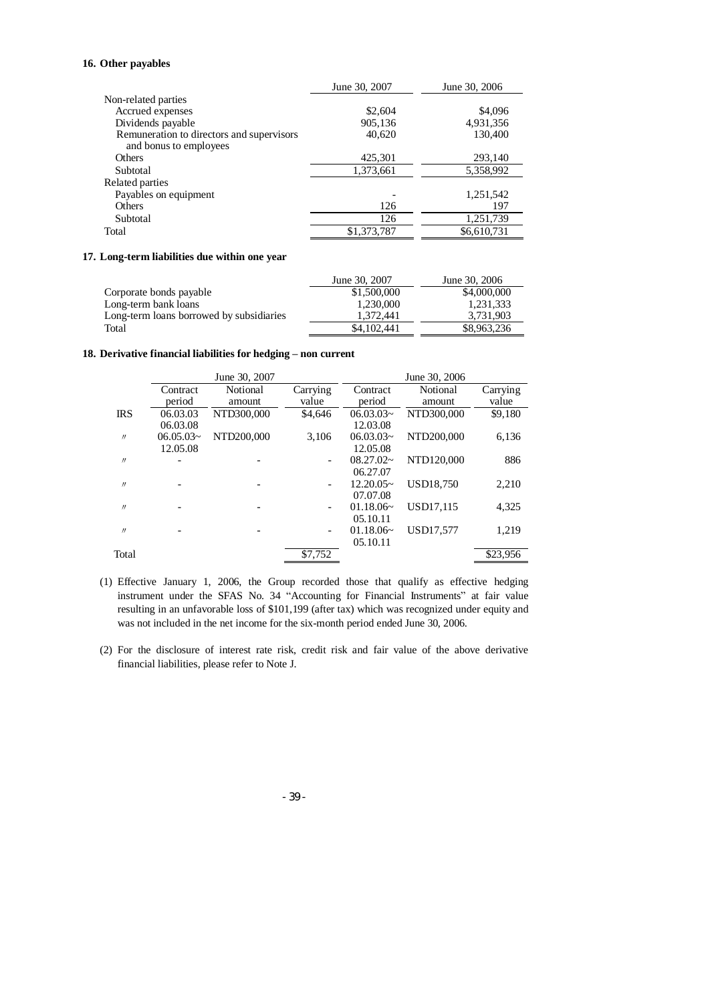# **16. Other payables**

|                                                                     | June 30, 2007 | June 30, 2006 |
|---------------------------------------------------------------------|---------------|---------------|
| Non-related parties                                                 |               |               |
| Accrued expenses                                                    | \$2,604       | \$4,096       |
| Dividends payable                                                   | 905,136       | 4,931,356     |
| Remuneration to directors and supervisors<br>and bonus to employees | 40,620        | 130,400       |
| Others                                                              | 425,301       | 293,140       |
| Subtotal                                                            | 1,373,661     | 5,358,992     |
| Related parties                                                     |               |               |
| Payables on equipment                                               |               | 1,251,542     |
| <b>Others</b>                                                       | 126           | 197           |
| Subtotal                                                            | 126           | 1,251,739     |
| Total                                                               | \$1,373,787   | \$6,610,731   |

#### **17. Long-term liabilities due within one year**

|                                          | June 30, 2007 | June 30, 2006 |
|------------------------------------------|---------------|---------------|
| Corporate bonds payable                  | \$1,500,000   | \$4,000,000   |
| Long-term bank loans                     | 1.230,000     | 1.231.333     |
| Long-term loans borrowed by subsidiaries | 1.372.441     | 3.731.903     |
| Total                                    | \$4,102,441   | \$8,963,236   |

## **18. Derivative financial liabilities for hedging – non current**

|                   |                | June 30, 2007 |                          |                | June 30, 2006    |          |
|-------------------|----------------|---------------|--------------------------|----------------|------------------|----------|
|                   | Contract       | Notional      | Carrying                 | Contract       | Notional         | Carrying |
|                   | period         | amount        | value                    | period         | amount           | value    |
| <b>IRS</b>        | 06.03.03       | NTD300,000    | \$4,646                  | $06.03.03\sim$ | NTD300,000       | \$9,180  |
|                   | 06.03.08       |               |                          | 12.03.08       |                  |          |
| $^{\prime\prime}$ | $06.05.03\sim$ | NTD200.000    | 3.106                    | $06.03.03\sim$ | NTD200,000       | 6,136    |
|                   | 12.05.08       |               |                          | 12.05.08       |                  |          |
| $^{\prime\prime}$ |                |               |                          | $08.27.02\sim$ | NTD120,000       | 886      |
|                   |                |               |                          | 06.27.07       |                  |          |
| $^{\prime\prime}$ |                |               | $\overline{\phantom{0}}$ | $12.20.05-$    | <b>USD18.750</b> | 2,210    |
|                   |                |               |                          | 07.07.08       |                  |          |
| $^{\prime\prime}$ |                |               | $\overline{\phantom{a}}$ | 01.18.06~      | USD17.115        | 4,325    |
|                   |                |               |                          | 05.10.11       |                  |          |
| $^{\prime\prime}$ | -              |               | $\overline{\phantom{a}}$ | 01.18.06~      | USD17.577        | 1,219    |
|                   |                |               |                          | 05.10.11       |                  |          |
| Total             |                |               | \$7,752                  |                |                  | \$23,956 |

- (1) Effective January 1, 2006, the Group recorded those that qualify as effective hedging instrument under the SFAS No. 34 "Accounting for Financial Instruments" at fair value resulting in an unfavorable loss of \$101,199 (after tax) which was recognized under equity and was not included in the net income for the six-month period ended June 30, 2006.
- (2) For the disclosure of interest rate risk, credit risk and fair value of the above derivative financial liabilities, please refer to Note J.

- 39 -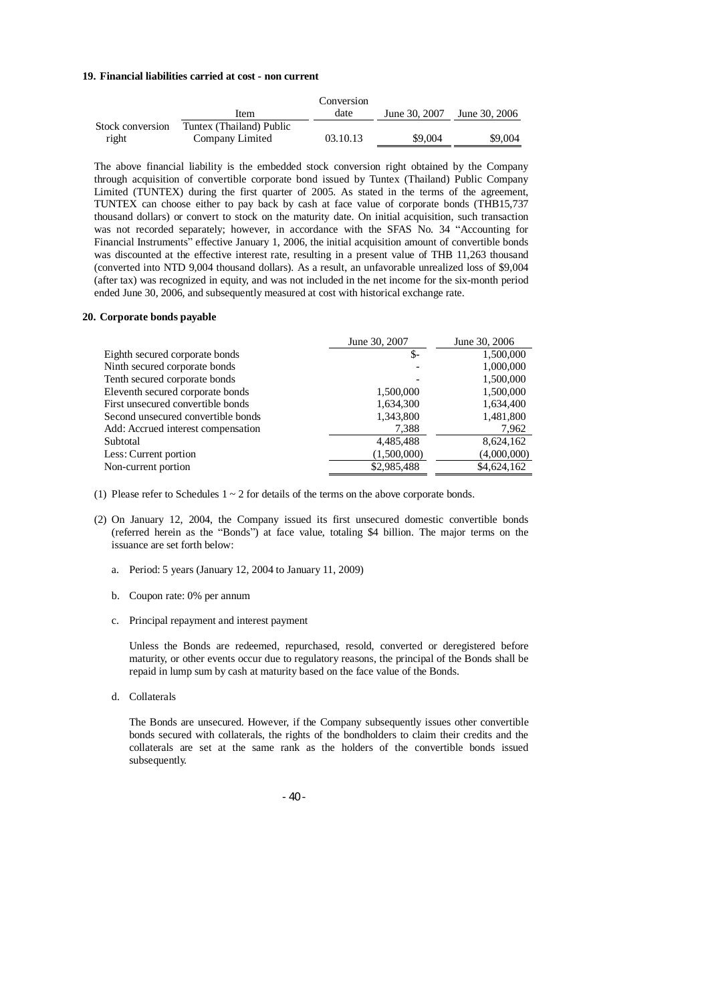#### **19. Financial liabilities carried at cost - non current**

|                  |                          | Conversion |               |               |
|------------------|--------------------------|------------|---------------|---------------|
|                  | Item                     | date       | June 30, 2007 | June 30, 2006 |
| Stock conversion | Tuntex (Thailand) Public |            |               |               |
| right            | Company Limited          | 03.10.13   | \$9,004       | \$9,004       |

The above financial liability is the embedded stock conversion right obtained by the Company through acquisition of convertible corporate bond issued by Tuntex (Thailand) Public Company Limited (TUNTEX) during the first quarter of 2005. As stated in the terms of the agreement, TUNTEX can choose either to pay back by cash at face value of corporate bonds (THB15,737 thousand dollars) or convert to stock on the maturity date. On initial acquisition, such transaction was not recorded separately; however, in accordance with the SFAS No. 34 "Accounting for Financial Instruments" effective January 1, 2006, the initial acquisition amount of convertible bonds was discounted at the effective interest rate, resulting in a present value of THB 11,263 thousand (converted into NTD 9,004 thousand dollars). As a result, an unfavorable unrealized loss of \$9,004 (after tax) was recognized in equity, and was not included in the net income for the six-month period ended June 30, 2006, and subsequently measured at cost with historical exchange rate.

#### **20. Corporate bonds payable**

|                                    | June 30, 2007 | June 30, 2006 |
|------------------------------------|---------------|---------------|
| Eighth secured corporate bonds     | $S-$          | 1,500,000     |
| Ninth secured corporate bonds      |               | 1,000,000     |
| Tenth secured corporate bonds      |               | 1,500,000     |
| Eleventh secured corporate bonds   | 1,500,000     | 1,500,000     |
| First unsecured convertible bonds  | 1,634,300     | 1,634,400     |
| Second unsecured convertible bonds | 1,343,800     | 1,481,800     |
| Add: Accrued interest compensation | 7.388         | 7,962         |
| Subtotal                           | 4,485,488     | 8,624,162     |
| Less: Current portion              | (1,500,000)   | (4,000,000)   |
| Non-current portion                | \$2,985,488   | \$4,624,162   |

(1) Please refer to Schedules  $1 \sim 2$  for details of the terms on the above corporate bonds.

- (2) On January 12, 2004, the Company issued its first unsecured domestic convertible bonds (referred herein as the "Bonds") at face value, totaling \$4 billion. The major terms on the issuance are set forth below:
	- a. Period: 5 years (January 12, 2004 to January 11, 2009)
	- b. Coupon rate: 0% per annum
	- c. Principal repayment and interest payment

Unless the Bonds are redeemed, repurchased, resold, converted or deregistered before maturity, or other events occur due to regulatory reasons, the principal of the Bonds shall be repaid in lump sum by cash at maturity based on the face value of the Bonds.

d. Collaterals

The Bonds are unsecured. However, if the Company subsequently issues other convertible bonds secured with collaterals, the rights of the bondholders to claim their credits and the collaterals are set at the same rank as the holders of the convertible bonds issued subsequently.

- 40 -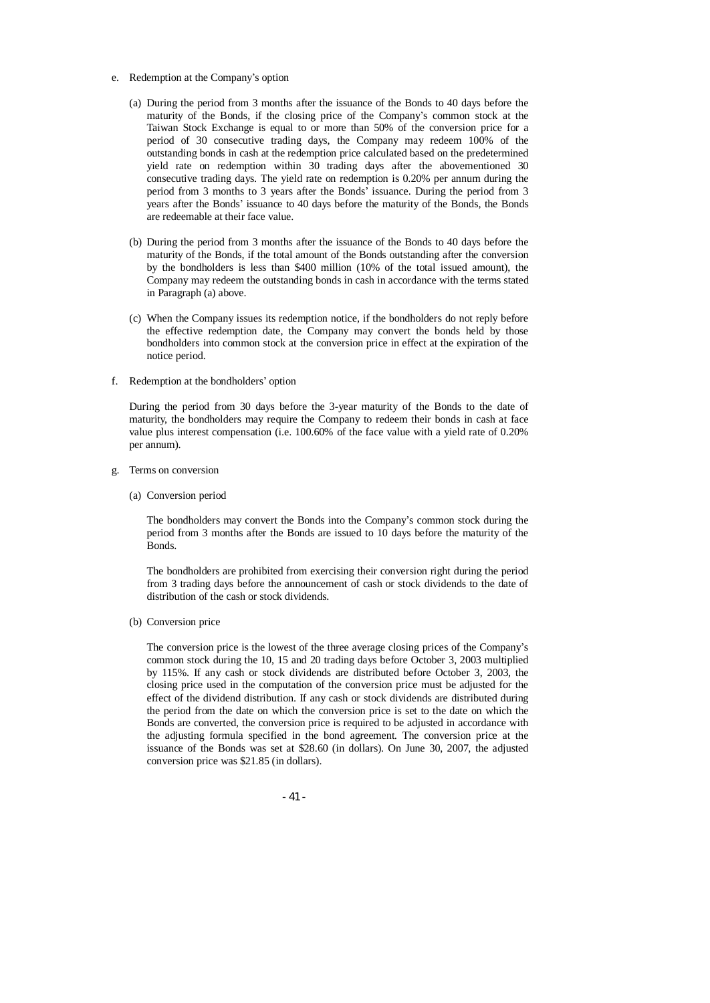- e. Redemption at the Company's option
	- (a) During the period from 3 months after the issuance of the Bonds to 40 days before the maturity of the Bonds, if the closing price of the Company's common stock at the Taiwan Stock Exchange is equal to or more than 50% of the conversion price for a period of 30 consecutive trading days, the Company may redeem 100% of the outstanding bonds in cash at the redemption price calculated based on the predetermined yield rate on redemption within 30 trading days after the abovementioned 30 consecutive trading days. The yield rate on redemption is 0.20% per annum during the period from 3 months to 3 years after the Bonds' issuance. During the period from 3 years after the Bonds' issuance to 40 days before the maturity of the Bonds, the Bonds are redeemable at their face value.
	- (b) During the period from 3 months after the issuance of the Bonds to 40 days before the maturity of the Bonds, if the total amount of the Bonds outstanding after the conversion by the bondholders is less than \$400 million (10% of the total issued amount), the Company may redeem the outstanding bonds in cash in accordance with the terms stated in Paragraph (a) above.
	- (c) When the Company issues its redemption notice, if the bondholders do not reply before the effective redemption date, the Company may convert the bonds held by those bondholders into common stock at the conversion price in effect at the expiration of the notice period.
- f. Redemption at the bondholders' option

During the period from 30 days before the 3-year maturity of the Bonds to the date of maturity, the bondholders may require the Company to redeem their bonds in cash at face value plus interest compensation (i.e. 100.60% of the face value with a yield rate of 0.20% per annum).

- g. Terms on conversion
	- (a) Conversion period

The bondholders may convert the Bonds into the Company's common stock during the period from 3 months after the Bonds are issued to 10 days before the maturity of the Bonds.

The bondholders are prohibited from exercising their conversion right during the period from 3 trading days before the announcement of cash or stock dividends to the date of distribution of the cash or stock dividends.

(b) Conversion price

The conversion price is the lowest of the three average closing prices of the Company's common stock during the 10, 15 and 20 trading days before October 3, 2003 multiplied by 115%. If any cash or stock dividends are distributed before October 3, 2003, the closing price used in the computation of the conversion price must be adjusted for the effect of the dividend distribution. If any cash or stock dividends are distributed during the period from the date on which the conversion price is set to the date on which the Bonds are converted, the conversion price is required to be adjusted in accordance with the adjusting formula specified in the bond agreement. The conversion price at the issuance of the Bonds was set at \$28.60 (in dollars). On June 30, 2007, the adjusted conversion price was \$21.85 (in dollars).

- 41 -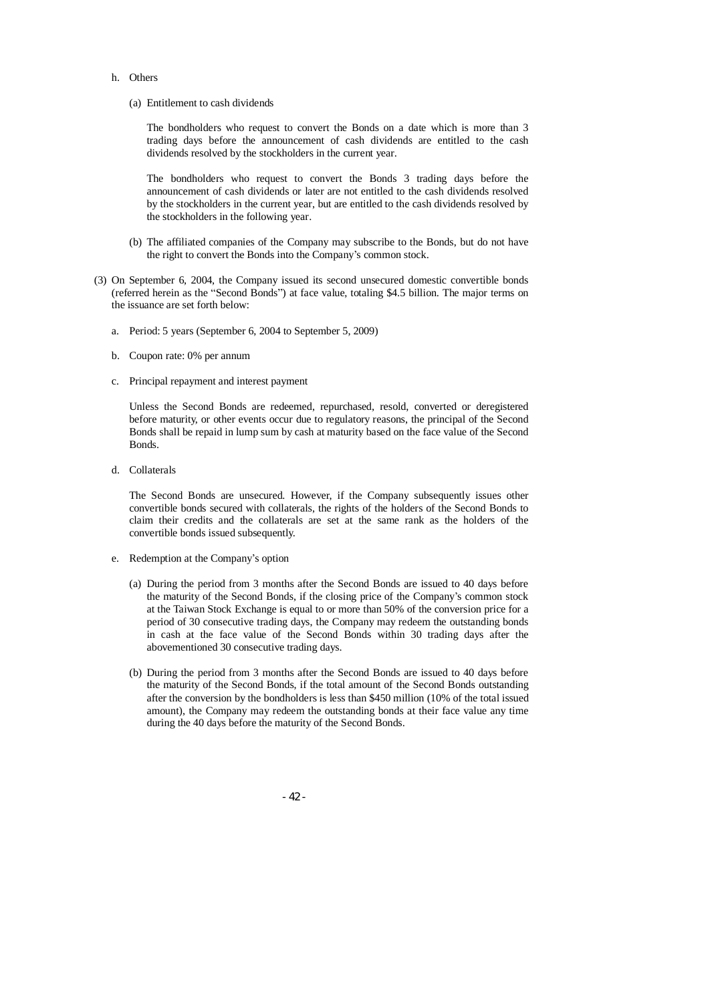- h. Others
	- (a) Entitlement to cash dividends

The bondholders who request to convert the Bonds on a date which is more than 3 trading days before the announcement of cash dividends are entitled to the cash dividends resolved by the stockholders in the current year.

The bondholders who request to convert the Bonds 3 trading days before the announcement of cash dividends or later are not entitled to the cash dividends resolved by the stockholders in the current year, but are entitled to the cash dividends resolved by the stockholders in the following year.

- (b) The affiliated companies of the Company may subscribe to the Bonds, but do not have the right to convert the Bonds into the Company's common stock.
- (3) On September 6, 2004, the Company issued its second unsecured domestic convertible bonds (referred herein as the "Second Bonds") at face value, totaling \$4.5 billion. The major terms on the issuance are set forth below:
	- a. Period: 5 years (September 6, 2004 to September 5, 2009)
	- b. Coupon rate: 0% per annum
	- c. Principal repayment and interest payment

Unless the Second Bonds are redeemed, repurchased, resold, converted or deregistered before maturity, or other events occur due to regulatory reasons, the principal of the Second Bonds shall be repaid in lump sum by cash at maturity based on the face value of the Second Bonds.

d. Collaterals

The Second Bonds are unsecured. However, if the Company subsequently issues other convertible bonds secured with collaterals, the rights of the holders of the Second Bonds to claim their credits and the collaterals are set at the same rank as the holders of the convertible bonds issued subsequently.

- e. Redemption at the Company's option
	- (a) During the period from 3 months after the Second Bonds are issued to 40 days before the maturity of the Second Bonds, if the closing price of the Company's common stock at the Taiwan Stock Exchange is equal to or more than 50% of the conversion price for a period of 30 consecutive trading days, the Company may redeem the outstanding bonds in cash at the face value of the Second Bonds within 30 trading days after the abovementioned 30 consecutive trading days.
	- (b) During the period from 3 months after the Second Bonds are issued to 40 days before the maturity of the Second Bonds, if the total amount of the Second Bonds outstanding after the conversion by the bondholders is less than \$450 million (10% of the total issued amount), the Company may redeem the outstanding bonds at their face value any time during the 40 days before the maturity of the Second Bonds.

- 42 -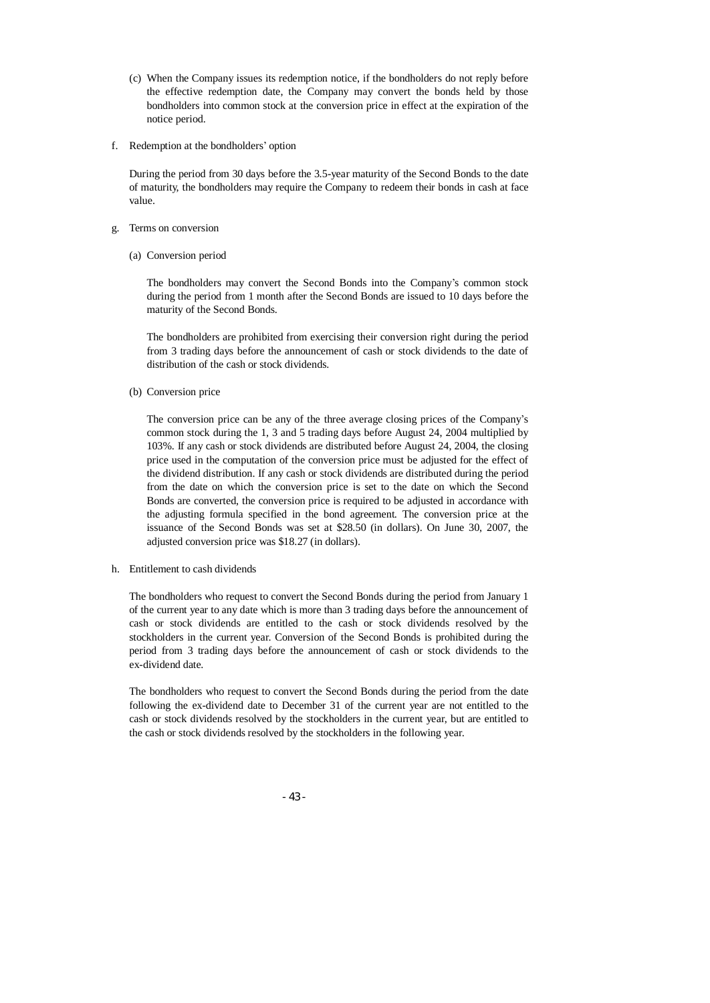- (c) When the Company issues its redemption notice, if the bondholders do not reply before the effective redemption date, the Company may convert the bonds held by those bondholders into common stock at the conversion price in effect at the expiration of the notice period.
- f. Redemption at the bondholders' option

During the period from 30 days before the 3.5-year maturity of the Second Bonds to the date of maturity, the bondholders may require the Company to redeem their bonds in cash at face value.

- g. Terms on conversion
	- (a) Conversion period

The bondholders may convert the Second Bonds into the Company's common stock during the period from 1 month after the Second Bonds are issued to 10 days before the maturity of the Second Bonds.

The bondholders are prohibited from exercising their conversion right during the period from 3 trading days before the announcement of cash or stock dividends to the date of distribution of the cash or stock dividends.

(b) Conversion price

The conversion price can be any of the three average closing prices of the Company's common stock during the 1, 3 and 5 trading days before August 24, 2004 multiplied by 103%. If any cash or stock dividends are distributed before August 24, 2004, the closing price used in the computation of the conversion price must be adjusted for the effect of the dividend distribution. If any cash or stock dividends are distributed during the period from the date on which the conversion price is set to the date on which the Second Bonds are converted, the conversion price is required to be adjusted in accordance with the adjusting formula specified in the bond agreement. The conversion price at the issuance of the Second Bonds was set at \$28.50 (in dollars). On June 30, 2007, the adjusted conversion price was \$18.27 (in dollars).

h. Entitlement to cash dividends

The bondholders who request to convert the Second Bonds during the period from January 1 of the current year to any date which is more than 3 trading days before the announcement of cash or stock dividends are entitled to the cash or stock dividends resolved by the stockholders in the current year. Conversion of the Second Bonds is prohibited during the period from 3 trading days before the announcement of cash or stock dividends to the ex-dividend date.

The bondholders who request to convert the Second Bonds during the period from the date following the ex-dividend date to December 31 of the current year are not entitled to the cash or stock dividends resolved by the stockholders in the current year, but are entitled to the cash or stock dividends resolved by the stockholders in the following year.

- 43 -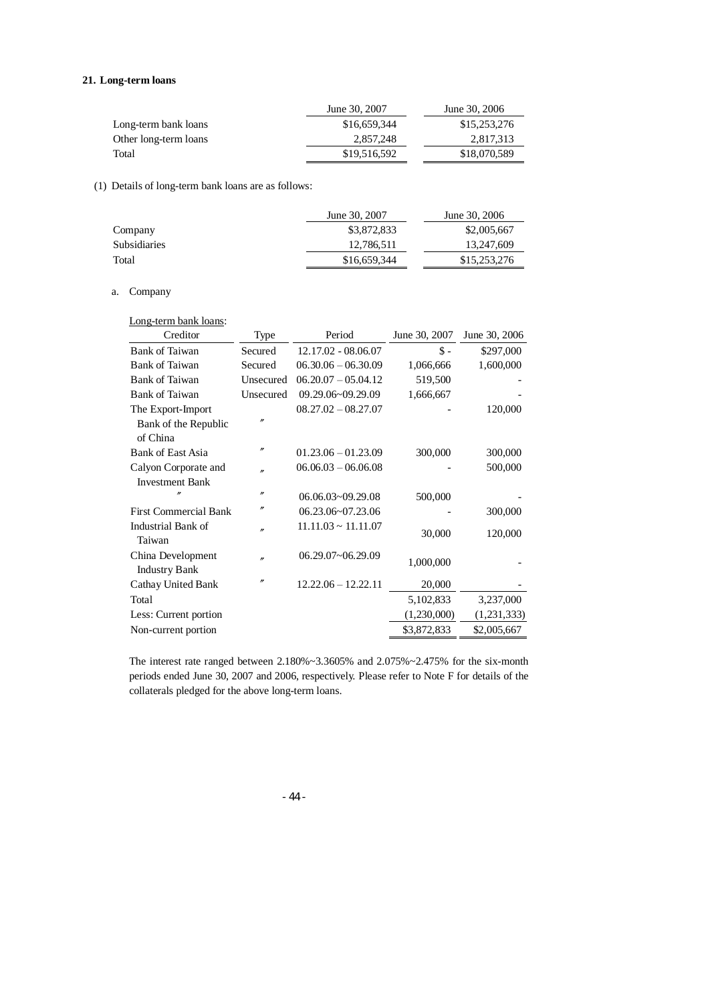# **21. Long-term loans**

|                       | June 30, 2007 | June 30, 2006 |
|-----------------------|---------------|---------------|
| Long-term bank loans  | \$16,659,344  | \$15,253,276  |
| Other long-term loans | 2.857.248     | 2,817,313     |
| Total                 | \$19,516,592  | \$18,070,589  |

# (1) Details of long-term bank loans are as follows:

|                     | June 30, 2007 | June 30, 2006 |
|---------------------|---------------|---------------|
| Company             | \$3,872,833   | \$2,005,667   |
| <b>Subsidiaries</b> | 12,786,511    | 13,247,609    |
| Total               | \$16,659,344  | \$15,253,276  |

# a. Company

Long-term bank loans:

| Creditor                                  | Type              | Period                   | June 30, 2007   | June 30, 2006 |
|-------------------------------------------|-------------------|--------------------------|-----------------|---------------|
| <b>Bank of Taiwan</b>                     | Secured           | 12.17.02 - 08.06.07      | $\mathsf{\$}$ - | \$297,000     |
| <b>Bank of Taiwan</b>                     | Secured           | $06.30.06 - 06.30.09$    | 1,066,666       | 1,600,000     |
| <b>Bank of Taiwan</b>                     | Unsecured         | $06.20.07 - 05.04.12$    | 519,500         |               |
| <b>Bank of Taiwan</b>                     | Unsecured         | 09.29.06~09.29.09        | 1,666,667       |               |
| The Export-Import                         |                   | $08.27.02 - 08.27.07$    |                 | 120,000       |
| Bank of the Republic<br>of China          | n                 |                          |                 |               |
| <b>Bank of East Asia</b>                  | $^{\prime\prime}$ | $01.23.06 - 01.23.09$    | 300,000         | 300,000       |
| Calyon Corporate and                      | n                 | $06.06.03 - 06.06.08$    |                 | 500,000       |
| <b>Investment Bank</b>                    |                   |                          |                 |               |
|                                           | $^{\prime\prime}$ | 06.06.03~09.29.08        | 500,000         |               |
| <b>First Commercial Bank</b>              | n                 | 06.23.06~07.23.06        |                 | 300,000       |
| Industrial Bank of<br>Taiwan              | n                 | $11.11.03 \sim 11.11.07$ | 30,000          | 120,000       |
| China Development<br><b>Industry Bank</b> | n                 | 06.29.07~06.29.09        | 1,000,000       |               |
| Cathay United Bank                        | n                 | $12.22.06 - 12.22.11$    | 20,000          |               |
| Total                                     |                   |                          | 5,102,833       | 3,237,000     |
| Less: Current portion                     |                   |                          | (1,230,000)     | (1,231,333)   |
| Non-current portion                       |                   |                          | \$3,872,833     | \$2,005,667   |
|                                           |                   |                          |                 |               |

The interest rate ranged between 2.180%~3.3605% and 2.075%~2.475% for the six-month periods ended June 30, 2007 and 2006, respectively. Please refer to Note F for details of the collaterals pledged for the above long-term loans.

- 44 -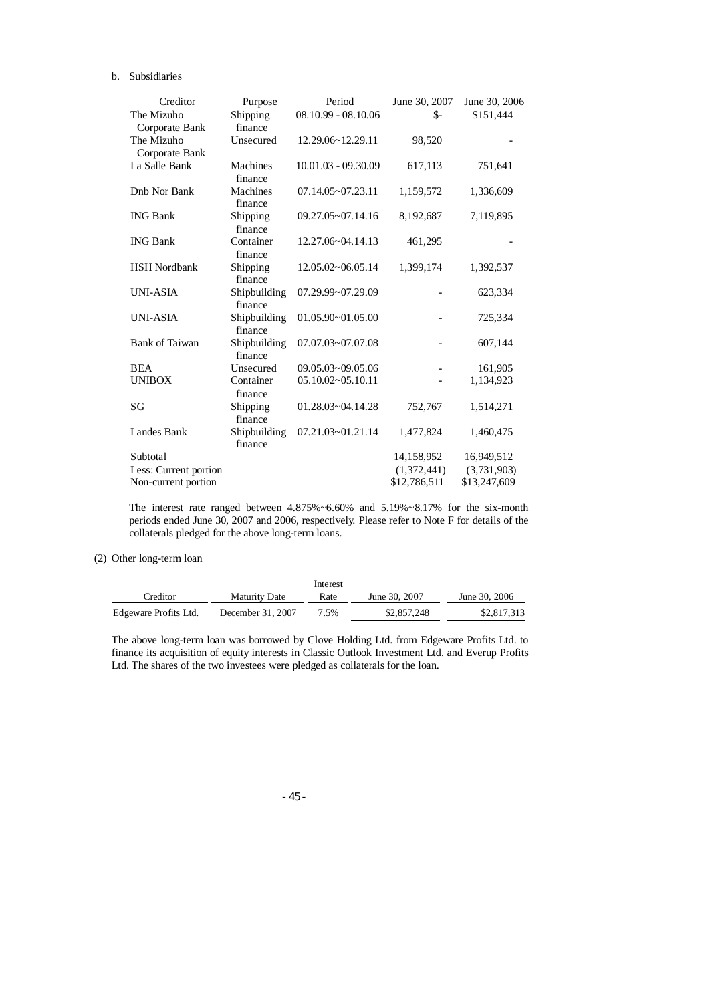## b. Subsidiaries

| Creditor              | Purpose                 | Period                     | June 30, 2007 | June 30, 2006 |
|-----------------------|-------------------------|----------------------------|---------------|---------------|
| The Mizuho            | Shipping                | $08.10.99 - 08.10.06$      | \$-           | \$151,444     |
| Corporate Bank        | finance                 |                            |               |               |
| The Mizuho            | Unsecured               | 12.29.06~12.29.11          | 98,520        |               |
| Corporate Bank        |                         |                            |               |               |
| La Salle Bank         | Machines<br>finance     | 10.01.03 - 09.30.09        | 617,113       | 751,641       |
| Dnb Nor Bank          | Machines<br>finance     | $07.14.05 - 07.23.11$      | 1,159,572     | 1,336,609     |
| <b>ING Bank</b>       | Shipping<br>finance     | 09.27.05~07.14.16          | 8,192,687     | 7,119,895     |
| <b>ING Bank</b>       | Container<br>finance    | $12.27.06 \times 04.14.13$ | 461,295       |               |
| <b>HSH</b> Nordbank   | Shipping<br>finance     | $12.05.02 \times 06.05.14$ | 1,399,174     | 1,392,537     |
| <b>UNI-ASIA</b>       | Shipbuilding<br>finance | 07.29.99~07.29.09          |               | 623,334       |
| <b>UNI-ASIA</b>       | Shipbuilding<br>finance | 01.05.90~01.05.00          |               | 725,334       |
| <b>Bank of Taiwan</b> | Shipbuilding<br>finance | 07.07.03~07.07.08          |               | 607,144       |
| <b>BEA</b>            | Unsecured               | $09.05.03 - 09.05.06$      |               | 161,905       |
| <b>UNIBOX</b>         | Container<br>finance    | $05.10.02 - 05.10.11$      |               | 1,134,923     |
| SG                    | Shipping<br>finance     | 01.28.03~04.14.28          | 752,767       | 1,514,271     |
| Landes Bank           | Shipbuilding<br>finance | 07.21.03~01.21.14          | 1,477,824     | 1,460,475     |
| Subtotal              |                         |                            | 14,158,952    | 16,949,512    |
| Less: Current portion |                         |                            | (1,372,441)   | (3,731,903)   |
| Non-current portion   |                         |                            | \$12,786,511  | \$13,247,609  |

The interest rate ranged between 4.875%~6.60% and 5.19%~8.17% for the six-month periods ended June 30, 2007 and 2006, respectively. Please refer to Note F for details of the collaterals pledged for the above long-term loans.

# (2) Other long-term loan

|                       |                      | Interest |               |               |
|-----------------------|----------------------|----------|---------------|---------------|
| Creditor              | <b>Maturity Date</b> | Rate     | June 30, 2007 | June 30, 2006 |
| Edgeware Profits Ltd. | December 31, 2007    | 7.5%     | \$2,857,248   | \$2,817,313   |

The above long-term loan was borrowed by Clove Holding Ltd. from Edgeware Profits Ltd. to finance its acquisition of equity interests in Classic Outlook Investment Ltd. and Everup Profits Ltd. The shares of the two investees were pledged as collaterals for the loan.

- 45 -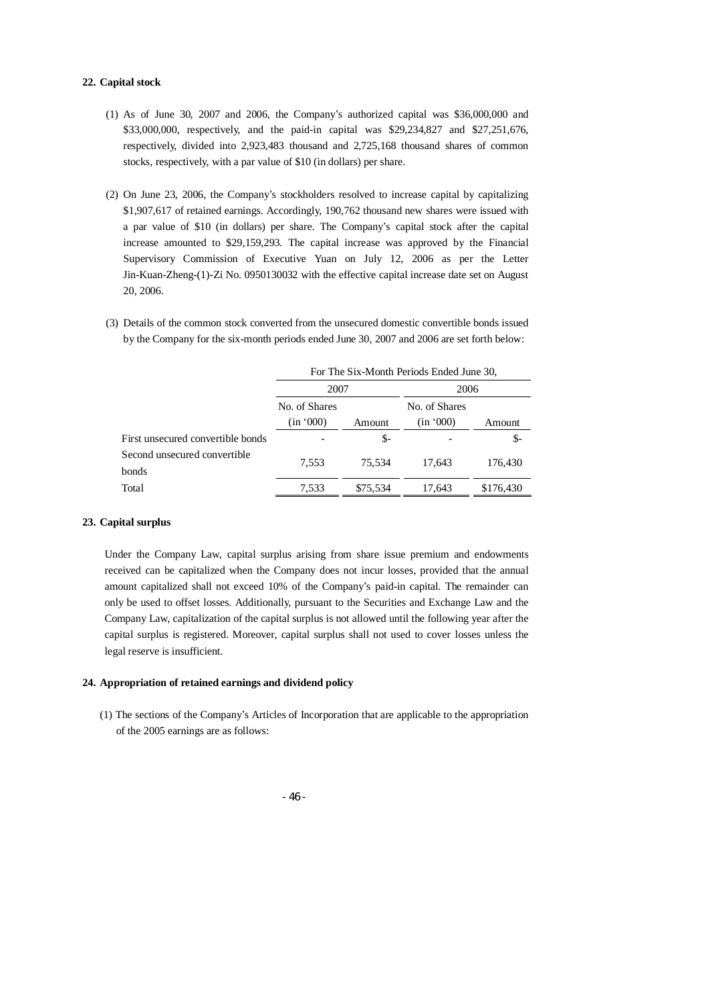#### **22. Capital stock**

- (1) As of June 30, 2007 and 2006, the Company's authorized capital was \$36,000,000 and \$33,000,000, respectively, and the paid-in capital was \$29,234,827 and \$27,251,676, respectively, divided into 2,923,483 thousand and 2,725,168 thousand shares of common stocks, respectively, with a par value of \$10 (in dollars) per share.
- (2) On June 23, 2006, the Company's stockholders resolved to increase capital by capitalizing \$1,907,617 of retained earnings. Accordingly, 190,762 thousand new shares were issued with a par value of \$10 (in dollars) per share. The Company's capital stock after the capital increase amounted to \$29,159,293. The capital increase was approved by the Financial Supervisory Commission of Executive Yuan on July 12, 2006 as per the Letter Jin-Kuan-Zheng-(1)-Zi No. 0950130032 with the effective capital increase date set on August 20, 2006.
- (3) Details of the common stock converted from the unsecured domestic convertible bonds issued by the Company for the six-month periods ended June 30, 2007 and 2006 are set forth below:

|                                       | For The Six-Month Periods Ended June 30, |          |                            |           |
|---------------------------------------|------------------------------------------|----------|----------------------------|-----------|
|                                       | 2007                                     |          | 2006                       |           |
|                                       | No. of Shares<br>(in '000)               | Amount   | No. of Shares<br>(in '000) | Amount    |
| First unsecured convertible bonds     |                                          | \$-      |                            | \$-       |
| Second unsecured convertible<br>bonds | 7.553                                    | 75.534   | 17.643                     | 176,430   |
| Total                                 | 7,533                                    | \$75,534 | 17.643                     | \$176,430 |

# **23. Capital surplus**

Under the Company Law, capital surplus arising from share issue premium and endowments received can be capitalized when the Company does not incur losses, provided that the annual amount capitalized shall not exceed 10% of the Company's paid-in capital. The remainder can only be used to offset losses. Additionally, pursuant to the Securities and Exchange Law and the Company Law, capitalization of the capital surplus is not allowed until the following year after the capital surplus is registered. Moreover, capital surplus shall not used to cover losses unless the legal reserve is insufficient.

### **24. Appropriation of retained earnings and dividend policy**

(1) The sections of the Company's Articles of Incorporation that are applicable to the appropriation of the 2005 earnings are as follows: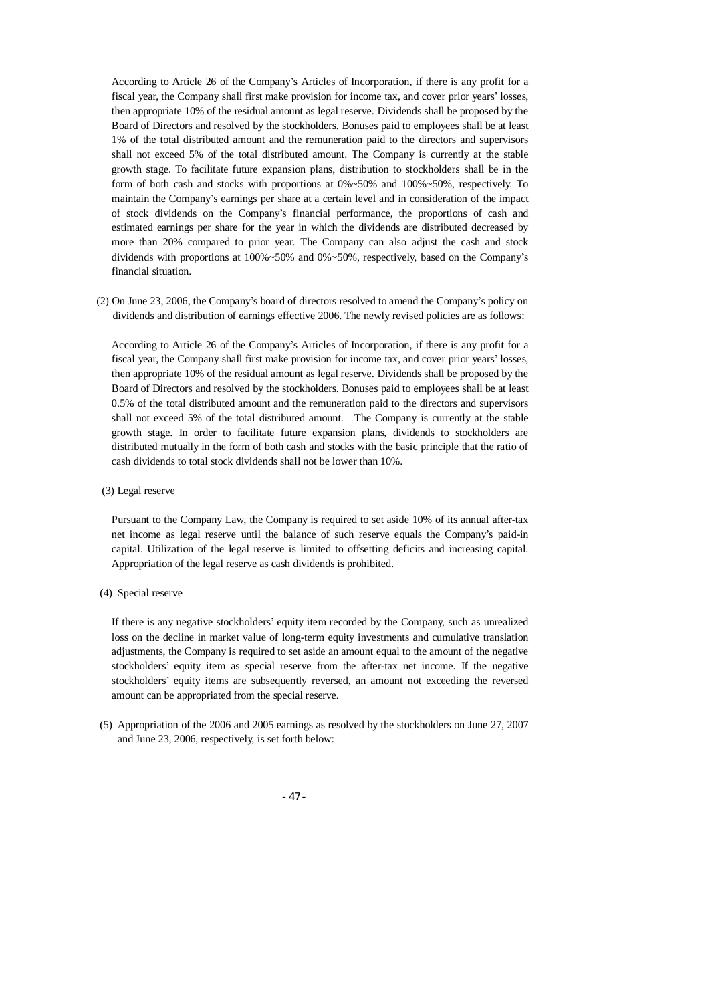According to Article 26 of the Company's Articles of Incorporation, if there is any profit for a fiscal year, the Company shall first make provision for income tax, and cover prior years' losses, then appropriate 10% of the residual amount as legal reserve. Dividends shall be proposed by the Board of Directors and resolved by the stockholders. Bonuses paid to employees shall be at least 1% of the total distributed amount and the remuneration paid to the directors and supervisors shall not exceed 5% of the total distributed amount. The Company is currently at the stable growth stage. To facilitate future expansion plans, distribution to stockholders shall be in the form of both cash and stocks with proportions at  $0\% \sim 50\%$  and  $100\% \sim 50\%$ , respectively. To maintain the Company's earnings per share at a certain level and in consideration of the impact of stock dividends on the Company's financial performance, the proportions of cash and estimated earnings per share for the year in which the dividends are distributed decreased by more than 20% compared to prior year. The Company can also adjust the cash and stock dividends with proportions at 100%~50% and 0%~50%, respectively, based on the Company's financial situation.

(2) On June 23, 2006, the Company's board of directors resolved to amend the Company's policy on dividends and distribution of earnings effective 2006. The newly revised policies are as follows:

According to Article 26 of the Company's Articles of Incorporation, if there is any profit for a fiscal year, the Company shall first make provision for income tax, and cover prior years' losses, then appropriate 10% of the residual amount as legal reserve. Dividends shall be proposed by the Board of Directors and resolved by the stockholders. Bonuses paid to employees shall be at least 0.5% of the total distributed amount and the remuneration paid to the directors and supervisors shall not exceed 5% of the total distributed amount. The Company is currently at the stable growth stage. In order to facilitate future expansion plans, dividends to stockholders are distributed mutually in the form of both cash and stocks with the basic principle that the ratio of cash dividends to total stock dividends shall not be lower than 10%.

(3) Legal reserve

Pursuant to the Company Law, the Company is required to set aside 10% of its annual after-tax net income as legal reserve until the balance of such reserve equals the Company's paid-in capital. Utilization of the legal reserve is limited to offsetting deficits and increasing capital. Appropriation of the legal reserve as cash dividends is prohibited.

(4) Special reserve

If there is any negative stockholders' equity item recorded by the Company, such as unrealized loss on the decline in market value of long-term equity investments and cumulative translation adjustments, the Company is required to set aside an amount equal to the amount of the negative stockholders' equity item as special reserve from the after-tax net income. If the negative stockholders' equity items are subsequently reversed, an amount not exceeding the reversed amount can be appropriated from the special reserve.

(5) Appropriation of the 2006 and 2005 earnings as resolved by the stockholders on June 27, 2007 and June 23, 2006, respectively, is set forth below:

- 47 -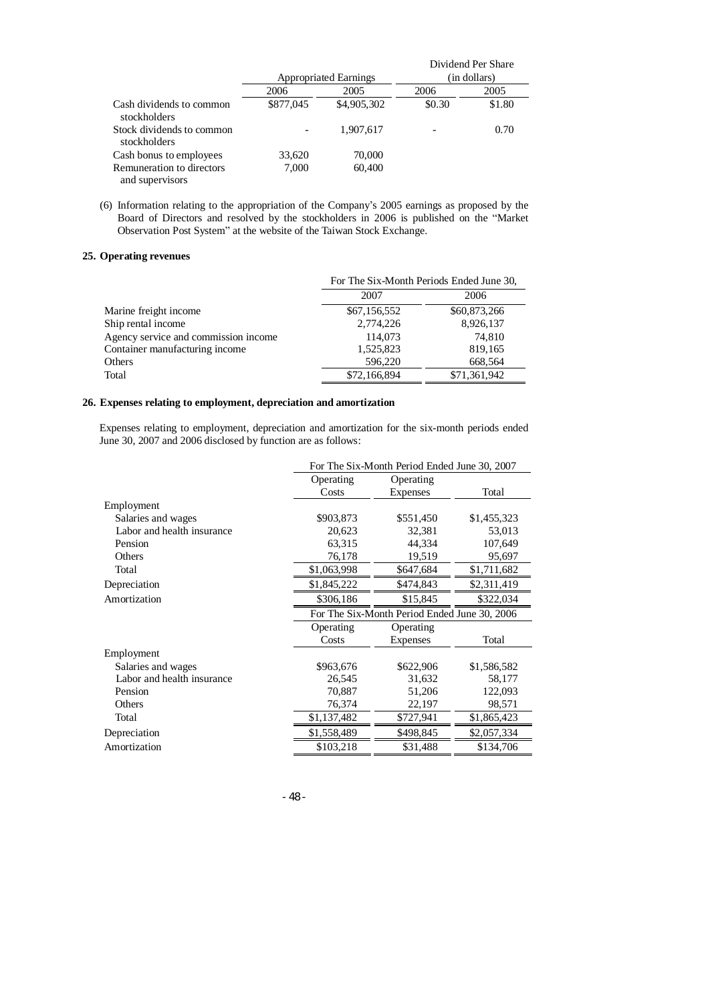|                                              |                              |             |              | Dividend Per Share |
|----------------------------------------------|------------------------------|-------------|--------------|--------------------|
|                                              | <b>Appropriated Earnings</b> |             | (in dollars) |                    |
|                                              | 2006                         | 2005        | 2006         | 2005               |
| Cash dividends to common<br>stockholders     | \$877,045                    | \$4,905,302 | \$0.30       | \$1.80             |
| Stock dividends to common<br>stockholders    |                              | 1,907,617   |              | 0.70               |
| Cash bonus to employees                      | 33,620                       | 70,000      |              |                    |
| Remuneration to directors<br>and supervisors | 7.000                        | 60,400      |              |                    |

(6) Information relating to the appropriation of the Company's 2005 earnings as proposed by the Board of Directors and resolved by the stockholders in 2006 is published on the "Market Observation Post System" at the website of the Taiwan Stock Exchange.

# **25. Operating revenues**

|                                      | For The Six-Month Periods Ended June 30, |              |  |
|--------------------------------------|------------------------------------------|--------------|--|
|                                      | 2007                                     | 2006         |  |
| Marine freight income                | \$67,156,552                             | \$60,873,266 |  |
| Ship rental income                   | 2,774,226                                | 8,926,137    |  |
| Agency service and commission income | 114,073                                  | 74,810       |  |
| Container manufacturing income       | 1,525,823                                | 819,165      |  |
| Others                               | 596,220                                  | 668,564      |  |
| Total                                | \$72,166,894                             | \$71,361,942 |  |

# **26. Expenses relating to employment, depreciation and amortization**

Expenses relating to employment, depreciation and amortization for the six-month periods ended June 30, 2007 and 2006 disclosed by function are as follows:

|                            | For The Six-Month Period Ended June 30, 2007 |                                              |             |  |
|----------------------------|----------------------------------------------|----------------------------------------------|-------------|--|
|                            | Operating                                    | Operating                                    |             |  |
|                            | Costs                                        | Expenses                                     | Total       |  |
| Employment                 |                                              |                                              |             |  |
| Salaries and wages         | \$903,873                                    | \$551,450                                    | \$1,455,323 |  |
| Labor and health insurance | 20,623                                       | 32,381                                       | 53,013      |  |
| Pension                    | 63,315                                       | 44,334                                       | 107,649     |  |
| Others                     | 76,178                                       | 19,519                                       | 95,697      |  |
| Total                      | \$1,063,998                                  | \$647,684                                    | \$1,711,682 |  |
| Depreciation               | \$1,845,222                                  | \$474,843                                    | \$2,311,419 |  |
| Amortization               | \$306,186                                    | \$15,845                                     | \$322,034   |  |
|                            |                                              | For The Six-Month Period Ended June 30, 2006 |             |  |
|                            | Operating                                    | Operating                                    |             |  |
|                            | Costs                                        | <b>Expenses</b>                              | Total       |  |
| Employment                 |                                              |                                              |             |  |
| Salaries and wages         | \$963,676                                    | \$622,906                                    | \$1,586,582 |  |
| Labor and health insurance | 26,545                                       | 31,632                                       | 58,177      |  |
| Pension                    | 70,887                                       | 51,206                                       | 122,093     |  |
| Others                     | 76,374                                       | 22,197                                       | 98,571      |  |
| Total                      | \$1,137,482                                  | \$727,941                                    | \$1,865,423 |  |
| Depreciation               | \$1,558,489                                  | \$498,845                                    | \$2,057,334 |  |
| Amortization               | \$103,218                                    | \$31,488                                     | \$134,706   |  |

- 48 -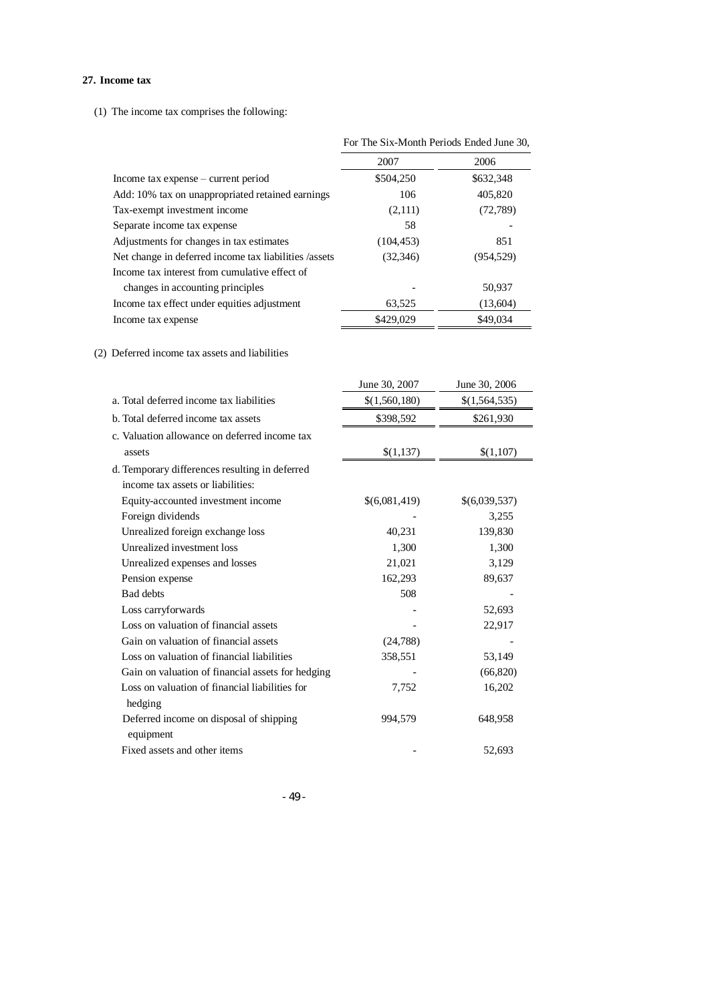## **27. Income tax**

(1) The income tax comprises the following:

|                                                       | For The Six-Month Periods Ended June 30, |            |
|-------------------------------------------------------|------------------------------------------|------------|
|                                                       | 2007                                     | 2006       |
| Income tax expense – current period                   | \$504,250                                | \$632,348  |
| Add: 10% tax on unappropriated retained earnings      | 106                                      | 405,820    |
| Tax-exempt investment income                          | (2,111)                                  | (72, 789)  |
| Separate income tax expense                           | 58                                       |            |
| Adjustments for changes in tax estimates              | (104, 453)                               | 851        |
| Net change in deferred income tax liabilities /assets | (32, 346)                                | (954, 529) |
| Income tax interest from cumulative effect of         |                                          |            |
| changes in accounting principles                      |                                          | 50,937     |
| Income tax effect under equities adjustment           | 63,525                                   | (13,604)   |
| Income tax expense                                    | \$429,029                                | \$49,034   |

# (2) Deferred income tax assets and liabilities

|                                                      | June 30, 2007 | June 30, 2006 |
|------------------------------------------------------|---------------|---------------|
| a. Total deferred income tax liabilities             | \$(1,560,180) | \$(1,564,535) |
| b. Total deferred income tax assets                  | \$398,592     | \$261,930     |
| c. Valuation allowance on deferred income tax        |               |               |
| assets                                               | \$(1,137)     | \$(1,107)     |
| d. Temporary differences resulting in deferred       |               |               |
| income tax assets or liabilities:                    |               |               |
| Equity-accounted investment income                   | \$(6,081,419) | \$(6,039,537) |
| Foreign dividends                                    |               | 3,255         |
| Unrealized foreign exchange loss                     | 40,231        | 139,830       |
| Unrealized investment loss                           | 1,300         | 1,300         |
| Unrealized expenses and losses                       | 21,021        | 3,129         |
| Pension expense                                      | 162,293       | 89,637        |
| <b>Bad</b> debts                                     | 508           |               |
| Loss carryforwards                                   |               | 52,693        |
| Loss on valuation of financial assets                |               | 22,917        |
| Gain on valuation of financial assets                | (24, 788)     |               |
| Loss on valuation of financial liabilities           | 358,551       | 53,149        |
| Gain on valuation of financial assets for hedging    |               | (66, 820)     |
| Loss on valuation of financial liabilities for       | 7,752         | 16,202        |
| hedging                                              |               |               |
| Deferred income on disposal of shipping<br>equipment | 994,579       | 648,958       |
| Fixed assets and other items                         |               | 52,693        |

- 49 -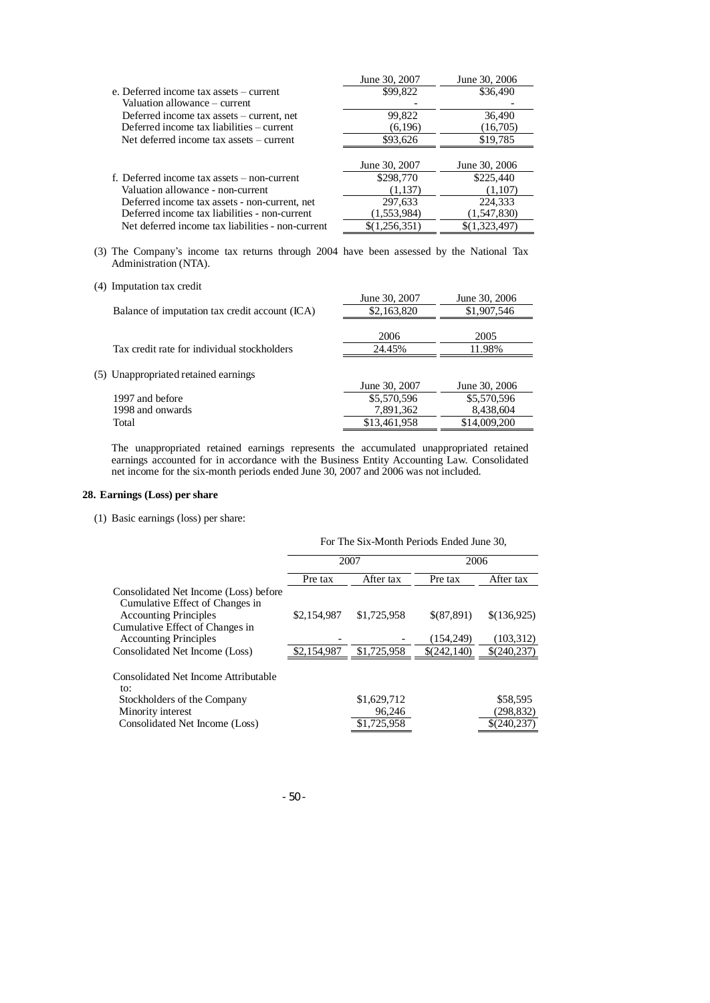| June 30, 2007 | June 30, 2006 |
|---------------|---------------|
| \$99,822      | \$36,490      |
|               |               |
| 99,822        | 36,490        |
| (6,196)       | (16,705)      |
| \$93,626      | \$19,785      |
|               |               |
| June 30, 2007 | June 30, 2006 |
| \$298,770     | \$225,440     |
| (1,137)       | (1,107)       |
| 297,633       | 224,333       |
| (1,553,984)   | (1,547,830)   |
| \$(1,256,351) | \$(1,323,497) |
|               |               |

(3) The Company's income tax returns through 2004 have been assessed by the National Tax Administration (NTA).

|  | (4) Imputation tax credit |  |
|--|---------------------------|--|
|--|---------------------------|--|

| (4) піпританон тал стейн                       |               |               |
|------------------------------------------------|---------------|---------------|
|                                                | June 30, 2007 | June 30, 2006 |
| Balance of imputation tax credit account (ICA) | \$2,163,820   | \$1,907,546   |
|                                                |               |               |
|                                                | 2006          | 2005          |
| Tax credit rate for individual stockholders    | 24.45%        | 11.98%        |
|                                                |               |               |
| (5) Unappropriated retained earnings           |               |               |
|                                                | June 30, 2007 | June 30, 2006 |
| 1997 and before                                | \$5,570,596   | \$5,570,596   |
| 1998 and onwards                               | 7,891,362     | 8,438,604     |
| Total                                          | \$13,461,958  | \$14,009,200  |
|                                                |               |               |

The unappropriated retained earnings represents the accumulated unappropriated retained earnings accounted for in accordance with the Business Entity Accounting Law. Consolidated net income for the six-month periods ended June 30, 2007 and 2006 was not included.

# **28. Earnings (Loss) per share**

(1) Basic earnings (loss) per share:

|                                                                          | For The Six-Month Periods Ended June 30, |             |             |             |
|--------------------------------------------------------------------------|------------------------------------------|-------------|-------------|-------------|
|                                                                          |                                          | 2007        | 2006        |             |
|                                                                          | Pre tax                                  | After tax   | Pre tax     | After tax   |
| Consolidated Net Income (Loss) before<br>Cumulative Effect of Changes in |                                          |             |             |             |
| <b>Accounting Principles</b>                                             | \$2,154,987                              | \$1,725,958 | \$(87,891)  | \$(136,925) |
| Cumulative Effect of Changes in<br><b>Accounting Principles</b>          |                                          |             | (154, 249)  | (103, 312)  |
| Consolidated Net Income (Loss)                                           | \$2,154,987                              | \$1,725,958 | \$(242,140) | \$(240,237) |
| Consolidated Net Income Attributable<br>to:                              |                                          |             |             |             |
| Stockholders of the Company                                              |                                          | \$1,629,712 |             | \$58,595    |
| Minority interest                                                        |                                          | 96,246      |             | (298, 832)  |
| Consolidated Net Income (Loss)                                           |                                          | \$1.725.958 |             | \$(240.237) |
|                                                                          |                                          |             |             |             |

- 50 -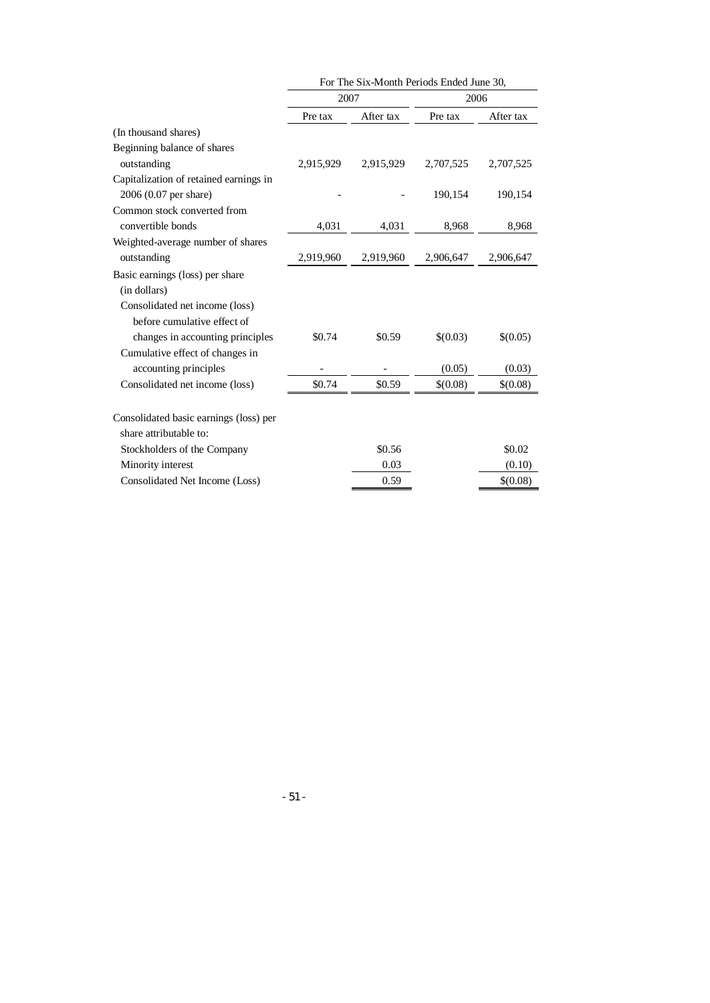|                                        | For The Six-Month Periods Ended June 30, |           |           |           |
|----------------------------------------|------------------------------------------|-----------|-----------|-----------|
|                                        | 2007                                     |           | 2006      |           |
|                                        | Pre tax                                  | After tax | Pre tax   | After tax |
| (In thousand shares)                   |                                          |           |           |           |
| Beginning balance of shares            |                                          |           |           |           |
| outstanding                            | 2,915,929                                | 2,915,929 | 2,707,525 | 2,707,525 |
| Capitalization of retained earnings in |                                          |           |           |           |
| 2006 (0.07 per share)                  |                                          |           | 190,154   | 190,154   |
| Common stock converted from            |                                          |           |           |           |
| convertible bonds                      | 4,031                                    | 4,031     | 8,968     | 8,968     |
| Weighted-average number of shares      |                                          |           |           |           |
| outstanding                            | 2,919,960                                | 2,919,960 | 2,906,647 | 2,906,647 |
| Basic earnings (loss) per share        |                                          |           |           |           |
| (in dollars)                           |                                          |           |           |           |
| Consolidated net income (loss)         |                                          |           |           |           |
| before cumulative effect of            |                                          |           |           |           |
| changes in accounting principles       | \$0.74                                   | \$0.59    | \$(0.03)  | \$(0.05)  |
| Cumulative effect of changes in        |                                          |           |           |           |
| accounting principles                  |                                          |           | (0.05)    | (0.03)    |
| Consolidated net income (loss)         | \$0.74                                   | \$0.59    | \$(0.08)  | \$(0.08)  |
|                                        |                                          |           |           |           |
| Consolidated basic earnings (loss) per |                                          |           |           |           |
| share attributable to:                 |                                          |           |           |           |
| Stockholders of the Company            |                                          | \$0.56    |           | \$0.02    |
| Minority interest                      |                                          | 0.03      |           | (0.10)    |
| Consolidated Net Income (Loss)         |                                          | 0.59      |           | \$(0.08)  |

- 51 -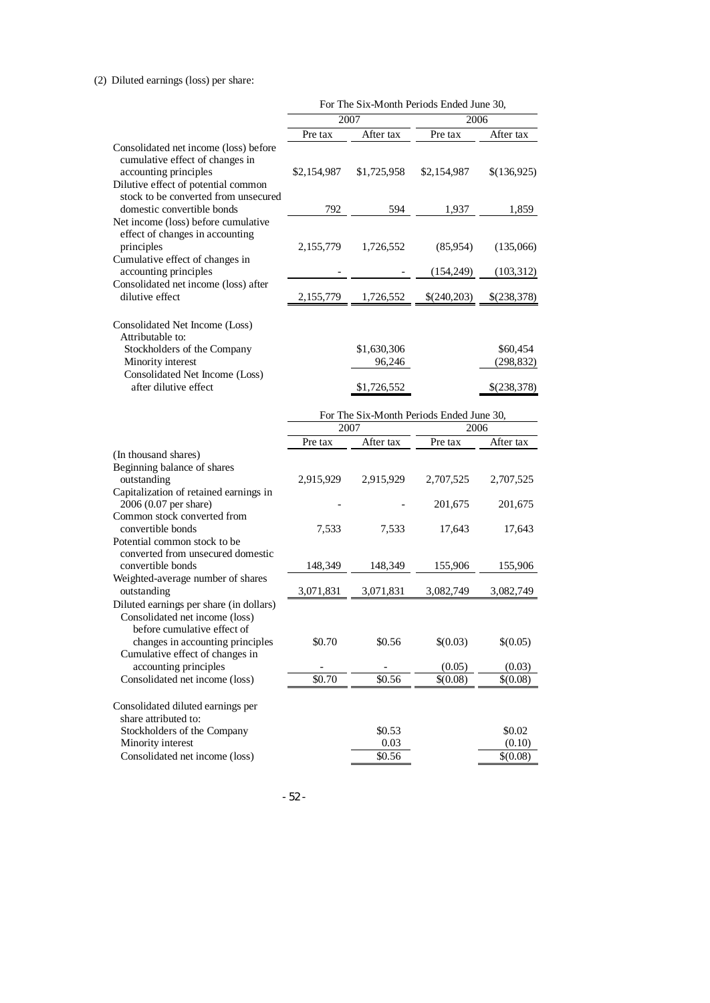# (2) Diluted earnings (loss) per share:

|                                                                                                                                                                                 |                                                          |                       | For The Six-Month Periods Ended June 30, |                        |  |  |
|---------------------------------------------------------------------------------------------------------------------------------------------------------------------------------|----------------------------------------------------------|-----------------------|------------------------------------------|------------------------|--|--|
|                                                                                                                                                                                 |                                                          | 2007                  | 2006                                     |                        |  |  |
|                                                                                                                                                                                 | Pre tax                                                  | After tax             | Pre tax                                  | After tax              |  |  |
| Consolidated net income (loss) before<br>cumulative effect of changes in<br>accounting principles<br>Dilutive effect of potential common                                        | \$2,154,987                                              | \$1,725,958           | \$2,154,987                              | \$(136,925)            |  |  |
| stock to be converted from unsecured<br>domestic convertible bonds                                                                                                              | 792                                                      | 594                   | 1,937                                    | 1,859                  |  |  |
| Net income (loss) before cumulative<br>effect of changes in accounting<br>principles<br>Cumulative effect of changes in                                                         | 2,155,779                                                | 1,726,552             | (85,954)                                 | (135,066)              |  |  |
| accounting principles                                                                                                                                                           |                                                          |                       | (154, 249)                               | (103, 312)             |  |  |
| Consolidated net income (loss) after<br>dilutive effect                                                                                                                         | 2,155,779                                                | 1,726,552             | \$(240,203)                              | \$(238,378)            |  |  |
| Consolidated Net Income (Loss)<br>Attributable to:<br>Stockholders of the Company<br>Minority interest                                                                          |                                                          | \$1,630,306<br>96,246 |                                          | \$60,454<br>(298, 832) |  |  |
| Consolidated Net Income (Loss)<br>after dilutive effect                                                                                                                         |                                                          | \$1,726,552           |                                          | \$(238,378)            |  |  |
|                                                                                                                                                                                 |                                                          |                       |                                          |                        |  |  |
|                                                                                                                                                                                 | For The Six-Month Periods Ended June 30,<br>2007<br>2006 |                       |                                          |                        |  |  |
|                                                                                                                                                                                 | Pre tax                                                  | After tax             | Pre tax                                  | After tax              |  |  |
| (In thousand shares)<br>Beginning balance of shares<br>outstanding                                                                                                              | 2,915,929                                                | 2,915,929             | 2,707,525                                | 2,707,525              |  |  |
| Capitalization of retained earnings in<br>2006 (0.07 per share)                                                                                                                 |                                                          |                       | 201,675                                  | 201,675                |  |  |
| Common stock converted from<br>convertible bonds<br>Potential common stock to be                                                                                                | 7,533                                                    | 7,533                 | 17,643                                   | 17,643                 |  |  |
| converted from unsecured domestic<br>convertible bonds                                                                                                                          | 148,349                                                  | 148,349               | 155,906                                  | 155,906                |  |  |
| Weighted-average number of shares<br>outstanding                                                                                                                                | 3,071,831                                                | 3,071,831             | 3,082,749                                | 3,082,749              |  |  |
| Diluted earnings per share (in dollars)<br>Consolidated net income (loss)<br>before cumulative effect of<br>changes in accounting principles<br>Cumulative effect of changes in | \$0.70                                                   | \$0.56                | \$(0.03)                                 | \$(0.05)               |  |  |
| accounting principles                                                                                                                                                           |                                                          |                       | (0.05)                                   | (0.03)                 |  |  |
| Consolidated net income (loss)                                                                                                                                                  | $\sqrt{$0.70}$                                           | \$0.56                | \$(0.08)                                 | \$(0.08)               |  |  |
| Consolidated diluted earnings per<br>share attributed to:                                                                                                                       |                                                          |                       |                                          |                        |  |  |
| Stockholders of the Company<br>Minority interest                                                                                                                                |                                                          | \$0.53<br>0.03        |                                          | \$0.02<br>(0.10)       |  |  |
| Consolidated net income (loss)                                                                                                                                                  |                                                          | \$0.56                |                                          | \$(0.08)               |  |  |
|                                                                                                                                                                                 |                                                          |                       |                                          |                        |  |  |

- 52 -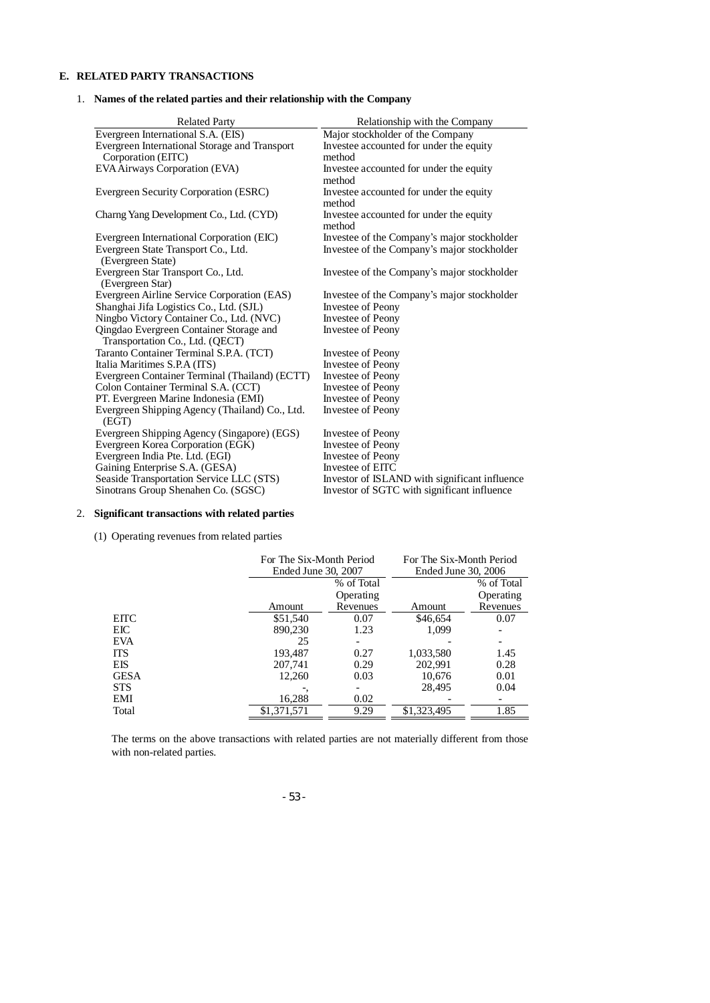# **E. RELATED PARTY TRANSACTIONS**

# 1. **Names of the related parties and their relationship with the Company**

| <b>Related Party</b>                                    | Relationship with the Company                 |
|---------------------------------------------------------|-----------------------------------------------|
| Evergreen International S.A. (EIS)                      | Major stockholder of the Company              |
| Evergreen International Storage and Transport           | Investee accounted for under the equity       |
| Corporation (EITC)                                      | method                                        |
| EVA Airways Corporation (EVA)                           | Investee accounted for under the equity       |
|                                                         | method                                        |
| Evergreen Security Corporation (ESRC)                   | Investee accounted for under the equity       |
|                                                         | method                                        |
| Charng Yang Development Co., Ltd. (CYD)                 | Investee accounted for under the equity       |
|                                                         | method                                        |
| Evergreen International Corporation (EIC)               | Investee of the Company's major stockholder   |
| Evergreen State Transport Co., Ltd.                     | Investee of the Company's major stockholder   |
| (Evergreen State)                                       |                                               |
| Evergreen Star Transport Co., Ltd.                      | Investee of the Company's major stockholder   |
| (Evergreen Star)                                        |                                               |
| Evergreen Airline Service Corporation (EAS)             | Investee of the Company's major stockholder   |
| Shanghai Jifa Logistics Co., Ltd. (SJL)                 | <b>Investee of Peony</b>                      |
| Ningbo Victory Container Co., Ltd. (NVC)                | Investee of Peony                             |
| Qingdao Evergreen Container Storage and                 | <b>Investee of Peony</b>                      |
| Transportation Co., Ltd. (QECT)                         |                                               |
| Taranto Container Terminal S.P.A. (TCT)                 | Investee of Peony                             |
| Italia Maritimes S.P.A (ITS)                            | Investee of Peony                             |
| Evergreen Container Terminal (Thailand) (ECTT)          | Investee of Peony                             |
| Colon Container Terminal S.A. (CCT)                     | Investee of Peony                             |
| PT. Evergreen Marine Indonesia (EMI)                    | <b>Investee of Peony</b>                      |
| Evergreen Shipping Agency (Thailand) Co., Ltd.<br>(EGT) | <b>Investee of Peony</b>                      |
| Evergreen Shipping Agency (Singapore) (EGS)             | Investee of Peony                             |
| Evergreen Korea Corporation (EGK)                       | Investee of Peony                             |
| Evergreen India Pte. Ltd. (EGI)                         | Investee of Peony                             |
| Gaining Enterprise S.A. (GESA)                          | Investee of EITC                              |
| Seaside Transportation Service LLC (STS)                | Investor of ISLAND with significant influence |
| Sinotrans Group Shenahen Co. (SGSC)                     | Investor of SGTC with significant influence   |

# 2. **Significant transactions with related parties**

(1) Operating revenues from related parties

|             | For The Six-Month Period |            | For The Six-Month Period |            |
|-------------|--------------------------|------------|--------------------------|------------|
|             | Ended June 30, 2007      |            | Ended June 30, 2006      |            |
|             |                          | % of Total |                          | % of Total |
|             |                          | Operating  |                          | Operating  |
|             | Amount                   | Revenues   | Amount                   | Revenues   |
| <b>EITC</b> | \$51,540                 | 0.07       | \$46,654                 | 0.07       |
| EIC         | 890,230                  | 1.23       | 1.099                    |            |
| <b>EVA</b>  | 25                       |            |                          |            |
| <b>ITS</b>  | 193,487                  | 0.27       | 1,033,580                | 1.45       |
| EIS         | 207,741                  | 0.29       | 202.991                  | 0.28       |
| <b>GESA</b> | 12,260                   | 0.03       | 10,676                   | 0.01       |
| <b>STS</b>  |                          |            | 28.495                   | 0.04       |
| EMI         | 16,288                   | 0.02       |                          |            |
| Total       | \$1,371,571              | 9.29       | \$1,323,495              | 1.85       |

The terms on the above transactions with related parties are not materially different from those with non-related parties.

- 53 -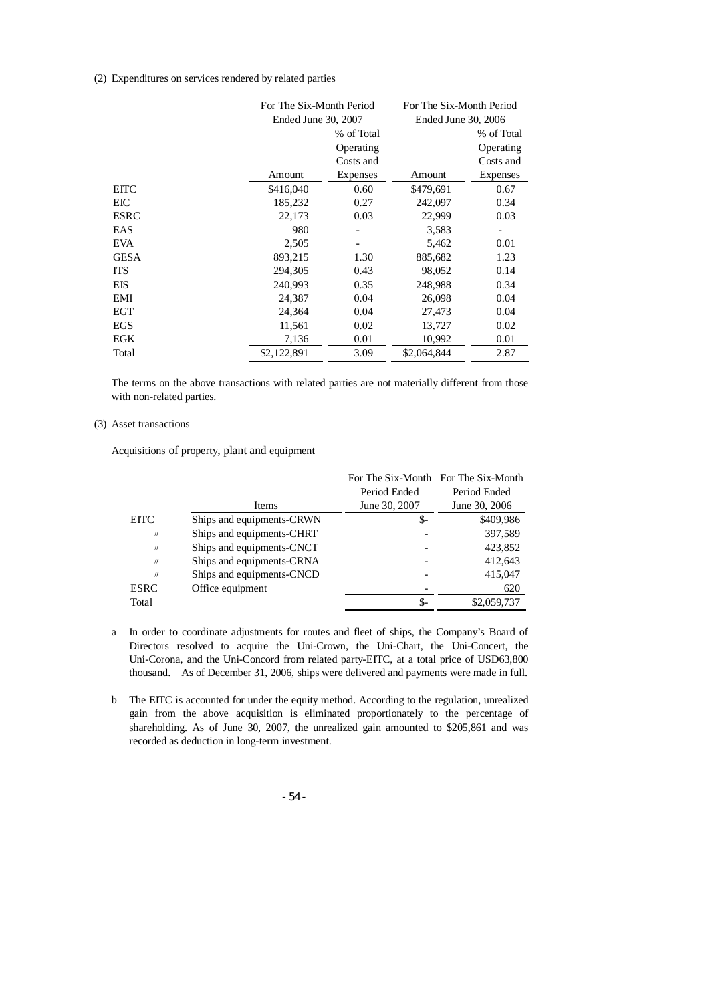#### (2) Expenditures on services rendered by related parties

|       | For The Six-Month Period |            | For The Six-Month Period |            |
|-------|--------------------------|------------|--------------------------|------------|
|       | Ended June 30, 2007      |            | Ended June 30, 2006      |            |
|       |                          | % of Total |                          | % of Total |
|       |                          | Operating  |                          | Operating  |
|       |                          | Costs and  |                          | Costs and  |
|       | Amount                   | Expenses   | Amount                   | Expenses   |
| EITC  | \$416,040                | 0.60       | \$479,691                | 0.67       |
| EІC   | 185,232                  | 0.27       | 242,097                  | 0.34       |
| ESRC  | 22,173                   | 0.03       | 22,999                   | 0.03       |
| EAS   | 980                      |            | 3,583                    |            |
| EVA   | 2,505                    |            | 5,462                    | 0.01       |
| GESA  | 893,215                  | 1.30       | 885,682                  | 1.23       |
| ITS   | 294,305                  | 0.43       | 98,052                   | 0.14       |
| EIS   | 240,993                  | 0.35       | 248,988                  | 0.34       |
| EMI   | 24,387                   | 0.04       | 26,098                   | 0.04       |
| EGT   | 24,364                   | 0.04       | 27,473                   | 0.04       |
| EGS   | 11,561                   | 0.02       | 13,727                   | 0.02       |
| EGK   | 7,136                    | 0.01       | 10,992                   | 0.01       |
| Total | \$2,122,891              | 3.09       | \$2,064,844              | 2.87       |

The terms on the above transactions with related parties are not materially different from those with non-related parties.

#### (3) Asset transactions

Acquisitions of property, plant and equipment

|                   |                           |               | For The Six-Month For The Six-Month |
|-------------------|---------------------------|---------------|-------------------------------------|
|                   |                           | Period Ended  | Period Ended                        |
|                   | Items                     | June 30, 2007 | June 30, 2006                       |
| <b>EITC</b>       | Ships and equipments-CRWN | \$-           | \$409,986                           |
| $^{\prime\prime}$ | Ships and equipments-CHRT |               | 397,589                             |
| $^{\prime\prime}$ | Ships and equipments-CNCT |               | 423,852                             |
| $^{\prime\prime}$ | Ships and equipments-CRNA |               | 412,643                             |
| $^{\prime\prime}$ | Ships and equipments-CNCD |               | 415,047                             |
| <b>ESRC</b>       | Office equipment          |               | 620                                 |
| Total             |                           |               | \$2,059,737                         |

- a In order to coordinate adjustments for routes and fleet of ships, the Company's Board of Directors resolved to acquire the Uni-Crown, the Uni-Chart, the Uni-Concert, the Uni-Corona, and the Uni-Concord from related party-EITC, at a total price of USD63,800 thousand. As of December 31, 2006, ships were delivered and payments were made in full.
- b The EITC is accounted for under the equity method. According to the regulation, unrealized gain from the above acquisition is eliminated proportionately to the percentage of shareholding. As of June 30, 2007, the unrealized gain amounted to \$205,861 and was recorded as deduction in long-term investment.

- 54 -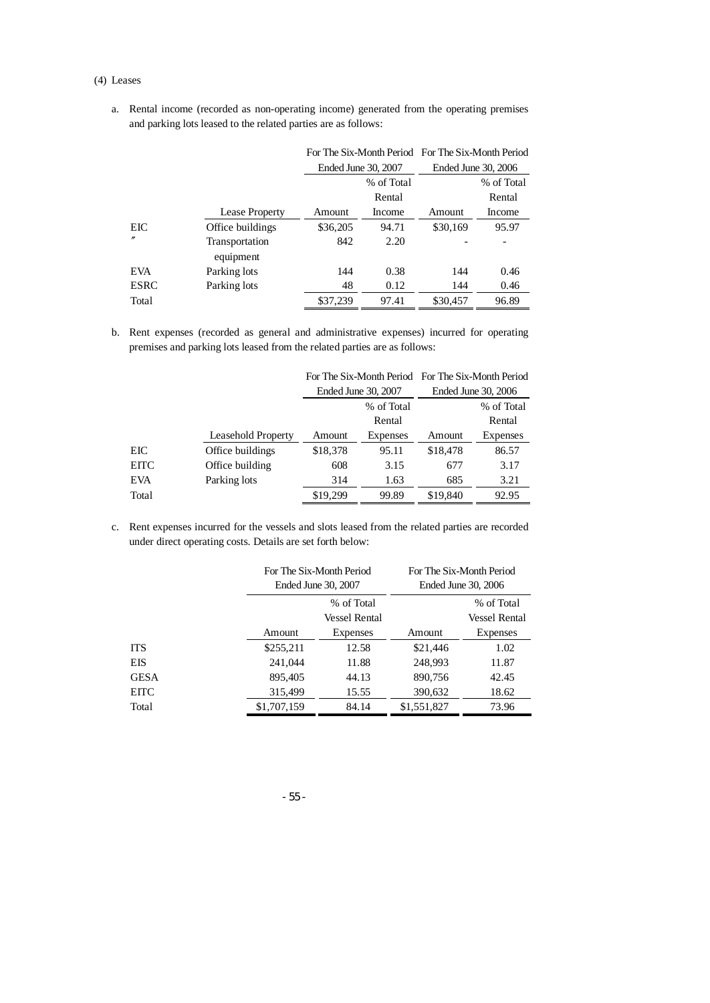#### (4) Leases

a. Rental income (recorded as non-operating income) generated from the operating premises and parking lots leased to the related parties are as follows:

|                   |                  |          | For The Six-Month Period For The Six-Month Period |          |                     |
|-------------------|------------------|----------|---------------------------------------------------|----------|---------------------|
|                   |                  |          | Ended June 30, 2007                               |          | Ended June 30, 2006 |
|                   |                  |          | % of Total                                        |          | % of Total          |
|                   |                  |          | Rental                                            |          | Rental              |
|                   | Lease Property   | Amount   | Income                                            | Amount   | Income              |
| EIC               | Office buildings | \$36,205 | 94.71                                             | \$30,169 | 95.97               |
| $^{\prime\prime}$ | Transportation   | 842      | 2.20                                              |          |                     |
|                   | equipment        |          |                                                   |          |                     |
| <b>EVA</b>        | Parking lots     | 144      | 0.38                                              | 144      | 0.46                |
| <b>ESRC</b>       | Parking lots     | 48       | 0.12                                              | 144      | 0.46                |
| Total             |                  | \$37,239 | 97.41                                             | \$30,457 | 96.89               |

b. Rent expenses (recorded as general and administrative expenses) incurred for operating premises and parking lots leased from the related parties are as follows:

|             |                    |          | For The Six-Month Period For The Six-Month Period |          |                     |
|-------------|--------------------|----------|---------------------------------------------------|----------|---------------------|
|             |                    |          | Ended June 30, 2007                               |          | Ended June 30, 2006 |
|             |                    |          | % of Total                                        |          | % of Total          |
|             |                    |          | Rental                                            |          | Rental              |
|             | Leasehold Property | Amount   | Expenses                                          | Amount   | Expenses            |
| EIC         | Office buildings   | \$18,378 | 95.11                                             | \$18,478 | 86.57               |
| <b>EITC</b> | Office building    | 608      | 3.15                                              | 677      | 3.17                |
| <b>EVA</b>  | Parking lots       | 314      | 1.63                                              | 685      | 3.21                |
| Total       |                    | \$19,299 | 99.89                                             | \$19,840 | 92.95               |

c. Rent expenses incurred for the vessels and slots leased from the related parties are recorded under direct operating costs. Details are set forth below:

|             | For The Six-Month Period<br>Ended June 30, 2007 |                 | For The Six-Month Period<br>Ended June 30, 2006 |                                    |
|-------------|-------------------------------------------------|-----------------|-------------------------------------------------|------------------------------------|
|             | % of Total<br><b>Vessel Rental</b>              |                 |                                                 | % of Total<br><b>Vessel Rental</b> |
|             | Amount                                          | <b>Expenses</b> | Amount                                          | Expenses                           |
| <b>ITS</b>  | \$255,211                                       | 12.58           | \$21,446                                        | 1.02                               |
| <b>EIS</b>  | 241,044                                         | 11.88           | 248,993                                         | 11.87                              |
| <b>GESA</b> | 895,405                                         | 44.13           | 890,756                                         | 42.45                              |
| <b>EITC</b> | 315,499                                         | 15.55           | 390,632                                         | 18.62                              |
| Total       | \$1,707,159                                     | 84.14           | \$1,551,827                                     | 73.96                              |

- 55 -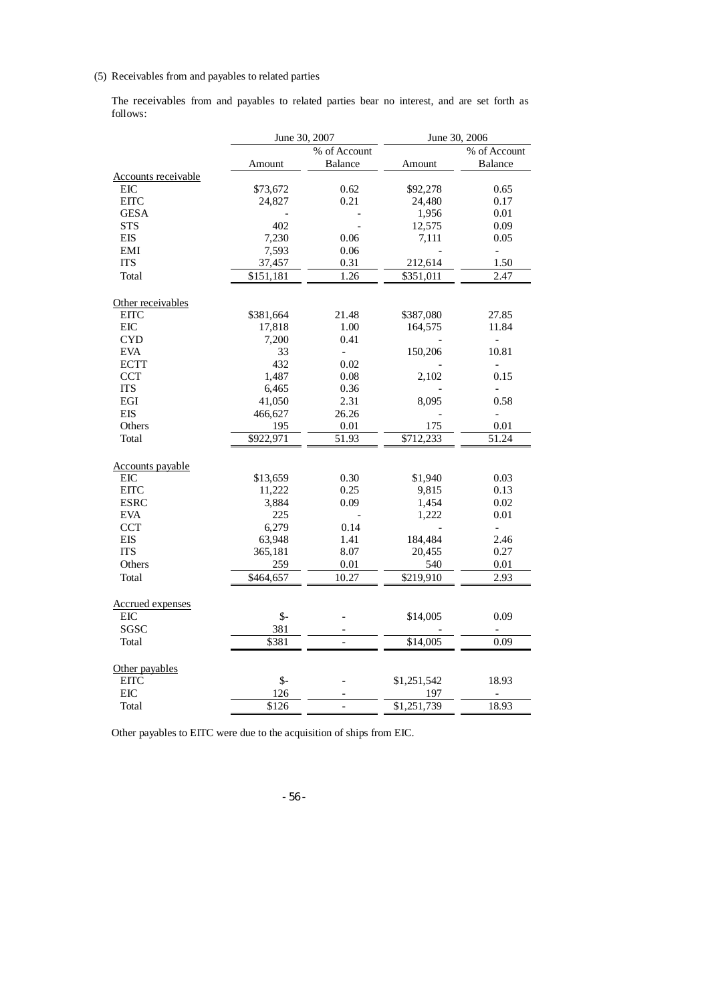# (5) Receivables from and payables to related parties

The receivables from and payables to related parties bear no interest, and are set forth as follows:

|                     |                | June 30, 2007            | June 30, 2006 |                          |
|---------------------|----------------|--------------------------|---------------|--------------------------|
|                     |                | $\frac{1}{2}$ of Account |               | % of Account             |
|                     | Amount         | <b>Balance</b>           | Amount        | <b>Balance</b>           |
| Accounts receivable |                |                          |               |                          |
| <b>EIC</b>          | \$73,672       | 0.62                     | \$92,278      | 0.65                     |
| <b>EITC</b>         | 24,827         | 0.21                     | 24,480        | 0.17                     |
| <b>GESA</b>         |                |                          | 1,956         | 0.01                     |
| <b>STS</b>          | 402            |                          | 12,575        | 0.09                     |
| <b>EIS</b>          | 7,230          | 0.06                     | 7,111         | 0.05                     |
| EMI                 | 7,593          | 0.06                     |               | $\blacksquare$           |
| <b>ITS</b>          | 37,457         | 0.31                     | 212,614       | 1.50                     |
| Total               | \$151,181      | 1.26                     | \$351,011     | 2.47                     |
| Other receivables   |                |                          |               |                          |
| <b>EITC</b>         | \$381,664      | 21.48                    | \$387,080     | 27.85                    |
| <b>EIC</b>          | 17,818         | 1.00                     | 164,575       | 11.84                    |
| <b>CYD</b>          | 7,200          | 0.41                     |               | $\overline{\phantom{0}}$ |
| <b>EVA</b>          | 33             | $\overline{\phantom{a}}$ | 150,206       | 10.81                    |
| <b>ECTT</b>         | 432            | 0.02                     |               | $\overline{a}$           |
| <b>CCT</b>          | 1,487          | 0.08                     | 2,102         | 0.15                     |
| <b>ITS</b>          | 6,465          | 0.36                     |               | $\overline{a}$           |
| EGI                 | 41,050         | 2.31                     | 8,095         | 0.58                     |
| <b>EIS</b>          | 466,627        | 26.26                    |               | $\blacksquare$           |
| Others              | 195            | 0.01                     | 175           | $0.01\,$                 |
| Total               | \$922,971      | 51.93                    | \$712,233     | 51.24                    |
| Accounts payable    |                |                          |               |                          |
| <b>EIC</b>          | \$13,659       | 0.30                     | \$1,940       | 0.03                     |
| <b>EITC</b>         | 11,222         | 0.25                     | 9,815         | 0.13                     |
| <b>ESRC</b>         | 3,884          | 0.09                     | 1,454         | 0.02                     |
| <b>EVA</b>          | 225            |                          | 1,222         | 0.01                     |
| <b>CCT</b>          | 6,279          | 0.14                     |               | $\overline{a}$           |
| <b>EIS</b>          | 63,948         | 1.41                     | 184,484       | 2.46                     |
| <b>ITS</b>          | 365,181        | 8.07                     | 20,455        | 0.27                     |
| Others              | 259            | 0.01                     | 540           | 0.01                     |
| Total               | \$464,657      | 10.27                    | \$219,910     | 2.93                     |
| Accrued expenses    |                |                          |               |                          |
| EIC                 | $\mathsf{S}$ - |                          | \$14,005      | 0.09                     |
| SGSC                | 381            |                          |               | $\overline{\phantom{a}}$ |
| Total               | \$381          |                          | \$14,005      | 0.09                     |
| Other payables      |                |                          |               |                          |
| <b>EITC</b>         | $\mathsf{S}$ - |                          | \$1,251,542   | 18.93                    |
| <b>EIC</b>          | 126            |                          | 197           |                          |
| Total               | \$126          | $\overline{a}$           | \$1,251,739   | 18.93                    |

Other payables to EITC were due to the acquisition of ships from EIC.

- 56 -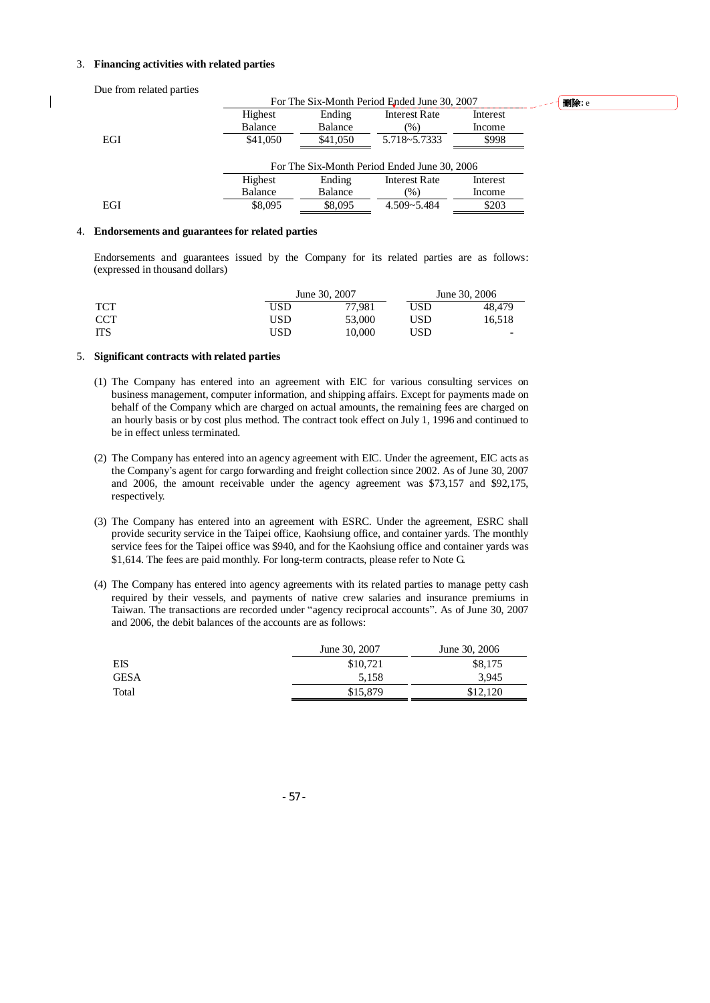#### 3. **Financing activities with related parties**

Due from related parties

|     |                | For The Six-Month Period Ended June 30, 2007 |                      |          |  |  |
|-----|----------------|----------------------------------------------|----------------------|----------|--|--|
|     | Highest        | Ending                                       | <b>Interest Rate</b> | Interest |  |  |
|     | Balance        | Balance                                      | $(\%)$               | Income   |  |  |
| EGI | \$41,050       | \$41,050                                     | 5.718~5.7333         | \$998    |  |  |
|     |                | For The Six-Month Period Ended June 30, 2006 |                      |          |  |  |
|     | Highest        | Ending                                       | <b>Interest Rate</b> | Interest |  |  |
|     | <b>Balance</b> | <b>Balance</b>                               | (%)                  | Income   |  |  |
| EGI | \$8,095        | \$8,095                                      | $4.509 - 5.484$      | \$203    |  |  |

刪除**:** e

#### 4. **Endorsements and guarantees for related parties**

Endorsements and guarantees issued by the Company for its related parties are as follows: (expressed in thousand dollars)

|            | June 30, 2007 |        | June 30, 2006 |                          |
|------------|---------------|--------|---------------|--------------------------|
| <b>TCT</b> | USD           | 77.981 | USD           | 48.479                   |
| <b>CCT</b> | USD           | 53,000 | USD           | 16.518                   |
| <b>ITS</b> | USD           | 10.000 | USD           | $\overline{\phantom{0}}$ |

### 5. **Significant contracts with related parties**

- (1) The Company has entered into an agreement with EIC for various consulting services on business management, computer information, and shipping affairs. Except for payments made on behalf of the Company which are charged on actual amounts, the remaining fees are charged on an hourly basis or by cost plus method. The contract took effect on July 1, 1996 and continued to be in effect unless terminated.
- (2) The Company has entered into an agency agreement with EIC. Under the agreement, EIC acts as the Company's agent for cargo forwarding and freight collection since 2002. As of June 30, 2007 and 2006, the amount receivable under the agency agreement was \$73,157 and \$92,175, respectively.
- (3) The Company has entered into an agreement with ESRC. Under the agreement, ESRC shall provide security service in the Taipei office, Kaohsiung office, and container yards. The monthly service fees for the Taipei office was \$940, and for the Kaohsiung office and container yards was \$1,614. The fees are paid monthly. For long-term contracts, please refer to Note G.
- (4) The Company has entered into agency agreements with its related parties to manage petty cash required by their vessels, and payments of native crew salaries and insurance premiums in Taiwan. The transactions are recorded under "agency reciprocal accounts". As of June 30, 2007 and 2006, the debit balances of the accounts are as follows:

|             | June 30, 2007 | June 30, 2006 |
|-------------|---------------|---------------|
| EIS         | \$10,721      | \$8,175       |
| <b>GESA</b> | 5.158         | 3.945         |
| Total       | \$15,879      | \$12,120      |

- 57 -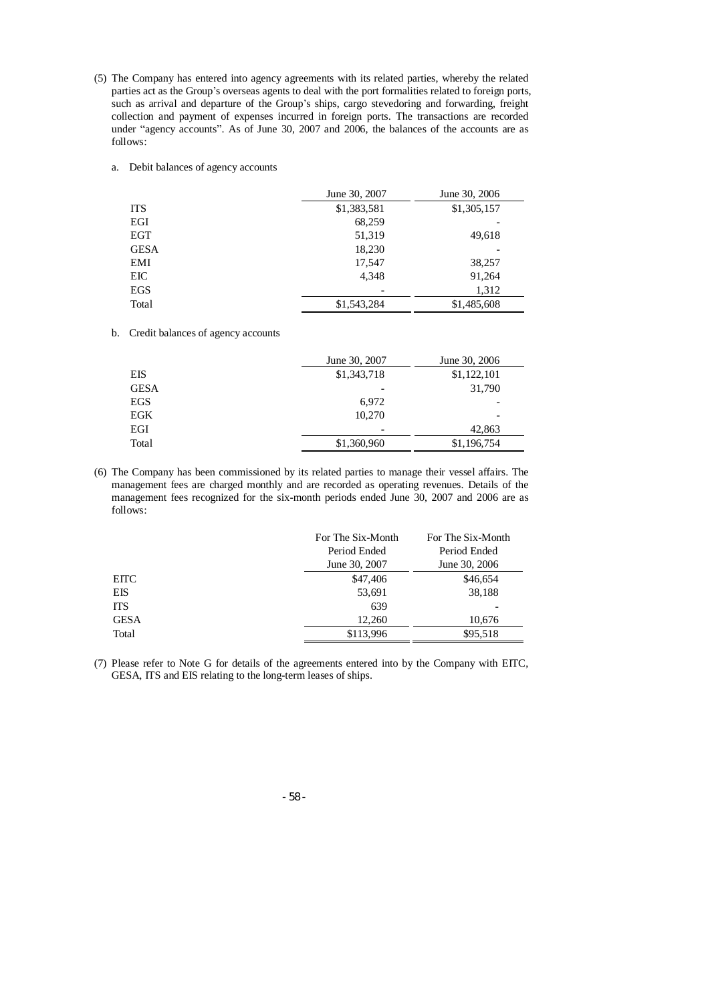- (5) The Company has entered into agency agreements with its related parties, whereby the related parties act as the Group's overseas agents to deal with the port formalities related to foreign ports, such as arrival and departure of the Group's ships, cargo stevedoring and forwarding, freight collection and payment of expenses incurred in foreign ports. The transactions are recorded under "agency accounts". As of June 30, 2007 and 2006, the balances of the accounts are as follows:
	- a. Debit balances of agency accounts

|             | June 30, 2007 | June 30, 2006 |
|-------------|---------------|---------------|
| <b>ITS</b>  | \$1,383,581   | \$1,305,157   |
| EGI         | 68,259        |               |
| <b>EGT</b>  | 51,319        | 49,618        |
| <b>GESA</b> | 18,230        |               |
| EMI         | 17,547        | 38,257        |
| EIC         | 4.348         | 91,264        |
| EGS         |               | 1,312         |
| Total       | \$1,543,284   | \$1,485,608   |

b. Credit balances of agency accounts

|             | June 30, 2007 | June 30, 2006 |
|-------------|---------------|---------------|
| EIS         | \$1,343,718   | \$1,122,101   |
| <b>GESA</b> |               | 31,790        |
| EGS         | 6,972         | -             |
| EGK         | 10,270        |               |
| EGI         |               | 42,863        |
| Total       | \$1,360,960   | \$1,196,754   |

(6) The Company has been commissioned by its related parties to manage their vessel affairs. The management fees are charged monthly and are recorded as operating revenues. Details of the management fees recognized for the six-month periods ended June 30, 2007 and 2006 are as follows:

|             | For The Six-Month | For The Six-Month |
|-------------|-------------------|-------------------|
|             | Period Ended      | Period Ended      |
|             | June 30, 2007     | June 30, 2006     |
| <b>EITC</b> | \$47,406          | \$46,654          |
| EIS         | 53,691            | 38,188            |
| <b>ITS</b>  | 639               |                   |
| <b>GESA</b> | 12.260            | 10.676            |
| Total       | \$113,996         | \$95,518          |

(7) Please refer to Note G for details of the agreements entered into by the Company with EITC, GESA, ITS and EIS relating to the long-term leases of ships.

- 58 -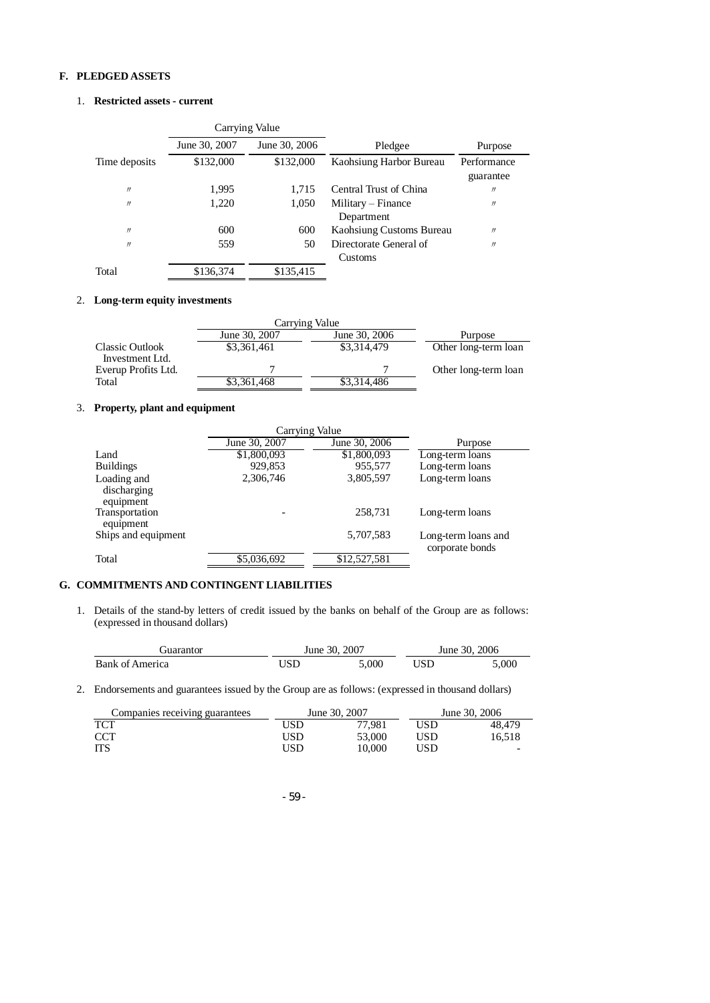# **F. PLEDGED ASSETS**

# 1. **Restricted assets - current**

|                   | Carrying Value |               |                                   |                          |
|-------------------|----------------|---------------|-----------------------------------|--------------------------|
|                   | June 30, 2007  | June 30, 2006 | Pledgee                           | Purpose                  |
| Time deposits     | \$132,000      | \$132,000     | Kaohsiung Harbor Bureau           | Performance<br>guarantee |
| $\prime\prime$    | 1,995          | 1.715         | Central Trust of China            | $^{\prime\prime}$        |
| $\prime\prime$    | 1,220          | 1,050         | Military – Finance<br>Department  | $^{\prime\prime}$        |
| $^{\prime\prime}$ | 600            | 600           | Kaohsiung Customs Bureau          | $^{\prime\prime}$        |
| $^{\prime\prime}$ | 559            | 50            | Directorate General of<br>Customs | $^{\prime\prime}$        |
| Total             | \$136,374      | \$135,415     |                                   |                          |

#### 2. **Long-term equity investments**

|                                        | Carrying Value |               |                      |
|----------------------------------------|----------------|---------------|----------------------|
|                                        | June 30, 2007  | June 30, 2006 | Purpose              |
| <b>Classic Outlook</b>                 | \$3,361,461    | \$3,314,479   | Other long-term loan |
| Investment Ltd.<br>Everup Profits Ltd. |                |               | Other long-term loan |
| Total                                  | \$3,361,468    | \$3,314,486   |                      |

# 3. **Property, plant and equipment**

|                                         | Carrying Value |               |                                        |
|-----------------------------------------|----------------|---------------|----------------------------------------|
|                                         | June 30, 2007  | June 30, 2006 | Purpose                                |
| Land                                    | \$1,800,093    | \$1,800,093   | Long-term loans                        |
| <b>Buildings</b>                        | 929,853        | 955,577       | Long-term loans                        |
| Loading and<br>discharging<br>equipment | 2,306,746      | 3,805,597     | Long-term loans                        |
| Transportation<br>equipment             |                | 258.731       | Long-term loans                        |
| Ships and equipment                     |                | 5,707,583     | Long-term loans and<br>corporate bonds |
| Total                                   | \$5,036,692    | \$12,527,581  |                                        |

# **G. COMMITMENTS AND CONTINGENT LIABILITIES**

1. Details of the stand-by letters of credit issued by the banks on behalf of the Group are as follows: (expressed in thousand dollars)

| iuarantor       | June 30, 2007 |       | June 30, 2006 |       |
|-----------------|---------------|-------|---------------|-------|
| Bank of America | USD           | 5.000 | USD           | 5.000 |

2. Endorsements and guarantees issued by the Group are as follows: (expressed in thousand dollars)

| Companies receiving guarantees | June 30, 2007 |        | June 30, 2006 |        |
|--------------------------------|---------------|--------|---------------|--------|
| TCT                            | USD           | 77.981 | USD           | 48.479 |
| CCT                            | USD           | 53,000 | USD           | 16.518 |
| ITS                            | USD           | 10.000 | USD           |        |

- 59 -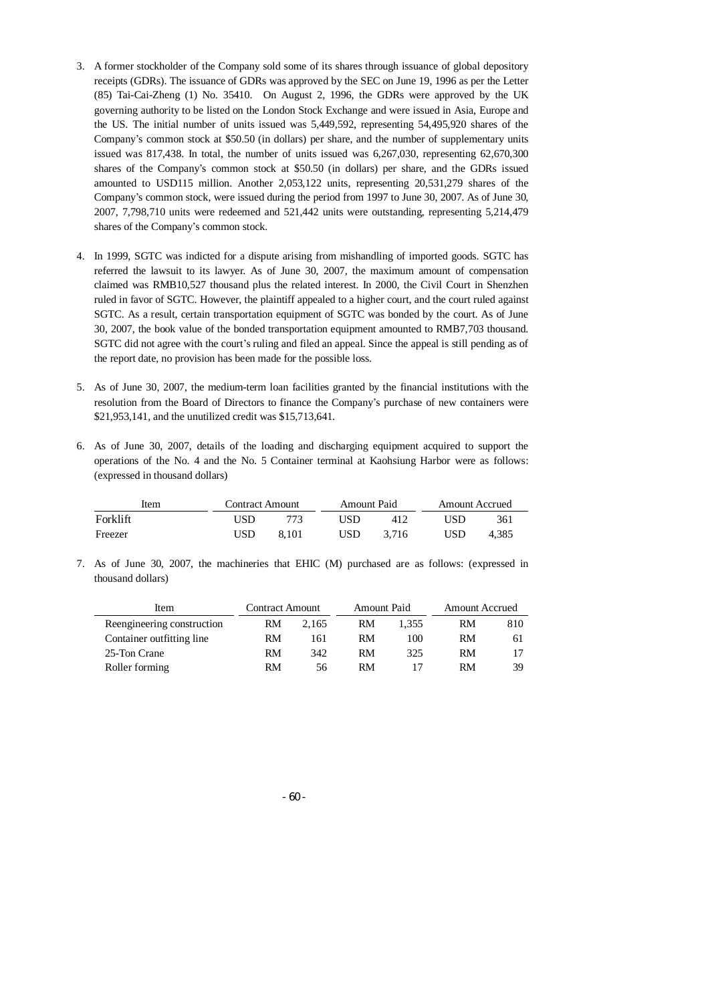- 3. A former stockholder of the Company sold some of its shares through issuance of global depository receipts (GDRs). The issuance of GDRs was approved by the SEC on June 19, 1996 as per the Letter (85) Tai-Cai-Zheng (1) No. 35410. On August 2, 1996, the GDRs were approved by the UK governing authority to be listed on the London Stock Exchange and were issued in Asia, Europe and the US. The initial number of units issued was 5,449,592, representing 54,495,920 shares of the Company's common stock at \$50.50 (in dollars) per share, and the number of supplementary units issued was 817,438. In total, the number of units issued was 6,267,030, representing 62,670,300 shares of the Company's common stock at \$50.50 (in dollars) per share, and the GDRs issued amounted to USD115 million. Another 2,053,122 units, representing 20,531,279 shares of the Company's common stock, were issued during the period from 1997 to June 30, 2007. As of June 30, 2007, 7,798,710 units were redeemed and 521,442 units were outstanding, representing 5,214,479 shares of the Company's common stock.
- 4. In 1999, SGTC was indicted for a dispute arising from mishandling of imported goods. SGTC has referred the lawsuit to its lawyer. As of June 30, 2007, the maximum amount of compensation claimed was RMB10,527 thousand plus the related interest. In 2000, the Civil Court in Shenzhen ruled in favor of SGTC. However, the plaintiff appealed to a higher court, and the court ruled against SGTC. As a result, certain transportation equipment of SGTC was bonded by the court. As of June 30, 2007, the book value of the bonded transportation equipment amounted to RMB7,703 thousand. SGTC did not agree with the court's ruling and filed an appeal. Since the appeal is still pending as of the report date, no provision has been made for the possible loss.
- 5. As of June 30, 2007, the medium-term loan facilities granted by the financial institutions with the resolution from the Board of Directors to finance the Company's purchase of new containers were \$21,953,141, and the unutilized credit was \$15,713,641.
- 6. As of June 30, 2007, details of the loading and discharging equipment acquired to support the operations of the No. 4 and the No. 5 Container terminal at Kaohsiung Harbor were as follows: (expressed in thousand dollars)

| Item     | <b>Contract Amount</b> |       | <b>Amount Paid</b> |       | <b>Amount Accrued</b> |       |
|----------|------------------------|-------|--------------------|-------|-----------------------|-------|
| Forklift | USD                    | 773   | USD                | 412   | USD                   | 361   |
| Freezer  | USD                    | 8.101 | USD                | 3.716 | USD                   | 4.385 |

7. As of June 30, 2007, the machineries that EHIC (M) purchased are as follows: (expressed in thousand dollars)

| Item                       | <b>Contract Amount</b> |       | <b>Amount Paid</b> |       | <b>Amount Accrued</b> |     |
|----------------------------|------------------------|-------|--------------------|-------|-----------------------|-----|
| Reengineering construction | RM                     | 2.165 | RM                 | 1.355 | RM                    | 810 |
| Container outfitting line  | RM                     | 161   | RM                 | 100   | RM                    | 61  |
| 25-Ton Crane               | RM                     | 342   | RM                 | 325   | RM                    |     |
| Roller forming             | RM                     | 56.   | RM                 |       | RM                    | 39  |

- 60 -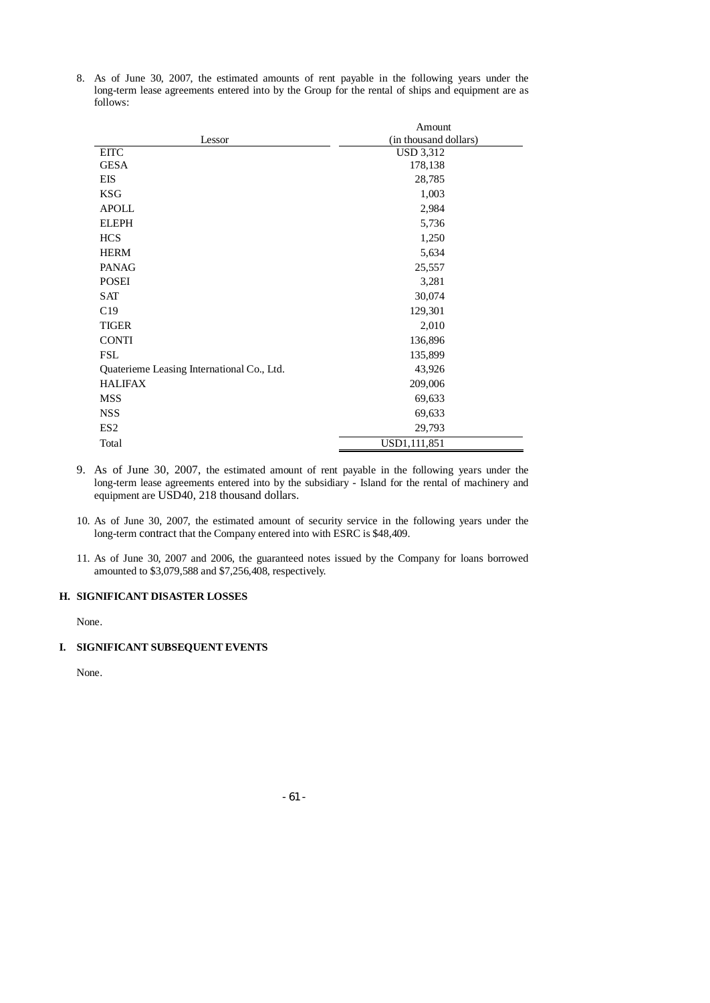8. As of June 30, 2007, the estimated amounts of rent payable in the following years under the long-term lease agreements entered into by the Group for the rental of ships and equipment are as follows:

|                                            | Amount                |
|--------------------------------------------|-----------------------|
| Lessor                                     | (in thousand dollars) |
| <b>EITC</b>                                | <b>USD 3,312</b>      |
| <b>GESA</b>                                | 178,138               |
| EIS                                        | 28,785                |
| <b>KSG</b>                                 | 1,003                 |
| <b>APOLL</b>                               | 2,984                 |
| <b>ELEPH</b>                               | 5,736                 |
| <b>HCS</b>                                 | 1,250                 |
| <b>HERM</b>                                | 5,634                 |
| <b>PANAG</b>                               | 25,557                |
| <b>POSEI</b>                               | 3,281                 |
| SAT                                        | 30,074                |
| C19                                        | 129,301               |
| <b>TIGER</b>                               | 2,010                 |
| <b>CONTI</b>                               | 136,896               |
| <b>FSL</b>                                 | 135,899               |
| Quaterieme Leasing International Co., Ltd. | 43,926                |
| <b>HALIFAX</b>                             | 209,006               |
| <b>MSS</b>                                 | 69,633                |
| <b>NSS</b>                                 | 69,633                |
| ES <sub>2</sub>                            | 29,793                |
| Total                                      | USD1,111,851          |

- 9. As of June 30, 2007, the estimated amount of rent payable in the following years under the long-term lease agreements entered into by the subsidiary - Island for the rental of machinery and equipment are USD40, 218 thousand dollars.
- 10. As of June 30, 2007, the estimated amount of security service in the following years under the long-term contract that the Company entered into with ESRC is \$48,409.
- 11. As of June 30, 2007 and 2006, the guaranteed notes issued by the Company for loans borrowed amounted to \$3,079,588 and \$7,256,408, respectively.

# **H. SIGNIFICANT DISASTER LOSSES**

None.

# **I. SIGNIFICANT SUBSEQUENT EVENTS**

None.

- 61 -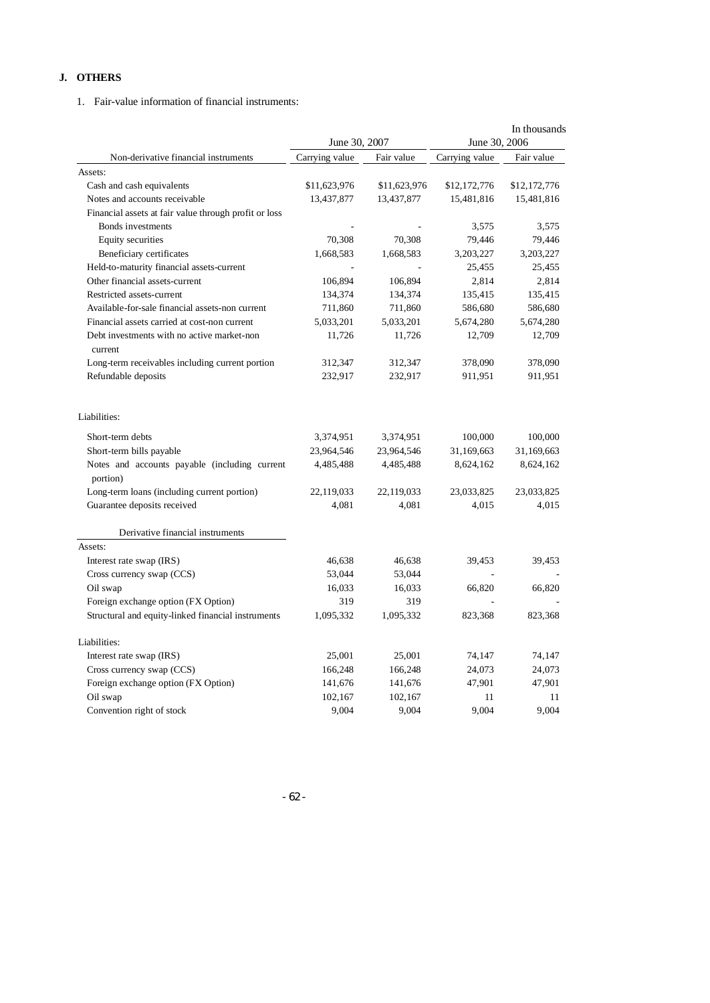# **J. OTHERS**

1. Fair-value information of financial instruments:

|                                                           | June 30, 2007  |              | June 30, 2006  | In thousands |
|-----------------------------------------------------------|----------------|--------------|----------------|--------------|
| Non-derivative financial instruments                      | Carrying value | Fair value   | Carrying value | Fair value   |
| Assets:                                                   |                |              |                |              |
| Cash and cash equivalents                                 | \$11,623,976   | \$11,623,976 | \$12,172,776   | \$12,172,776 |
| Notes and accounts receivable                             | 13,437,877     | 13,437,877   | 15,481,816     | 15,481,816   |
| Financial assets at fair value through profit or loss     |                |              |                |              |
| Bonds investments                                         |                |              | 3,575          | 3,575        |
| Equity securities                                         | 70,308         | 70,308       | 79,446         | 79,446       |
| Beneficiary certificates                                  | 1,668,583      | 1,668,583    | 3,203,227      | 3,203,227    |
| Held-to-maturity financial assets-current                 |                |              | 25,455         | 25,455       |
| Other financial assets-current                            | 106,894        | 106,894      | 2,814          | 2,814        |
| Restricted assets-current                                 | 134,374        | 134,374      | 135,415        | 135,415      |
| Available-for-sale financial assets-non current           | 711,860        | 711,860      | 586,680        | 586,680      |
| Financial assets carried at cost-non current              | 5,033,201      | 5,033,201    | 5,674,280      | 5,674,280    |
| Debt investments with no active market-non                | 11,726         | 11,726       | 12,709         | 12,709       |
| current                                                   |                |              |                |              |
| Long-term receivables including current portion           | 312,347        | 312,347      | 378,090        | 378,090      |
| Refundable deposits                                       | 232,917        | 232,917      | 911,951        | 911,951      |
| Liabilities:                                              |                |              |                |              |
|                                                           |                |              |                |              |
| Short-term debts                                          | 3,374,951      | 3,374,951    | 100,000        | 100,000      |
| Short-term bills payable                                  | 23,964,546     | 23,964,546   | 31,169,663     | 31,169,663   |
| Notes and accounts payable (including current<br>portion) | 4,485,488      | 4,485,488    | 8,624,162      | 8,624,162    |
| Long-term loans (including current portion)               | 22,119,033     | 22,119,033   | 23,033,825     | 23,033,825   |
| Guarantee deposits received                               | 4,081          | 4,081        | 4,015          | 4,015        |
| Derivative financial instruments                          |                |              |                |              |
| Assets:                                                   |                |              |                |              |
| Interest rate swap (IRS)                                  | 46,638         | 46,638       | 39,453         | 39,453       |
| Cross currency swap (CCS)                                 | 53,044         | 53,044       |                |              |
| Oil swap                                                  | 16,033         | 16,033       | 66,820         | 66,820       |
| Foreign exchange option (FX Option)                       | 319            | 319          |                |              |
| Structural and equity-linked financial instruments        | 1,095,332      | 1,095,332    | 823,368        | 823,368      |
| Liabilities:                                              |                |              |                |              |
| Interest rate swap (IRS)                                  | 25,001         | 25,001       | 74,147         | 74,147       |
| Cross currency swap (CCS)                                 | 166,248        | 166,248      | 24,073         | 24,073       |
| Foreign exchange option (FX Option)                       | 141,676        | 141,676      | 47,901         | 47,901       |
| Oil swap                                                  | 102,167        | 102,167      | 11             | 11           |
| Convention right of stock                                 | 9,004          | 9,004        | 9,004          | 9,004        |

- 62 -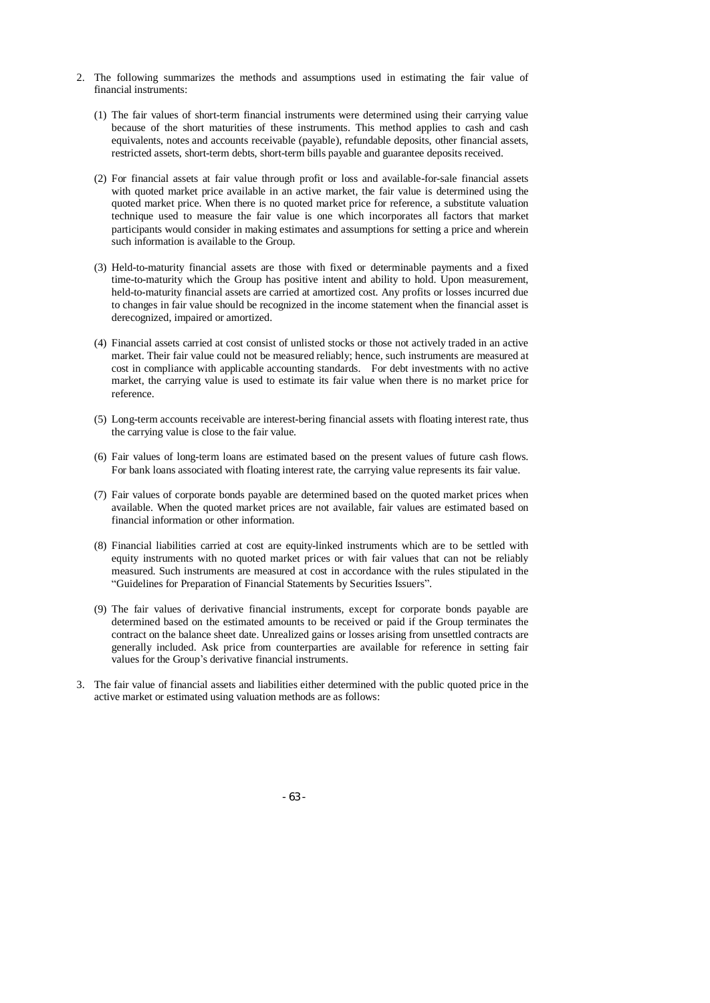- 2. The following summarizes the methods and assumptions used in estimating the fair value of financial instruments:
	- (1) The fair values of short-term financial instruments were determined using their carrying value because of the short maturities of these instruments. This method applies to cash and cash equivalents, notes and accounts receivable (payable), refundable deposits, other financial assets, restricted assets, short-term debts, short-term bills payable and guarantee deposits received.
	- (2) For financial assets at fair value through profit or loss and available-for-sale financial assets with quoted market price available in an active market, the fair value is determined using the quoted market price. When there is no quoted market price for reference, a substitute valuation technique used to measure the fair value is one which incorporates all factors that market participants would consider in making estimates and assumptions for setting a price and wherein such information is available to the Group.
	- (3) Held-to-maturity financial assets are those with fixed or determinable payments and a fixed time-to-maturity which the Group has positive intent and ability to hold. Upon measurement, held-to-maturity financial assets are carried at amortized cost. Any profits or losses incurred due to changes in fair value should be recognized in the income statement when the financial asset is derecognized, impaired or amortized.
	- (4) Financial assets carried at cost consist of unlisted stocks or those not actively traded in an active market. Their fair value could not be measured reliably; hence, such instruments are measured at cost in compliance with applicable accounting standards. For debt investments with no active market, the carrying value is used to estimate its fair value when there is no market price for reference.
	- (5) Long-term accounts receivable are interest-bering financial assets with floating interest rate, thus the carrying value is close to the fair value.
	- (6) Fair values of long-term loans are estimated based on the present values of future cash flows. For bank loans associated with floating interest rate, the carrying value represents its fair value.
	- (7) Fair values of corporate bonds payable are determined based on the quoted market prices when available. When the quoted market prices are not available, fair values are estimated based on financial information or other information.
	- (8) Financial liabilities carried at cost are equity-linked instruments which are to be settled with equity instruments with no quoted market prices or with fair values that can not be reliably measured. Such instruments are measured at cost in accordance with the rules stipulated in the "Guidelines for Preparation of Financial Statements by Securities Issuers".
	- (9) The fair values of derivative financial instruments, except for corporate bonds payable are determined based on the estimated amounts to be received or paid if the Group terminates the contract on the balance sheet date. Unrealized gains or losses arising from unsettled contracts are generally included. Ask price from counterparties are available for reference in setting fair values for the Group's derivative financial instruments.
- 3. The fair value of financial assets and liabilities either determined with the public quoted price in the active market or estimated using valuation methods are as follows:

- 63 -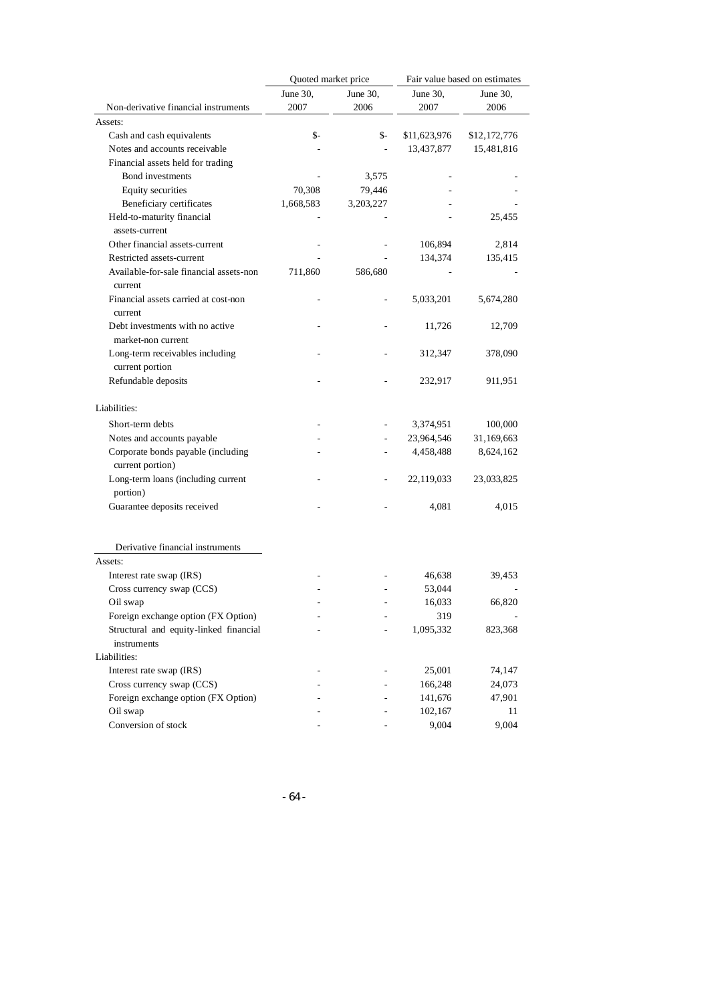|                                                        | Quoted market price |             | Fair value based on estimates |              |
|--------------------------------------------------------|---------------------|-------------|-------------------------------|--------------|
|                                                        | June 30,            | June $30$ , | June 30,                      | June 30,     |
| Non-derivative financial instruments                   | 2007                | 2006        | 2007                          | 2006         |
| Assets:                                                |                     |             |                               |              |
| Cash and cash equivalents                              | \$-                 | \$-         | \$11,623,976                  | \$12,172,776 |
| Notes and accounts receivable                          |                     |             | 13,437,877                    | 15,481,816   |
| Financial assets held for trading                      |                     |             |                               |              |
| Bond investments                                       |                     | 3,575       |                               |              |
| Equity securities                                      | 70,308              | 79,446      |                               |              |
| Beneficiary certificates                               | 1,668,583           | 3,203,227   |                               |              |
| Held-to-maturity financial                             |                     |             |                               | 25,455       |
| assets-current                                         |                     |             |                               |              |
| Other financial assets-current                         |                     |             | 106,894                       | 2,814        |
| Restricted assets-current                              |                     |             | 134,374                       | 135,415      |
| Available-for-sale financial assets-non<br>current     | 711,860             | 586,680     |                               |              |
| Financial assets carried at cost-non<br>current        |                     |             | 5,033,201                     | 5,674,280    |
| Debt investments with no active                        |                     |             | 11,726                        | 12,709       |
| market-non current                                     |                     |             |                               |              |
| Long-term receivables including                        |                     |             | 312,347                       | 378,090      |
| current portion                                        |                     |             |                               |              |
| Refundable deposits                                    |                     |             | 232,917                       | 911,951      |
| Liabilities:                                           |                     |             |                               |              |
| Short-term debts                                       |                     |             | 3,374,951                     | 100,000      |
| Notes and accounts payable                             |                     |             | 23,964,546                    | 31,169,663   |
| Corporate bonds payable (including<br>current portion) |                     |             | 4,458,488                     | 8,624,162    |
| Long-term loans (including current<br>portion)         |                     |             | 22,119,033                    | 23,033,825   |
| Guarantee deposits received                            |                     |             | 4,081                         | 4,015        |
| Derivative financial instruments                       |                     |             |                               |              |
| Assets:                                                |                     |             |                               |              |
| Interest rate swap (IRS)                               |                     |             | 46,638                        | 39,453       |
| Cross currency swap (CCS)                              |                     |             | 53,044                        |              |
| Oil swap                                               |                     |             | 16,033                        | 66,820       |
| Foreign exchange option (FX Option)                    |                     |             | 319                           |              |
| Structural and equity-linked financial                 |                     |             | 1,095,332                     | 823,368      |
| instruments                                            |                     |             |                               |              |
| Liabilities:                                           |                     |             |                               |              |
| Interest rate swap (IRS)                               |                     |             | 25,001                        | 74,147       |
| Cross currency swap (CCS)                              |                     |             | 166,248                       | 24,073       |
| Foreign exchange option (FX Option)                    |                     |             | 141,676                       | 47,901       |
| Oil swap                                               |                     |             | 102,167                       | 11           |
| Conversion of stock                                    |                     |             | 9,004                         | 9,004        |
|                                                        |                     |             |                               |              |

- 64 -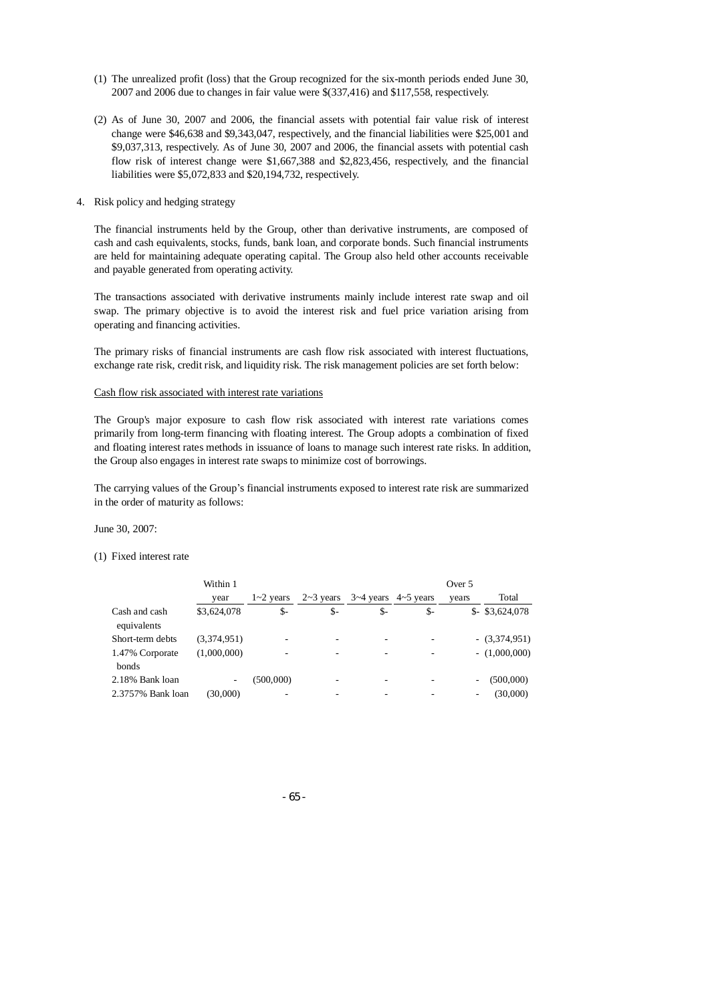- (1) The unrealized profit (loss) that the Group recognized for the six-month periods ended June 30, 2007 and 2006 due to changes in fair value were \$(337,416) and \$117,558, respectively.
- (2) As of June 30, 2007 and 2006, the financial assets with potential fair value risk of interest change were \$46,638 and \$9,343,047, respectively, and the financial liabilities were \$25,001 and \$9,037,313, respectively. As of June 30, 2007 and 2006, the financial assets with potential cash flow risk of interest change were \$1,667,388 and \$2,823,456, respectively, and the financial liabilities were \$5,072,833 and \$20,194,732, respectively.
- 4. Risk policy and hedging strategy

The financial instruments held by the Group, other than derivative instruments, are composed of cash and cash equivalents, stocks, funds, bank loan, and corporate bonds. Such financial instruments are held for maintaining adequate operating capital. The Group also held other accounts receivable and payable generated from operating activity.

The transactions associated with derivative instruments mainly include interest rate swap and oil swap. The primary objective is to avoid the interest risk and fuel price variation arising from operating and financing activities.

The primary risks of financial instruments are cash flow risk associated with interest fluctuations, exchange rate risk, credit risk, and liquidity risk. The risk management policies are set forth below:

#### Cash flow risk associated with interest rate variations

The Group's major exposure to cash flow risk associated with interest rate variations comes primarily from long-term financing with floating interest. The Group adopts a combination of fixed and floating interest rates methods in issuance of loans to manage such interest rate risks. In addition, the Group also engages in interest rate swaps to minimize cost of borrowings.

The carrying values of the Group's financial instruments exposed to interest rate risk are summarized in the order of maturity as follows:

June 30, 2007:

#### (1) Fixed interest rate

|                              | Within 1    |               |      |                                                    |     | Over 5 |                  |
|------------------------------|-------------|---------------|------|----------------------------------------------------|-----|--------|------------------|
|                              | year        | $1 - 2$ years |      | $2 \sim 3$ years $3 \sim 4$ years $4 \sim 5$ years |     | vears  | Total            |
| Cash and cash<br>equivalents | \$3,624,078 | \$-           | $S-$ | \$-                                                | \$- |        | $$-$ \$3,624,078 |
| Short-term debts             | (3,374,951) | -             | ۰    |                                                    |     |        | $-(3,374,951)$   |
| 1.47% Corporate<br>bonds     | (1,000,000) | ۰             | ۰    |                                                    |     |        | $- (1,000,000)$  |
| 2.18% Bank loan              | ۰           | (500,000)     | ۰    |                                                    |     | ۰      | (500,000)        |
| 2.3757% Bank loan            | (30,000)    | ۰             |      |                                                    |     | ۰      | (30,000)         |

- 65 -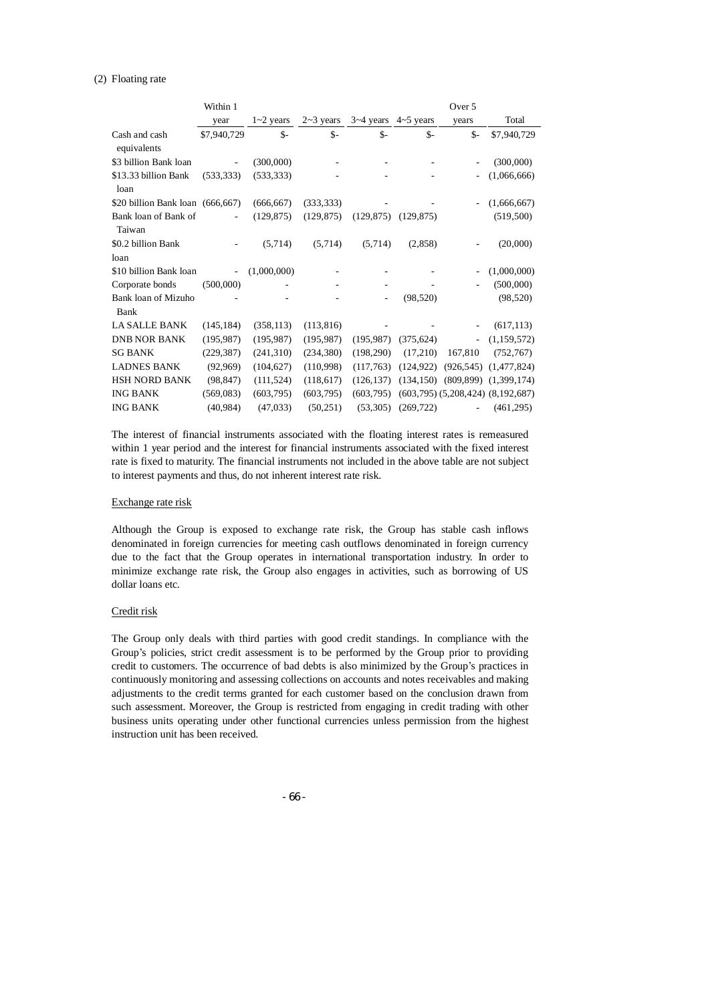#### (2) Floating rate

|                                  | Within 1                 |               |               |                          |            | Over 5                   |                                         |
|----------------------------------|--------------------------|---------------|---------------|--------------------------|------------|--------------------------|-----------------------------------------|
|                                  | year                     | $1 - 2$ years | $2 - 3$ years | $3-4$ years $4-5$ years  |            | years                    | Total                                   |
| Cash and cash<br>equivalents     | \$7,940,729              | $S-$          | $S-$          | $S-$                     | $S-$       | $S-$                     | \$7,940,729                             |
| \$3 billion Bank loan            |                          | (300,000)     |               |                          |            |                          | (300,000)                               |
| \$13.33 billion Bank<br>loan     | (533, 333)               | (533, 333)    |               |                          |            |                          | (1,066,666)                             |
| \$20 billion Bank loan (666,667) |                          | (666, 667)    | (333, 333)    |                          |            |                          | (1,666,667)                             |
| Bank loan of Bank of<br>Taiwan   |                          | (129, 875)    | (129, 875)    | $(129,875)$ $(129,875)$  |            |                          | (519,500)                               |
| \$0.2 billion Bank               |                          | (5,714)       | (5,714)       | (5,714)                  | (2,858)    |                          | (20,000)                                |
| loan                             |                          |               |               |                          |            |                          |                                         |
| \$10 billion Bank loan           | $\overline{\phantom{a}}$ | (1,000,000)   |               |                          |            |                          | (1,000,000)                             |
| Corporate bonds                  | (500,000)                |               |               |                          |            |                          | (500,000)                               |
| Bank loan of Mizuho<br>Bank      |                          |               |               | $\overline{\phantom{0}}$ | (98, 520)  |                          | (98, 520)                               |
| <b>LA SALLE BANK</b>             | (145, 184)               | (358, 113)    | (113, 816)    |                          |            |                          | (617, 113)                              |
| <b>DNB NOR BANK</b>              | (195, 987)               | (195, 987)    | (195, 987)    | (195, 987)               | (375, 624) | $\overline{\phantom{a}}$ | (1, 159, 572)                           |
| <b>SG BANK</b>                   | (229, 387)               | (241,310)     | (234, 380)    | (198,290)                | (17,210)   | 167,810                  | (752, 767)                              |
| <b>LADNES BANK</b>               | (92,969)                 | (104, 627)    | (110,998)     | (117,763)                | (124, 922) |                          | $(926,545)$ $(1,477,824)$               |
| <b>HSH NORD BANK</b>             | (98, 847)                | (111, 524)    | (118,617)     | (126, 137)               | (134, 150) |                          | $(809, 899)$ $(1, 399, 174)$            |
| <b>ING BANK</b>                  | (569, 083)               | (603, 795)    | (603, 795)    | (603.795)                |            |                          | $(603,795)$ $(5,208,424)$ $(8,192,687)$ |
| <b>ING BANK</b>                  | (40, 984)                | (47, 033)     | (50, 251)     | (53,305)                 | (269, 722) | $\mathbf{r}$             | (461, 295)                              |

The interest of financial instruments associated with the floating interest rates is remeasured within 1 year period and the interest for financial instruments associated with the fixed interest rate is fixed to maturity. The financial instruments not included in the above table are not subject to interest payments and thus, do not inherent interest rate risk.

#### Exchange rate risk

Although the Group is exposed to exchange rate risk, the Group has stable cash inflows denominated in foreign currencies for meeting cash outflows denominated in foreign currency due to the fact that the Group operates in international transportation industry. In order to minimize exchange rate risk, the Group also engages in activities, such as borrowing of US dollar loans etc.

### Credit risk

The Group only deals with third parties with good credit standings. In compliance with the Group's policies, strict credit assessment is to be performed by the Group prior to providing credit to customers. The occurrence of bad debts is also minimized by the Group's practices in continuously monitoring and assessing collections on accounts and notes receivables and making adjustments to the credit terms granted for each customer based on the conclusion drawn from such assessment. Moreover, the Group is restricted from engaging in credit trading with other business units operating under other functional currencies unless permission from the highest instruction unit has been received.

- 66 -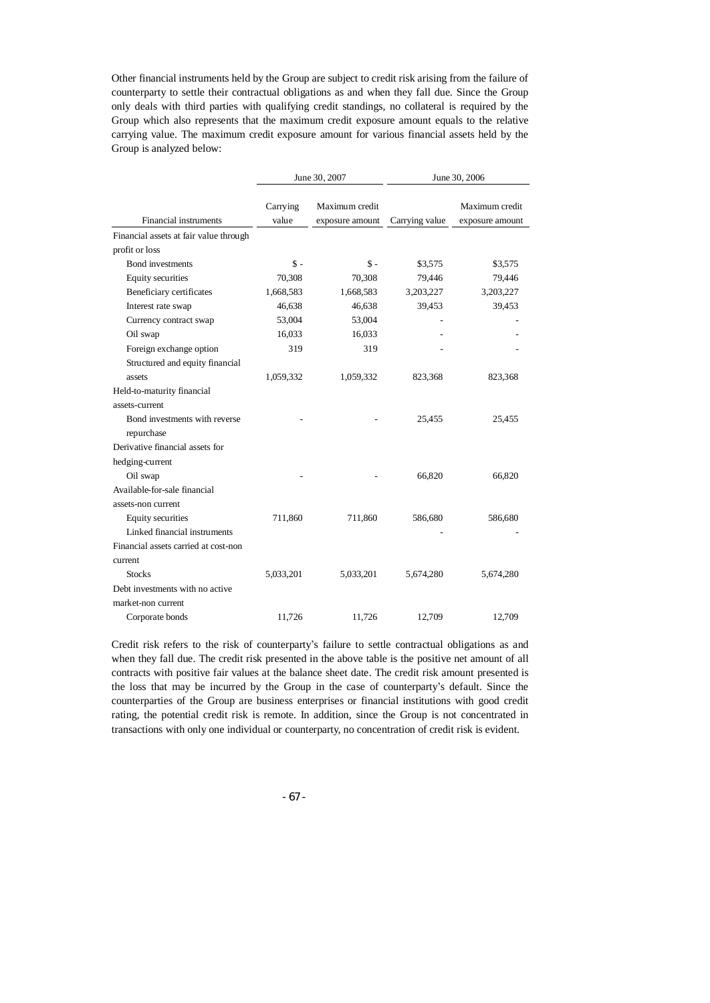Other financial instruments held by the Group are subject to credit risk arising from the failure of counterparty to settle their contractual obligations as and when they fall due. Since the Group only deals with third parties with qualifying credit standings, no collateral is required by the Group which also represents that the maximum credit exposure amount equals to the relative carrying value. The maximum credit exposure amount for various financial assets held by the Group is analyzed below:

|                                        |                   | June 30, 2007                     | June 30, 2006  |                                   |  |
|----------------------------------------|-------------------|-----------------------------------|----------------|-----------------------------------|--|
| <b>Financial instruments</b>           | Carrying<br>value | Maximum credit<br>exposure amount | Carrying value | Maximum credit<br>exposure amount |  |
| Financial assets at fair value through |                   |                                   |                |                                   |  |
| profit or loss                         |                   |                                   |                |                                   |  |
| <b>Bond</b> investments                | $\mathsf{\$}$ -   | $\mathbb{S}$ -                    | \$3,575        | \$3,575                           |  |
| Equity securities                      | 70,308            | 70,308                            | 79,446         | 79,446                            |  |
| Beneficiary certificates               | 1,668,583         | 1,668,583                         | 3,203,227      | 3,203,227                         |  |
| Interest rate swap                     | 46,638            | 46,638                            | 39,453         | 39,453                            |  |
| Currency contract swap                 | 53,004            | 53,004                            |                |                                   |  |
| Oil swap                               | 16,033            | 16,033                            |                |                                   |  |
| Foreign exchange option                | 319               | 319                               |                |                                   |  |
| Structured and equity financial        |                   |                                   |                |                                   |  |
| assets                                 | 1,059,332         | 1,059,332                         | 823,368        | 823,368                           |  |
| Held-to-maturity financial             |                   |                                   |                |                                   |  |
| assets-current                         |                   |                                   |                |                                   |  |
| Bond investments with reverse          |                   |                                   | 25,455         | 25,455                            |  |
| repurchase                             |                   |                                   |                |                                   |  |
| Derivative financial assets for        |                   |                                   |                |                                   |  |
| hedging-current                        |                   |                                   |                |                                   |  |
| Oil swap                               |                   |                                   | 66,820         | 66,820                            |  |
| Available-for-sale financial           |                   |                                   |                |                                   |  |
| assets-non current                     |                   |                                   |                |                                   |  |
| Equity securities                      | 711,860           | 711,860                           | 586,680        | 586,680                           |  |
| Linked financial instruments           |                   |                                   |                |                                   |  |
| Financial assets carried at cost-non   |                   |                                   |                |                                   |  |
| current                                |                   |                                   |                |                                   |  |
| <b>Stocks</b>                          | 5,033,201         | 5,033,201                         | 5,674,280      | 5,674,280                         |  |
| Debt investments with no active        |                   |                                   |                |                                   |  |
| market-non current                     |                   |                                   |                |                                   |  |
| Corporate bonds                        | 11.726            | 11.726                            | 12.709         | 12.709                            |  |

Credit risk refers to the risk of counterparty's failure to settle contractual obligations as and when they fall due. The credit risk presented in the above table is the positive net amount of all contracts with positive fair values at the balance sheet date. The credit risk amount presented is the loss that may be incurred by the Group in the case of counterparty's default. Since the counterparties of the Group are business enterprises or financial institutions with good credit rating, the potential credit risk is remote. In addition, since the Group is not concentrated in transactions with only one individual or counterparty, no concentration of credit risk is evident.

- 67 -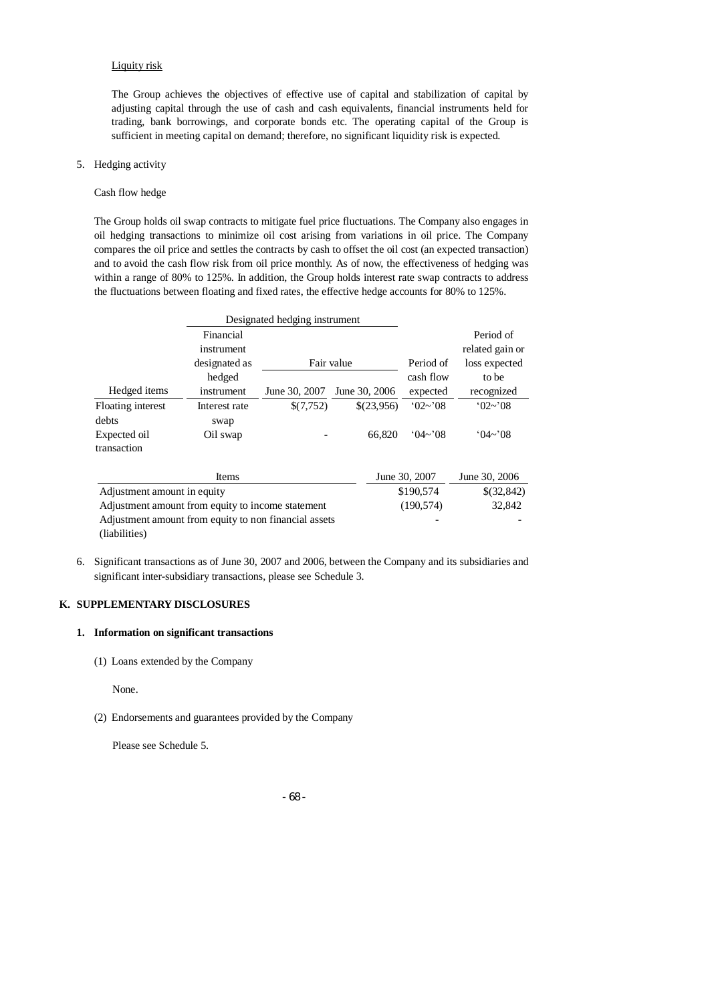#### Liquity risk

The Group achieves the objectives of effective use of capital and stabilization of capital by adjusting capital through the use of cash and cash equivalents, financial instruments held for trading, bank borrowings, and corporate bonds etc. The operating capital of the Group is sufficient in meeting capital on demand; therefore, no significant liquidity risk is expected.

# 5. Hedging activity

#### Cash flow hedge

The Group holds oil swap contracts to mitigate fuel price fluctuations. The Company also engages in oil hedging transactions to minimize oil cost arising from variations in oil price. The Company compares the oil price and settles the contracts by cash to offset the oil cost (an expected transaction) and to avoid the cash flow risk from oil price monthly. As of now, the effectiveness of hedging was within a range of 80% to 125%. In addition, the Group holds interest rate swap contracts to address the fluctuations between floating and fixed rates, the effective hedge accounts for 80% to 125%.

|                                                       |               | Designated hedging instrument |               |                     |                     |
|-------------------------------------------------------|---------------|-------------------------------|---------------|---------------------|---------------------|
|                                                       | Financial     |                               |               |                     | Period of           |
|                                                       | instrument    |                               |               |                     | related gain or     |
|                                                       | designated as |                               | Fair value    | Period of           | loss expected       |
|                                                       | hedged        |                               |               | cash flow           | to be               |
| Hedged items                                          | instrument    | June 30, 2007                 | June 30, 2006 | expected            | recognized          |
| Floating interest                                     | Interest rate | \$(7,752)                     | \$(23,956)    | $^{\circ}02\sim$ 08 | $^{\circ}02\sim$ 08 |
| debts                                                 | swap          |                               |               |                     |                     |
| Expected oil                                          | Oil swap      |                               | 66,820        | $(04\sim)08$        | $(04\sim)08$        |
| transaction                                           |               |                               |               |                     |                     |
|                                                       | Items         |                               |               | June 30, 2007       | June 30, 2006       |
| Adjustment amount in equity                           |               |                               |               | \$190,574           | \$(32,842)          |
| Adjustment amount from equity to income statement     |               |                               |               | (190, 574)          | 32,842              |
| Adjustment amount from equity to non financial assets |               |                               |               |                     |                     |
| (liabilities)                                         |               |                               |               |                     |                     |

6. Significant transactions as of June 30, 2007 and 2006, between the Company and its subsidiaries and significant inter-subsidiary transactions, please see Schedule 3.

## **K. SUPPLEMENTARY DISCLOSURES**

#### **1. Information on significant transactions**

(1) Loans extended by the Company

None.

(2) Endorsements and guarantees provided by the Company

Please see Schedule 5.

#### - 68 -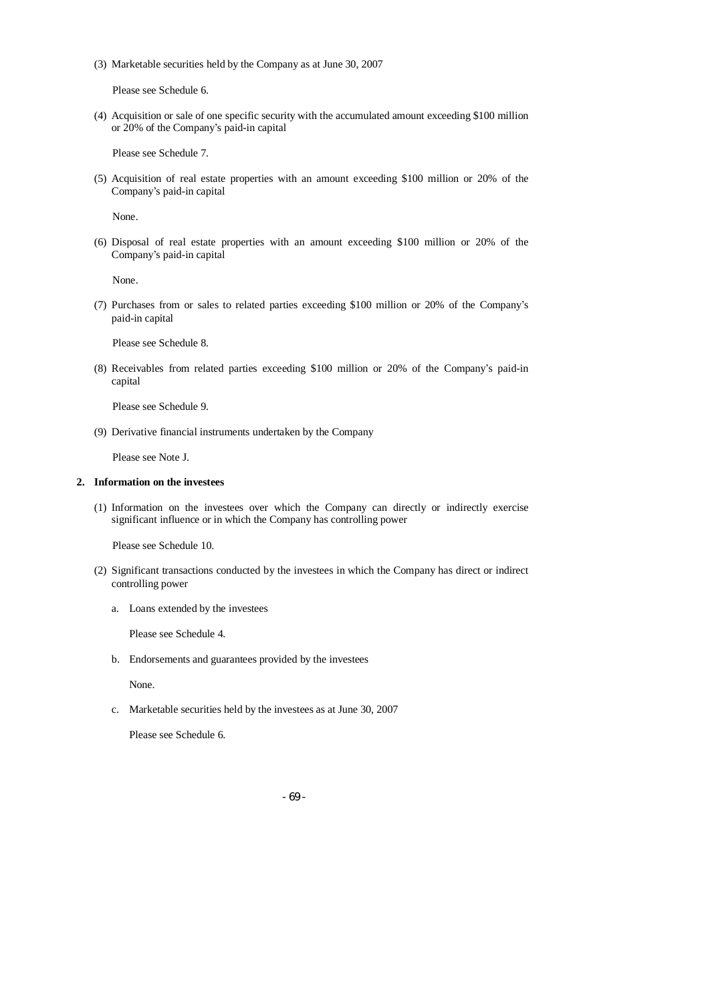(3) Marketable securities held by the Company as at June 30, 2007

Please see Schedule 6.

(4) Acquisition or sale of one specific security with the accumulated amount exceeding \$100 million or 20% of the Company's paid-in capital

Please see Schedule 7.

(5) Acquisition of real estate properties with an amount exceeding \$100 million or 20% of the Company's paid-in capital

None.

(6) Disposal of real estate properties with an amount exceeding \$100 million or 20% of the Company's paid-in capital

None.

(7) Purchases from or sales to related parties exceeding \$100 million or 20% of the Company's paid-in capital

Please see Schedule 8.

(8) Receivables from related parties exceeding \$100 million or 20% of the Company's paid-in capital

Please see Schedule 9.

(9) Derivative financial instruments undertaken by the Company

Please see Note J.

# **2. Information on the investees**

(1) Information on the investees over which the Company can directly or indirectly exercise significant influence or in which the Company has controlling power

Please see Schedule 10.

- (2) Significant transactions conducted by the investees in which the Company has direct or indirect controlling power
	- a. Loans extended by the investees

Please see Schedule 4.

b. Endorsements and guarantees provided by the investees

None.

c. Marketable securities held by the investees as at June 30, 2007

Please see Schedule 6.

- 69 -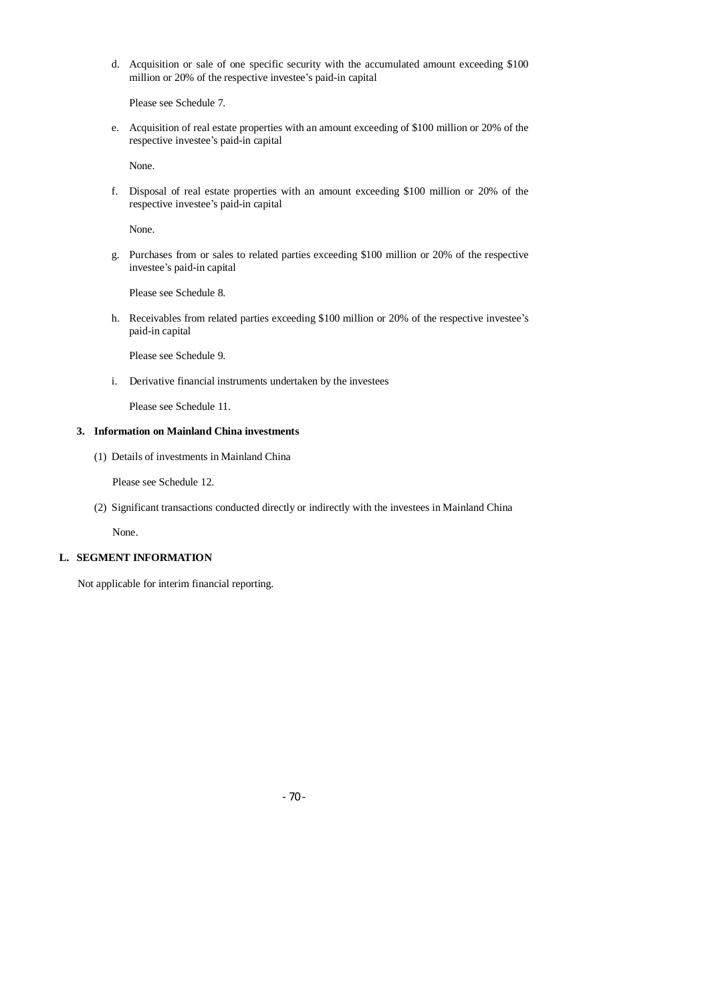d. Acquisition or sale of one specific security with the accumulated amount exceeding \$100 million or 20% of the respective investee's paid-in capital

Please see Schedule 7.

e. Acquisition of real estate properties with an amount exceeding of \$100 million or 20% of the respective investee's paid-in capital

None.

f. Disposal of real estate properties with an amount exceeding \$100 million or 20% of the respective investee's paid-in capital

None.

g. Purchases from or sales to related parties exceeding \$100 million or 20% of the respective investee's paid-in capital

Please see Schedule 8.

h. Receivables from related parties exceeding \$100 million or 20% of the respective investee's paid-in capital

Please see Schedule 9.

i. Derivative financial instruments undertaken by the investees

Please see Schedule 11.

# **3. Information on Mainland China investments**

(1) Details of investments in Mainland China

Please see Schedule 12.

(2) Significant transactions conducted directly or indirectly with the investees in Mainland China

None.

#### **L. SEGMENT INFORMATION**

Not applicable for interim financial reporting.

- 70 -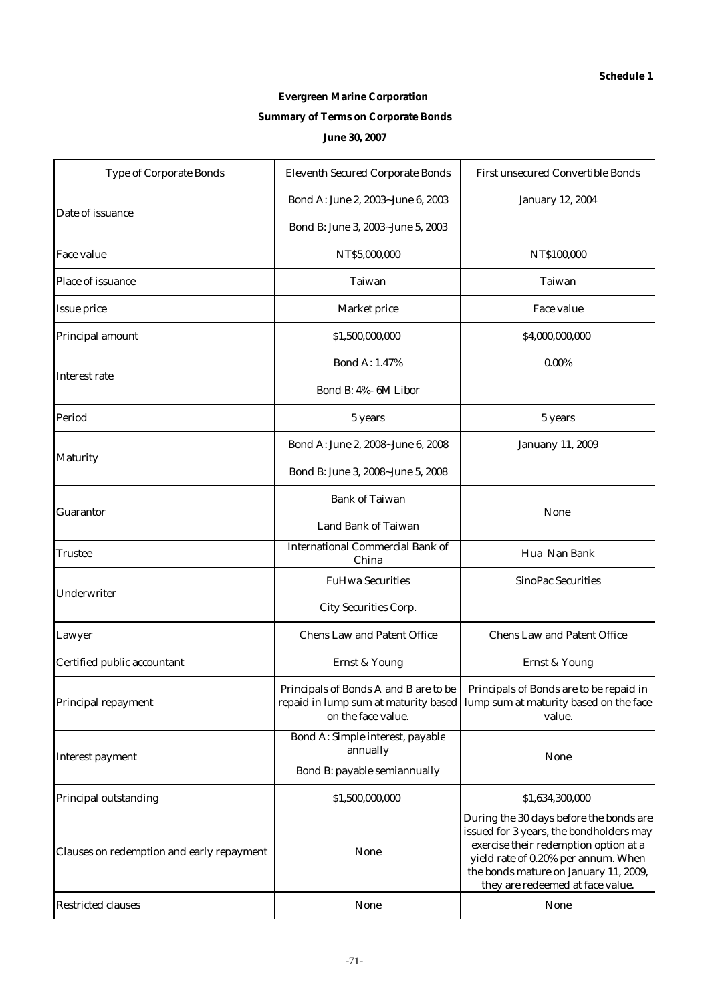# **Evergreen Marine Corporation Summary of Terms on Corporate Bonds June 30, 2007**

| <b>Type of Corporate Bonds</b>            | <b>Eleventh Secured Corporate Bonds</b>                     | <b>First unsecured Convertible Bonds</b>                                                                                                                                                                                                        |  |
|-------------------------------------------|-------------------------------------------------------------|-------------------------------------------------------------------------------------------------------------------------------------------------------------------------------------------------------------------------------------------------|--|
|                                           | Bond A: June 2, 2003~June 6, 2003                           | <b>January 12, 2004</b>                                                                                                                                                                                                                         |  |
| Date of issuance                          | Bond B: June 3, 2003~June 5, 2003                           |                                                                                                                                                                                                                                                 |  |
| <b>Face value</b>                         | NT\$5,000,000                                               | NT\$100,000                                                                                                                                                                                                                                     |  |
| Place of issuance                         | <b>Taiwan</b>                                               | <b>Taiwan</b>                                                                                                                                                                                                                                   |  |
| <b>Issue price</b>                        | <b>Market price</b>                                         | <b>Face value</b>                                                                                                                                                                                                                               |  |
| Principal amount                          | \$1,500,000,000                                             | \$4,000,000,000                                                                                                                                                                                                                                 |  |
|                                           | <b>Bond A: 1.47%</b>                                        | $0.00\%$                                                                                                                                                                                                                                        |  |
| <b>Interest rate</b>                      | Bond B: 4%- 6M Libor                                        |                                                                                                                                                                                                                                                 |  |
| Period                                    | 5 years                                                     | 5 years                                                                                                                                                                                                                                         |  |
|                                           | Bond A: June 2, 2008~June 6, 2008                           | <b>Januany 11, 2009</b>                                                                                                                                                                                                                         |  |
| <b>Maturity</b>                           | Bond B: June 3, 2008~June 5, 2008                           |                                                                                                                                                                                                                                                 |  |
|                                           | <b>Bank of Taiwan</b>                                       |                                                                                                                                                                                                                                                 |  |
| <b>Guarantor</b>                          | <b>Land Bank of Taiwan</b>                                  | <b>None</b>                                                                                                                                                                                                                                     |  |
| Trustee                                   | <b>International Commercial Bank of</b><br>China            | Hua Nan Bank                                                                                                                                                                                                                                    |  |
| Underwriter                               | <b>FuHwa Securities</b>                                     | <b>SinoPac Securities</b>                                                                                                                                                                                                                       |  |
|                                           | <b>City Securities Corp.</b>                                |                                                                                                                                                                                                                                                 |  |
| Lawyer                                    | <b>Chens Law and Patent Office</b>                          | <b>Chens Law and Patent Office</b>                                                                                                                                                                                                              |  |
| Certified public accountant               | <b>Ernst &amp; Young</b>                                    | <b>Ernst &amp; Young</b>                                                                                                                                                                                                                        |  |
| Principal repayment                       | Principals of Bonds A and B are to be<br>on the face value. | Principals of Bonds are to be repaid in<br>repaid in lump sum at maturity based   lump sum at maturity based on the face<br>value.                                                                                                              |  |
|                                           | Bond A: Simple interest, payable<br>annually                |                                                                                                                                                                                                                                                 |  |
| <b>Interest payment</b>                   | Bond B: payable semiannually                                | <b>None</b>                                                                                                                                                                                                                                     |  |
| Principal outstanding                     | \$1,500,000,000                                             | \$1,634,300,000                                                                                                                                                                                                                                 |  |
| Clauses on redemption and early repayment | <b>None</b>                                                 | During the 30 days before the bonds are<br>issued for 3 years, the bondholders may<br>exercise their redemption option at a<br>yield rate of 0.20% per annum. When<br>the bonds mature on January 11, 2009,<br>they are redeemed at face value. |  |
| <b>Restricted clauses</b>                 | <b>None</b>                                                 | <b>None</b>                                                                                                                                                                                                                                     |  |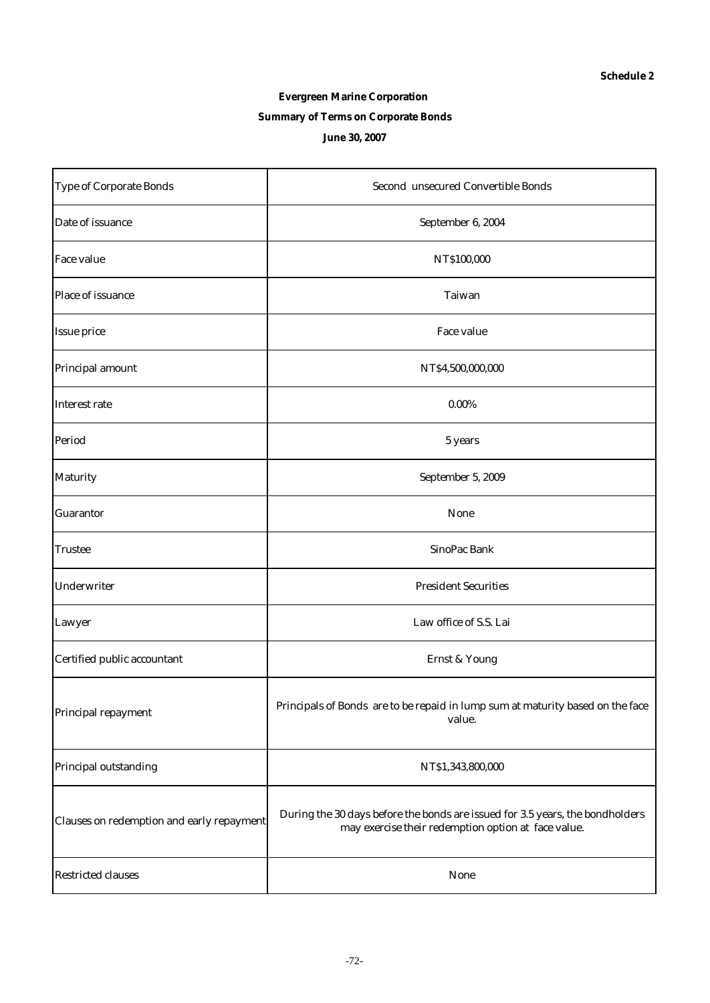# **Evergreen Marine Corporation Summary of Terms on Corporate Bonds June 30, 2007**

| <b>Type of Corporate Bonds</b>            | <b>Second unsecured Convertible Bonds</b>                                                                                            |  |  |  |
|-------------------------------------------|--------------------------------------------------------------------------------------------------------------------------------------|--|--|--|
| Date of issuance                          | September 6, 2004                                                                                                                    |  |  |  |
| <b>Face value</b>                         | NT\$100,000                                                                                                                          |  |  |  |
| Place of issuance                         | Taiwan                                                                                                                               |  |  |  |
| <b>Issue price</b>                        | Face value                                                                                                                           |  |  |  |
| Principal amount                          | NT\$4,500,000,000                                                                                                                    |  |  |  |
| Interest rate                             | $0.00\%$                                                                                                                             |  |  |  |
| Period                                    | 5 years                                                                                                                              |  |  |  |
| <b>Maturity</b>                           | September 5, 2009                                                                                                                    |  |  |  |
| <b>Guarantor</b>                          | None                                                                                                                                 |  |  |  |
| <b>Trustee</b>                            | SinoPac Bank                                                                                                                         |  |  |  |
| Underwriter                               | <b>President Securities</b>                                                                                                          |  |  |  |
| Lawyer                                    | Law office of S.S. Lai                                                                                                               |  |  |  |
| Certified public accountant               | <b>Ernst &amp; Young</b>                                                                                                             |  |  |  |
| Principal repayment                       | Principals of Bonds are to be repaid in lump sum at maturity based on the face<br>value.                                             |  |  |  |
| Principal outstanding                     | NT\$1,343,800,000                                                                                                                    |  |  |  |
| Clauses on redemption and early repayment | During the 30 days before the bonds are issued for 3.5 years, the bondholders<br>may exercise their redemption option at face value. |  |  |  |
| <b>Restricted clauses</b>                 | <b>None</b>                                                                                                                          |  |  |  |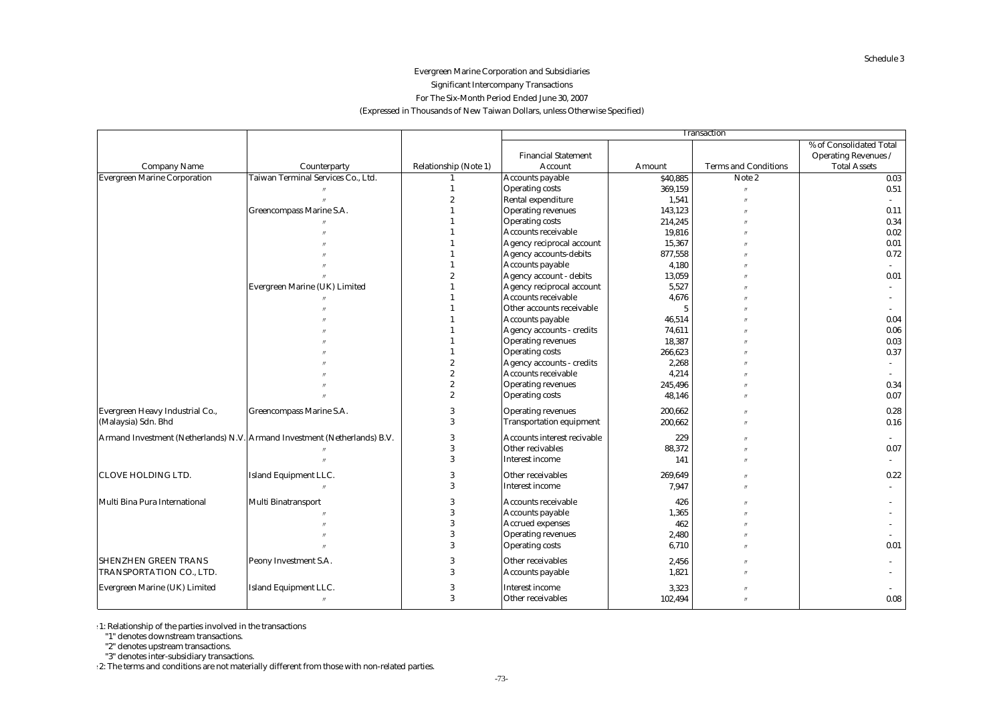# (Expressed in Thousands of New Taiwan Dollars, unless Otherwise Specified) Evergreen Marine Corporation and Subsidiaries Significant Intercompany Transactions For The Six-Month Period Ended June 30, 2007

|                                     |                                                                           |                              | <b>Transaction</b>                 |                 |                             |                             |  |  |  |
|-------------------------------------|---------------------------------------------------------------------------|------------------------------|------------------------------------|-----------------|-----------------------------|-----------------------------|--|--|--|
|                                     |                                                                           |                              |                                    |                 |                             | % of Consolidated Total     |  |  |  |
|                                     |                                                                           |                              | <b>Financial Statement</b>         |                 |                             | <b>Operating Revenues /</b> |  |  |  |
| <b>Company Name</b>                 | Counterparty                                                              | <b>Relationship (Note 1)</b> | Account                            | Amount          | <b>Terms and Conditions</b> | <b>Total Assets</b>         |  |  |  |
| <b>Evergreen Marine Corporation</b> | Taiwan Terminal Services Co., Ltd.                                        |                              | <b>Accounts payable</b>            | \$40,885        | Note 2                      | 0.03                        |  |  |  |
|                                     |                                                                           |                              | <b>Operating costs</b>             | 369,159         |                             | 0.51                        |  |  |  |
|                                     |                                                                           | $\overline{2}$               | <b>Rental expenditure</b>          | 1,541           |                             |                             |  |  |  |
|                                     | Greencompass Marine S.A.                                                  |                              | <b>Operating revenues</b>          | 143,123         |                             | 0.11                        |  |  |  |
|                                     |                                                                           |                              | <b>Operating costs</b>             | 214,245         |                             | 0.34                        |  |  |  |
|                                     |                                                                           |                              | Accounts receivable                | 19,816          | $\prime$                    | 0.02                        |  |  |  |
|                                     |                                                                           |                              | Agency reciprocal account          | 15,367          |                             | 0.01                        |  |  |  |
|                                     |                                                                           |                              | <b>Agency accounts-debits</b>      | 877,558         |                             | 0.72                        |  |  |  |
|                                     |                                                                           |                              | <b>Accounts payable</b>            | 4,180           |                             |                             |  |  |  |
|                                     |                                                                           |                              | Agency account - debits            | 13,059          |                             | 0.01                        |  |  |  |
|                                     | Evergreen Marine (UK) Limited                                             |                              | Agency reciprocal account          | 5,527           |                             |                             |  |  |  |
|                                     |                                                                           |                              | <b>Accounts receivable</b>         | 4,676           |                             |                             |  |  |  |
|                                     |                                                                           |                              | Other accounts receivable          | $5\phantom{.0}$ |                             |                             |  |  |  |
|                                     |                                                                           |                              | <b>Accounts payable</b>            | 46,514          |                             | 0.04                        |  |  |  |
|                                     |                                                                           |                              | <b>Agency accounts - credits</b>   | 74,611          |                             | 0.06                        |  |  |  |
|                                     |                                                                           |                              | <b>Operating revenues</b>          | 18,387          |                             | 0.03                        |  |  |  |
|                                     |                                                                           |                              | <b>Operating costs</b>             | 266,623         |                             | 0.37                        |  |  |  |
|                                     |                                                                           | $\overline{2}$               | <b>Agency accounts - credits</b>   | 2,268           |                             | $\overline{\phantom{a}}$    |  |  |  |
|                                     |                                                                           | $\overline{\mathbf{2}}$      | Accounts receivable                | 4,214           |                             |                             |  |  |  |
|                                     |                                                                           | $\overline{2}$               | <b>Operating revenues</b>          | 245,496         |                             | 0.34                        |  |  |  |
|                                     |                                                                           | $\overline{\mathbf{2}}$      | <b>Operating costs</b>             | 48,146          |                             | 0.07                        |  |  |  |
| Evergreen Heavy Industrial Co.,     | Greencompass Marine S.A.                                                  | 3                            | <b>Operating revenues</b>          | 200,662         |                             | 0.28                        |  |  |  |
| (Malaysia) Sdn. Bhd                 |                                                                           | 3                            | <b>Transportation equipment</b>    | 200,662         |                             | 0.16                        |  |  |  |
|                                     | Armand Investment (Netherlands) N.V. Armand Investment (Netherlands) B.V. | 3                            | <b>Accounts interest recivable</b> | 229             |                             |                             |  |  |  |
|                                     |                                                                           | 3                            | Other recivables                   | 88,372          |                             | 0.07                        |  |  |  |
|                                     |                                                                           | 3                            | <b>Interest income</b>             | 141             | $\prime$                    |                             |  |  |  |
| CLOVE HOLDING LTD.                  | Island Equipment LLC.                                                     | 3                            | Other receivables                  | 269,649         |                             | 0.22                        |  |  |  |
|                                     | $^{\prime\prime}$                                                         |                              | <b>Interest income</b>             | 7.947           | $^{\prime}$                 |                             |  |  |  |
| Multi Bina Pura International       | <b>Multi Binatransport</b>                                                | 3                            | <b>Accounts receivable</b>         | 426             |                             |                             |  |  |  |
|                                     |                                                                           |                              | <b>Accounts payable</b>            | 1,365           |                             |                             |  |  |  |
|                                     |                                                                           | 3                            | <b>Accrued expenses</b>            | 462             |                             |                             |  |  |  |
|                                     |                                                                           |                              | <b>Operating revenues</b>          | 2,480           |                             |                             |  |  |  |
|                                     |                                                                           | 3                            | <b>Operating costs</b>             | 6,710           |                             | 0.01                        |  |  |  |
| <b>SHENZHEN GREEN TRANS</b>         | Peony Investment S.A.                                                     |                              | Other receivables                  | 2,456           |                             |                             |  |  |  |
| TRANSPORTATION CO., LTD.            |                                                                           | 3                            | <b>Accounts payable</b>            | 1,821           |                             |                             |  |  |  |
| Evergreen Marine (UK) Limited       | <b>Island Equipment LLC.</b>                                              | 3                            | <b>Interest income</b>             | 3,323           |                             |                             |  |  |  |
|                                     | $^{\prime\prime}$                                                         | 3                            | Other receivables                  | 102,494         | $\overline{u}$              | 0.08                        |  |  |  |
|                                     |                                                                           |                              |                                    |                 |                             |                             |  |  |  |

 $\cdot$  1: Relationship of the parties involved in the transactions

"1" denotes downstream transactions.

"2" denotes upstream transactions.

"3" denotes inter-subsidiary transactions.

2: The terms and conditions are not materially different from those with non-related parties.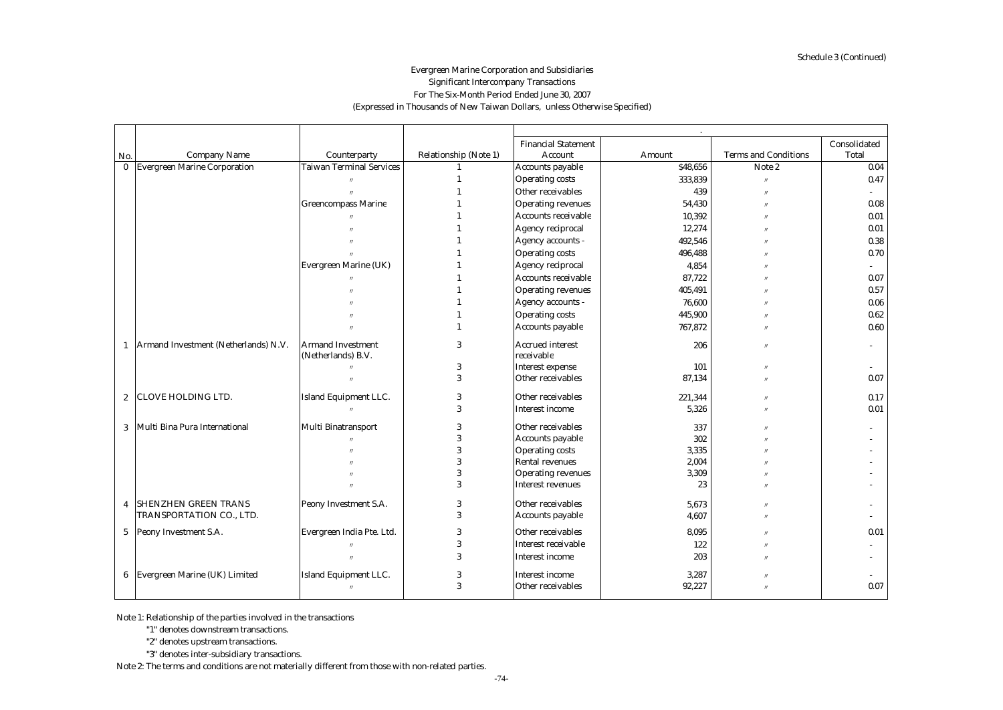# Evergreen Marine Corporation and Subsidiaries Significant Intercompany Transactions For The Six-Month Period Ended June 30, 2007 (Expressed in Thousands of New Taiwan Dollars, unless Otherwise Specified)

|              |                                        |                                 |                       | <b>Financial Statement</b> |          |                             | Consolidated |
|--------------|----------------------------------------|---------------------------------|-----------------------|----------------------------|----------|-----------------------------|--------------|
| No.          | <b>Company Name</b>                    | Counterparty                    | Relationship (Note 1) | <b>Account</b>             | Amount   | <b>Terms and Conditions</b> | <b>Total</b> |
| $\mathbf{0}$ | <b>Evergreen Marine Corporation</b>    | <b>Taiwan Terminal Services</b> |                       | Accounts payable           | \$48,656 | Note 2                      | 0.04         |
|              |                                        |                                 |                       | <b>Operating costs</b>     | 333,839  |                             | 0.47         |
|              |                                        |                                 |                       | Other receivables          | 439      |                             |              |
|              |                                        | <b>Greencompass Marine</b>      |                       | <b>Operating revenues</b>  | 54,430   |                             | 0.08         |
|              |                                        |                                 |                       | <b>Accounts receivable</b> | 10,392   |                             | 0.01         |
|              |                                        |                                 |                       | <b>Agency reciprocal</b>   | 12,274   |                             | 0.01         |
|              |                                        |                                 |                       | Agency accounts -          | 492,546  |                             | 0.38         |
|              |                                        |                                 |                       | <b>Operating costs</b>     | 496,488  |                             | 0.70         |
|              |                                        | <b>Evergreen Marine (UK)</b>    |                       | <b>Agency reciprocal</b>   | 4,854    |                             |              |
|              |                                        |                                 |                       | <b>Accounts receivable</b> | 87.722   |                             | 0.07         |
|              |                                        |                                 |                       | <b>Operating revenues</b>  | 405,491  |                             | 0.57         |
|              |                                        |                                 |                       | Agency accounts -          | 76,600   |                             | 0.06         |
|              |                                        |                                 |                       | <b>Operating costs</b>     | 445,900  |                             | 0.62         |
|              |                                        |                                 |                       | <b>Accounts payable</b>    | 767,872  |                             | 0.60         |
|              | 1 Armand Investment (Netherlands) N.V. | <b>Armand Investment</b>        | 3                     | <b>Accrued interest</b>    | 206      |                             |              |
|              |                                        | (Netherlands) B.V.              |                       | receivable                 |          |                             |              |
|              |                                        |                                 | 3                     | <b>Interest expense</b>    | 101      |                             |              |
|              |                                        |                                 | 3                     | Other receivables          | 87,134   |                             | 0.07         |
|              |                                        |                                 |                       |                            |          |                             |              |
|              | 2 CLOVE HOLDING LTD.                   | Island Equipment LLC.           | 3                     | Other receivables          | 221,344  |                             | 0.17         |
|              |                                        |                                 | 3                     | <b>Interest income</b>     | 5,326    |                             | 0.01         |
|              | 3   Multi Bina Pura International      | <b>Multi Binatransport</b>      | 3                     | Other receivables          | 337      |                             |              |
|              |                                        |                                 | 3                     | <b>Accounts payable</b>    | 302      |                             |              |
|              |                                        |                                 | 3                     | <b>Operating costs</b>     | 3,335    |                             |              |
|              |                                        |                                 | 3                     | <b>Rental revenues</b>     | 2,004    |                             |              |
|              |                                        |                                 | 3                     | <b>Operating revenues</b>  | 3,309    |                             |              |
|              |                                        |                                 | 3                     | <b>Interest revenues</b>   | 23       |                             |              |
| 4            | <b>SHENZHEN GREEN TRANS</b>            | Peony Investment S.A.           | 3                     | Other receivables          | 5,673    |                             |              |
|              | TRANSPORTATION CO., LTD.               |                                 | 3                     | <b>Accounts payable</b>    | 4,607    |                             |              |
|              |                                        |                                 |                       |                            |          |                             |              |
|              | 5 Peony Investment S.A.                | Evergreen India Pte. Ltd.       | 3                     | Other receivables          | 8,095    |                             | 0.01         |
|              |                                        |                                 | 3                     | Interest receivable        | 122      |                             |              |
|              |                                        |                                 | 3                     | Interest income            | 203      |                             |              |
|              | 6 Evergreen Marine (UK) Limited        | <b>Island Equipment LLC.</b>    | 3                     | <b>Interest income</b>     | 3,287    |                             |              |
|              |                                        |                                 | 3                     | Other receivables          | 92,227   |                             | 0.07         |
|              |                                        |                                 |                       |                            |          |                             |              |

Note 1: Relationship of the parties involved in the transactions

"1" denotes downstream transactions.

"2" denotes upstream transactions.

"3" denotes inter-subsidiary transactions.

Note 2: The terms and conditions are not materially different from those with non-related parties.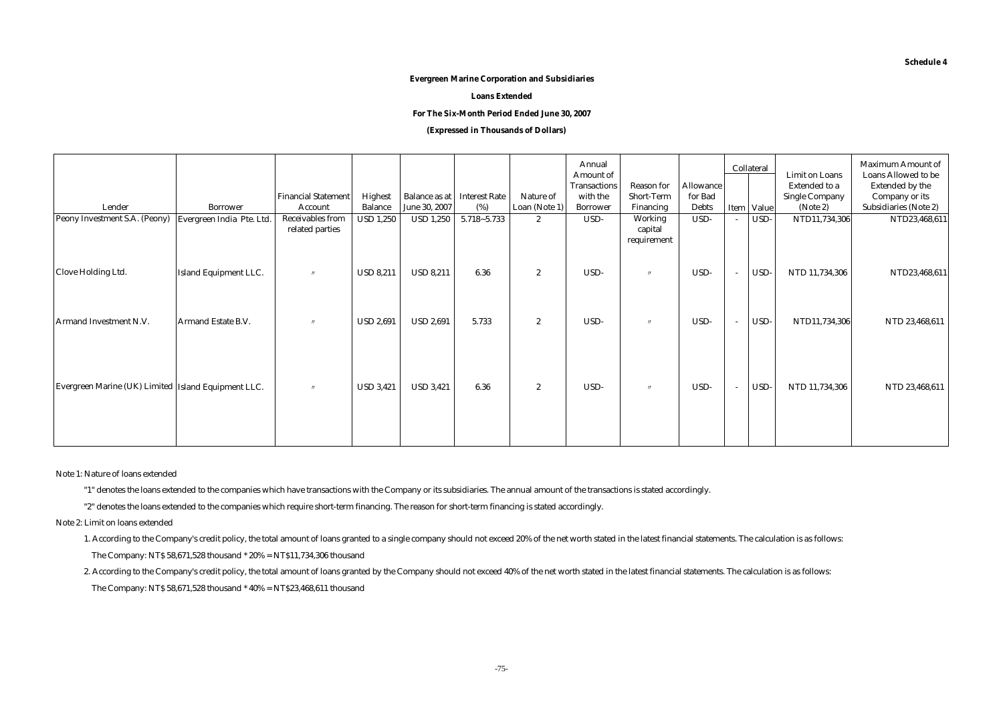#### **Evergreen Marine Corporation and Subsidiaries**

**Loans Extended**

#### **For The Six-Month Period Ended June 30, 2007**

### **(Expressed in Thousands of Dollars)**

| Lender<br>Peony Investment S.A. (Peony)               | <b>Borrower</b><br>Evergreen India Pte. Ltd. | <b>Financial Statement</b><br>Account<br><b>Receivables from</b> | Highest<br><b>Balance</b><br><b>USD 1,250</b> | June 30, 2007<br><b>USD 1,250</b> | <b>Balance as at Interest Rate</b><br>(%)<br>$5.718 - 5.733$ | Nature of<br>Loan (Note 1)<br>$\boldsymbol{2}$ | Annual<br>Amount of<br><b>Transactions</b><br>with the<br><b>Borrower</b><br>USD- | <b>Reason for</b><br><b>Short-Term</b><br>Financing<br>Working | <b>Allowance</b><br>for Bad<br><b>Debts</b><br>USD- | Collateral<br>Item Value<br>USD- | <b>Limit on Loans</b><br><b>Extended to a</b><br><b>Single Company</b><br>(Note 2)<br>NTD11,734,306 | <b>Maximum Amount of</b><br><b>Loans Allowed to be</b><br><b>Extended by the</b><br>Company or its<br>Subsidiaries (Note 2)<br>NTD23,468,611 |
|-------------------------------------------------------|----------------------------------------------|------------------------------------------------------------------|-----------------------------------------------|-----------------------------------|--------------------------------------------------------------|------------------------------------------------|-----------------------------------------------------------------------------------|----------------------------------------------------------------|-----------------------------------------------------|----------------------------------|-----------------------------------------------------------------------------------------------------|----------------------------------------------------------------------------------------------------------------------------------------------|
|                                                       |                                              | related parties                                                  |                                               |                                   |                                                              |                                                |                                                                                   | capital<br>requirement                                         |                                                     |                                  |                                                                                                     |                                                                                                                                              |
| <b>Clove Holding Ltd.</b>                             | <b>Island Equipment LLC.</b>                 | $^{\prime\prime}$                                                | <b>USD 8,211</b>                              | <b>USD 8,211</b>                  | 6.36                                                         | $\boldsymbol{2}$                               | USD-                                                                              | $\prime$                                                       | USD-                                                | USD-                             | NTD 11,734,306                                                                                      | NTD23,468,611                                                                                                                                |
| Armand Investment N.V.                                | <b>Armand Estate B.V.</b>                    | $^{\prime\prime}$                                                | <b>USD 2,691</b>                              | <b>USD 2,691</b>                  | 5.733                                                        | $\boldsymbol{2}$                               | USD-                                                                              | $^{\prime\prime}$                                              | USD-                                                | USD-                             | NTD11,734,306                                                                                       | NTD 23.468.611                                                                                                                               |
| Evergreen Marine (UK) Limited   Island Equipment LLC. |                                              | $^{\prime\prime}$                                                | <b>USD 3,421</b>                              | <b>USD 3,421</b>                  | 6.36                                                         | $\boldsymbol{2}$                               | USD-                                                                              | $^{\prime\prime}$                                              | USD-                                                | USD-                             | NTD 11,734,306                                                                                      | NTD 23,468,611                                                                                                                               |
|                                                       |                                              |                                                                  |                                               |                                   |                                                              |                                                |                                                                                   |                                                                |                                                     |                                  |                                                                                                     |                                                                                                                                              |

Note 1: Nature of loans extended

"1" denotes the loans extended to the companies which have transactions with the Company or its subsidiaries. The annual amount of the transactions is stated accordingly.

"2" denotes the loans extended to the companies which require short-term financing. The reason for short-term financing is stated accordingly.

Note 2: Limit on loans extended

1. According to the Company's credit policy, the total amount of loans granted to a single company should not exceed 20% of the net worth stated in the latest financial statements. The calculation is as follows:

The Company: NT\$ 58,671,528 thousand \* 20% = NT\$11,734,306 thousand

2. According to the Company's credit policy, the total amount of loans granted by the Company should not exceed 40% of the net worth stated in the latest financial statements. The calculation is as follows:

The Company: NT\$ 58,671,528 thousand \* 40% = NT\$23,468,611 thousand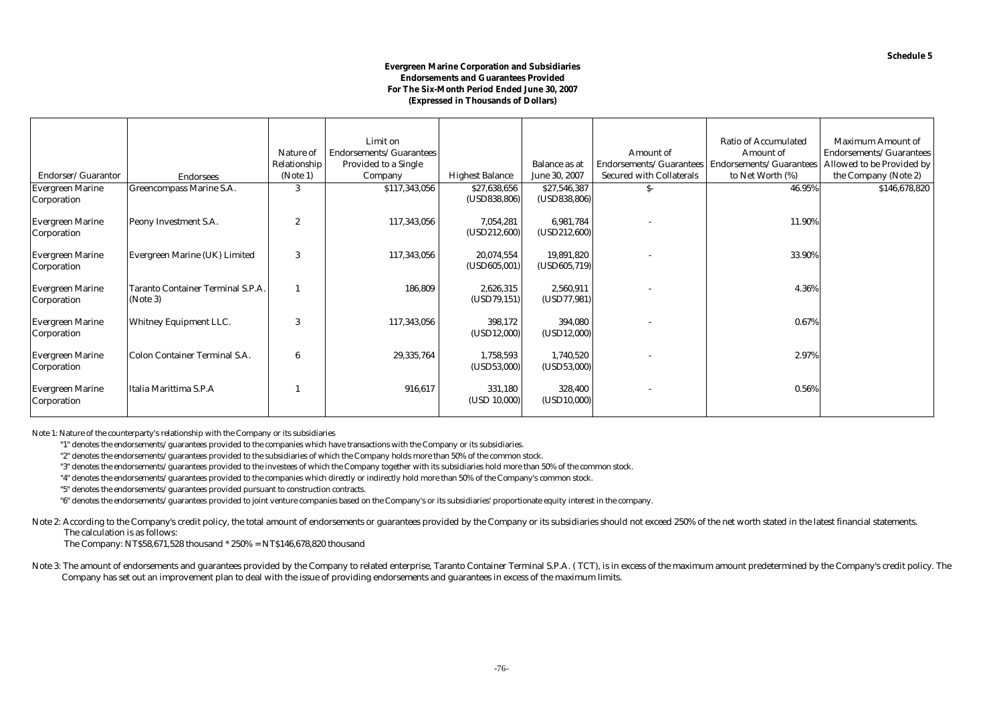## **Evergreen Marine Corporation and Subsidiaries Endorsements and Guarantees Provided For The Six-Month Period Ended June 30, 2007 (Expressed in Thousands of Dollars)**

|                         |                                   |                | Limit on                    |                        |                      |                                 | <b>Ratio of Accumulated</b>    | <b>Maximum Amount of</b>  |
|-------------------------|-----------------------------------|----------------|-----------------------------|------------------------|----------------------|---------------------------------|--------------------------------|---------------------------|
|                         |                                   | Nature of      | Endorsements/Guarantees     |                        |                      | Amount of                       | <b>Amount</b> of               | Endorsements/Guarantees   |
|                         |                                   | Relationship   | <b>Provided to a Single</b> |                        | <b>Balance as at</b> | Endorsements/Guarantees         | <b>Endorsements/Guarantees</b> | Allowed to be Provided by |
| Endorser/Guarantor      | <b>Endorsees</b>                  | (Note 1)       | Company                     | <b>Highest Balance</b> | June 30, 2007        | <b>Secured with Collaterals</b> | to Net Worth (%)               | the Company (Note 2)      |
| <b>Evergreen Marine</b> | Greencompass Marine S.A.          |                | \$117,343,056               | \$27,638,656           | \$27,546,387         | S-                              | 46.95%                         | \$146,678,820             |
| Corporation             |                                   |                |                             | (USD838, 806)          | (USD838, 806)        |                                 |                                |                           |
|                         |                                   |                |                             |                        |                      |                                 |                                |                           |
| <b>Evergreen Marine</b> | Peony Investment S.A.             | $\overline{2}$ | 117,343,056                 | 7,054,281              | 6,981,784            |                                 | 11.90%                         |                           |
| Corporation             |                                   |                |                             | (USD212,600)           | (USD212,600)         |                                 |                                |                           |
|                         |                                   |                |                             |                        |                      |                                 |                                |                           |
| <b>Evergreen Marine</b> | Evergreen Marine (UK) Limited     | 3              | 117,343,056                 | 20,074,554             | 19,891,820           |                                 | 33.90%                         |                           |
| Corporation             |                                   |                |                             | (USD605,001)           | (USD605, 719)        |                                 |                                |                           |
|                         |                                   |                |                             |                        |                      |                                 |                                |                           |
| <b>Evergreen Marine</b> | Taranto Container Terminal S.P.A. |                | 186,809                     | 2,626,315              | 2,560,911            |                                 | 4.36%                          |                           |
| Corporation             | (Note 3)                          |                |                             | (USD79, 151)           | (USD77, 981)         |                                 |                                |                           |
| <b>Evergreen Marine</b> | <b>Whitney Equipment LLC.</b>     | 3              | 117,343,056                 | 398,172                | 394,080              |                                 | 0.67%                          |                           |
| Corporation             |                                   |                |                             | (USD12,000)            | (USD12,000)          |                                 |                                |                           |
|                         |                                   |                |                             |                        |                      |                                 |                                |                           |
| <b>Evergreen Marine</b> | Colon Container Terminal S.A.     | 6              | 29,335,764                  | 1,758,593              | 1,740,520            |                                 | 2.97%                          |                           |
| Corporation             |                                   |                |                             | (USD53,000)            | (USD53,000)          |                                 |                                |                           |
|                         |                                   |                |                             |                        |                      |                                 |                                |                           |
| <b>Evergreen Marine</b> | Italia Marittima S.P.A            |                | 916,617                     | 331,180                | 328,400              |                                 | 0.56%                          |                           |
| Corporation             |                                   |                |                             | (USD 10,000)           | (USD10,000)          |                                 |                                |                           |
|                         |                                   |                |                             |                        |                      |                                 |                                |                           |

Note 1: Nature of the counterparty's relationship with the Company or its subsidiaries

"1" denotes the endorsements/guarantees provided to the companies which have transactions with the Company or its subsidiaries.

"2" denotes the endorsements/guarantees provided to the subsidiaries of which the Company holds more than 50% of the common stock.

"3" denotes the endorsements/guarantees provided to the investees of which the Company together with its subsidiaries hold more than 50% of the common stock.

"4" denotes the endorsements/guarantees provided to the companies which directly or indirectly hold more than 50% of the Company's common stock.

"5" denotes the endorsements/guarantees provided pursuant to construction contracts.

"6" denotes the endorsements/guarantees provided to joint venture companies based on the Company's or its subsidiaries' proportionate equity interest in the company.

Note 2: According to the Company's credit policy, the total amount of endorsements or guarantees provided by the Company or its subsidiaries should not exceed 250% of the net worth stated in the latest financial statements The calculation is as follows:

The Company: NT\$58,671,528 thousand \* 250% = NT\$146,678,820 thousand

Note 3: The amount of endorsements and guarantees provided by the Company to related enterprise, Taranto Container Terminal S.P.A. ( TCT), is in excess of the maximum amount predetermined by the Company's credit policy. Th Company has set out an improvement plan to deal with the issue of providing endorsements and guarantees in excess of the maximum limits.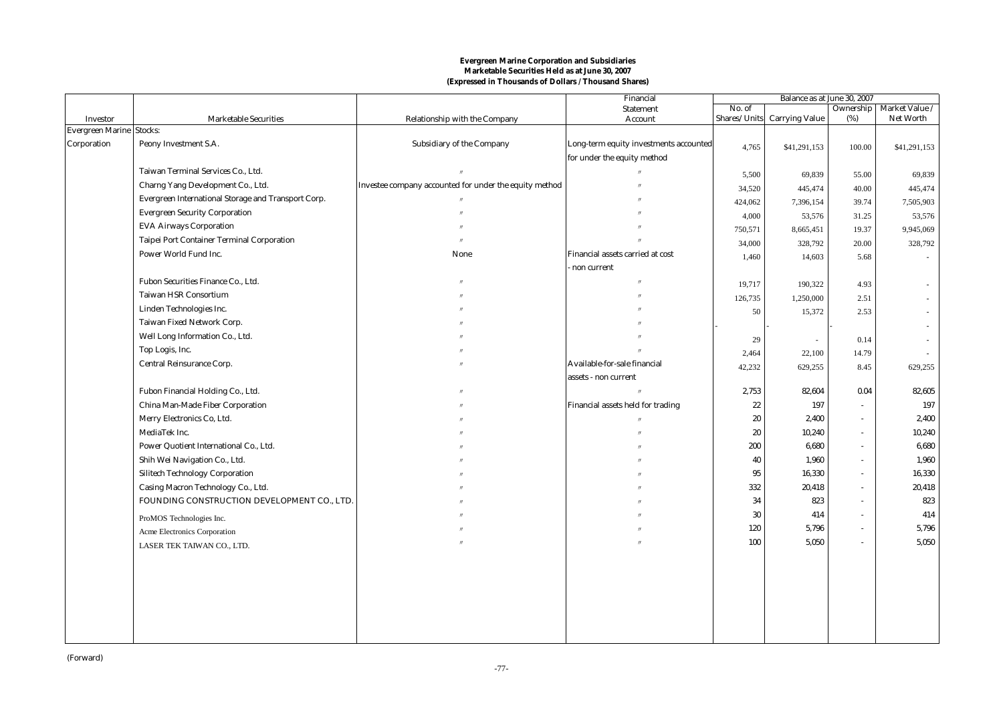|                         |                                                     |                                                        | Financial                              | Balance as at June 30, 2007 |                             |        |                            |  |
|-------------------------|-----------------------------------------------------|--------------------------------------------------------|----------------------------------------|-----------------------------|-----------------------------|--------|----------------------------|--|
|                         |                                                     |                                                        | <b>Statement</b>                       | No. of                      |                             |        | Ownership   Market Value / |  |
| <b>Investor</b>         | <b>Marketable Securities</b><br>Stocks:             | Relationship with the Company                          | Account                                |                             | Shares/Units Carrying Value | (%)    | Net Worth                  |  |
| <b>Evergreen Marine</b> |                                                     |                                                        |                                        |                             |                             |        |                            |  |
| Corporation             | Peony Investment S.A.                               | <b>Subsidiary of the Company</b>                       | Long-term equity investments accounted | 4,765                       | \$41,291,153                | 100.00 | \$41,291,153               |  |
|                         |                                                     |                                                        | for under the equity method            |                             |                             |        |                            |  |
|                         | Taiwan Terminal Services Co., Ltd.                  |                                                        |                                        | 5,500                       | 69,839                      | 55.00  | 69,839                     |  |
|                         | Charng Yang Development Co., Ltd.                   | Investee company accounted for under the equity method |                                        | 34,520                      | 445,474                     | 40.00  | 445,474                    |  |
|                         | Evergreen International Storage and Transport Corp. |                                                        |                                        | 424,062                     | 7,396,154                   | 39.74  | 7,505,903                  |  |
|                         | <b>Evergreen Security Corporation</b>               |                                                        |                                        | 4,000                       | 53,576                      | 31.25  | 53,576                     |  |
|                         | <b>EVA Airways Corporation</b>                      |                                                        |                                        | 750,571                     | 8,665,451                   | 19.37  | 9,945,069                  |  |
|                         | <b>Taipei Port Container Terminal Corporation</b>   |                                                        |                                        | 34,000                      | 328,792                     | 20.00  | 328,792                    |  |
|                         | Power World Fund Inc.                               | None                                                   | Financial assets carried at cost       | 1,460                       | 14,603                      | 5.68   | $\sim$                     |  |
|                         |                                                     |                                                        | non current                            |                             |                             |        |                            |  |
|                         | Fubon Securities Finance Co., Ltd.                  |                                                        |                                        | 19,717                      | 190,322                     | 4.93   |                            |  |
|                         | <b>Taiwan HSR Consortium</b>                        |                                                        |                                        | 126,735                     | 1,250,000                   | 2.51   | $\sim$                     |  |
|                         | Linden Technologies Inc.                            |                                                        |                                        | 50                          | 15,372                      | 2.53   | $\sim$                     |  |
|                         | Taiwan Fixed Network Corp.                          |                                                        |                                        |                             |                             |        |                            |  |
|                         | Well Long Information Co., Ltd.                     |                                                        |                                        | 29                          | $\overline{\phantom{a}}$    | 0.14   |                            |  |
|                         | Top Logis, Inc.                                     |                                                        |                                        | 2,464                       | 22,100                      | 14.79  |                            |  |
|                         | Central Reinsurance Corp.                           |                                                        | Available-for-sale financial           | 42,232                      | 629,255                     | 8.45   | 629,255                    |  |
|                         |                                                     |                                                        | assets - non current                   |                             |                             |        |                            |  |
|                         | Fubon Financial Holding Co., Ltd.                   |                                                        |                                        | 2,753                       | 82,604                      | 0.04   | 82,605                     |  |
|                         | China Man-Made Fiber Corporation                    |                                                        | Financial assets held for trading      | 22                          | 197                         | $\sim$ | 197                        |  |
|                         | Merry Electronics Co, Ltd.                          |                                                        |                                        | 20                          | 2,400                       | $\sim$ | 2,400                      |  |
|                         | MediaTek Inc.                                       |                                                        |                                        | 20                          | 10,240                      | $\sim$ | 10,240                     |  |
|                         | Power Quotient International Co., Ltd.              |                                                        |                                        | 200                         | 6,680                       | $\sim$ | 6,680                      |  |
|                         | Shih Wei Navigation Co., Ltd.                       |                                                        |                                        | 40                          | 1,960                       | $\sim$ | 1,960                      |  |
|                         | <b>Silitech Technology Corporation</b>              |                                                        |                                        | 95                          | 16,330                      | $\sim$ | 16,330                     |  |
|                         | Casing Macron Technology Co., Ltd.                  |                                                        |                                        | 332                         | 20,418                      | $\sim$ | 20,418                     |  |
|                         | FOUNDING CONSTRUCTION DEVELOPMENT CO., LTD.         |                                                        |                                        | 34                          | 823                         | $\sim$ | 823                        |  |
|                         |                                                     |                                                        |                                        | 30                          | 414                         | $\sim$ | 414                        |  |
|                         | ProMOS Technologies Inc.                            |                                                        |                                        | 120                         | 5,796                       | $\sim$ | 5,796                      |  |
|                         | Acme Electronics Corporation                        |                                                        |                                        | 100                         | 5,050                       | $\sim$ | 5,050                      |  |
|                         | LASER TEK TAIWAN CO., LTD.                          |                                                        |                                        |                             |                             |        |                            |  |
|                         |                                                     |                                                        |                                        |                             |                             |        |                            |  |
|                         |                                                     |                                                        |                                        |                             |                             |        |                            |  |
|                         |                                                     |                                                        |                                        |                             |                             |        |                            |  |
|                         |                                                     |                                                        |                                        |                             |                             |        |                            |  |
|                         |                                                     |                                                        |                                        |                             |                             |        |                            |  |
|                         |                                                     |                                                        |                                        |                             |                             |        |                            |  |
|                         |                                                     |                                                        |                                        |                             |                             |        |                            |  |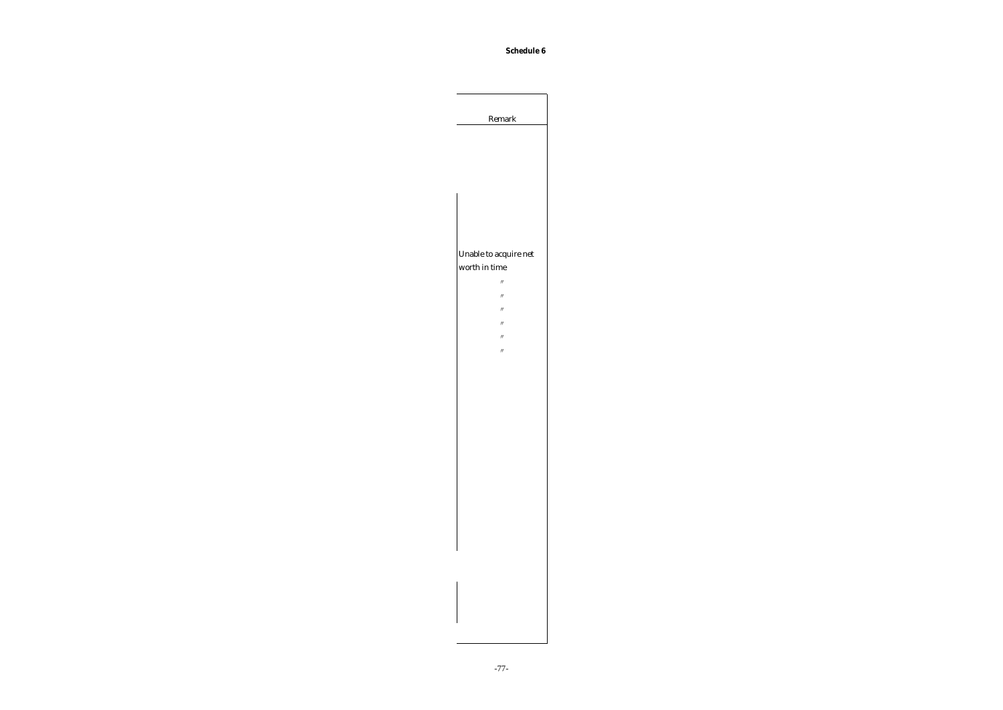**Schedule 6**

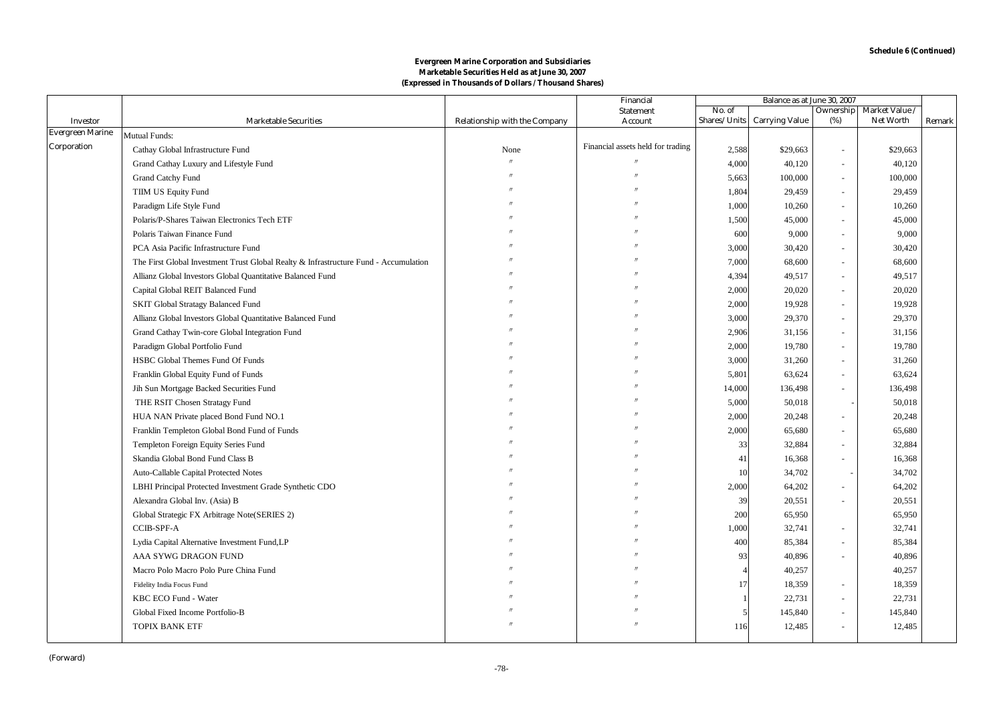|                                            |                                                                                      |                                      | Financial                         | Balance as at June 30, 2007 |                       |                          |                  |        |
|--------------------------------------------|--------------------------------------------------------------------------------------|--------------------------------------|-----------------------------------|-----------------------------|-----------------------|--------------------------|------------------|--------|
|                                            |                                                                                      |                                      | <b>Statement</b>                  | No. of                      |                       | Ownership                | Market Value /   |        |
| <b>Investor</b><br><b>Evergreen Marine</b> | <b>Marketable Securities</b>                                                         | <b>Relationship with the Company</b> | Account                           | Shares/Units                | <b>Carrying Value</b> | (%)                      | <b>Net Worth</b> | Remark |
| Corporation                                | Mutual Funds:                                                                        |                                      | Financial assets held for trading |                             |                       |                          |                  |        |
|                                            | Cathay Global Infrastructure Fund                                                    | None                                 |                                   | 2,588                       | \$29,663              | $\sim$                   | \$29,663         |        |
|                                            | Grand Cathay Luxury and Lifestyle Fund                                               |                                      |                                   | 4,000                       | 40,120                | ÷,                       | 40,120           |        |
|                                            | Grand Catchy Fund                                                                    |                                      |                                   | 5,663                       | 100,000               | ÷,                       | 100,000          |        |
|                                            | TIIM US Equity Fund                                                                  |                                      |                                   | 1,804                       | 29,459                | $\sim$                   | 29,459           |        |
|                                            | Paradigm Life Style Fund                                                             |                                      |                                   | 1,000                       | 10,260                | ÷,                       | 10,260           |        |
|                                            | Polaris/P-Shares Taiwan Electronics Tech ETF                                         |                                      |                                   | 1,500                       | 45,000                | ÷,                       | 45,000           |        |
|                                            | Polaris Taiwan Finance Fund                                                          |                                      |                                   | 600                         | 9,000                 | ÷,                       | 9,000            |        |
|                                            | PCA Asia Pacific Infrastructure Fund                                                 |                                      |                                   | 3,000                       | 30,420                | ÷,                       | 30,420           |        |
|                                            | The First Global Investment Trust Global Realty & Infrastructure Fund - Accumulation |                                      |                                   | 7,000                       | 68,600                | ÷,                       | 68,600           |        |
|                                            | Allianz Global Investors Global Quantitative Balanced Fund                           |                                      |                                   | 4,394                       | 49,517                | $\sim$                   | 49,517           |        |
|                                            | Capital Global REIT Balanced Fund                                                    |                                      |                                   | 2,000                       | 20,020                | ÷,                       | 20,020           |        |
|                                            | SKIT Global Stratagy Balanced Fund                                                   |                                      |                                   | 2,000                       | 19,928                | ÷,                       | 19,928           |        |
|                                            | Allianz Global Investors Global Quantitative Balanced Fund                           |                                      |                                   | 3,000                       | 29,370                | $\overline{\phantom{a}}$ | 29,370           |        |
|                                            | Grand Cathay Twin-core Global Integration Fund                                       |                                      |                                   | 2,906                       | 31,156                | ÷,                       | 31,156           |        |
|                                            | Paradigm Global Portfolio Fund                                                       |                                      |                                   | 2,000                       | 19,780                | ÷,                       | 19,780           |        |
|                                            | HSBC Global Themes Fund Of Funds                                                     |                                      |                                   | 3,000                       | 31,260                | ÷,                       | 31,260           |        |
|                                            | Franklin Global Equity Fund of Funds                                                 |                                      |                                   | 5,801                       | 63,624                | $\overline{a}$           | 63,624           |        |
|                                            | Jih Sun Mortgage Backed Securities Fund                                              |                                      |                                   | 14,000                      | 136,498               | $\sim$                   | 136,498          |        |
|                                            | THE RSIT Chosen Stratagy Fund                                                        |                                      |                                   | 5,000                       | 50,018                |                          | 50,018           |        |
|                                            | HUA NAN Private placed Bond Fund NO.1                                                |                                      |                                   | 2,000                       | 20,248                | ÷,                       | 20,248           |        |
|                                            | Franklin Templeton Global Bond Fund of Funds                                         |                                      |                                   | 2,000                       | 65,680                |                          | 65,680           |        |
|                                            | Templeton Foreign Equity Series Fund                                                 |                                      |                                   | 33                          | 32,884                | ÷,                       | 32,884           |        |
|                                            | Skandia Global Bond Fund Class B                                                     |                                      |                                   | 41                          | 16,368                | $\sim$                   | 16,368           |        |
|                                            | Auto-Callable Capital Protected Notes                                                |                                      |                                   | 10                          | 34,702                |                          | 34,702           |        |
|                                            | LBHI Principal Protected Investment Grade Synthetic CDO                              |                                      |                                   | 2,000                       | 64,202                | ÷,                       | 64,202           |        |
|                                            | Alexandra Global Inv. (Asia) B                                                       |                                      |                                   | 39                          | 20,551                | ÷,                       | 20,551           |        |
|                                            | Global Strategic FX Arbitrage Note(SERIES 2)                                         |                                      |                                   | 200                         | 65,950                |                          | 65,950           |        |
|                                            | CCIB-SPF-A                                                                           |                                      |                                   | 1,000                       | 32,741                | $\overline{a}$           | 32,741           |        |
|                                            | Lydia Capital Alternative Investment Fund, LP                                        |                                      |                                   | 400                         | 85,384                | $\sim$                   | 85,384           |        |
|                                            | AAA SYWG DRAGON FUND                                                                 |                                      |                                   | 93                          | 40,896                | $\sim$                   | 40,896           |        |
|                                            | Macro Polo Macro Polo Pure China Fund                                                |                                      |                                   |                             | 40,257                |                          | 40,257           |        |
|                                            | Fidelity India Focus Fund                                                            |                                      |                                   |                             | 18,359                | $\blacksquare$           | 18,359           |        |
|                                            | KBC ECO Fund - Water                                                                 |                                      |                                   |                             | 22,731                | ÷,                       | 22,731           |        |
|                                            | Global Fixed Income Portfolio-B                                                      |                                      |                                   |                             | 145,840               | ÷,                       | 145,840          |        |
|                                            | <b>TOPIX BANK ETF</b>                                                                |                                      |                                   | 116                         | 12,485                | $\overline{a}$           | 12,485           |        |
|                                            |                                                                                      |                                      |                                   |                             |                       |                          |                  |        |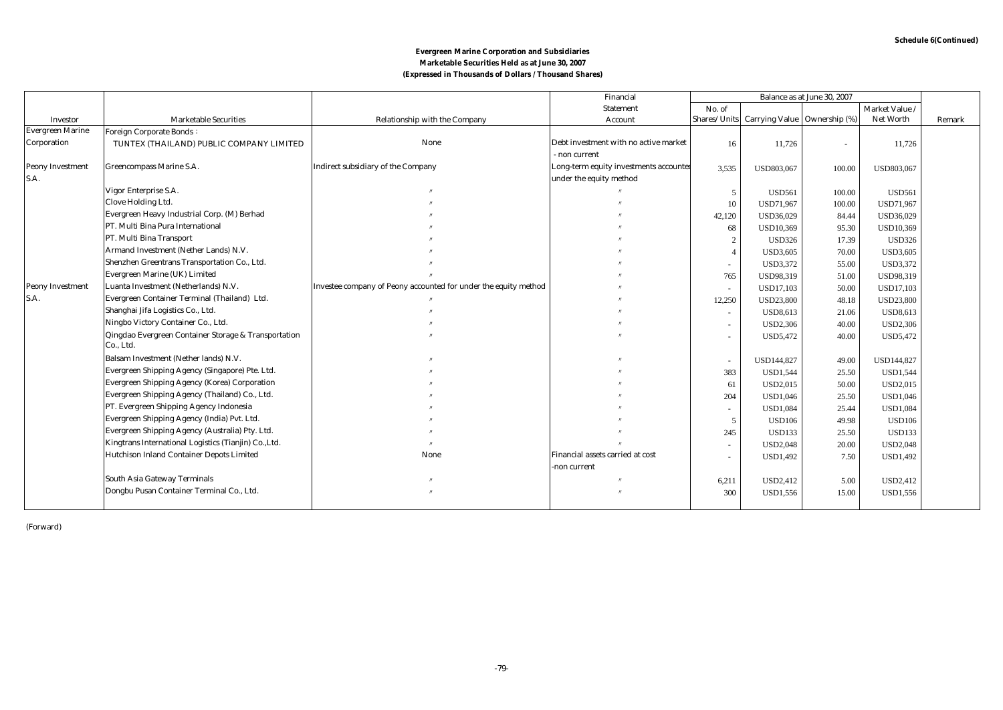|                         |                                                                   |                                                                 | Financial                              | Balance as at June 30, 2007 |                                             |        |                  |        |
|-------------------------|-------------------------------------------------------------------|-----------------------------------------------------------------|----------------------------------------|-----------------------------|---------------------------------------------|--------|------------------|--------|
|                         |                                                                   |                                                                 | <b>Statement</b>                       | No. of                      |                                             |        | Market Value /   |        |
| Investor                | <b>Marketable Securities</b>                                      | Relationship with the Company                                   | Account                                |                             | Shares/Units Carrying Value   Ownership (%) |        | <b>Net Worth</b> | Remark |
| <b>Evergreen Marine</b> | <b>Foreign Corporate Bonds:</b>                                   |                                                                 |                                        |                             |                                             |        |                  |        |
| Corporation             | TUNTEX (THAILAND) PUBLIC COMPANY LIMITED                          | None                                                            | Debt investment with no active market  | 16                          | 11,726                                      | $\sim$ | 11,726           |        |
|                         |                                                                   |                                                                 | - non current                          |                             |                                             |        |                  |        |
| <b>Peony Investment</b> | <b>Greencompass Marine S.A.</b>                                   | <b>Indirect subsidiary of the Company</b>                       | Long-term equity investments accounted | 3,535                       | USD803,067                                  | 100.00 | USD803,067       |        |
| S.A.                    |                                                                   |                                                                 | under the equity method                |                             |                                             |        |                  |        |
|                         | Vigor Enterprise S.A.                                             |                                                                 |                                        | $\overline{5}$              | <b>USD561</b>                               | 100.00 | <b>USD561</b>    |        |
|                         | Clove Holding Ltd.                                                |                                                                 |                                        | 10                          | USD71,967                                   | 100.00 | USD71,967        |        |
|                         | Evergreen Heavy Industrial Corp. (M) Berhad                       |                                                                 |                                        | 42,120                      | USD36,029                                   | 84.44  | USD36,029        |        |
|                         | PT. Multi Bina Pura International                                 |                                                                 |                                        | 68                          | <b>USD10,369</b>                            | 95.30  | USD10,369        |        |
|                         | PT. Multi Bina Transport                                          |                                                                 |                                        |                             | <b>USD326</b>                               | 17.39  | <b>USD326</b>    |        |
|                         | Armand Investment (Nether Lands) N.V.                             |                                                                 |                                        |                             | <b>USD3,605</b>                             | 70.00  | <b>USD3,605</b>  |        |
|                         | Shenzhen Greentrans Transportation Co., Ltd.                      |                                                                 |                                        |                             | <b>USD3,372</b>                             | 55.00  | <b>USD3,372</b>  |        |
|                         | Evergreen Marine (UK) Limited                                     |                                                                 |                                        | 765                         | USD98,319                                   | 51.00  | USD98,319        |        |
| <b>Peony Investment</b> | Luanta Investment (Netherlands) N.V.                              | Investee company of Peony accounted for under the equity method |                                        |                             | <b>USD17,103</b>                            | 50.00  | <b>USD17,103</b> |        |
| S.A.                    | Evergreen Container Terminal (Thailand) Ltd.                      |                                                                 |                                        | 12,250                      | <b>USD23,800</b>                            | 48.18  | <b>USD23,800</b> |        |
|                         | Shanghai Jifa Logistics Co., Ltd.                                 |                                                                 |                                        | $\sim$                      | USD8,613                                    | 21.06  | <b>USD8,613</b>  |        |
|                         | Ningbo Victory Container Co., Ltd.                                |                                                                 |                                        |                             | <b>USD2,306</b>                             | 40.00  | <b>USD2,306</b>  |        |
|                         | Qingdao Evergreen Container Storage & Transportation<br>Co., Ltd. |                                                                 |                                        |                             | USD5,472                                    | 40.00  | USD5,472         |        |
|                         | Balsam Investment (Nether lands) N.V.                             |                                                                 |                                        |                             | USD144,827                                  | 49.00  | USD144,827       |        |
|                         | Evergreen Shipping Agency (Singapore) Pte. Ltd.                   |                                                                 |                                        | 383                         | <b>USD1,544</b>                             | 25.50  | <b>USD1,544</b>  |        |
|                         | <b>Evergreen Shipping Agency (Korea) Corporation</b>              |                                                                 |                                        | 61                          | USD2,015                                    | 50.00  | USD2,015         |        |
|                         | Evergreen Shipping Agency (Thailand) Co., Ltd.                    |                                                                 |                                        | 204                         | <b>USD1,046</b>                             | 25.50  | <b>USD1,046</b>  |        |
|                         | PT. Evergreen Shipping Agency Indonesia                           |                                                                 |                                        | $\sim$                      | <b>USD1,084</b>                             | 25.44  | <b>USD1,084</b>  |        |
|                         | Evergreen Shipping Agency (India) Pvt. Ltd.                       |                                                                 |                                        | 5                           | <b>USD106</b>                               | 49.98  | <b>USD106</b>    |        |
|                         | Evergreen Shipping Agency (Australia) Pty. Ltd.                   |                                                                 |                                        | 245                         | <b>USD133</b>                               | 25.50  | <b>USD133</b>    |        |
|                         | Kingtrans International Logistics (Tianjin) Co., Ltd.             |                                                                 |                                        |                             | <b>USD2,048</b>                             | 20.00  | <b>USD2,048</b>  |        |
|                         | Hutchison Inland Container Depots Limited                         | None                                                            | Financial assets carried at cost       |                             | <b>USD1,492</b>                             | 7.50   | <b>USD1,492</b>  |        |
|                         |                                                                   |                                                                 | -non current                           |                             |                                             |        |                  |        |
|                         | <b>South Asia Gateway Terminals</b>                               |                                                                 |                                        | 6,211                       | USD2,412                                    | 5.00   | USD2,412         |        |
|                         | Dongbu Pusan Container Terminal Co., Ltd.                         |                                                                 |                                        | 300                         | <b>USD1,556</b>                             | 15.00  | USD1,556         |        |
|                         |                                                                   |                                                                 |                                        |                             |                                             |        |                  |        |

(Forward)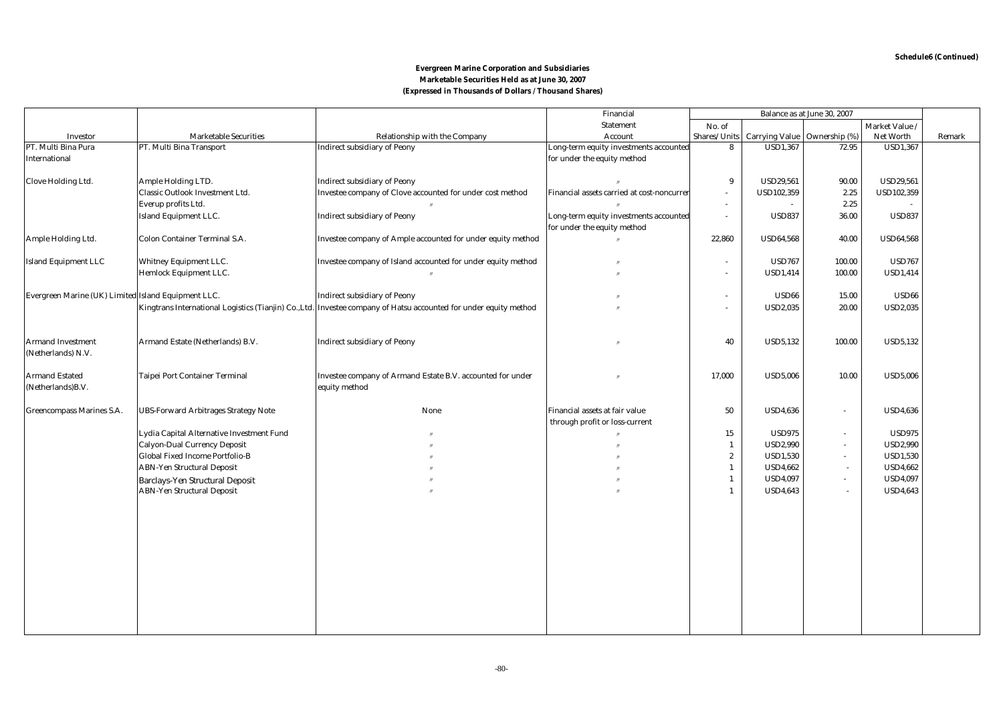|                                                     |                                             |                                                                                                                   | Financial                                  |                  |                       | Balance as at June 30, 2007 |                   |        |
|-----------------------------------------------------|---------------------------------------------|-------------------------------------------------------------------------------------------------------------------|--------------------------------------------|------------------|-----------------------|-----------------------------|-------------------|--------|
|                                                     |                                             |                                                                                                                   | <b>Statement</b>                           | No. of           |                       |                             | Market Value /    |        |
| <b>Investor</b>                                     | <b>Marketable Securities</b>                | <b>Relationship with the Company</b>                                                                              | Account                                    | Shares/Units     | <b>Carrying Value</b> | Ownership (%)               | <b>Net Worth</b>  | Remark |
| PT. Multi Bina Pura                                 | PT. Multi Bina Transport                    | <b>Indirect subsidiary of Peony</b>                                                                               | Long-term equity investments accounted     | 8                | <b>USD1,367</b>       | 72.95                       | <b>USD1,367</b>   |        |
| <b>International</b>                                |                                             |                                                                                                                   | for under the equity method                |                  |                       |                             |                   |        |
|                                                     |                                             |                                                                                                                   |                                            |                  |                       |                             |                   |        |
| <b>Clove Holding Ltd.</b>                           | <b>Ample Holding LTD.</b>                   | <b>Indirect subsidiary of Peony</b>                                                                               |                                            | $\boldsymbol{9}$ | <b>USD29,561</b>      | 90.00                       | <b>USD29,561</b>  |        |
|                                                     | Classic Outlook Investment Ltd.             | Investee company of Clove accounted for under cost method                                                         | Financial assets carried at cost-noncurrer | $\sim$           | USD102,359            | 2.25                        | <b>USD102,359</b> |        |
|                                                     | Everup profits Ltd.                         |                                                                                                                   |                                            | $\sim$           |                       | 2.25                        |                   |        |
|                                                     | Island Equipment LLC.                       | <b>Indirect subsidiary of Peony</b>                                                                               | Long-term equity investments accounted     | $\sim$           | <b>USD837</b>         | 36.00                       | <b>USD837</b>     |        |
|                                                     |                                             |                                                                                                                   | for under the equity method                |                  |                       |                             |                   |        |
| Ample Holding Ltd.                                  | <b>Colon Container Terminal S.A.</b>        | Investee company of Ample accounted for under equity method                                                       |                                            | 22,860           | <b>USD64,568</b>      | 40.00                       | <b>USD64,568</b>  |        |
|                                                     |                                             |                                                                                                                   |                                            |                  |                       |                             |                   |        |
| <b>Island Equipment LLC</b>                         | <b>Whitney Equipment LLC.</b>               | Investee company of Island accounted for under equity method                                                      |                                            | ÷,               | <b>USD767</b>         | 100.00                      | <b>USD767</b>     |        |
|                                                     | <b>Hemlock Equipment LLC.</b>               |                                                                                                                   |                                            | $\sim$           | <b>USD1,414</b>       | 100.00                      | <b>USD1,414</b>   |        |
|                                                     |                                             |                                                                                                                   |                                            |                  | <b>USD66</b>          |                             | <b>USD66</b>      |        |
| Evergreen Marine (UK) Limited Island Equipment LLC. |                                             | <b>Indirect subsidiary of Peony</b>                                                                               |                                            | $\sim$           |                       | 15.00                       |                   |        |
|                                                     |                                             | Kingtrans International Logistics (Tianjin) Co., Ltd. Investee company of Hatsu accounted for under equity method |                                            | $\blacksquare$   | <b>USD2,035</b>       | 20.00                       | <b>USD2,035</b>   |        |
|                                                     |                                             |                                                                                                                   |                                            |                  |                       |                             |                   |        |
| <b>Armand Investment</b>                            | Armand Estate (Netherlands) B.V.            | <b>Indirect subsidiary of Peony</b>                                                                               |                                            | 40               | <b>USD5,132</b>       | 100.00                      | <b>USD5,132</b>   |        |
| (Netherlands) N.V.                                  |                                             |                                                                                                                   |                                            |                  |                       |                             |                   |        |
|                                                     |                                             |                                                                                                                   |                                            |                  |                       |                             |                   |        |
| <b>Armand Estated</b>                               | Taipei Port Container Terminal              | Investee company of Armand Estate B.V. accounted for under                                                        |                                            | 17,000           | <b>USD5,006</b>       | 10.00                       | <b>USD5,006</b>   |        |
| (Netherlands) B.V.                                  |                                             | equity method                                                                                                     |                                            |                  |                       |                             |                   |        |
|                                                     |                                             |                                                                                                                   |                                            |                  |                       |                             |                   |        |
| <b>Greencompass Marines S.A.</b>                    | <b>UBS-Forward Arbitrages Strategy Note</b> | None                                                                                                              | Financial assets at fair value             | 50               | <b>USD4,636</b>       | $\sim$                      | <b>USD4,636</b>   |        |
|                                                     |                                             |                                                                                                                   | through profit or loss-current             |                  |                       |                             |                   |        |
|                                                     | Lydia Capital Alternative Investment Fund   |                                                                                                                   |                                            | 15               | <b>USD975</b>         | $\sim$                      | <b>USD975</b>     |        |
|                                                     | <b>Calyon-Dual Currency Deposit</b>         |                                                                                                                   |                                            | $\mathbf{1}$     | <b>USD2,990</b>       | $\blacksquare$              | <b>USD2,990</b>   |        |
|                                                     | <b>Global Fixed Income Portfolio-B</b>      |                                                                                                                   |                                            | $\boldsymbol{2}$ | <b>USD1,530</b>       | $\blacksquare$              | <b>USD1,530</b>   |        |
|                                                     | <b>ABN-Yen Structural Deposit</b>           |                                                                                                                   |                                            | $\mathbf{1}$     | <b>USD4,662</b>       | $\sim$                      | <b>USD4,662</b>   |        |
|                                                     | <b>Barclays-Yen Structural Deposit</b>      |                                                                                                                   |                                            | $\mathbf{1}$     | <b>USD4,097</b>       | $\blacksquare$              | <b>USD4,097</b>   |        |
|                                                     | <b>ABN-Yen Structural Deposit</b>           |                                                                                                                   |                                            | $\mathbf{1}$     | <b>USD4,643</b>       | $\sim$                      | <b>USD4,643</b>   |        |
|                                                     |                                             |                                                                                                                   |                                            |                  |                       |                             |                   |        |
|                                                     |                                             |                                                                                                                   |                                            |                  |                       |                             |                   |        |
|                                                     |                                             |                                                                                                                   |                                            |                  |                       |                             |                   |        |
|                                                     |                                             |                                                                                                                   |                                            |                  |                       |                             |                   |        |
|                                                     |                                             |                                                                                                                   |                                            |                  |                       |                             |                   |        |
|                                                     |                                             |                                                                                                                   |                                            |                  |                       |                             |                   |        |
|                                                     |                                             |                                                                                                                   |                                            |                  |                       |                             |                   |        |
|                                                     |                                             |                                                                                                                   |                                            |                  |                       |                             |                   |        |
|                                                     |                                             |                                                                                                                   |                                            |                  |                       |                             |                   |        |
|                                                     |                                             |                                                                                                                   |                                            |                  |                       |                             |                   |        |
|                                                     |                                             |                                                                                                                   |                                            |                  |                       |                             |                   |        |
|                                                     |                                             |                                                                                                                   |                                            |                  |                       |                             |                   |        |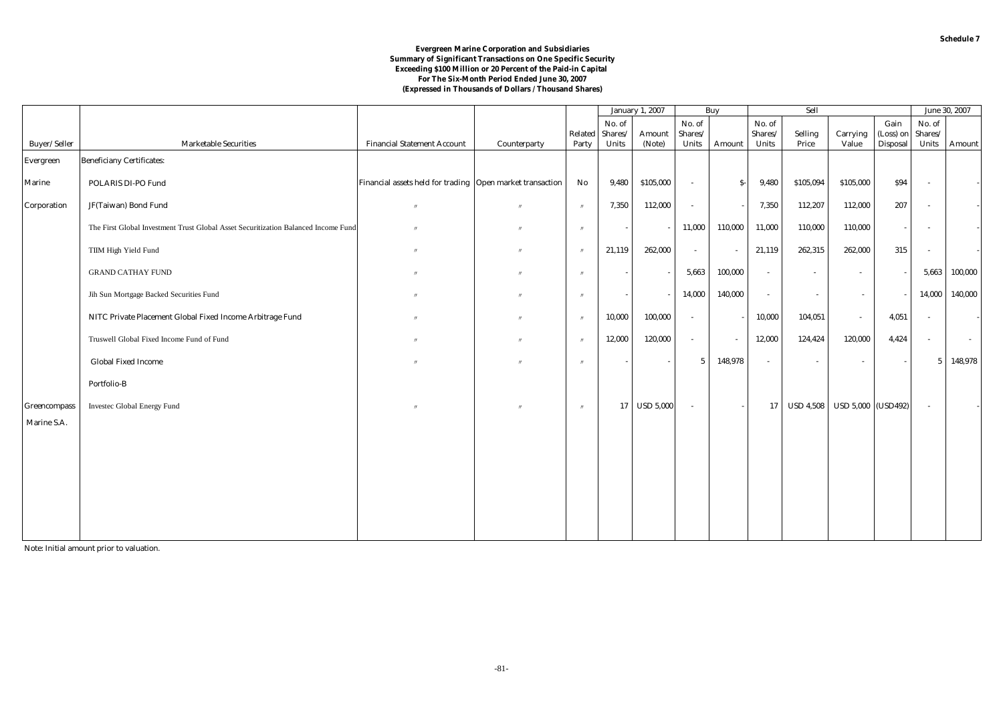#### **Evergreen Marine Corporation and Subsidiaries Summary of Significant Transactions on One Specific Security Exceeding \$100 Million or 20 Percent of the Paid-in Capital For The Six-Month Period Ended June 30, 2007 (Expressed in Thousands of Dollars / Thousand Shares)**

|               |                                                                                    |                                                           |                   |                        |         | <b>January 1, 2007</b> | Buy             |                          | Sell         |                  |                    |                 | June 30, 2007            |         |
|---------------|------------------------------------------------------------------------------------|-----------------------------------------------------------|-------------------|------------------------|---------|------------------------|-----------------|--------------------------|--------------|------------------|--------------------|-----------------|--------------------------|---------|
|               |                                                                                    |                                                           |                   |                        | No. of  |                        | No. of          |                          | No. of       |                  |                    | Gain            | No. of                   |         |
|               |                                                                                    |                                                           |                   | Related                | Shares/ | Amount                 | Shares/         |                          | Shares/      | Selling          | Carrying           | (Loss) on       | Shares/                  |         |
| Buyer/Seller  | <b>Marketable Securities</b>                                                       | <b>Financial Statement Account</b>                        | Counterparty      | Party                  | Units   | (Note)                 | Units           | Amount                   | <b>Units</b> | Price            | Value              | <b>Disposal</b> | Units                    | Amount  |
| Evergreen     | <b>Beneficiany Certificates:</b>                                                   |                                                           |                   |                        |         |                        |                 |                          |              |                  |                    |                 |                          |         |
| <b>Marine</b> | POLARIS DI-PO Fund                                                                 | Financial assets held for trading Open market transaction |                   | $\mathbf{N}\mathbf{o}$ | 9,480   | \$105,000              | $\omega$        | $S-$                     | 9,480        | \$105,094        | \$105,000          | \$94            | $\sim$                   |         |
| Corporation   | JF(Taiwan) Bond Fund                                                               | $^{\prime}$                                               |                   | $^{\prime\prime}$      | 7,350   | 112,000                | $\sim$          |                          | 7,350        | 112,207          | 112,000            | 207             | $\sim$                   |         |
|               | The First Global Investment Trust Global Asset Securitization Balanced Income Fund |                                                           |                   | $^{\prime\prime}$      |         |                        | 11,000          | 110,000                  | 11,000       | 110,000          | 110,000            |                 | $\sim$                   |         |
|               | TIIM High Yield Fund                                                               | $^{\prime}$                                               |                   | $^{\prime\prime}$      | 21,119  | 262,000                | $\sim$          | $\overline{\phantom{a}}$ | 21,119       | 262,315          | 262,000            | 315             | $\overline{\phantom{a}}$ |         |
|               | <b>GRAND CATHAY FUND</b>                                                           |                                                           |                   | $^{\prime\prime}$      |         |                        | 5,663           | 100,000                  | $\sim$       | $\sim$           | $\sim$             |                 | 5,663                    | 100,000 |
|               | Jih Sun Mortgage Backed Securities Fund                                            | $^{\prime}$                                               |                   | $^{\prime\prime}$      |         |                        | 14,000          | 140,000                  | $\sim$       | $\sim$           | $\sim$             |                 | 14,000                   | 140,000 |
|               | NITC Private Placement Global Fixed Income Arbitrage Fund                          | $\mathbf{u}$                                              | $^{\prime\prime}$ | $^{\prime\prime}$      | 10,000  | 100,000                | $\sim$          |                          | 10,000       | 104,051          | $\sim$             | 4,051           | $\sim$                   |         |
|               | Truswell Global Fixed Income Fund of Fund                                          |                                                           |                   | $^{\prime\prime}$      | 12,000  | 120,000                | $\sim$          | $\sim$                   | 12,000       | 124,424          | 120,000            | 4,424           | $\sim$                   | $\sim$  |
|               | <b>Global Fixed Income</b>                                                         | $\mathbf{u}$                                              |                   | $^{\prime\prime}$      |         | $\sim$                 | $5\overline{ }$ | 148,978                  | $\sim$       | $\sim$           | $\sim$             |                 | $\overline{5}$           | 148,978 |
|               | Portfolio-B                                                                        |                                                           |                   |                        |         |                        |                 |                          |              |                  |                    |                 |                          |         |
| Greencompass  | Investec Global Energy Fund                                                        | $\overline{u}$                                            |                   | $^{\prime\prime}$      | 17      | <b>USD 5,000</b>       | $\sim$          |                          | 17           | <b>USD 4,508</b> | USD 5,000 (USD492) |                 | $\sim$                   |         |
| Marine S.A.   |                                                                                    |                                                           |                   |                        |         |                        |                 |                          |              |                  |                    |                 |                          |         |
|               |                                                                                    |                                                           |                   |                        |         |                        |                 |                          |              |                  |                    |                 |                          |         |
|               |                                                                                    |                                                           |                   |                        |         |                        |                 |                          |              |                  |                    |                 |                          |         |
|               |                                                                                    |                                                           |                   |                        |         |                        |                 |                          |              |                  |                    |                 |                          |         |
|               |                                                                                    |                                                           |                   |                        |         |                        |                 |                          |              |                  |                    |                 |                          |         |
|               |                                                                                    |                                                           |                   |                        |         |                        |                 |                          |              |                  |                    |                 |                          |         |

Note: Initial amount prior to valuation.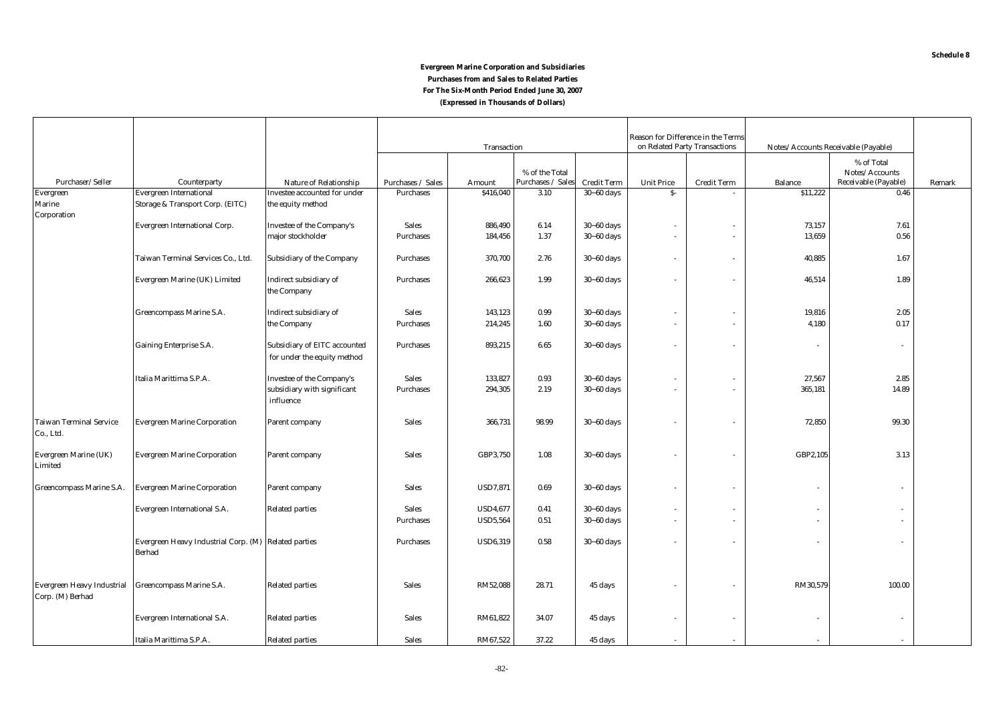# **(Expressed in Thousands of Dollars) Evergreen Marine Corporation and Subsidiaries Purchases from and Sales to Related Parties For The Six-Month Period Ended June 30, 2007**

|                                                |                                                                       |                                                                    |                    |                 |                                     | Reason for Difference in the Terms |                   |                               |                |                                                      |        |
|------------------------------------------------|-----------------------------------------------------------------------|--------------------------------------------------------------------|--------------------|-----------------|-------------------------------------|------------------------------------|-------------------|-------------------------------|----------------|------------------------------------------------------|--------|
|                                                |                                                                       |                                                                    | <b>Transaction</b> |                 |                                     |                                    |                   | on Related Party Transactions |                | Notes/Accounts Receivable (Payable)                  |        |
| Purchaser/Seller                               | Counterparty                                                          | <b>Nature of Relationship</b>                                      | Purchases / Sales  | Amount          | % of the Total<br>Purchases / Sales | <b>Credit Term</b>                 | <b>Unit Price</b> | <b>Credit Term</b>            | <b>Balance</b> | % of Total<br>Notes/Accounts<br>Receivable (Payable) | Remark |
| Evergreen                                      | <b>Evergreen International</b>                                        | Investee accounted for under                                       | Purchases          | \$416,040       | 3.10                                | $30 - 60$ days                     | $S-$              |                               | \$11,222       | 0.46                                                 |        |
| Marine                                         | Storage & Transport Corp. (EITC)                                      | the equity method                                                  |                    |                 |                                     |                                    |                   |                               |                |                                                      |        |
| Corporation                                    |                                                                       |                                                                    |                    |                 |                                     |                                    |                   |                               |                |                                                      |        |
|                                                | Evergreen International Corp.                                         | <b>Investee of the Company's</b>                                   | <b>Sales</b>       | 886,490         | 6.14                                | $30 - 60$ days                     |                   | $\sim$                        | 73,157         | 7.61                                                 |        |
|                                                |                                                                       | major stockholder                                                  | <b>Purchases</b>   | 184,456         | 1.37                                | $30 - 60$ days                     | $\sim$            | $\sim$                        | 13,659         | 0.56                                                 |        |
|                                                | Taiwan Terminal Services Co., Ltd.                                    | <b>Subsidiary of the Company</b>                                   | <b>Purchases</b>   | 370,700         | 2.76                                | $30 - 60$ days                     | $\sim$            | $\sim$                        | 40,885         | 1.67                                                 |        |
|                                                | Evergreen Marine (UK) Limited                                         | Indirect subsidiary of<br>the Company                              | <b>Purchases</b>   | 266,623         | 1.99                                | $30 - 60$ days                     | $\sim$            | $\overline{\phantom{a}}$      | 46,514         | 1.89                                                 |        |
|                                                | Greencompass Marine S.A.                                              | Indirect subsidiary of                                             | <b>Sales</b>       | 143,123         | 0.99                                | $30 - 60$ days                     | $\sim$            | $\overline{\phantom{a}}$      | 19,816         | 2.05                                                 |        |
|                                                |                                                                       | the Company                                                        | Purchases          | 214,245         | 1.60                                | $30 - 60$ days                     | $\sim$            | $\sim$                        | 4,180          | 0.17                                                 |        |
|                                                |                                                                       |                                                                    |                    |                 |                                     |                                    |                   |                               |                |                                                      |        |
|                                                | Gaining Enterprise S.A.                                               | <b>Subsidiary of EITC accounted</b><br>for under the equity method | <b>Purchases</b>   | 893,215         | 6.65                                | $30 - 60$ days                     |                   |                               |                | $\overline{\phantom{a}}$                             |        |
|                                                | Italia Marittima S.P.A.                                               | Investee of the Company's                                          | <b>Sales</b>       | 133,827         | 0.93                                | $30 - 60$ days                     | $\sim$            | $\overline{\phantom{a}}$      | 27,567         | 2.85                                                 |        |
|                                                |                                                                       | subsidiary with significant<br>influence                           | <b>Purchases</b>   | 294,305         | 2.19                                | $30 - 60$ days                     | $\sim$            | $\sim$                        | 365,181        | 14.89                                                |        |
| <b>Taiwan Terminal Service</b><br>Co., Ltd.    | <b>Evergreen Marine Corporation</b>                                   | Parent company                                                     | <b>Sales</b>       | 366,731         | 98.99                               | $30 - 60$ days                     |                   | $\overline{\phantom{a}}$      | 72,850         | 99.30                                                |        |
| Evergreen Marine (UK)<br>Limited               | <b>Evergreen Marine Corporation</b>                                   | Parent company                                                     | <b>Sales</b>       | GBP3,750        | 1.08                                | $30 - 60$ days                     |                   |                               | GBP2,105       | 3.13                                                 |        |
| Greencompass Marine S.A.                       | <b>Evergreen Marine Corporation</b>                                   | Parent company                                                     | <b>Sales</b>       | <b>USD7,871</b> | 0.69                                | $30 - 60$ days                     | $\sim$            |                               |                | $\mathbf{r}$                                         |        |
|                                                | Evergreen International S.A.                                          | <b>Related parties</b>                                             | <b>Sales</b>       | <b>USD4,677</b> | 0.41                                | $30 - 60$ days                     | $\sim$            | $\overline{\phantom{a}}$      |                |                                                      |        |
|                                                |                                                                       |                                                                    | <b>Purchases</b>   | <b>USD5,564</b> | 0.51                                | $30 - 60$ days                     | $\sim$            | $\sim$                        |                |                                                      |        |
|                                                | Evergreen Heavy Industrial Corp. (M) Related parties<br><b>Berhad</b> |                                                                    | <b>Purchases</b>   | <b>USD6,319</b> | 0.58                                | $30 - 60$ days                     | $\sim$            | $\overline{\phantom{a}}$      |                | ٠                                                    |        |
| Evergreen Heavy Industrial<br>Corp. (M) Berhad | Greencompass Marine S.A.                                              | <b>Related parties</b>                                             | <b>Sales</b>       | RM52,088        | 28.71                               | 45 days                            |                   |                               | RM30,579       | 100.00                                               |        |
|                                                | <b>Evergreen International S.A.</b>                                   | <b>Related parties</b>                                             | <b>Sales</b>       | RM61,822        | 34.07                               | 45 days                            | $\sim$            | $\sim$                        |                | $\sim$                                               |        |
|                                                | Italia Marittima S.P.A.                                               | <b>Related parties</b>                                             | <b>Sales</b>       | RM67,522        | 37.22                               | 45 days                            | $\sim$            |                               |                |                                                      |        |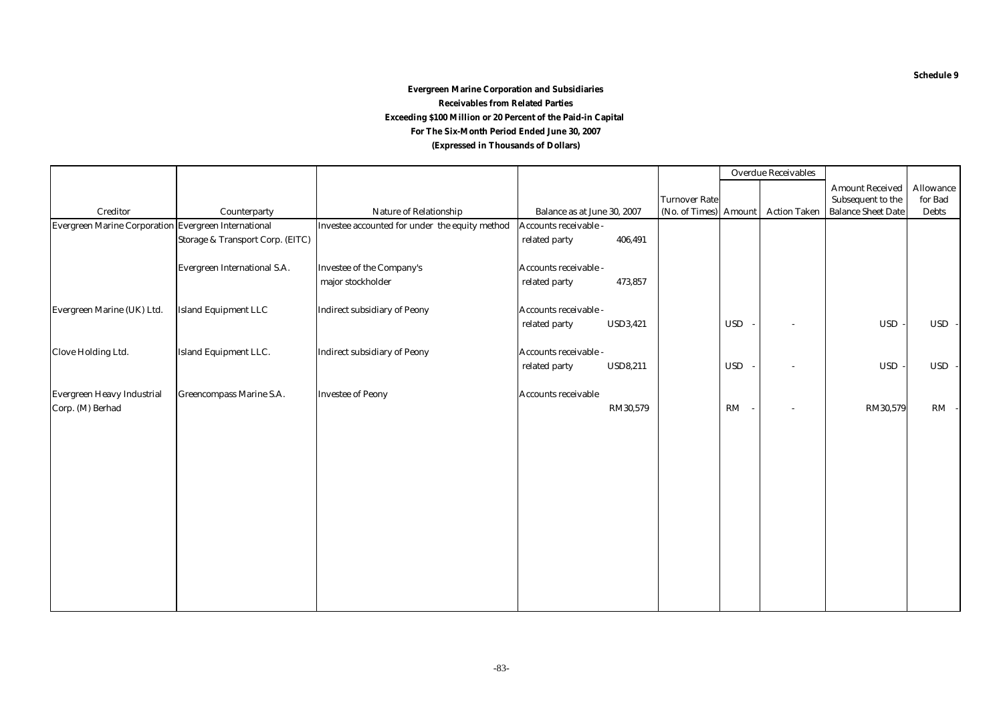# **(Expressed in Thousands of Dollars) Evergreen Marine Corporation and Subsidiaries Receivables from Related Parties Exceeding \$100 Million or 20 Percent of the Paid-in Capital For The Six-Month Period Ended June 30, 2007**

|                                                      |                                     |                                                |                                        |                       |            | <b>Overdue Receivables</b> |                                             |                             |
|------------------------------------------------------|-------------------------------------|------------------------------------------------|----------------------------------------|-----------------------|------------|----------------------------|---------------------------------------------|-----------------------------|
|                                                      |                                     |                                                |                                        | <b>Turnover Rate</b>  |            |                            | <b>Amount Received</b><br>Subsequent to the | <b>Allowance</b><br>for Bad |
| Creditor                                             | Counterparty                        | Nature of Relationship                         | Balance as at June 30, 2007            | (No. of Times) Amount |            | <b>Action Taken</b>        | <b>Balance Sheet Date</b>                   | <b>Debts</b>                |
| Evergreen Marine Corporation Evergreen International |                                     | Investee accounted for under the equity method | Accounts receivable -                  |                       |            |                            |                                             |                             |
|                                                      | Storage & Transport Corp. (EITC)    |                                                | 406,491<br>related party               |                       |            |                            |                                             |                             |
|                                                      | <b>Evergreen International S.A.</b> | <b>Investee of the Company's</b>               | Accounts receivable -                  |                       |            |                            |                                             |                             |
|                                                      |                                     | major stockholder                              | related party<br>473,857               |                       |            |                            |                                             |                             |
| Evergreen Marine (UK) Ltd.                           | <b>Island Equipment LLC</b>         | <b>Indirect subsidiary of Peony</b>            | Accounts receivable -                  |                       |            |                            |                                             |                             |
|                                                      |                                     |                                                | <b>USD3,421</b><br>related party       |                       | <b>USD</b> |                            | <b>USD</b>                                  | USD-                        |
| <b>Clove Holding Ltd.</b>                            | Island Equipment LLC.               | <b>Indirect subsidiary of Peony</b>            | Accounts receivable -                  |                       |            |                            |                                             |                             |
|                                                      |                                     |                                                | <b>USD8,211</b><br>related party       |                       | <b>USD</b> |                            | <b>USD</b>                                  | USD-                        |
| Evergreen Heavy Industrial<br>Corp. (M) Berhad       | <b>Greencompass Marine S.A.</b>     | <b>Investee of Peony</b>                       | <b>Accounts receivable</b><br>RM30,579 |                       | RM         | $\sim$                     | RM30,579                                    | $RM -$                      |
|                                                      |                                     |                                                |                                        |                       |            |                            |                                             |                             |
|                                                      |                                     |                                                |                                        |                       |            |                            |                                             |                             |
|                                                      |                                     |                                                |                                        |                       |            |                            |                                             |                             |
|                                                      |                                     |                                                |                                        |                       |            |                            |                                             |                             |
|                                                      |                                     |                                                |                                        |                       |            |                            |                                             |                             |
|                                                      |                                     |                                                |                                        |                       |            |                            |                                             |                             |
|                                                      |                                     |                                                |                                        |                       |            |                            |                                             |                             |
|                                                      |                                     |                                                |                                        |                       |            |                            |                                             |                             |
|                                                      |                                     |                                                |                                        |                       |            |                            |                                             |                             |

**Schedule 9**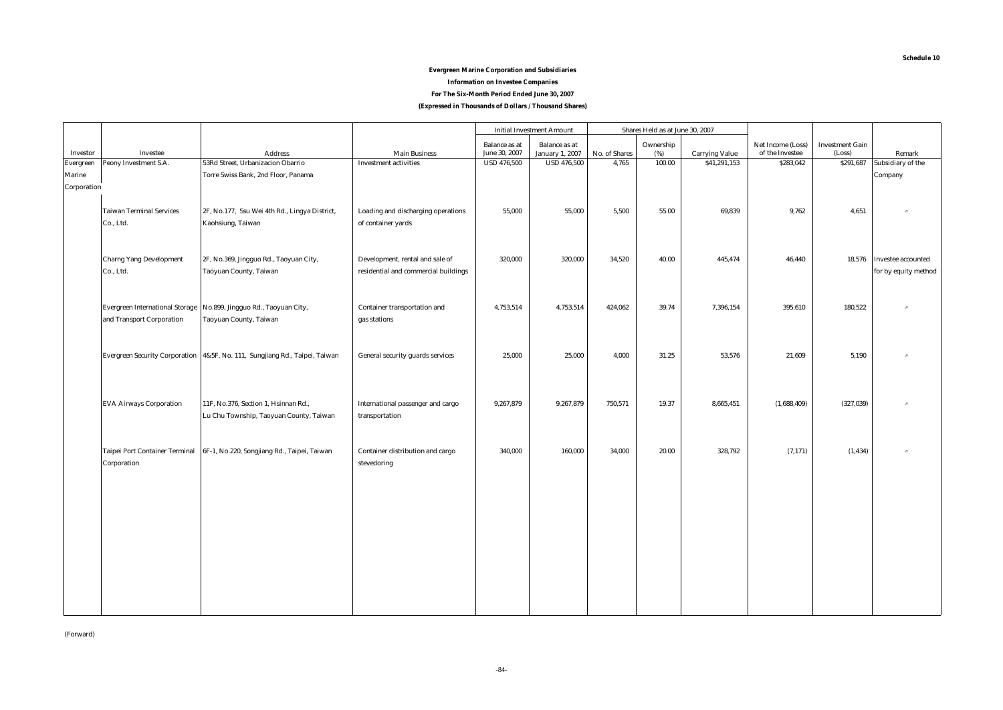# **Evergreen Marine Corporation and Subsidiaries Information on Investee Companies**

**For The Six-Month Period Ended June 30, 2007**

**(Expressed in Thousands of Dollars / Thousand Shares)**

| <b>Balance</b> as at<br><b>Balance</b> as at<br>Ownership<br>Net Income (Loss)<br><b>Investment Gain</b><br>June 30, 2007<br>Investee<br><b>January 1, 2007</b><br>No. of Shares<br>of the Investee<br>(Loss)<br>Investor<br>(%)<br><b>Address</b><br><b>Main Business</b><br><b>Carrying Value</b><br>53Rd Street, Urbanizacion Obarrio<br><b>USD 476,500</b><br>4,765<br>100.00<br>\$41,291,153<br>\$283,042<br>Peony Investment S.A.<br><b>Investment activities</b><br><b>USD 476,500</b><br>\$291,687<br>Evergreen<br>Torre Swiss Bank, 2nd Floor, Panama<br>Marine | Remark<br>Subsidiary of the<br>Company |
|--------------------------------------------------------------------------------------------------------------------------------------------------------------------------------------------------------------------------------------------------------------------------------------------------------------------------------------------------------------------------------------------------------------------------------------------------------------------------------------------------------------------------------------------------------------------------|----------------------------------------|
|                                                                                                                                                                                                                                                                                                                                                                                                                                                                                                                                                                          |                                        |
|                                                                                                                                                                                                                                                                                                                                                                                                                                                                                                                                                                          |                                        |
|                                                                                                                                                                                                                                                                                                                                                                                                                                                                                                                                                                          |                                        |
|                                                                                                                                                                                                                                                                                                                                                                                                                                                                                                                                                                          |                                        |
| Corporation                                                                                                                                                                                                                                                                                                                                                                                                                                                                                                                                                              |                                        |
|                                                                                                                                                                                                                                                                                                                                                                                                                                                                                                                                                                          |                                        |
| <b>Taiwan Terminal Services</b><br>2F, No.177, Ssu Wei 4th Rd., Lingya District,<br>Loading and discharging operations<br>55,000<br>69,839<br>9,762<br>55,000<br>5.500<br>55.00<br>4,651                                                                                                                                                                                                                                                                                                                                                                                 |                                        |
| Co., Ltd.<br>Kaohsiung, Taiwan<br>of container yards                                                                                                                                                                                                                                                                                                                                                                                                                                                                                                                     |                                        |
|                                                                                                                                                                                                                                                                                                                                                                                                                                                                                                                                                                          |                                        |
|                                                                                                                                                                                                                                                                                                                                                                                                                                                                                                                                                                          |                                        |
| <b>Charng Yang Development</b><br>320,000<br>34,520<br>40.00<br>445,474<br>2F, No.369, Jingguo Rd., Taoyuan City,<br>Development, rental and sale of<br>320,000<br>46,440                                                                                                                                                                                                                                                                                                                                                                                                | 18,576 Investee accounted              |
| Co., Ltd.<br>Taoyuan County, Taiwan<br>residential and commercial buildings                                                                                                                                                                                                                                                                                                                                                                                                                                                                                              | for by equity method                   |
|                                                                                                                                                                                                                                                                                                                                                                                                                                                                                                                                                                          |                                        |
|                                                                                                                                                                                                                                                                                                                                                                                                                                                                                                                                                                          |                                        |
| 4,753,514<br>39.74<br>180,522<br><b>Evergreen International Storage</b><br>No.899, Jingguo Rd., Taoyuan City,<br>Container transportation and<br>4,753,514<br>424,062<br>7,396,154<br>395,610                                                                                                                                                                                                                                                                                                                                                                            |                                        |
| and Transport Corporation<br>Taoyuan County, Taiwan<br>gas stations                                                                                                                                                                                                                                                                                                                                                                                                                                                                                                      |                                        |
|                                                                                                                                                                                                                                                                                                                                                                                                                                                                                                                                                                          |                                        |
|                                                                                                                                                                                                                                                                                                                                                                                                                                                                                                                                                                          |                                        |
| Evergreen Security Corporation 4&5F, No. 111, Sungjiang Rd., Taipei, Taiwan<br>General security guards services<br>25,000<br>25,000<br>4,000<br>31.25<br>53,576<br>21,609<br>5,190                                                                                                                                                                                                                                                                                                                                                                                       |                                        |
|                                                                                                                                                                                                                                                                                                                                                                                                                                                                                                                                                                          |                                        |
|                                                                                                                                                                                                                                                                                                                                                                                                                                                                                                                                                                          |                                        |
|                                                                                                                                                                                                                                                                                                                                                                                                                                                                                                                                                                          |                                        |
| <b>EVA Airways Corporation</b><br>11F, No.376, Section 1, Hsinnan Rd.,<br>International passenger and cargo<br>9,267,879<br>9,267,879<br>750,571<br>19.37<br>8,665,451<br>(1,688,409)<br>(327, 039)                                                                                                                                                                                                                                                                                                                                                                      |                                        |
| Lu Chu Township, Taoyuan County, Taiwan<br>transportation                                                                                                                                                                                                                                                                                                                                                                                                                                                                                                                |                                        |
|                                                                                                                                                                                                                                                                                                                                                                                                                                                                                                                                                                          |                                        |
|                                                                                                                                                                                                                                                                                                                                                                                                                                                                                                                                                                          |                                        |
| <b>Taipei Port Container Terminal</b><br>6F-1, No.220, Songjiang Rd., Taipei, Taiwan<br>Container distribution and cargo<br>340,000<br>160,000<br>34,000<br>20.00<br>328,792<br>(7, 171)<br>(1, 434)                                                                                                                                                                                                                                                                                                                                                                     |                                        |
| Corporation<br>stevedoring                                                                                                                                                                                                                                                                                                                                                                                                                                                                                                                                               |                                        |
|                                                                                                                                                                                                                                                                                                                                                                                                                                                                                                                                                                          |                                        |
|                                                                                                                                                                                                                                                                                                                                                                                                                                                                                                                                                                          |                                        |
|                                                                                                                                                                                                                                                                                                                                                                                                                                                                                                                                                                          |                                        |
|                                                                                                                                                                                                                                                                                                                                                                                                                                                                                                                                                                          |                                        |
|                                                                                                                                                                                                                                                                                                                                                                                                                                                                                                                                                                          |                                        |
|                                                                                                                                                                                                                                                                                                                                                                                                                                                                                                                                                                          |                                        |
|                                                                                                                                                                                                                                                                                                                                                                                                                                                                                                                                                                          |                                        |
|                                                                                                                                                                                                                                                                                                                                                                                                                                                                                                                                                                          |                                        |
|                                                                                                                                                                                                                                                                                                                                                                                                                                                                                                                                                                          |                                        |
|                                                                                                                                                                                                                                                                                                                                                                                                                                                                                                                                                                          |                                        |
|                                                                                                                                                                                                                                                                                                                                                                                                                                                                                                                                                                          |                                        |
|                                                                                                                                                                                                                                                                                                                                                                                                                                                                                                                                                                          |                                        |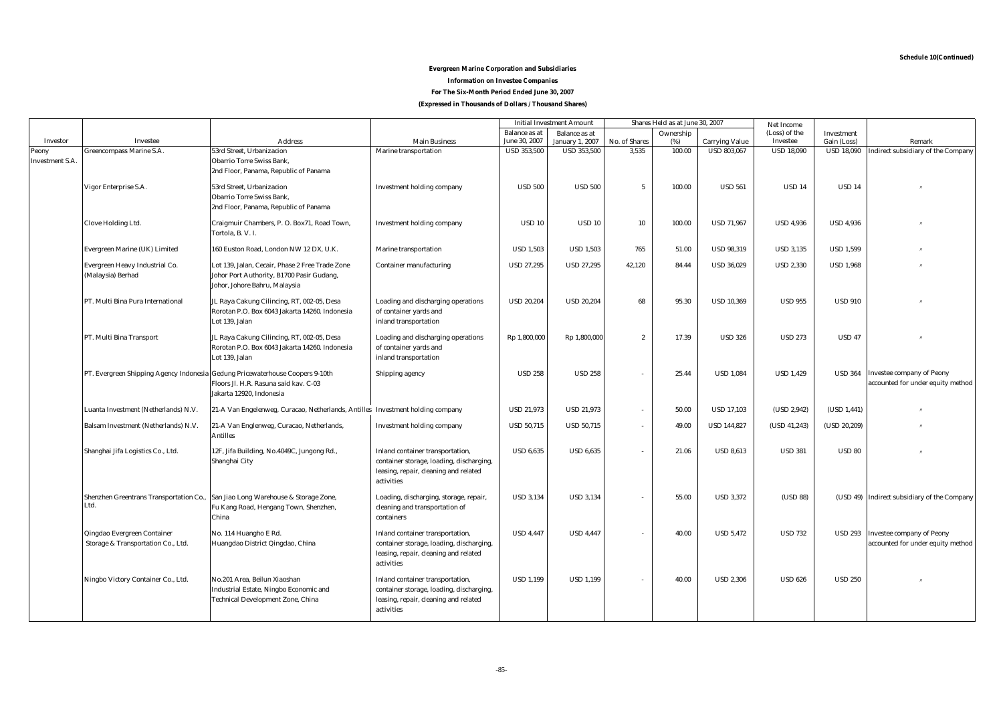**Schedule 10(Continued)**

# **For The Six-Month Period Ended June 30, 2007 Evergreen Marine Corporation and Subsidiaries Information on Investee Companies**

**(Expressed in Thousands of Dollars / Thousand Shares)**

|                        |                                                                   |                                                                                                                               |                                                                                                                                     | Shares Held as at June 30, 2007<br><b>Initial Investment Amount</b> |                        | Net Income       |           |                       |                   |                   |                                                                       |
|------------------------|-------------------------------------------------------------------|-------------------------------------------------------------------------------------------------------------------------------|-------------------------------------------------------------------------------------------------------------------------------------|---------------------------------------------------------------------|------------------------|------------------|-----------|-----------------------|-------------------|-------------------|-----------------------------------------------------------------------|
|                        |                                                                   |                                                                                                                               |                                                                                                                                     | <b>Balance</b> as at                                                | <b>Balance</b> as at   |                  | Ownership |                       | (Loss) of the     | Investment        |                                                                       |
| Investor               | Investee                                                          | <b>Address</b>                                                                                                                | <b>Main Business</b>                                                                                                                | June 30, 2007                                                       | <b>January 1, 2007</b> | No. of Shares    | (%)       | <b>Carrying Value</b> | Investee          | Gain (Loss)       | Remark                                                                |
| Peony                  | Greencompass Marine S.A.                                          | 53rd Street, Urbanizacion<br><b>Obarrio Torre Swiss Bank,</b>                                                                 | Marine transportation                                                                                                               | <b>USD 353,500</b>                                                  | <b>USD 353,500</b>     | 3,535            | 100.00    | <b>USD 803,067</b>    | <b>USD 18,090</b> | <b>USD 18,090</b> | Indirect subsidiary of the Company                                    |
| <b>Investment S.A.</b> |                                                                   | 2nd Floor, Panama, Republic of Panama                                                                                         |                                                                                                                                     |                                                                     |                        |                  |           |                       |                   |                   |                                                                       |
|                        | Vigor Enterprise S.A.                                             | 53rd Street, Urbanizacion<br><b>Obarrio Torre Swiss Bank,</b><br>2nd Floor, Panama, Republic of Panama                        | <b>Investment holding company</b>                                                                                                   | <b>USD 500</b>                                                      | <b>USD 500</b>         | $\overline{5}$   | 100.00    | <b>USD 561</b>        | <b>USD 14</b>     | <b>USD 14</b>     |                                                                       |
|                        | <b>Clove Holding Ltd.</b>                                         | Craigmuir Chambers, P. O. Box71, Road Town,<br>Tortola, B. V. I.                                                              | <b>Investment holding company</b>                                                                                                   | <b>USD 10</b>                                                       | <b>USD 10</b>          | 10               | 100.00    | <b>USD 71,967</b>     | <b>USD 4,936</b>  | <b>USD 4,936</b>  |                                                                       |
|                        | Evergreen Marine (UK) Limited                                     | 160 Euston Road, London NW 12 DX, U.K.                                                                                        | Marine transportation                                                                                                               | <b>USD 1,503</b>                                                    | <b>USD 1,503</b>       | 765              | 51.00     | <b>USD 98,319</b>     | <b>USD 3,135</b>  | <b>USD 1,599</b>  |                                                                       |
|                        | Evergreen Heavy Industrial Co.<br>(Malaysia) Berhad               | Lot 139, Jalan, Cecair, Phase 2 Free Trade Zone<br>Johor Port Authority, B1700 Pasir Gudang,<br>Johor, Johore Bahru, Malaysia | <b>Container manufacturing</b>                                                                                                      | <b>USD 27,295</b>                                                   | <b>USD 27,295</b>      | 42,120           | 84.44     | <b>USD 36,029</b>     | <b>USD 2,330</b>  | <b>USD 1,968</b>  |                                                                       |
|                        | PT. Multi Bina Pura International                                 | JL Raya Cakung Cilincing, RT, 002-05, Desa<br>Rorotan P.O. Box 6043 Jakarta 14260. Indonesia<br>Lot 139, Jalan                | Loading and discharging operations<br>of container yards and<br>inland transportation                                               | <b>USD 20,204</b>                                                   | <b>USD 20.204</b>      | 68               | 95.30     | <b>USD 10.369</b>     | <b>USD 955</b>    | <b>USD 910</b>    |                                                                       |
|                        | PT. Multi Bina Transport                                          | JL Raya Cakung Cilincing, RT, 002-05, Desa<br>Rorotan P.O. Box 6043 Jakarta 14260. Indonesia<br>Lot 139, Jalan                | Loading and discharging operations<br>of container yards and<br>inland transportation                                               | Rp 1,800,000                                                        | Rp 1,800,000           | $\boldsymbol{2}$ | 17.39     | <b>USD 326</b>        | <b>USD 273</b>    | <b>USD 47</b>     |                                                                       |
|                        | PT. Evergreen Shipping Agency Indonesia                           | Gedung Pricewaterhouse Coopers 9-10th<br>Floors Jl. H.R. Rasuna said kav. C-03<br>Jakarta 12920, Indonesia                    |                                                                                                                                     | <b>USD 258</b>                                                      | <b>USD 258</b>         | ٠                | 25.44     | <b>USD 1.084</b>      | <b>USD 1.429</b>  | <b>USD 364</b>    | <b>Investee company of Peony</b><br>accounted for under equity method |
|                        | Luanta Investment (Netherlands) N.V.                              | 21-A Van Engelenweg, Curacao, Netherlands, Antilles Investment holding company                                                |                                                                                                                                     | <b>USD 21,973</b>                                                   | <b>USD 21,973</b>      | $\sim$           | 50.00     | <b>USD 17,103</b>     | (USD 2,942)       | (USD 1,441)       |                                                                       |
|                        | Balsam Investment (Netherlands) N.V.                              | 21-A Van Englenweg, Curacao, Netherlands,<br>Antilles                                                                         | <b>Investment holding company</b>                                                                                                   | <b>USD 50,715</b>                                                   | <b>USD 50,715</b>      | $\sim$           | 49.00     | <b>USD 144,827</b>    | (USD 41,243)      | (USD 20, 209)     |                                                                       |
|                        | Shanghai Jifa Logistics Co., Ltd.                                 | 12F, Jifa Building, No.4049C, Jungong Rd.,<br>Shanghai City                                                                   | Inland container transportation,<br>container storage, loading, discharging,<br>leasing, repair, cleaning and related<br>activities | <b>USD 6.635</b>                                                    | <b>USD 6.635</b>       | ÷                | 21.06     | <b>USD 8,613</b>      | <b>USD 381</b>    | <b>USD 80</b>     |                                                                       |
|                        | Shenzhen Greentrans Transportation Co.,<br>Ltd.                   | San Jiao Long Warehouse & Storage Zone,<br>Fu Kang Road, Hengang Town, Shenzhen,<br>China                                     | Loading, discharging, storage, repair,<br>cleaning and transportation of<br>containers                                              | <b>USD 3,134</b>                                                    | <b>USD 3,134</b>       |                  | 55.00     | <b>USD 3,372</b>      | (USD 88)          |                   | (USD 49) Indirect subsidiary of the Company                           |
|                        | Qingdao Evergreen Container<br>Storage & Transportation Co., Ltd. | No. 114 Huangho E Rd.<br>Huangdao District Qingdao, China                                                                     | Inland container transportation,<br>container storage, loading, discharging,<br>leasing, repair, cleaning and related<br>activities | <b>USD 4,447</b>                                                    | <b>USD 4,447</b>       | ÷                | 40.00     | <b>USD 5,472</b>      | <b>USD 732</b>    | <b>USD 293</b>    | <b>Investee company of Peony</b><br>accounted for under equity method |
|                        | Ningbo Victory Container Co., Ltd.                                | No.201 Area, Beilun Xiaoshan<br>Industrial Estate, Ningbo Economic and<br><b>Technical Development Zone, China</b>            | Inland container transportation,<br>container storage, loading, discharging,<br>leasing, repair, cleaning and related<br>activities | <b>USD 1,199</b>                                                    | <b>USD 1,199</b>       | $\sim$           | 40.00     | <b>USD 2,306</b>      | <b>USD 626</b>    | <b>USD 250</b>    |                                                                       |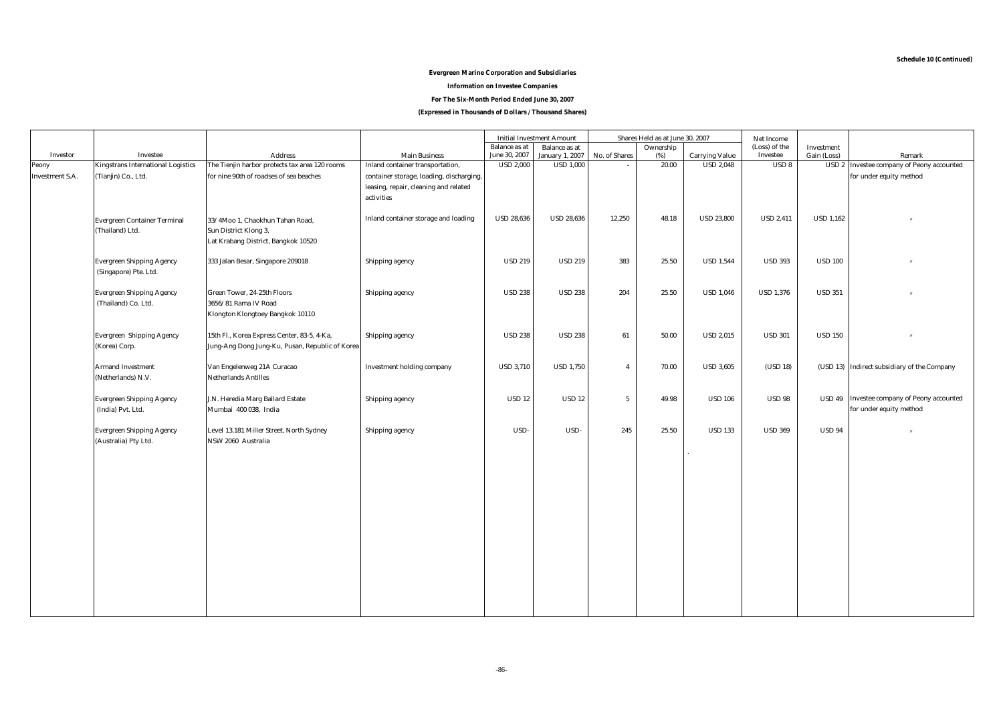# **Evergreen Marine Corporation and Subsidiaries**

#### **Information on Investee Companies**

**For The Six-Month Period Ended June 30, 2007**

**(Expressed in Thousands of Dollars / Thousand Shares)**

|                        |                                                           |                                                                                                 |                                                                                                 |                                   | <b>Initial Investment Amount</b>           |                 | Shares Held as at June 30, 2007 |                                           | Net Income                   |                  |                                                                       |
|------------------------|-----------------------------------------------------------|-------------------------------------------------------------------------------------------------|-------------------------------------------------------------------------------------------------|-----------------------------------|--------------------------------------------|-----------------|---------------------------------|-------------------------------------------|------------------------------|------------------|-----------------------------------------------------------------------|
|                        |                                                           |                                                                                                 |                                                                                                 | <b>Balance</b> as at              | <b>Balance</b> as at                       |                 | Ownership                       |                                           | (Loss) of the                | Investment       |                                                                       |
| Investor<br>Peony      | Investee<br><b>Kingstrans International Logistics</b>     | <b>Address</b><br>The Tienjin harbor protects tax area 120 rooms                                | <b>Main Business</b><br>Inland container transportation,                                        | June 30, 2007<br><b>USD 2,000</b> | <b>January 1, 2007</b><br><b>USD 1,000</b> | No. of Shares   | (%)<br>20.00                    | <b>Carrying Value</b><br><b>USD 2.048</b> | Investee<br>USD <sub>8</sub> | Gain (Loss)      | Remark<br><b>USD 2</b> Investee company of Peony accounted            |
| <b>Investment S.A.</b> | (Tianjin) Co., Ltd.                                       | for nine 90th of roadses of sea beaches                                                         | container storage, loading, discharging,<br>leasing, repair, cleaning and related<br>activities |                                   |                                            |                 |                                 |                                           |                              |                  | for under equity method                                               |
|                        | <b>Evergreen Container Terminal</b><br>(Thailand) Ltd.    | 33/4Moo 1, Chaokhun Tahan Road,<br>Sun District Klong 3,<br>Lat Krabang District, Bangkok 10520 | Inland container storage and loading                                                            | <b>USD 28,636</b>                 | <b>USD 28,636</b>                          | 12,250          | 48.18                           | <b>USD 23,800</b>                         | <b>USD 2,411</b>             | <b>USD 1,162</b> |                                                                       |
|                        | <b>Evergreen Shipping Agency</b><br>(Singapore) Pte. Ltd. | 333 Jalan Besar, Singapore 209018                                                               | Shipping agency                                                                                 | <b>USD 219</b>                    | <b>USD 219</b>                             | 383             | 25.50                           | <b>USD 1,544</b>                          | <b>USD 393</b>               | <b>USD 100</b>   |                                                                       |
|                        | <b>Evergreen Shipping Agency</b><br>(Thailand) Co. Ltd.   | Green Tower, 24-25th Floors<br>3656/81 Rama IV Road<br>Klongton Klongtoey Bangkok 10110         | Shipping agency                                                                                 | <b>USD 238</b>                    | <b>USD 238</b>                             | 204             | 25.50                           | <b>USD 1,046</b>                          | <b>USD 1,376</b>             | <b>USD 351</b>   | $^{\prime\prime}$                                                     |
|                        | <b>Evergreen Shipping Agency</b><br>(Korea) Corp.         | 15th Fl., Korea Express Center, 83-5, 4-Ka,<br>Jung-Ang Dong Jung-Ku, Pusan, Republic of Korea  | Shipping agency                                                                                 | <b>USD 238</b>                    | <b>USD 238</b>                             | 61              | 50.00                           | <b>USD 2,015</b>                          | <b>USD 301</b>               | <b>USD 150</b>   | $^{\prime\prime}$                                                     |
|                        | <b>Armand Investment</b><br>(Netherlands) N.V.            | Van Engelenweg 21A Curacao<br><b>Netherlands Antilles</b>                                       | <b>Investment holding company</b>                                                               | <b>USD 3,710</b>                  | <b>USD 1,750</b>                           | $\overline{4}$  | 70.00                           | <b>USD 3,605</b>                          | (USD 18)                     |                  | (USD 13) Indirect subsidiary of the Company                           |
|                        | <b>Evergreen Shipping Agency</b><br>(India) Pvt. Ltd.     | J.N. Heredia Marg Ballard Estate<br>Mumbai 400 038, India                                       | Shipping agency                                                                                 | <b>USD 12</b>                     | <b>USD 12</b>                              | $5\overline{ }$ | 49.98                           | <b>USD 106</b>                            | <b>USD 98</b>                |                  | USD 49 Investee company of Peony accounted<br>for under equity method |
|                        | <b>Evergreen Shipping Agency</b><br>(Australia) Pty Ltd.  | Level 13,181 Miller Street, North Sydney<br>NSW 2060 Australia                                  | Shipping agency                                                                                 | USD-                              | USD-                                       | 245             | 25.50                           | <b>USD 133</b>                            | <b>USD 369</b>               | <b>USD 94</b>    |                                                                       |
|                        |                                                           |                                                                                                 |                                                                                                 |                                   |                                            |                 |                                 |                                           |                              |                  |                                                                       |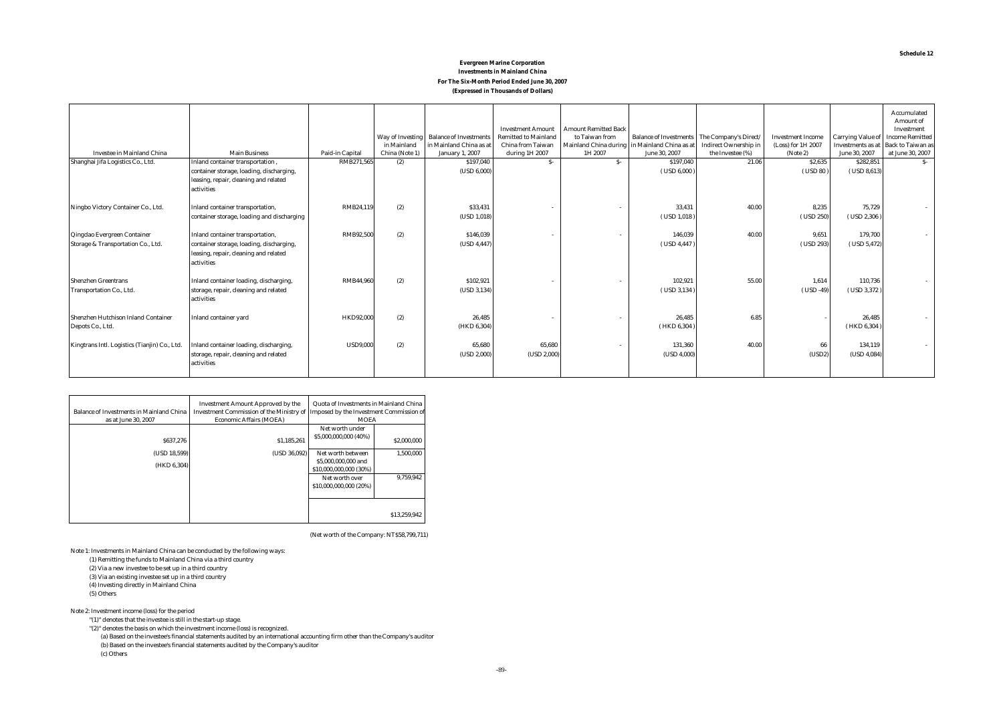#### **Evergreen Marine Corporation Investments in Mainland China For The Six-Month Period Ended June 30, 2007 (Expressed in Thousands of Dollars)**

|                                                                   |                                                                                                                                     |                  | Way of Investing<br>in Mainland | <b>Balance of Investments</b><br>in Mainland China as at | <b>Investment Amount</b><br><b>Remitted to Mainland</b><br><b>China from Taiwan</b> | <b>Amount Remitted Back</b><br>to Taiwan from<br>Mainland China during in Mainland China as a | Balance of Investments The Company's Direct. | <b>Indirect Ownership in</b> | <b>Investment Income</b><br>(Loss) for 1H 2007 | <b>Carrying Value of</b><br>Investments as at | Accumulated<br>Amount of<br>Investment<br><b>Income Remitted</b><br><b>Back to Taiwan as</b> |
|-------------------------------------------------------------------|-------------------------------------------------------------------------------------------------------------------------------------|------------------|---------------------------------|----------------------------------------------------------|-------------------------------------------------------------------------------------|-----------------------------------------------------------------------------------------------|----------------------------------------------|------------------------------|------------------------------------------------|-----------------------------------------------|----------------------------------------------------------------------------------------------|
| <b>Investee in Mainland China</b>                                 | <b>Main Business</b>                                                                                                                | Paid-in Capital  | China (Note 1)                  | <b>January 1, 2007</b>                                   | during 1H 2007                                                                      | 1H 2007                                                                                       | June 30, 2007                                | the Investee (%)             | (Note 2)                                       | June 30, 2007                                 | at June 30, 2007                                                                             |
| Shanghai Jifa Logistics Co., Ltd.                                 | Inland container transportation,<br>container storage, loading, discharging,<br>leasing, repair, cleaning and related<br>activities | RMB271,565       | (2)                             | \$197,040<br>(USD 6,000)                                 | $S-$                                                                                | $S-$                                                                                          | \$197,040<br>$($ USD 6,000 $)$               | 21.06                        | \$2,635<br>(USD 80)                            | \$282,851<br>$($ USD 8,613 $)$                | $S-$                                                                                         |
| Ningbo Victory Container Co., Ltd.                                | Inland container transportation,<br>container storage, loading and discharging                                                      | RMB24.119        | (2)                             | \$33,431<br>(USD 1,018)                                  |                                                                                     |                                                                                               | 33.431<br>$($ USD 1,018 $)$                  | 40.00                        | 8.235<br>$($ USD 250 $)$                       | 75.729<br>$($ USD 2,306 $)$                   |                                                                                              |
| Qingdao Evergreen Container<br>Storage & Transportation Co., Ltd. | Inland container transportation,<br>container storage, loading, discharging,<br>leasing, repair, cleaning and related<br>activities | <b>RMB92,500</b> | (2)                             | \$146,039<br>(USD 4,447)                                 |                                                                                     |                                                                                               | 146.039<br>(USD 4,447)                       | 40.00                        | 9.651<br>(USD 293)                             | 179,700<br>(USD 5,472)                        |                                                                                              |
| <b>Shenzhen Greentrans</b><br>Transportation Co., Ltd.            | Inland container loading, discharging,<br>storage, repair, cleaning and related<br>activities                                       | <b>RMB44.960</b> | (2)                             | \$102,921<br>(USD 3, 134)                                |                                                                                     |                                                                                               | 102,921<br>$($ USD 3,134 $)$                 | 55.00                        | 1,614<br>$($ USD -49 $)$                       | 110,736<br>$($ USD 3,372 $)$                  |                                                                                              |
| Shenzhen Hutchison Inland Container<br>Depots Co., Ltd.           | <b>Inland container yard</b>                                                                                                        | <b>HKD92,000</b> | (2)                             | 26,485<br>(HKD 6,304)                                    |                                                                                     |                                                                                               | 26,485<br>(HKD 6, 304)                       | 6.85                         |                                                | 26,485<br>(HKD 6, 304)                        |                                                                                              |
| Kingtrans Intl. Logistics (Tianjin) Co., Ltd.                     | Inland container loading, discharging,<br>storage, repair, cleaning and related<br>activities                                       | <b>USD9,000</b>  | (2)                             | 65.680<br>(USD 2,000)                                    | 65,680<br>(USD 2,000)                                                               |                                                                                               | 131,360<br>(USD 4,000)                       | 40.00                        | 66<br>(USD2)                                   | 134,119<br>(USD 4,084)                        |                                                                                              |

|                                                 | <b>Investment Amount Approved by the</b>                                         | Quota of Investments in Mainland China |              |
|-------------------------------------------------|----------------------------------------------------------------------------------|----------------------------------------|--------------|
| <b>Balance of Investments in Mainland China</b> | Investment Commission of the Ministry of Imposed by the Investment Commission of |                                        |              |
| as at June 30, 2007                             | <b>Economic Affairs (MOEA)</b>                                                   | <b>MOEA</b>                            |              |
|                                                 |                                                                                  | Net worth under                        |              |
| \$637,276                                       | \$1,185,261                                                                      | \$5,000,000,000 (40%)                  | \$2,000,000  |
|                                                 |                                                                                  |                                        |              |
| (USD 18.599)                                    | (USD 36.092)                                                                     | Net worth between                      | 1.500.000    |
| (HKD 6.304)                                     |                                                                                  | \$5,000,000,000 and                    |              |
|                                                 |                                                                                  | \$10,000,000,000 (30%)                 |              |
|                                                 |                                                                                  | Net worth over                         | 9.759.942    |
|                                                 |                                                                                  | \$10,000,000,000 (20%)                 |              |
|                                                 |                                                                                  |                                        |              |
|                                                 |                                                                                  |                                        |              |
|                                                 |                                                                                  |                                        | \$13,259,942 |
|                                                 |                                                                                  |                                        |              |

(Net worth of the Company: NT\$58,799,711)

Note 1: Investments in Mainland China can be conducted by the following ways:

(1) Remitting the funds to Mainland China via a third country

(2) Via a new investee to be set up in a third country

(3) Via an existing investee set up in a third country

(4) Investing directly in Mainland China

(5) Others

Note 2: Investment income (loss) for the period

"(1)" denotes that the investee is still in the start-up stage.

 "(2)" denotes the basis on which the investment income (loss) is recognized. (a) Based on the investee's financial statements audited by an international accounting firm other than the Company's auditor (b) Based on the investee's financial statements audited by the Company's auditor (c) Others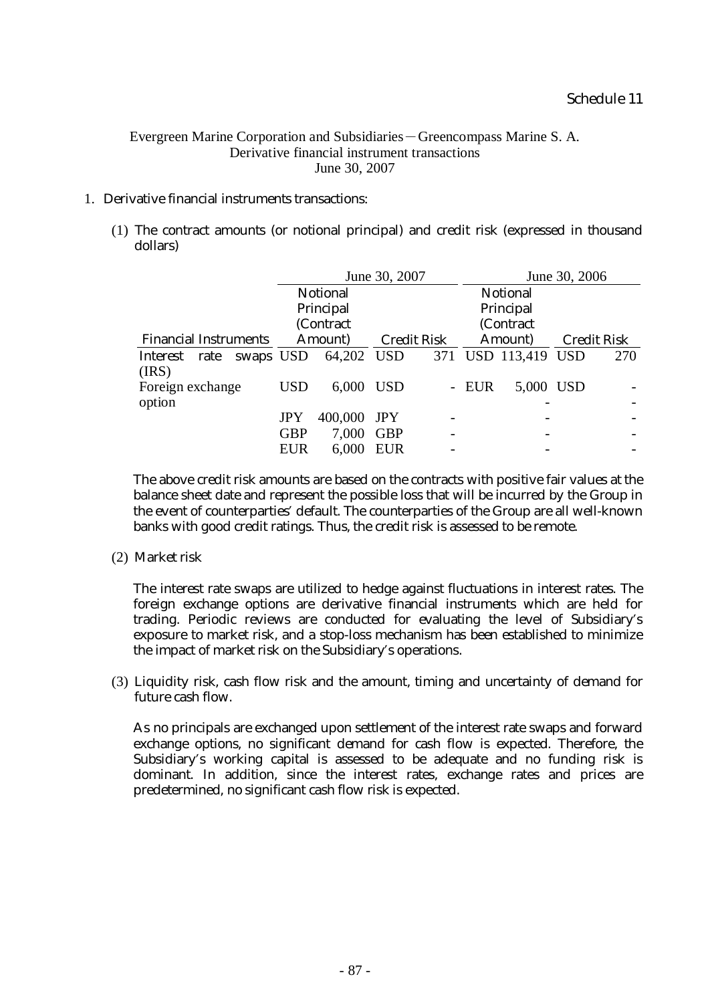# Evergreen Marine Corporation and Subsidiaries-Greencompass Marine S. A. Derivative financial instrument transactions June 30, 2007

# 1. Derivative financial instruments transactions:

(1) The contract amounts (or notional principal) and credit risk (expressed in thousand dollars)

|                              |           |            |                 | June 30, 2007 |                    |           | June 30, 2006       |                    |     |  |
|------------------------------|-----------|------------|-----------------|---------------|--------------------|-----------|---------------------|--------------------|-----|--|
|                              |           |            | <b>Notional</b> |               |                    |           | <b>Notional</b>     |                    |     |  |
|                              |           |            | Principal       |               | Principal          |           |                     |                    |     |  |
|                              |           |            | (Contract       |               |                    | (Contract |                     |                    |     |  |
| <b>Financial Instruments</b> |           | Amount)    |                 |               | <b>Credit Risk</b> |           | Amount)             | <b>Credit Risk</b> |     |  |
| Interest rate                | swaps USD |            | 64,202 USD      |               |                    |           | 371 USD 113,419 USD |                    | 270 |  |
| (IRS)                        |           |            |                 |               |                    |           |                     |                    |     |  |
| Foreign exchange             |           | <b>USD</b> | 6,000           | <b>USD</b>    |                    | - EUR     | 5,000               | <b>USD</b>         |     |  |
| option                       |           |            |                 |               |                    |           |                     |                    |     |  |
|                              |           | JPY        | 400,000         | <b>JPY</b>    |                    |           |                     |                    |     |  |
|                              |           | <b>GBP</b> | 7,000           | <b>GBP</b>    |                    |           |                     |                    |     |  |
|                              |           | <b>EUR</b> | 6,000           | <b>EUR</b>    |                    |           |                     |                    |     |  |
|                              |           |            |                 |               |                    |           |                     |                    |     |  |

The above credit risk amounts are based on the contracts with positive fair values at the balance sheet date and represent the possible loss that will be incurred by the Group in the event of counterparties' default. The counterparties of the Group are all well-known banks with good credit ratings. Thus, the credit risk is assessed to be remote.

(2) Market risk

The interest rate swaps are utilized to hedge against fluctuations in interest rates. The foreign exchange options are derivative financial instruments which are held for trading. Periodic reviews are conducted for evaluating the level of Subsidiary's exposure to market risk, and a stop-loss mechanism has been established to minimize the impact of market risk on the Subsidiary's operations.

(3) Liquidity risk, cash flow risk and the amount, timing and uncertainty of demand for future cash flow.

As no principals are exchanged upon settlement of the interest rate swaps and forward exchange options, no significant demand for cash flow is expected. Therefore, the Subsidiary's working capital is assessed to be adequate and no funding risk is dominant. In addition, since the interest rates, exchange rates and prices are predetermined, no significant cash flow risk is expected.